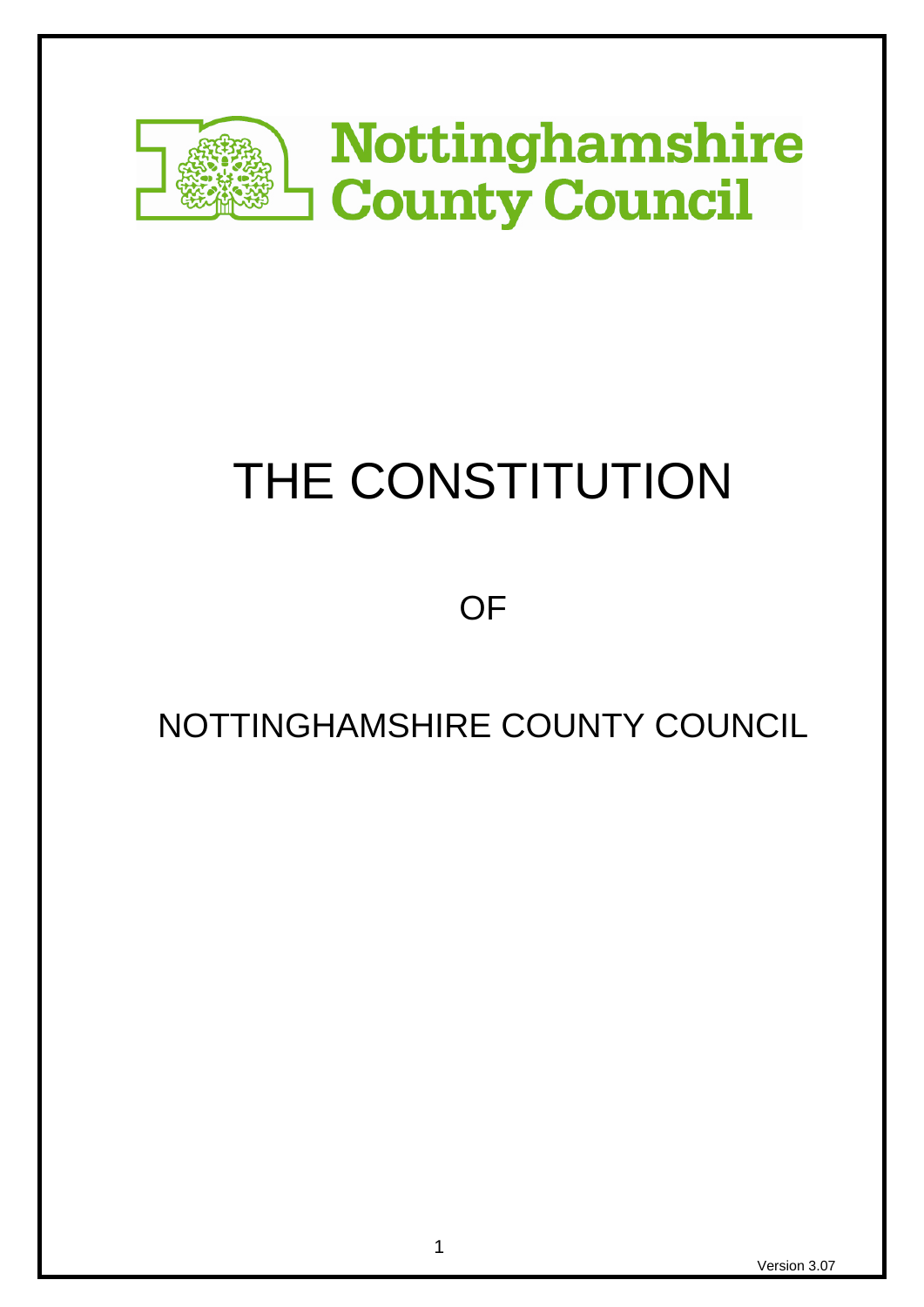

# THE CONSTITUTION

**OF** 

# NOTTINGHAMSHIRE COUNTY COUNCIL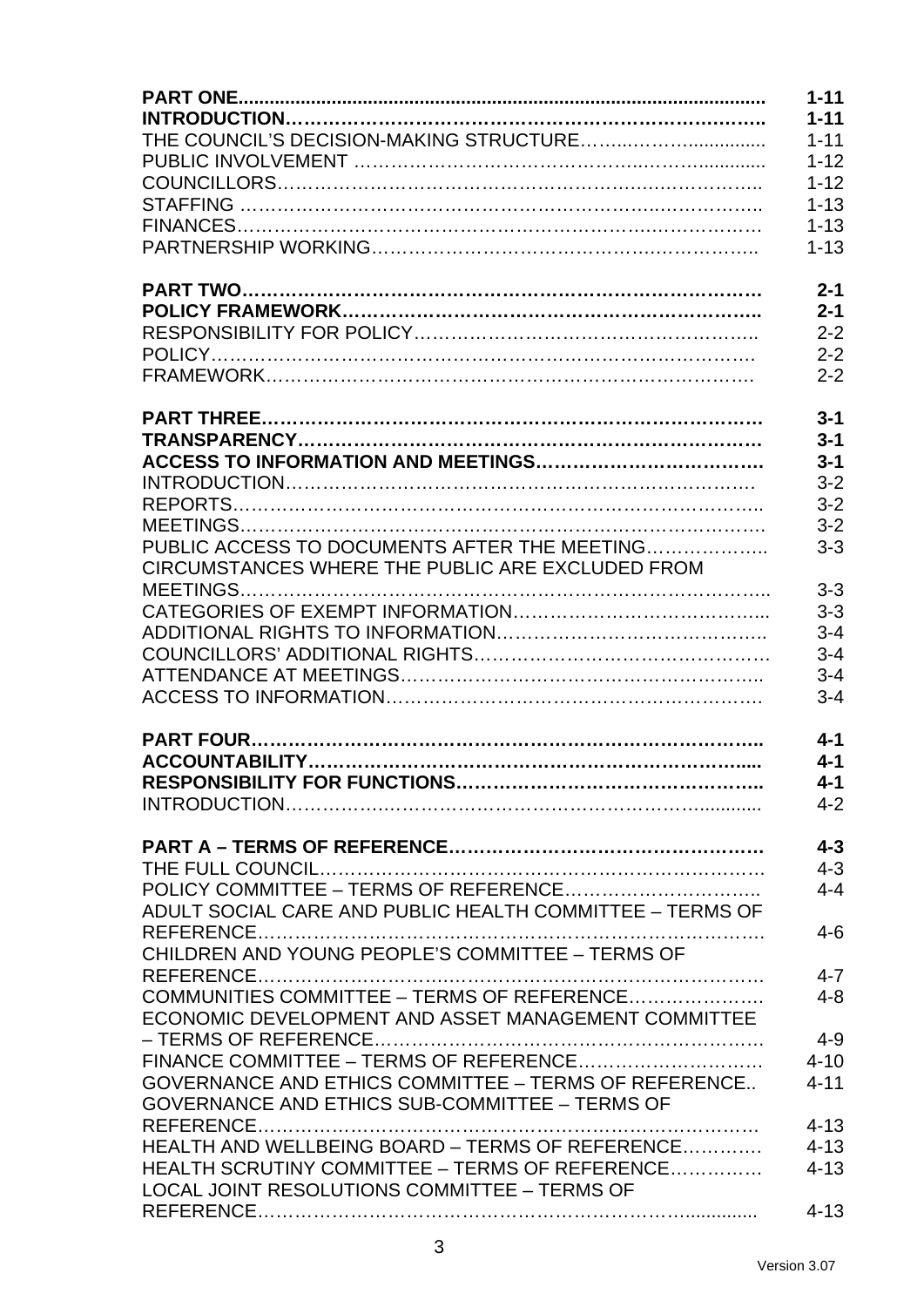|                                                             | $1 - 11$ |
|-------------------------------------------------------------|----------|
|                                                             | $1 - 11$ |
|                                                             | $1 - 11$ |
|                                                             | $1 - 12$ |
|                                                             | $1 - 12$ |
|                                                             | $1 - 13$ |
|                                                             | $1 - 13$ |
|                                                             | $1 - 13$ |
|                                                             | $2 - 1$  |
|                                                             | $2 - 1$  |
|                                                             | $2 - 2$  |
|                                                             | $2 - 2$  |
|                                                             | $2 - 2$  |
|                                                             | $3 - 1$  |
|                                                             | $3 - 1$  |
|                                                             | $3 - 1$  |
|                                                             | $3 - 2$  |
|                                                             | $3 - 2$  |
|                                                             | $3 - 2$  |
| PUBLIC ACCESS TO DOCUMENTS AFTER THE MEETING                | $3 - 3$  |
| CIRCUMSTANCES WHERE THE PUBLIC ARE EXCLUDED FROM            |          |
|                                                             | $3 - 3$  |
|                                                             | $3 - 3$  |
|                                                             | $3 - 4$  |
|                                                             | $3 - 4$  |
|                                                             | $3 - 4$  |
|                                                             | $3 - 4$  |
|                                                             | $4 - 1$  |
|                                                             | $4 - 1$  |
|                                                             | $4 - 1$  |
|                                                             | $4 - 2$  |
|                                                             | $4 - 3$  |
|                                                             | $4 - 3$  |
|                                                             | $4 - 4$  |
| ADULT SOCIAL CARE AND PUBLIC HEALTH COMMITTEE - TERMS OF    |          |
|                                                             | $4 - 6$  |
| CHILDREN AND YOUNG PEOPLE'S COMMITTEE - TERMS OF            |          |
| REFERENCE                                                   | $4 - 7$  |
| COMMUNITIES COMMITTEE - TERMS OF REFERENCE                  | $4 - 8$  |
| ECONOMIC DEVELOPMENT AND ASSET MANAGEMENT COMMITTEE         |          |
|                                                             | $4 - 9$  |
| FINANCE COMMITTEE - TERMS OF REFERENCE                      | $4 - 10$ |
| <b>GOVERNANCE AND ETHICS COMMITTEE - TERMS OF REFERENCE</b> | $4 - 11$ |
| <b>GOVERNANCE AND ETHICS SUB-COMMITTEE - TERMS OF</b>       |          |
|                                                             | $4 - 13$ |
| HEALTH AND WELLBEING BOARD - TERMS OF REFERENCE             | $4 - 13$ |
| HEALTH SCRUTINY COMMITTEE - TERMS OF REFERENCE              | $4 - 13$ |
| LOCAL JOINT RESOLUTIONS COMMITTEE - TERMS OF                |          |
|                                                             | $4 - 13$ |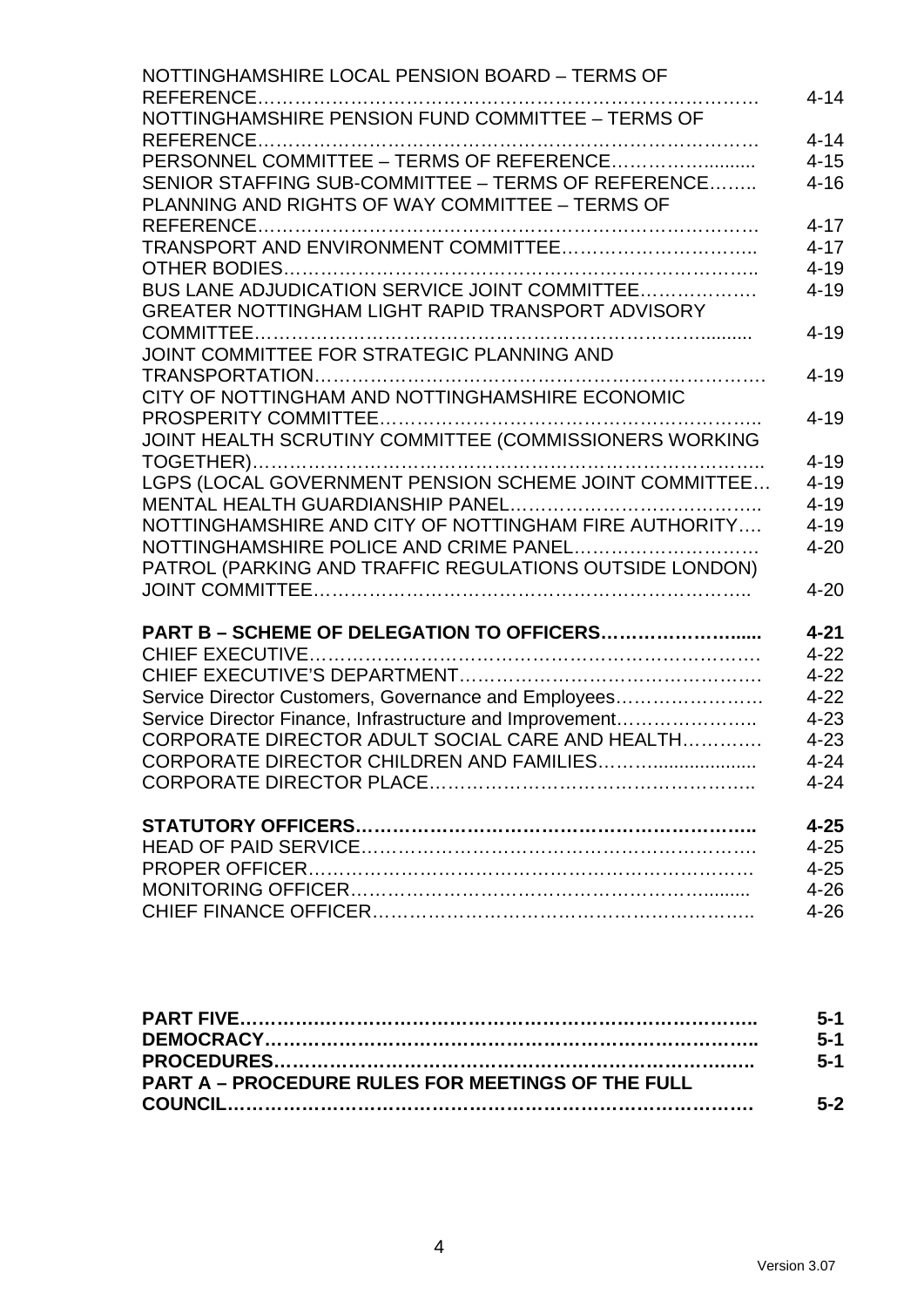| NOTTINGHAMSHIRE LOCAL PENSION BOARD - TERMS OF                                                     | $4 - 14$             |
|----------------------------------------------------------------------------------------------------|----------------------|
| NOTTINGHAMSHIRE PENSION FUND COMMITTEE - TERMS OF                                                  |                      |
| PERSONNEL COMMITTEE - TERMS OF REFERENCE                                                           | $4 - 14$<br>$4 - 15$ |
| SENIOR STAFFING SUB-COMMITTEE - TERMS OF REFERENCE                                                 | $4 - 16$             |
| PLANNING AND RIGHTS OF WAY COMMITTEE - TERMS OF                                                    |                      |
|                                                                                                    | $4 - 17$             |
|                                                                                                    | $4 - 17$             |
|                                                                                                    | $4 - 19$             |
| BUS LANE ADJUDICATION SERVICE JOINT COMMITTEE<br>GREATER NOTTINGHAM LIGHT RAPID TRANSPORT ADVISORY | $4 - 19$             |
| COMMITTEE                                                                                          | $4 - 19$             |
| JOINT COMMITTEE FOR STRATEGIC PLANNING AND                                                         |                      |
|                                                                                                    | $4 - 19$             |
| CITY OF NOTTINGHAM AND NOTTINGHAMSHIRE ECONOMIC                                                    |                      |
|                                                                                                    | $4 - 19$             |
| JOINT HEALTH SCRUTINY COMMITTEE (COMMISSIONERS WORKING                                             |                      |
|                                                                                                    | $4 - 19$             |
| LGPS (LOCAL GOVERNMENT PENSION SCHEME JOINT COMMITTEE                                              | $4 - 19$             |
|                                                                                                    | $4 - 19$             |
| NOTTINGHAMSHIRE AND CITY OF NOTTINGHAM FIRE AUTHORITY<br>NOTTINGHAMSHIRE POLICE AND CRIME PANEL    | $4 - 19$<br>$4 - 20$ |
| PATROL (PARKING AND TRAFFIC REGULATIONS OUTSIDE LONDON)                                            |                      |
|                                                                                                    | $4 - 20$             |
|                                                                                                    |                      |
| PART B - SCHEME OF DELEGATION TO OFFICERS                                                          | $4 - 21$             |
|                                                                                                    | $4 - 22$             |
|                                                                                                    | $4 - 22$             |
| Service Director Customers, Governance and Employees                                               | $4 - 22$             |
| Service Director Finance, Infrastructure and Improvement                                           | $4 - 23$             |
| CORPORATE DIRECTOR ADULT SOCIAL CARE AND HEALTH                                                    | $4 - 23$             |
| CORPORATE DIRECTOR CHILDREN AND FAMILIES                                                           | $4 - 24$<br>$4 - 24$ |
|                                                                                                    |                      |
|                                                                                                    | $4 - 25$             |
|                                                                                                    | $4 - 25$             |
|                                                                                                    | $4 - 25$             |
|                                                                                                    | $4 - 26$             |
|                                                                                                    | $4 - 26$             |
|                                                                                                    |                      |

|                                                          | $5 - 1$ |
|----------------------------------------------------------|---------|
|                                                          | $5-1$   |
|                                                          | $5-1$   |
| <b>PART A – PROCEDURE RULES FOR MEETINGS OF THE FULL</b> |         |
|                                                          | $5 - 2$ |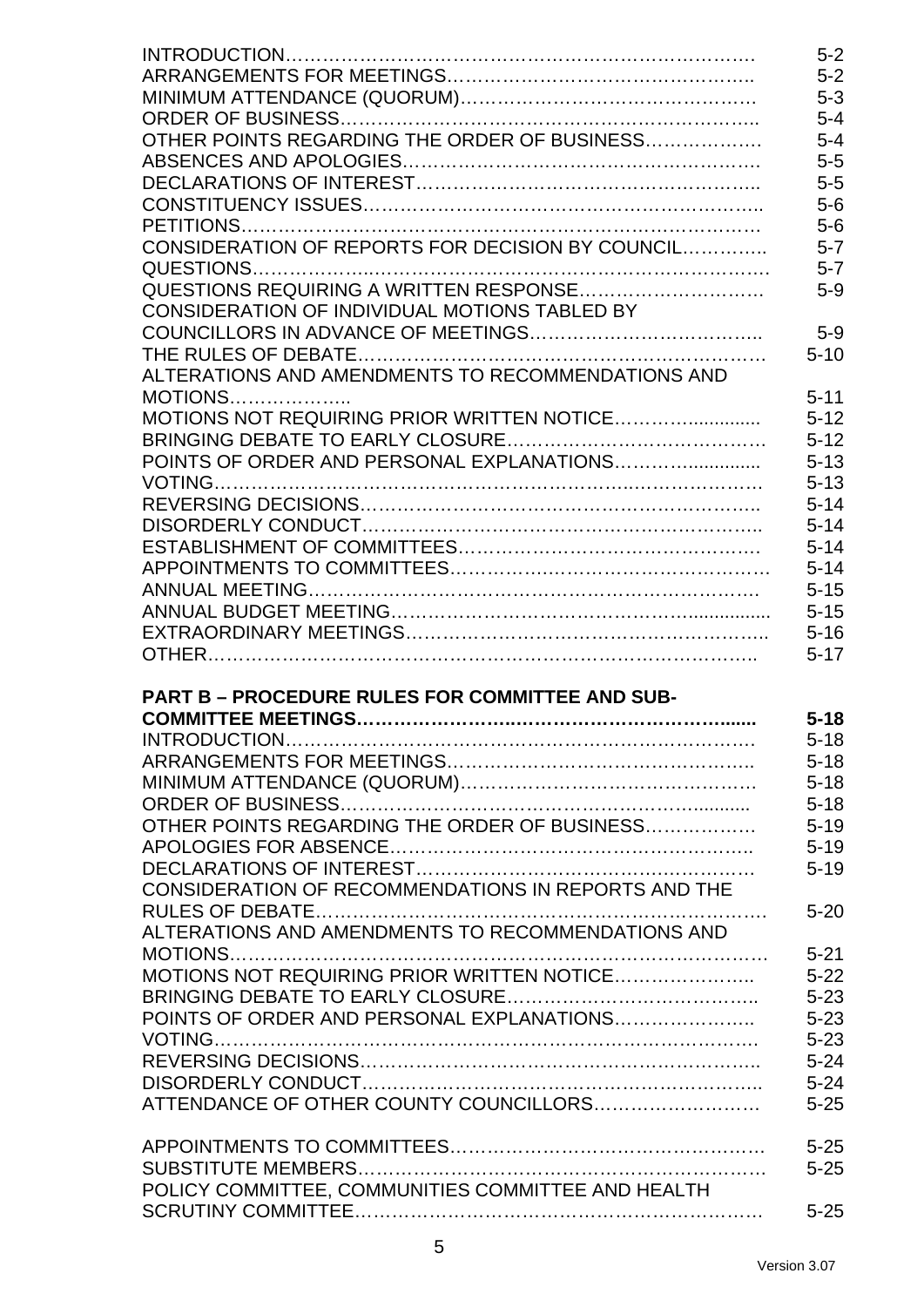|                                                        | $5 - 2$  |
|--------------------------------------------------------|----------|
|                                                        | $5-2$    |
|                                                        | $5 - 3$  |
|                                                        | $5 - 4$  |
| OTHER POINTS REGARDING THE ORDER OF BUSINESS           | $5 - 4$  |
|                                                        | $5-5$    |
|                                                        | $5-5$    |
|                                                        | $5-6$    |
|                                                        | $5-6$    |
|                                                        |          |
| CONSIDERATION OF REPORTS FOR DECISION BY COUNCIL       | $5 - 7$  |
|                                                        | $5 - 7$  |
|                                                        | $5-9$    |
| CONSIDERATION OF INDIVIDUAL MOTIONS TABLED BY          |          |
|                                                        | $5-9$    |
|                                                        | $5 - 10$ |
| ALTERATIONS AND AMENDMENTS TO RECOMMENDATIONS AND      |          |
|                                                        | $5 - 11$ |
| MOTIONS NOT REQUIRING PRIOR WRITTEN NOTICE             | $5 - 12$ |
|                                                        | $5 - 12$ |
| POINTS OF ORDER AND PERSONAL EXPLANATIONS              | $5 - 13$ |
|                                                        | $5 - 13$ |
|                                                        | $5 - 14$ |
|                                                        |          |
|                                                        | $5 - 14$ |
|                                                        | $5 - 14$ |
|                                                        | $5 - 14$ |
|                                                        | $5 - 15$ |
|                                                        | $5 - 15$ |
|                                                        | $5 - 16$ |
|                                                        | $5 - 17$ |
|                                                        |          |
| <b>PART B - PROCEDURE RULES FOR COMMITTEE AND SUB-</b> |          |
|                                                        | $5 - 18$ |
| <b>INTRODUCTION</b>                                    | $5 - 18$ |
|                                                        | $5 - 18$ |
|                                                        | $5 - 18$ |
|                                                        | $5 - 18$ |
| OTHER POINTS REGARDING THE ORDER OF BUSINESS           | $5 - 19$ |
|                                                        | $5 - 19$ |
|                                                        | $5 - 19$ |
| CONSIDERATION OF RECOMMENDATIONS IN REPORTS AND THE    |          |
|                                                        | $5 - 20$ |
| ALTERATIONS AND AMENDMENTS TO RECOMMENDATIONS AND      |          |
|                                                        |          |
|                                                        | $5 - 21$ |
| MOTIONS NOT REQUIRING PRIOR WRITTEN NOTICE             | $5 - 22$ |
|                                                        | $5 - 23$ |
| POINTS OF ORDER AND PERSONAL EXPLANATIONS              | $5 - 23$ |
|                                                        | $5 - 23$ |
|                                                        | $5 - 24$ |
|                                                        | $5 - 24$ |
|                                                        | $5 - 25$ |
|                                                        |          |
|                                                        | $5 - 25$ |
|                                                        | $5 - 25$ |
| POLICY COMMITTEE, COMMUNITIES COMMITTEE AND HEALTH     |          |
|                                                        |          |
|                                                        | $5 - 25$ |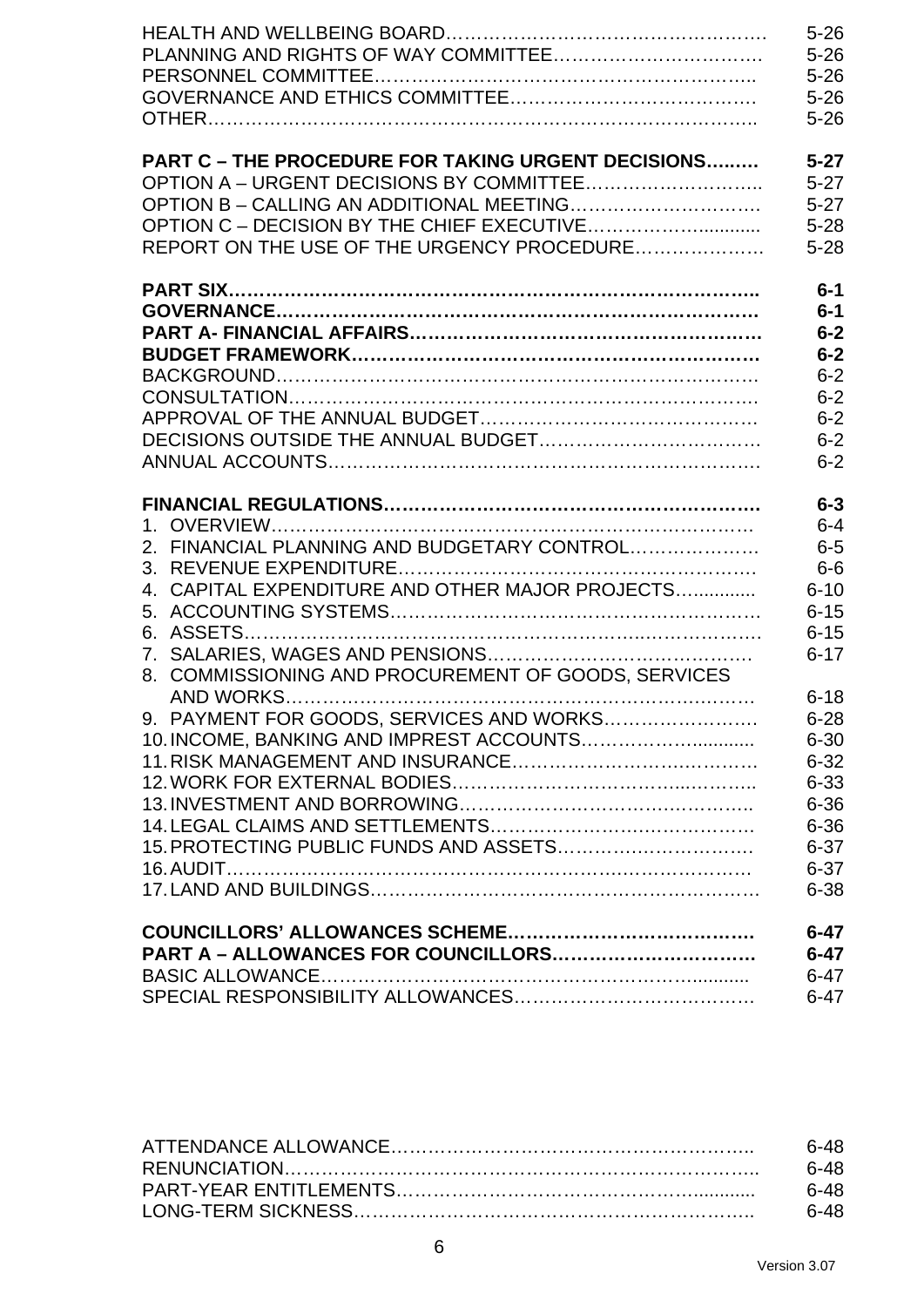|                                                           | $5 - 26$ |
|-----------------------------------------------------------|----------|
|                                                           | $5 - 26$ |
|                                                           | $5 - 26$ |
|                                                           | $5 - 26$ |
|                                                           | $5 - 26$ |
|                                                           |          |
| <b>PART C - THE PROCEDURE FOR TAKING URGENT DECISIONS</b> | $5 - 27$ |
|                                                           | $5 - 27$ |
| OPTION B – CALLING AN ADDITIONAL MEETING                  | $5 - 27$ |
|                                                           | $5 - 28$ |
| REPORT ON THE USE OF THE URGENCY PROCEDURE                | $5-28$   |
|                                                           |          |
|                                                           | $6-1$    |
|                                                           | $6 - 1$  |
|                                                           | $6 - 2$  |
|                                                           | $6-2$    |
|                                                           | $6 - 2$  |
|                                                           | $6 - 2$  |
|                                                           | $6 - 2$  |
|                                                           | $6 - 2$  |
|                                                           | $6 - 2$  |
|                                                           | $6 - 3$  |
|                                                           | $6 - 4$  |
| 2. FINANCIAL PLANNING AND BUDGETARY CONTROL               | $6-5$    |
|                                                           | $6-6$    |
| 4. CAPITAL EXPENDITURE AND OTHER MAJOR PROJECTS           | $6 - 10$ |
|                                                           | $6 - 15$ |
|                                                           |          |
|                                                           | $6 - 15$ |
|                                                           | $6 - 17$ |
| 8. COMMISSIONING AND PROCUREMENT OF GOODS, SERVICES       |          |
|                                                           | $6 - 18$ |
| 9. PAYMENT FOR GOODS, SERVICES AND WORKS                  | $6 - 28$ |
|                                                           | $6 - 30$ |
|                                                           | $6 - 32$ |
|                                                           | $6 - 33$ |
|                                                           | $6 - 36$ |
|                                                           | $6 - 36$ |
|                                                           | $6 - 37$ |
|                                                           | $6 - 37$ |
|                                                           | $6 - 38$ |
|                                                           | $6 - 47$ |
| PART A - ALLOWANCES FOR COUNCILLORS                       | $6 - 47$ |
|                                                           | $6 - 47$ |
|                                                           | $6 - 47$ |
|                                                           |          |

| հ-48 |
|------|
| 6-48 |
| հ-48 |
| 6-48 |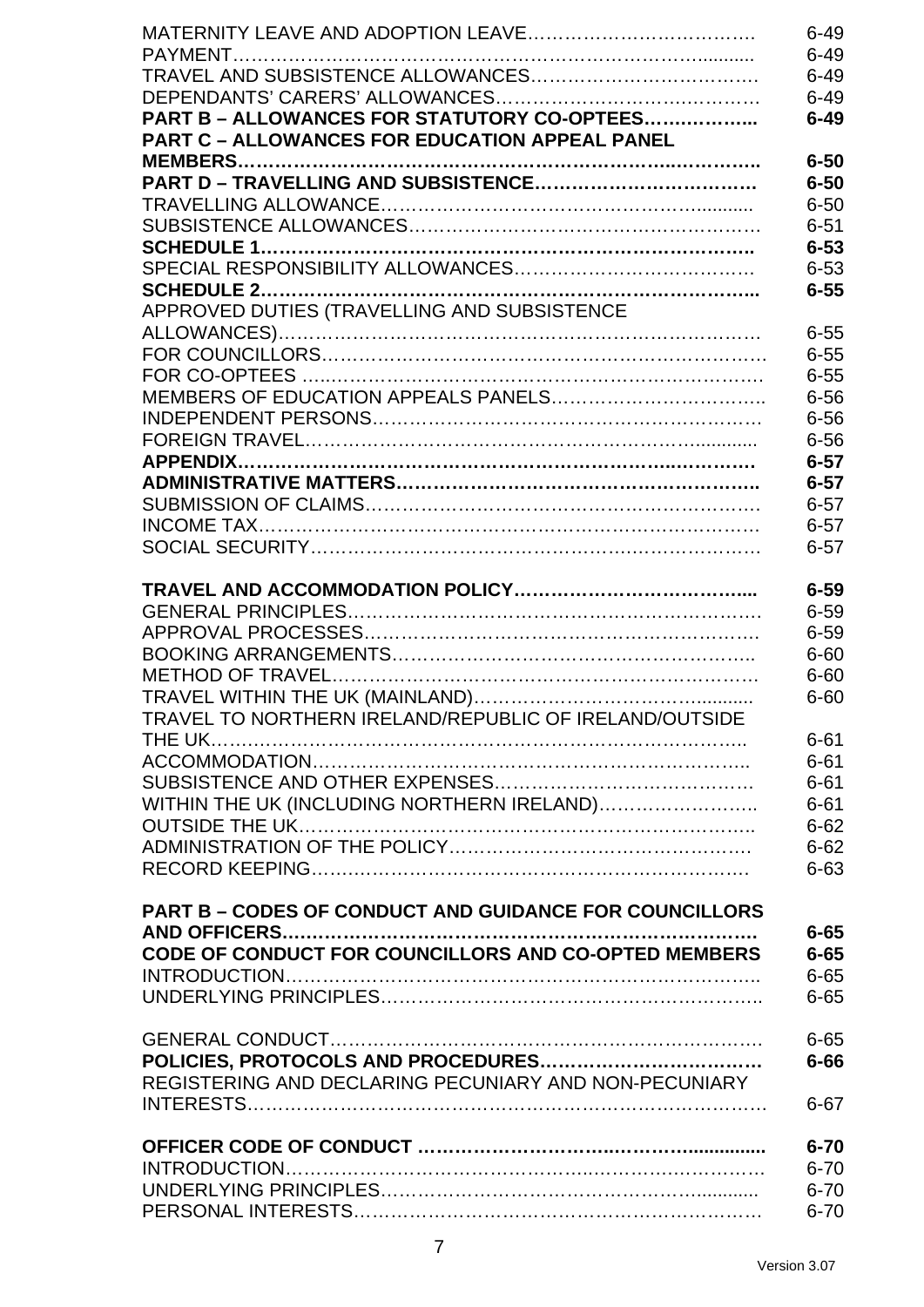|                                                               | $6 - 49$             |
|---------------------------------------------------------------|----------------------|
|                                                               | $6 - 49$             |
|                                                               | $6 - 49$             |
|                                                               | $6 - 49$             |
| PART B - ALLOWANCES FOR STATUTORY CO-OPTEES                   | $6 - 49$             |
| <b>PART C - ALLOWANCES FOR EDUCATION APPEAL PANEL</b>         |                      |
|                                                               | $6 - 50$             |
|                                                               | $6 - 50$             |
|                                                               | $6 - 50$             |
|                                                               | $6 - 51$             |
|                                                               | $6 - 53$             |
|                                                               | $6 - 53$             |
|                                                               | $6 - 55$             |
| APPROVED DUTIES (TRAVELLING AND SUBSISTENCE                   |                      |
|                                                               | $6 - 55$             |
|                                                               | $6 - 55$             |
|                                                               | $6 - 55$             |
|                                                               | $6 - 56$             |
|                                                               | $6 - 56$             |
|                                                               | $6 - 56$             |
|                                                               | $6 - 57$             |
|                                                               | $6 - 57$             |
|                                                               | $6 - 57$             |
|                                                               |                      |
|                                                               | $6 - 57$<br>$6 - 57$ |
|                                                               |                      |
|                                                               | $6 - 59$             |
|                                                               | $6 - 59$             |
|                                                               | $6 - 59$             |
|                                                               | $6 - 60$             |
|                                                               | $6 - 60$             |
|                                                               | $6 - 60$             |
| TRAVEL TO NORTHERN IRELAND/REPUBLIC OF IRELAND/OUTSIDE        |                      |
|                                                               | $6 - 61$             |
|                                                               | $6 - 61$             |
|                                                               | $6 - 61$             |
|                                                               |                      |
| WITHIN THE UK (INCLUDING NORTHERN IRELAND)                    | $6 - 61$             |
|                                                               | $6 - 62$             |
|                                                               | $6 - 62$             |
|                                                               | $6 - 63$             |
| <b>PART B - CODES OF CONDUCT AND GUIDANCE FOR COUNCILLORS</b> |                      |
| <b>AND OFFICERS</b>                                           | $6 - 65$             |
| CODE OF CONDUCT FOR COUNCILLORS AND CO-OPTED MEMBERS          | $6 - 65$             |
|                                                               | $6 - 65$             |
|                                                               | $6 - 65$             |
|                                                               |                      |
|                                                               | $6 - 65$             |
|                                                               | $6 - 66$             |
| REGISTERING AND DECLARING PECUNIARY AND NON-PECUNIARY         |                      |
|                                                               | $6 - 67$             |
|                                                               |                      |
|                                                               | $6 - 70$             |
|                                                               | $6 - 70$             |
|                                                               | $6 - 70$             |
|                                                               | $6 - 70$             |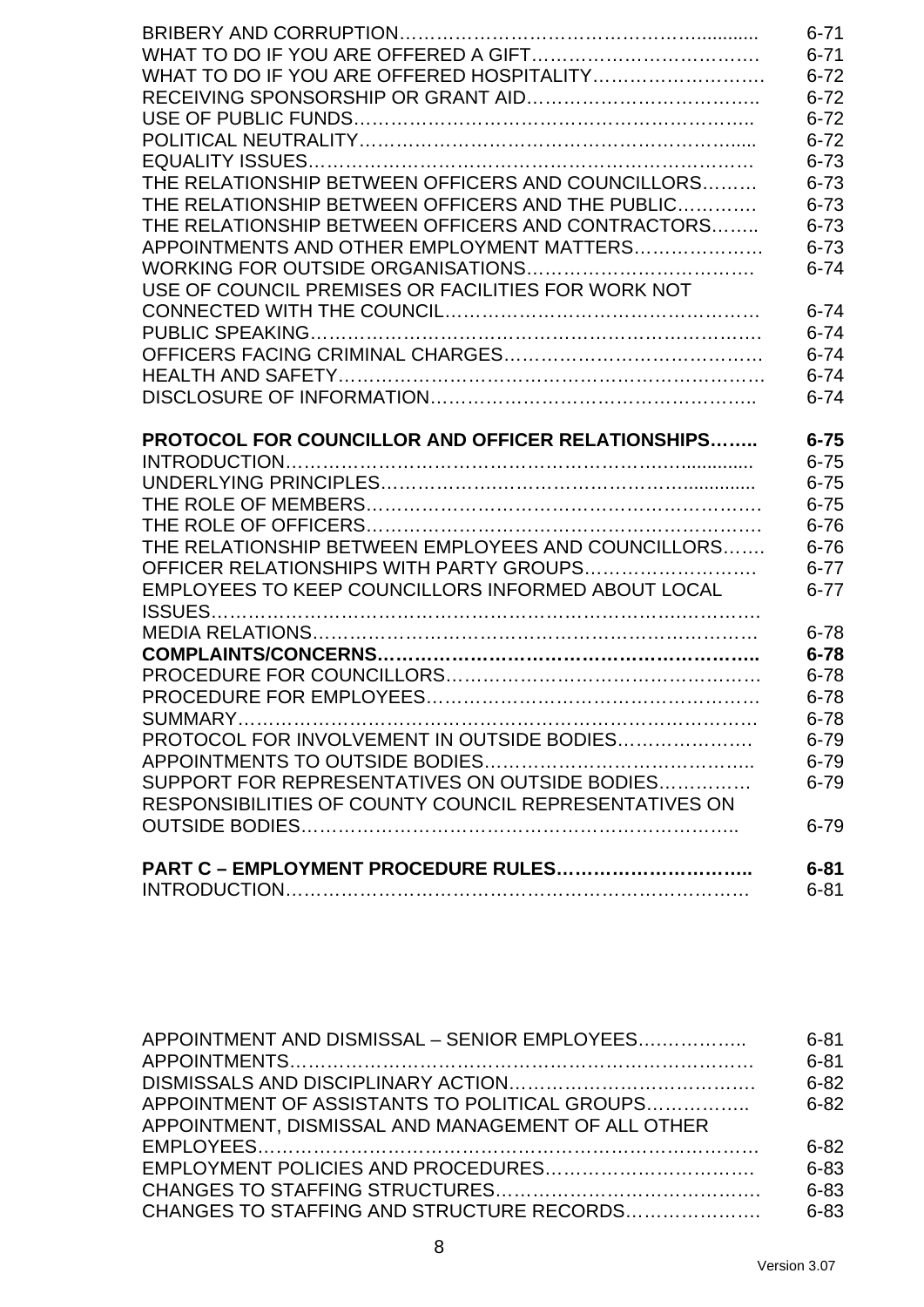|                                                                                                                                                                                                                                                                                                             | $6 - 71$                                                                                                                                                                     |
|-------------------------------------------------------------------------------------------------------------------------------------------------------------------------------------------------------------------------------------------------------------------------------------------------------------|------------------------------------------------------------------------------------------------------------------------------------------------------------------------------|
|                                                                                                                                                                                                                                                                                                             | $6 - 71$                                                                                                                                                                     |
|                                                                                                                                                                                                                                                                                                             | $6 - 72$                                                                                                                                                                     |
|                                                                                                                                                                                                                                                                                                             | $6 - 72$                                                                                                                                                                     |
|                                                                                                                                                                                                                                                                                                             | $6 - 72$                                                                                                                                                                     |
|                                                                                                                                                                                                                                                                                                             | $6 - 72$                                                                                                                                                                     |
|                                                                                                                                                                                                                                                                                                             | $6 - 73$                                                                                                                                                                     |
| THE RELATIONSHIP BETWEEN OFFICERS AND COUNCILLORS                                                                                                                                                                                                                                                           | $6 - 73$                                                                                                                                                                     |
| THE RELATIONSHIP BETWEEN OFFICERS AND THE PUBLIC                                                                                                                                                                                                                                                            | $6 - 73$                                                                                                                                                                     |
| THE RELATIONSHIP BETWEEN OFFICERS AND CONTRACTORS                                                                                                                                                                                                                                                           | $6 - 73$                                                                                                                                                                     |
| APPOINTMENTS AND OTHER EMPLOYMENT MATTERS                                                                                                                                                                                                                                                                   | $6 - 73$                                                                                                                                                                     |
|                                                                                                                                                                                                                                                                                                             | $6 - 74$                                                                                                                                                                     |
| USE OF COUNCIL PREMISES OR FACILITIES FOR WORK NOT                                                                                                                                                                                                                                                          |                                                                                                                                                                              |
|                                                                                                                                                                                                                                                                                                             | $6 - 74$                                                                                                                                                                     |
|                                                                                                                                                                                                                                                                                                             | $6 - 74$                                                                                                                                                                     |
|                                                                                                                                                                                                                                                                                                             | $6 - 74$                                                                                                                                                                     |
|                                                                                                                                                                                                                                                                                                             | $6 - 74$                                                                                                                                                                     |
|                                                                                                                                                                                                                                                                                                             | $6 - 74$                                                                                                                                                                     |
| THE RELATIONSHIP BETWEEN EMPLOYEES AND COUNCILLORS<br>OFFICER RELATIONSHIPS WITH PARTY GROUPS<br>EMPLOYEES TO KEEP COUNCILLORS INFORMED ABOUT LOCAL<br>PROTOCOL FOR INVOLVEMENT IN OUTSIDE BODIES<br>SUPPORT FOR REPRESENTATIVES ON OUTSIDE BODIES<br>RESPONSIBILITIES OF COUNTY COUNCIL REPRESENTATIVES ON | $6 - 75$<br>$6 - 75$<br>$6 - 75$<br>$6 - 76$<br>$6 - 76$<br>$6 - 77$<br>$6 - 77$<br>$6 - 78$<br>$6 - 78$<br>$6 - 78$<br>$6 - 78$<br>$6 - 78$<br>$6 - 79$<br>$6 - 79$<br>6-79 |
|                                                                                                                                                                                                                                                                                                             | $6 - 79$                                                                                                                                                                     |
| <b>PART C - EMPLOYMENT PROCEDURE RULES</b>                                                                                                                                                                                                                                                                  | $6 - 81$<br>$6 - 81$                                                                                                                                                         |

| APPOINTMENT AND DISMISSAL - SENIOR EMPLOYEES       | $6 - 81$ |
|----------------------------------------------------|----------|
|                                                    | $6 - 81$ |
|                                                    | $6 - 82$ |
| APPOINTMENT OF ASSISTANTS TO POLITICAL GROUPS      | $6 - 82$ |
| APPOINTMENT, DISMISSAL AND MANAGEMENT OF ALL OTHER |          |
|                                                    | $6 - 82$ |
|                                                    | $6 - 83$ |
|                                                    | $6 - 83$ |
| CHANGES TO STAFFING AND STRUCTURE RECORDS          | $6 - 83$ |
|                                                    |          |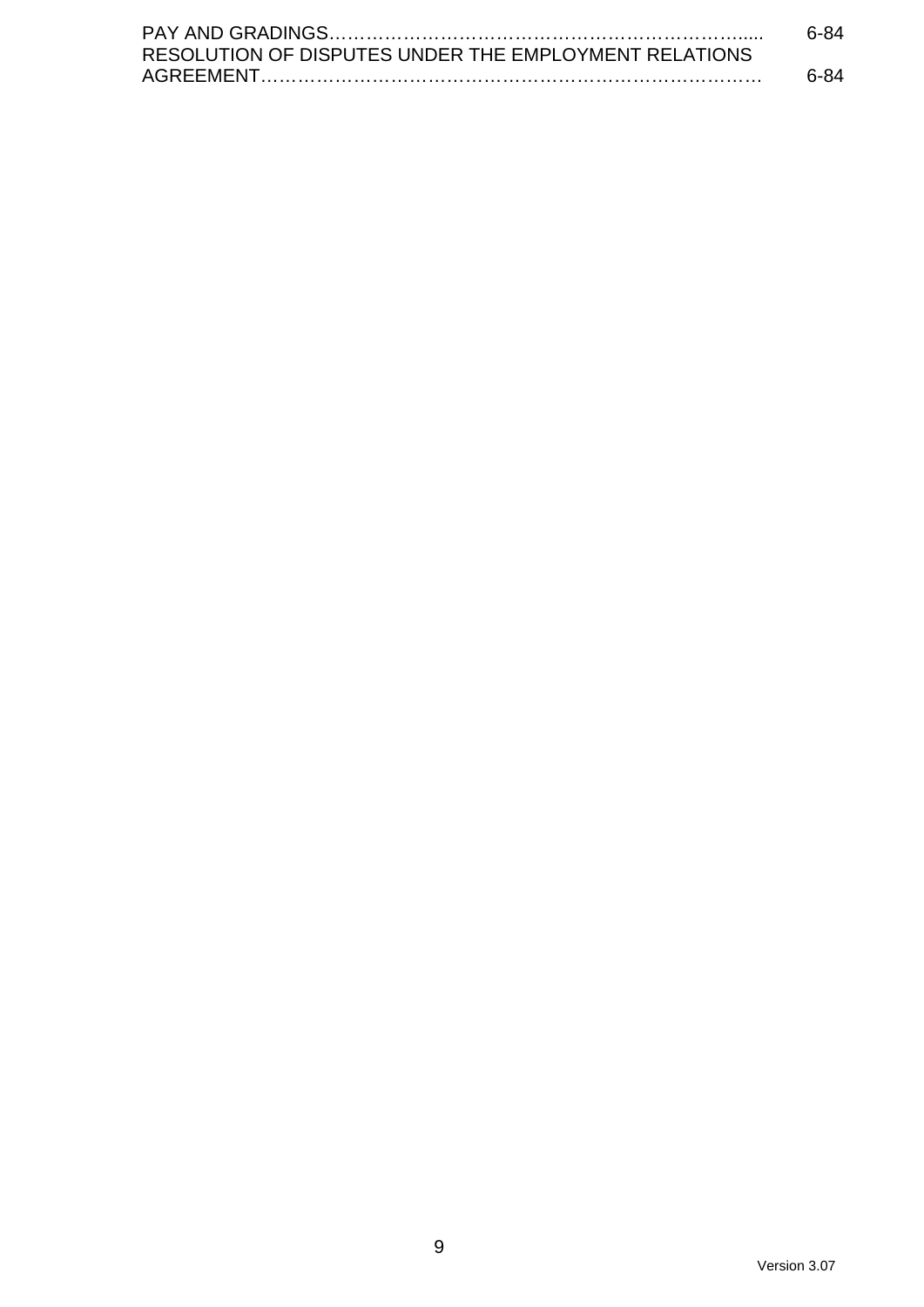|                                                       | 6-84 |
|-------------------------------------------------------|------|
| RESOLUTION OF DISPUTES UNDER THE EMPLOYMENT RELATIONS |      |
|                                                       | հ-84 |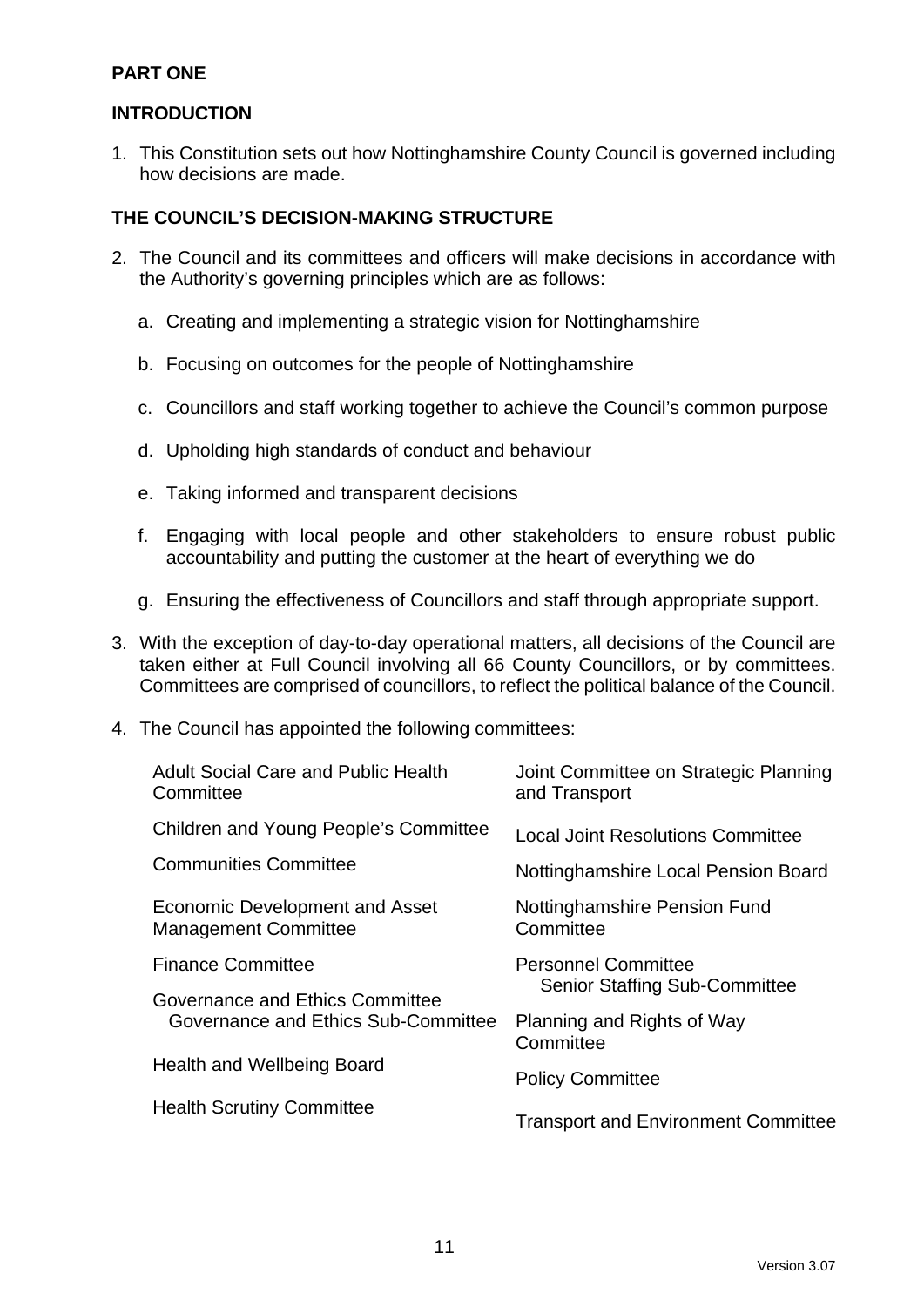# **PART ONE**

# **INTRODUCTION**

1. This Constitution sets out how Nottinghamshire County Council is governed including how decisions are made.

# **THE COUNCIL'S DECISION-MAKING STRUCTURE**

- 2. The Council and its committees and officers will make decisions in accordance with the Authority's governing principles which are as follows:
	- a. Creating and implementing a strategic vision for Nottinghamshire
	- b. Focusing on outcomes for the people of Nottinghamshire
	- c. Councillors and staff working together to achieve the Council's common purpose
	- d. Upholding high standards of conduct and behaviour
	- e. Taking informed and transparent decisions
	- f. Engaging with local people and other stakeholders to ensure robust public accountability and putting the customer at the heart of everything we do
	- g. Ensuring the effectiveness of Councillors and staff through appropriate support.
- 3. With the exception of day-to-day operational matters, all decisions of the Council are taken either at Full Council involving all 66 County Councillors, or by committees. Committees are comprised of councillors, to reflect the political balance of the Council.
- 4. The Council has appointed the following committees:

| <b>Adult Social Care and Public Health</b><br>Committee       | Joint Committee on Strategic Planning<br>and Transport |
|---------------------------------------------------------------|--------------------------------------------------------|
| Children and Young People's Committee                         | Local Joint Resolutions Committee                      |
| <b>Communities Committee</b>                                  | Nottinghamshire Local Pension Board                    |
| Economic Development and Asset<br><b>Management Committee</b> | Nottinghamshire Pension Fund<br>Committee              |
| <b>Finance Committee</b>                                      | <b>Personnel Committee</b>                             |
| Governance and Ethics Committee                               | <b>Senior Staffing Sub-Committee</b>                   |
| Governance and Ethics Sub-Committee                           | Planning and Rights of Way<br>Committee                |
| Health and Wellbeing Board                                    |                                                        |
|                                                               | <b>Policy Committee</b>                                |
| <b>Health Scrutiny Committee</b>                              | <b>Transport and Environment Committee</b>             |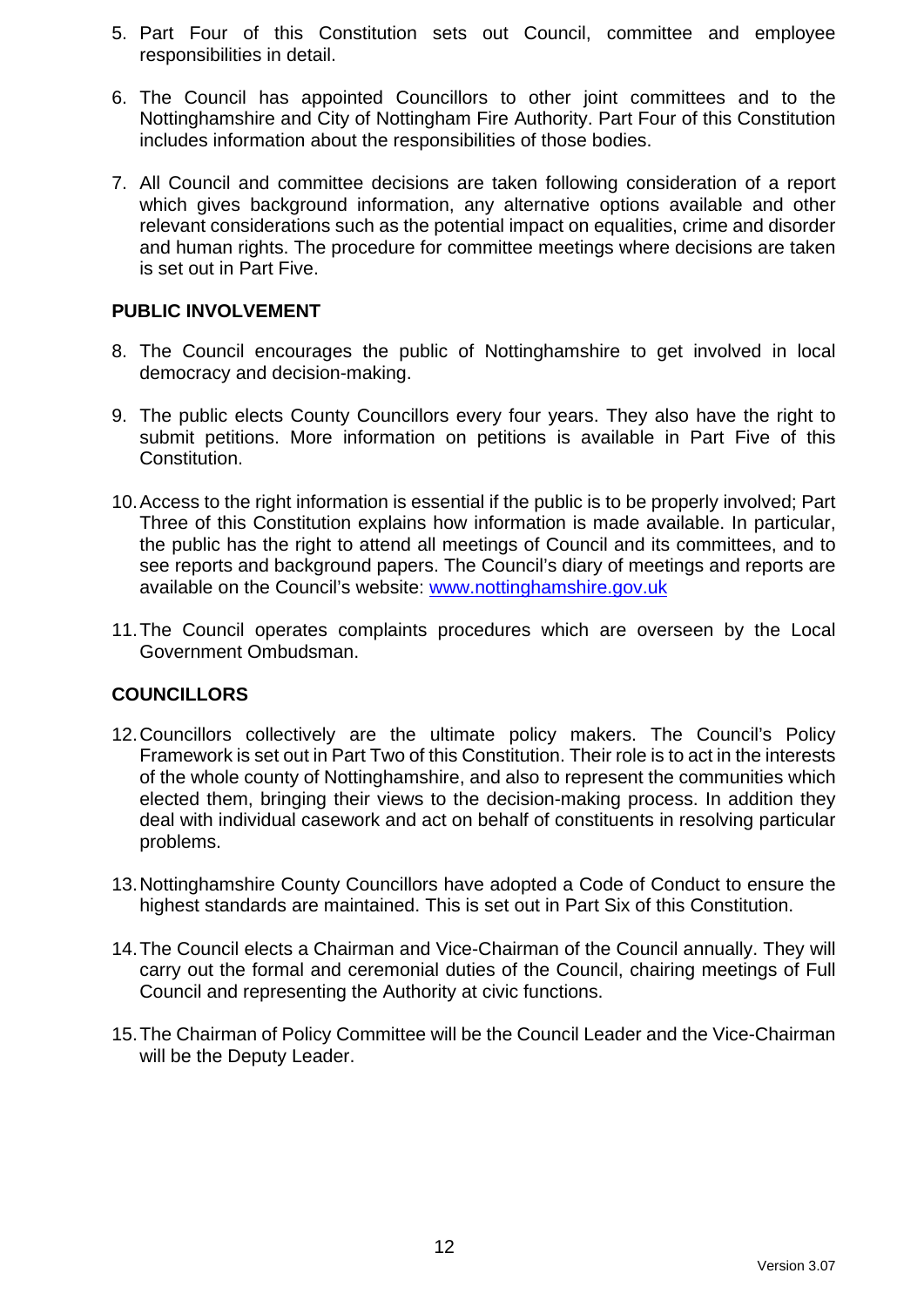- 5. Part Four of this Constitution sets out Council, committee and employee responsibilities in detail.
- 6. The Council has appointed Councillors to other joint committees and to the Nottinghamshire and City of Nottingham Fire Authority. Part Four of this Constitution includes information about the responsibilities of those bodies.
- 7. All Council and committee decisions are taken following consideration of a report which gives background information, any alternative options available and other relevant considerations such as the potential impact on equalities, crime and disorder and human rights. The procedure for committee meetings where decisions are taken is set out in Part Five.

#### **PUBLIC INVOLVEMENT**

- 8. The Council encourages the public of Nottinghamshire to get involved in local democracy and decision-making.
- 9. The public elects County Councillors every four years. They also have the right to submit petitions. More information on petitions is available in Part Five of this Constitution.
- 10. Access to the right information is essential if the public is to be properly involved: Part Three of this Constitution explains how information is made available. In particular, the public has the right to attend all meetings of Council and its committees, and to see reports and background papers. The Council's diary of meetings and reports are available on the Council's website: [www.nottinghamshire.gov.uk](http://www.nottinghamshire.gov.uk/)
- 11.The Council operates complaints procedures which are overseen by the Local Government Ombudsman.

# **COUNCILLORS**

- 12.Councillors collectively are the ultimate policy makers. The Council's Policy Framework is set out in Part Two of this Constitution. Their role is to act in the interests of the whole county of Nottinghamshire, and also to represent the communities which elected them, bringing their views to the decision-making process. In addition they deal with individual casework and act on behalf of constituents in resolving particular problems.
- 13.Nottinghamshire County Councillors have adopted a Code of Conduct to ensure the highest standards are maintained. This is set out in Part Six of this Constitution.
- 14.The Council elects a Chairman and Vice-Chairman of the Council annually. They will carry out the formal and ceremonial duties of the Council, chairing meetings of Full Council and representing the Authority at civic functions.
- 15.The Chairman of Policy Committee will be the Council Leader and the Vice-Chairman will be the Deputy Leader.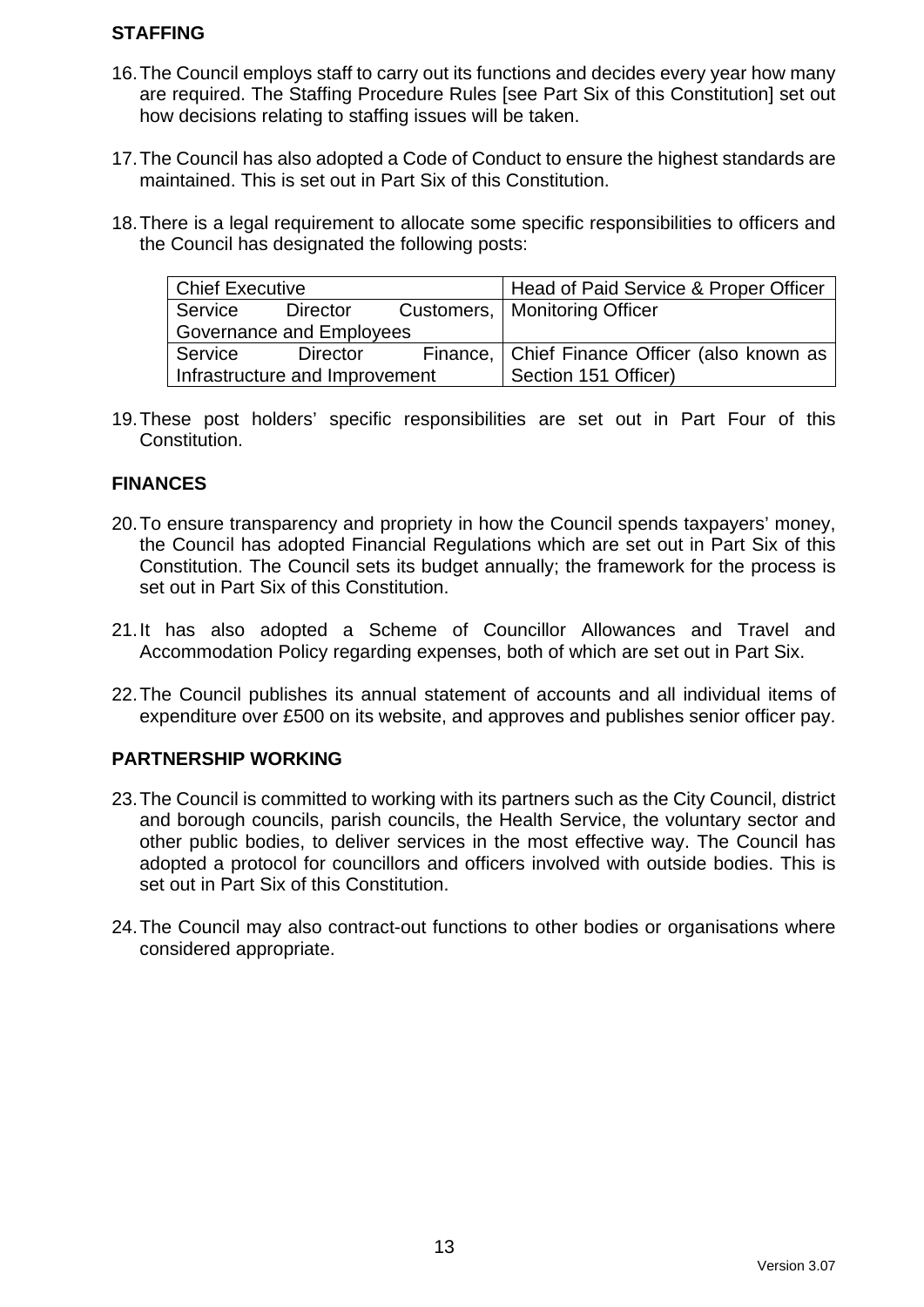#### **STAFFING**

- 16.The Council employs staff to carry out its functions and decides every year how many are required. The Staffing Procedure Rules [see Part Six of this Constitution] set out how decisions relating to staffing issues will be taken.
- 17.The Council has also adopted a Code of Conduct to ensure the highest standards are maintained. This is set out in Part Six of this Constitution.
- 18.There is a legal requirement to allocate some specific responsibilities to officers and the Council has designated the following posts:

| <b>Chief Executive</b>          |          | Head of Paid Service & Proper Officer           |
|---------------------------------|----------|-------------------------------------------------|
| Service                         | Director | Customers,   Monitoring Officer                 |
| <b>Governance and Employees</b> |          |                                                 |
| Service                         | Director | Finance,   Chief Finance Officer (also known as |
| Infrastructure and Improvement  |          | Section 151 Officer)                            |

19.These post holders' specific responsibilities are set out in Part Four of this Constitution.

# **FINANCES**

- 20.To ensure transparency and propriety in how the Council spends taxpayers' money, the Council has adopted Financial Regulations which are set out in Part Six of this Constitution. The Council sets its budget annually; the framework for the process is set out in Part Six of this Constitution.
- 21.It has also adopted a Scheme of Councillor Allowances and Travel and Accommodation Policy regarding expenses, both of which are set out in Part Six.
- 22.The Council publishes its annual statement of accounts and all individual items of expenditure over £500 on its website, and approves and publishes senior officer pay.

#### **PARTNERSHIP WORKING**

- 23.The Council is committed to working with its partners such as the City Council, district and borough councils, parish councils, the Health Service, the voluntary sector and other public bodies, to deliver services in the most effective way. The Council has adopted a protocol for councillors and officers involved with outside bodies. This is set out in Part Six of this Constitution.
- 24.The Council may also contract-out functions to other bodies or organisations where considered appropriate.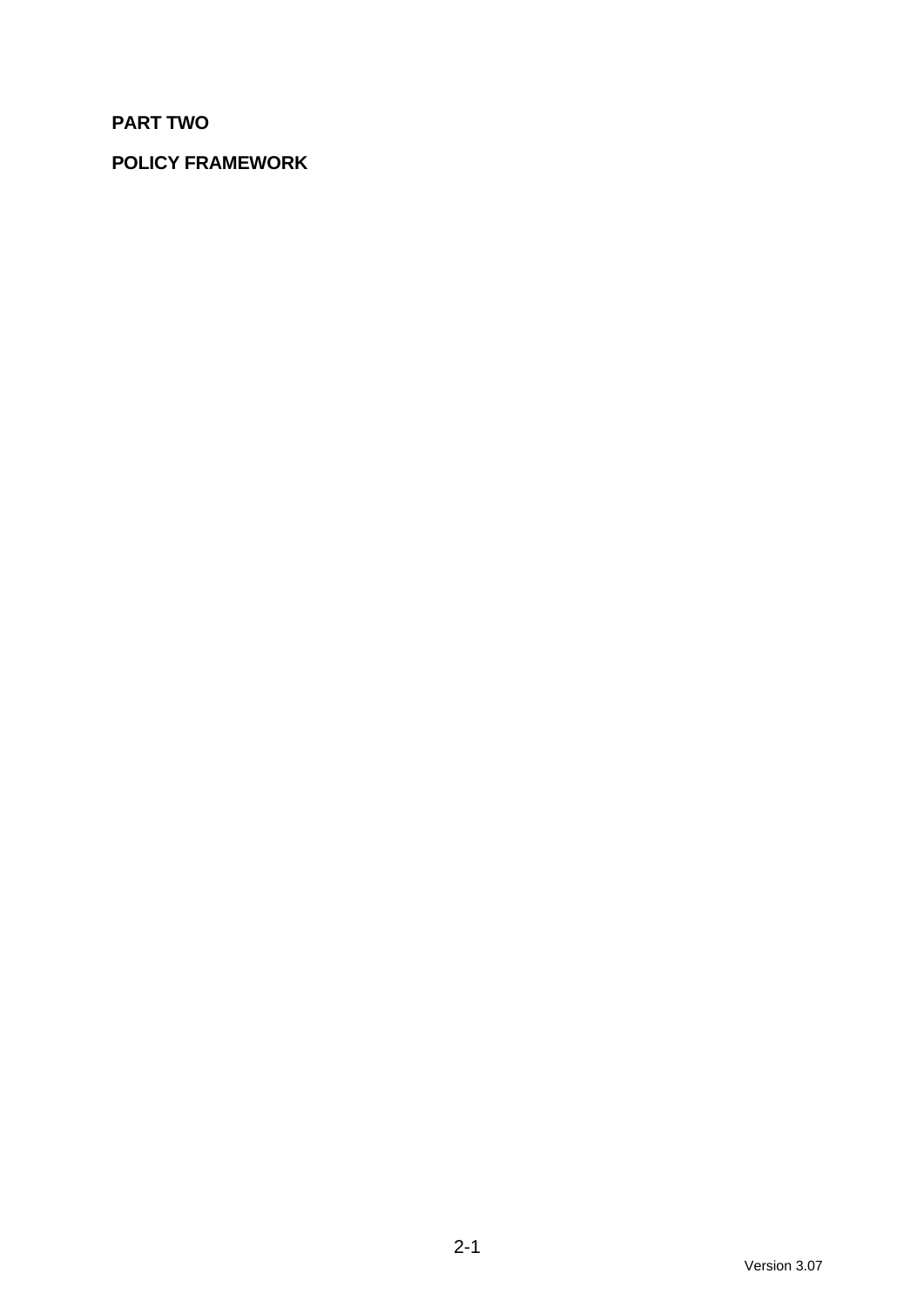# **PART TWO**

# **POLICY FRAMEWORK**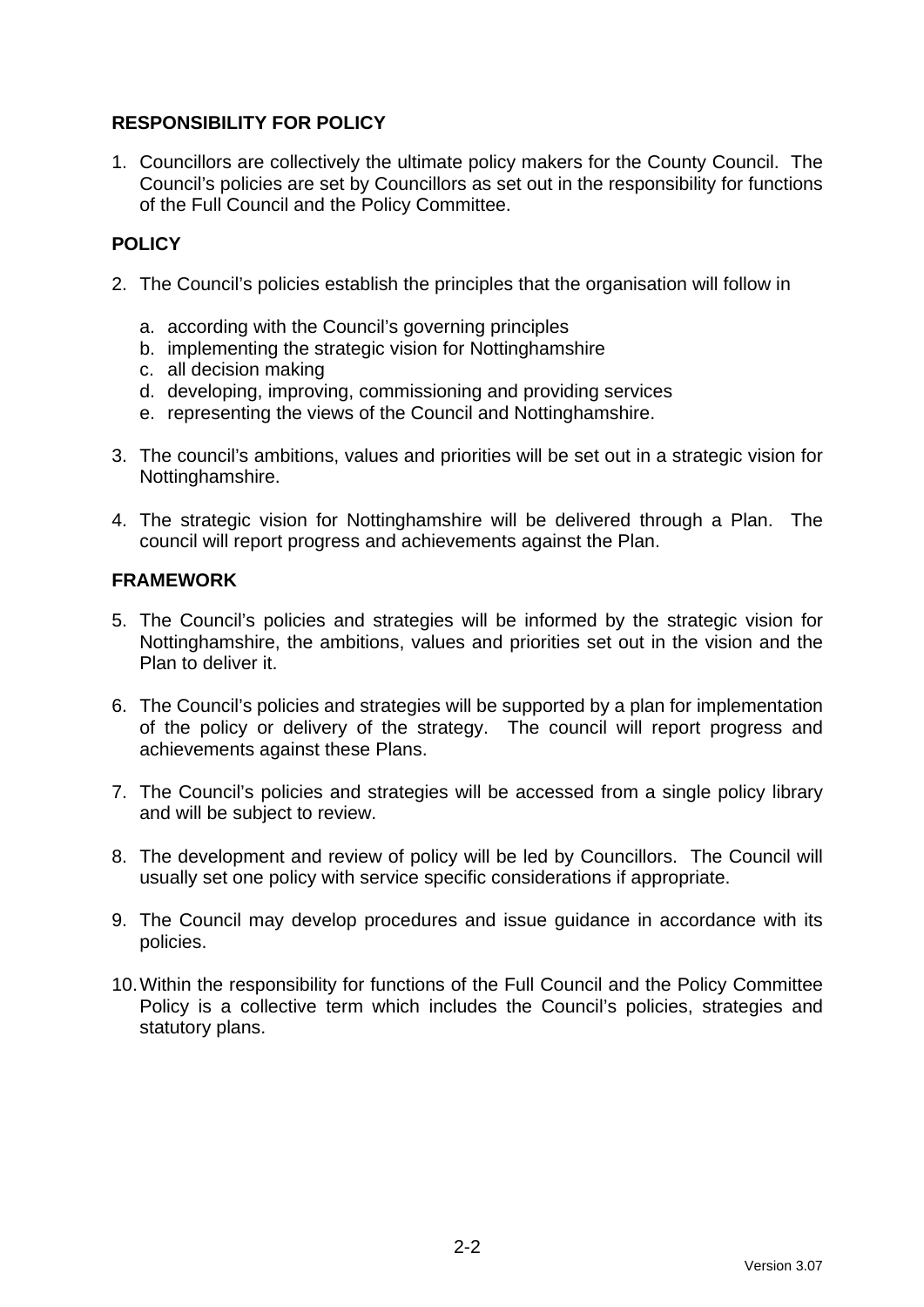# **RESPONSIBILITY FOR POLICY**

1. Councillors are collectively the ultimate policy makers for the County Council. The Council's policies are set by Councillors as set out in the responsibility for functions of the Full Council and the Policy Committee.

# **POLICY**

- 2. The Council's policies establish the principles that the organisation will follow in
	- a. according with the Council's governing principles
	- b. implementing the strategic vision for Nottinghamshire
	- c. all decision making
	- d. developing, improving, commissioning and providing services
	- e. representing the views of the Council and Nottinghamshire.
- 3. The council's ambitions, values and priorities will be set out in a strategic vision for Nottinghamshire.
- 4. The strategic vision for Nottinghamshire will be delivered through a Plan. The council will report progress and achievements against the Plan.

#### **FRAMEWORK**

- 5. The Council's policies and strategies will be informed by the strategic vision for Nottinghamshire, the ambitions, values and priorities set out in the vision and the Plan to deliver it.
- 6. The Council's policies and strategies will be supported by a plan for implementation of the policy or delivery of the strategy. The council will report progress and achievements against these Plans.
- 7. The Council's policies and strategies will be accessed from a single policy library and will be subject to review.
- 8. The development and review of policy will be led by Councillors. The Council will usually set one policy with service specific considerations if appropriate.
- 9. The Council may develop procedures and issue guidance in accordance with its policies.
- 10.Within the responsibility for functions of the Full Council and the Policy Committee Policy is a collective term which includes the Council's policies, strategies and statutory plans.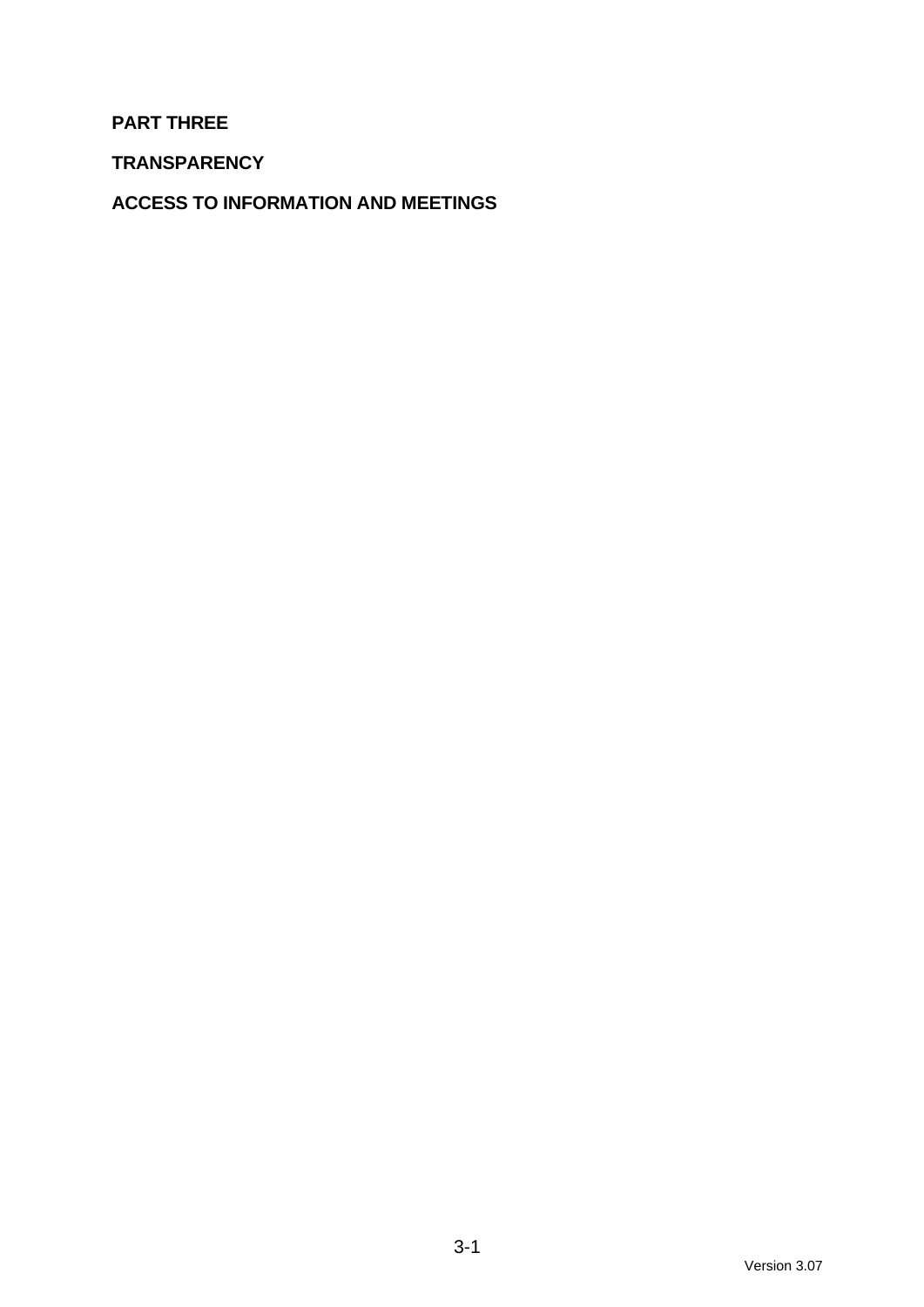# **PART THREE**

**TRANSPARENCY**

**ACCESS TO INFORMATION AND MEETINGS**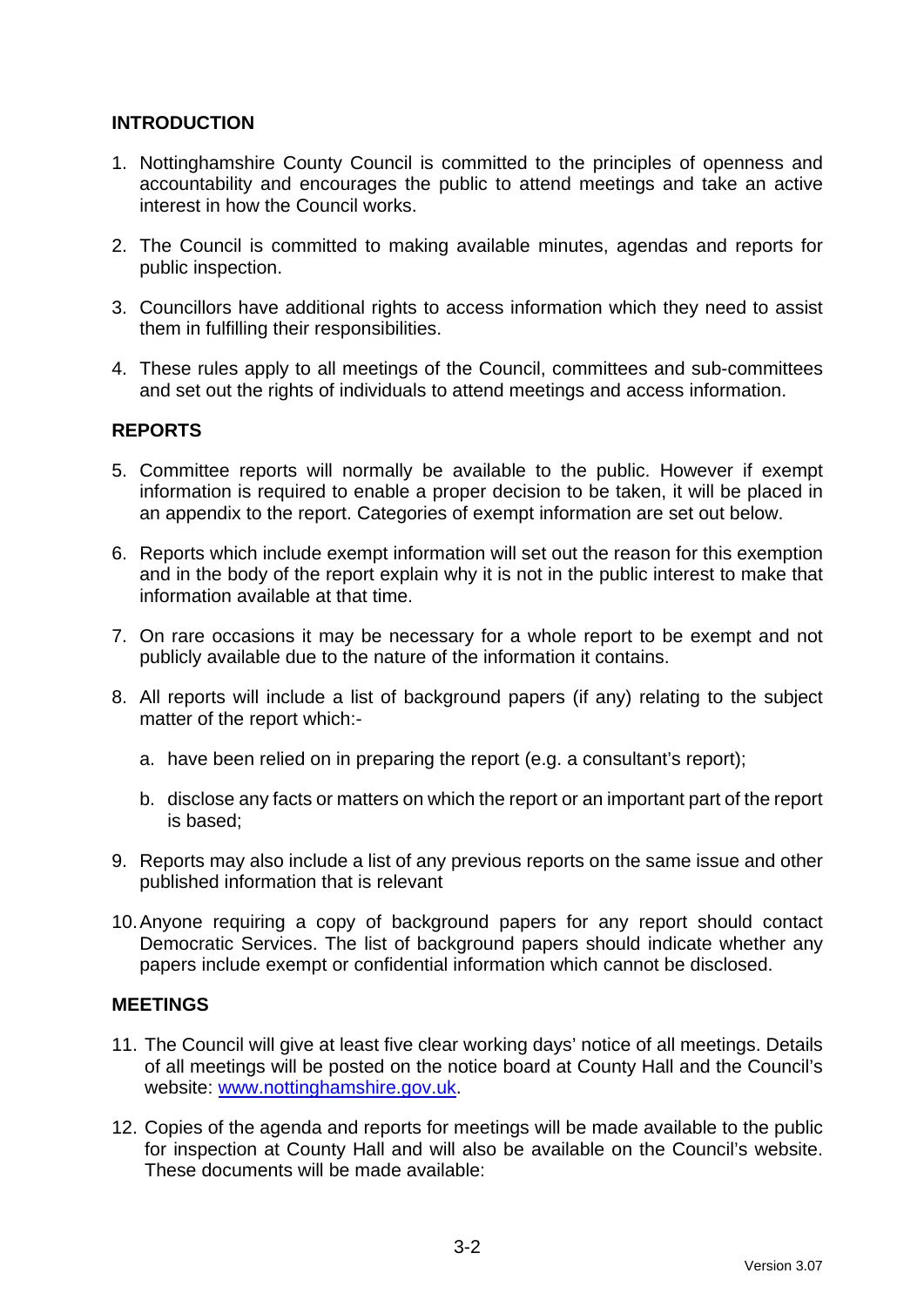# **INTRODUCTION**

- 1. Nottinghamshire County Council is committed to the principles of openness and accountability and encourages the public to attend meetings and take an active interest in how the Council works.
- 2. The Council is committed to making available minutes, agendas and reports for public inspection.
- 3. Councillors have additional rights to access information which they need to assist them in fulfilling their responsibilities.
- 4. These rules apply to all meetings of the Council, committees and sub-committees and set out the rights of individuals to attend meetings and access information.

#### **REPORTS**

- 5. Committee reports will normally be available to the public. However if exempt information is required to enable a proper decision to be taken, it will be placed in an appendix to the report. Categories of exempt information are set out below.
- 6. Reports which include exempt information will set out the reason for this exemption and in the body of the report explain why it is not in the public interest to make that information available at that time.
- 7. On rare occasions it may be necessary for a whole report to be exempt and not publicly available due to the nature of the information it contains.
- 8. All reports will include a list of background papers (if any) relating to the subject matter of the report which:
	- a. have been relied on in preparing the report (e.g. a consultant's report);
	- b. disclose any facts or matters on which the report or an important part of the report is based;
- 9. Reports may also include a list of any previous reports on the same issue and other published information that is relevant
- 10.Anyone requiring a copy of background papers for any report should contact Democratic Services. The list of background papers should indicate whether any papers include exempt or confidential information which cannot be disclosed.

#### **MEETINGS**

- 11. The Council will give at least five clear working days' notice of all meetings. Details of all meetings will be posted on the notice board at County Hall and the Council's website: [www.nottinghamshire.gov.uk.](http://www.nottinghamshire.gov.uk/)
- 12. Copies of the agenda and reports for meetings will be made available to the public for inspection at County Hall and will also be available on the Council's website. These documents will be made available: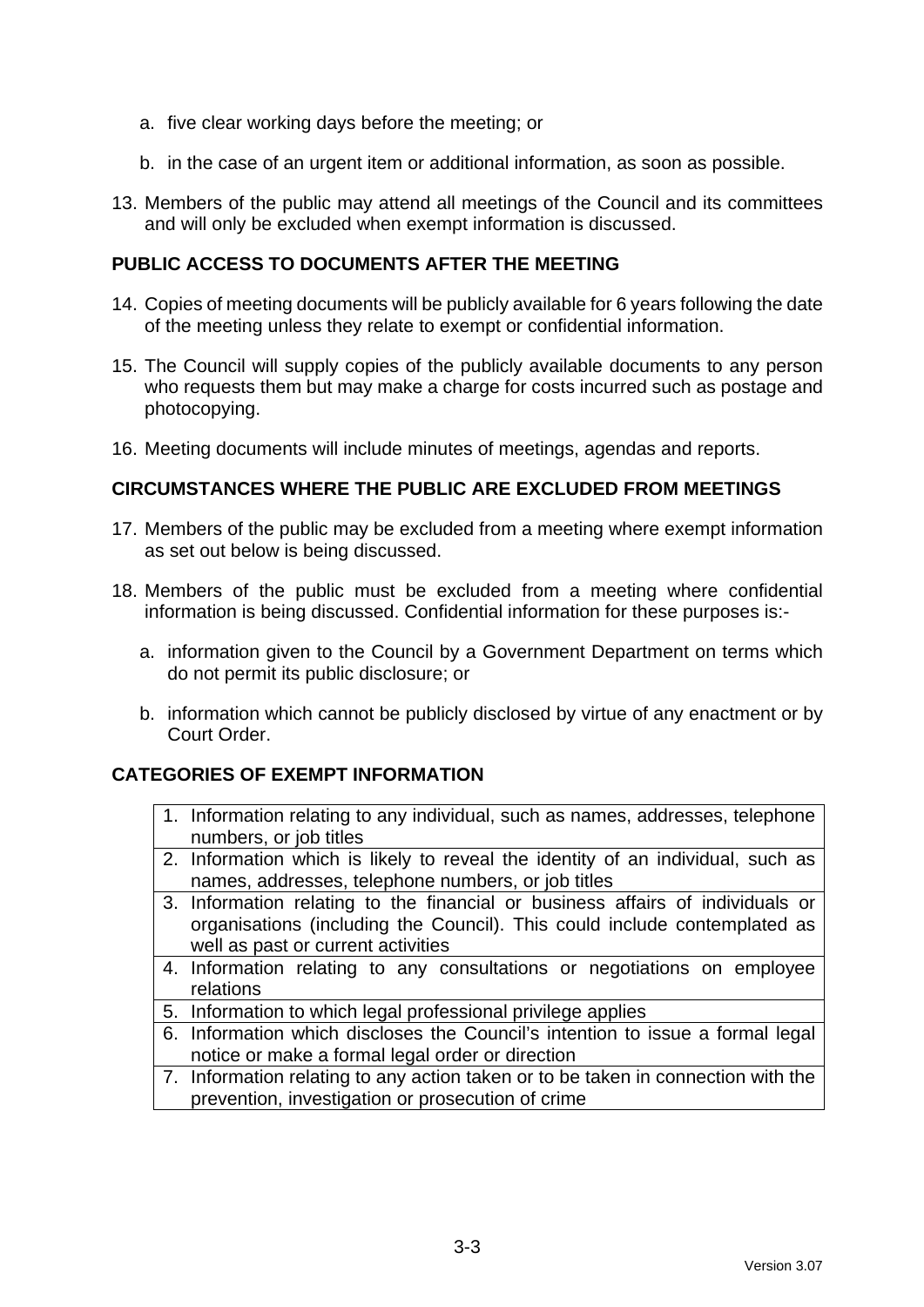- a. five clear working days before the meeting; or
- b. in the case of an urgent item or additional information, as soon as possible.
- 13. Members of the public may attend all meetings of the Council and its committees and will only be excluded when exempt information is discussed.

#### **PUBLIC ACCESS TO DOCUMENTS AFTER THE MEETING**

- 14. Copies of meeting documents will be publicly available for 6 years following the date of the meeting unless they relate to exempt or confidential information.
- 15. The Council will supply copies of the publicly available documents to any person who requests them but may make a charge for costs incurred such as postage and photocopying.
- 16. Meeting documents will include minutes of meetings, agendas and reports.

#### **CIRCUMSTANCES WHERE THE PUBLIC ARE EXCLUDED FROM MEETINGS**

- 17. Members of the public may be excluded from a meeting where exempt information as set out below is being discussed.
- 18. Members of the public must be excluded from a meeting where confidential information is being discussed. Confidential information for these purposes is:
	- a. information given to the Council by a Government Department on terms which do not permit its public disclosure; or
	- b. information which cannot be publicly disclosed by virtue of any enactment or by Court Order.

# **CATEGORIES OF EXEMPT INFORMATION**

- 1. Information relating to any individual, such as names, addresses, telephone numbers, or job titles
- 2. Information which is likely to reveal the identity of an individual, such as names, addresses, telephone numbers, or job titles
- 3. Information relating to the financial or business affairs of individuals or organisations (including the Council). This could include contemplated as well as past or current activities
- 4. Information relating to any consultations or negotiations on employee relations
- 5. Information to which legal professional privilege applies
- 6. Information which discloses the Council's intention to issue a formal legal notice or make a formal legal order or direction
- 7. Information relating to any action taken or to be taken in connection with the prevention, investigation or prosecution of crime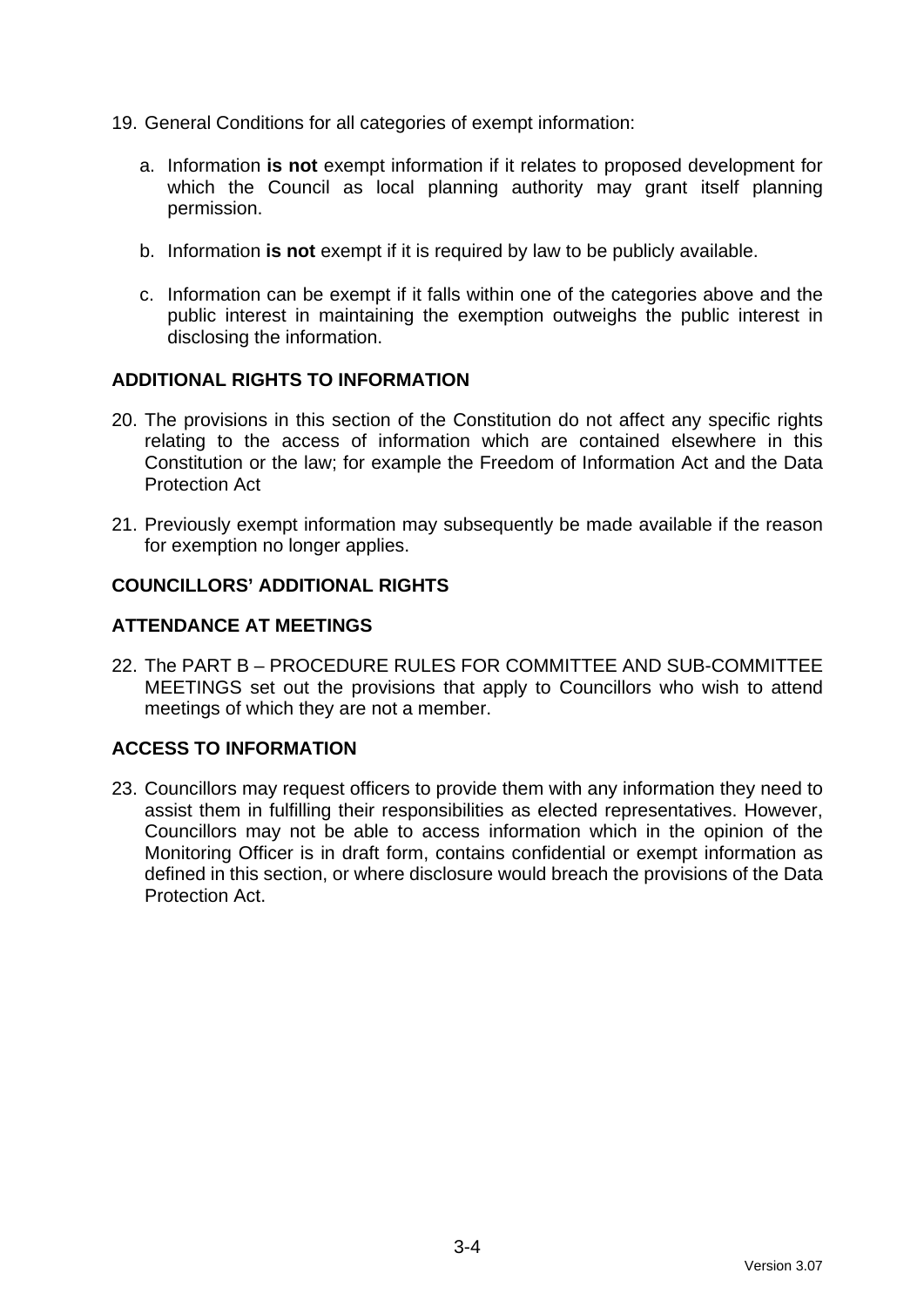- 19. General Conditions for all categories of exempt information:
	- a. Information **is not** exempt information if it relates to proposed development for which the Council as local planning authority may grant itself planning permission.
	- b. Information **is not** exempt if it is required by law to be publicly available.
	- c. Information can be exempt if it falls within one of the categories above and the public interest in maintaining the exemption outweighs the public interest in disclosing the information.

#### **ADDITIONAL RIGHTS TO INFORMATION**

- 20. The provisions in this section of the Constitution do not affect any specific rights relating to the access of information which are contained elsewhere in this Constitution or the law; for example the Freedom of Information Act and the Data Protection Act
- 21. Previously exempt information may subsequently be made available if the reason for exemption no longer applies.

#### **COUNCILLORS' ADDITIONAL RIGHTS**

#### **ATTENDANCE AT MEETINGS**

22. The PART B – [PROCEDURE RULES FOR COMMITTEE AND SUB-COMMITTEE](#page-63-0)  [MEETINGS](#page-63-0) set out the provisions that apply to Councillors who wish to attend meetings of which they are not a member.

# **ACCESS TO INFORMATION**

23. Councillors may request officers to provide them with any information they need to assist them in fulfilling their responsibilities as elected representatives. However, Councillors may not be able to access information which in the opinion of the Monitoring Officer is in draft form, contains confidential or exempt information as defined in this section, or where disclosure would breach the provisions of the Data Protection Act.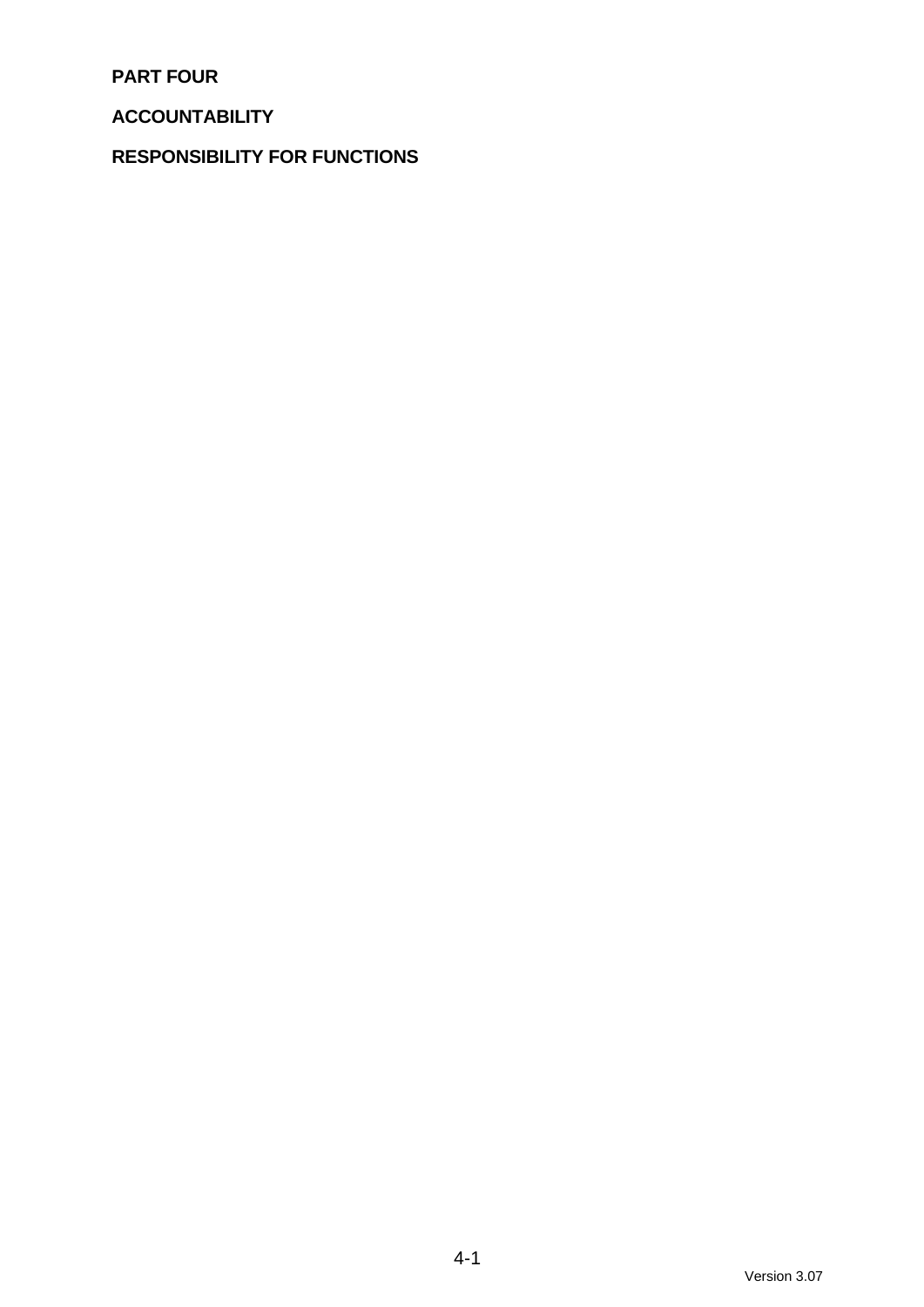**PART FOUR**

**ACCOUNTABILITY**

**RESPONSIBILITY FOR FUNCTIONS**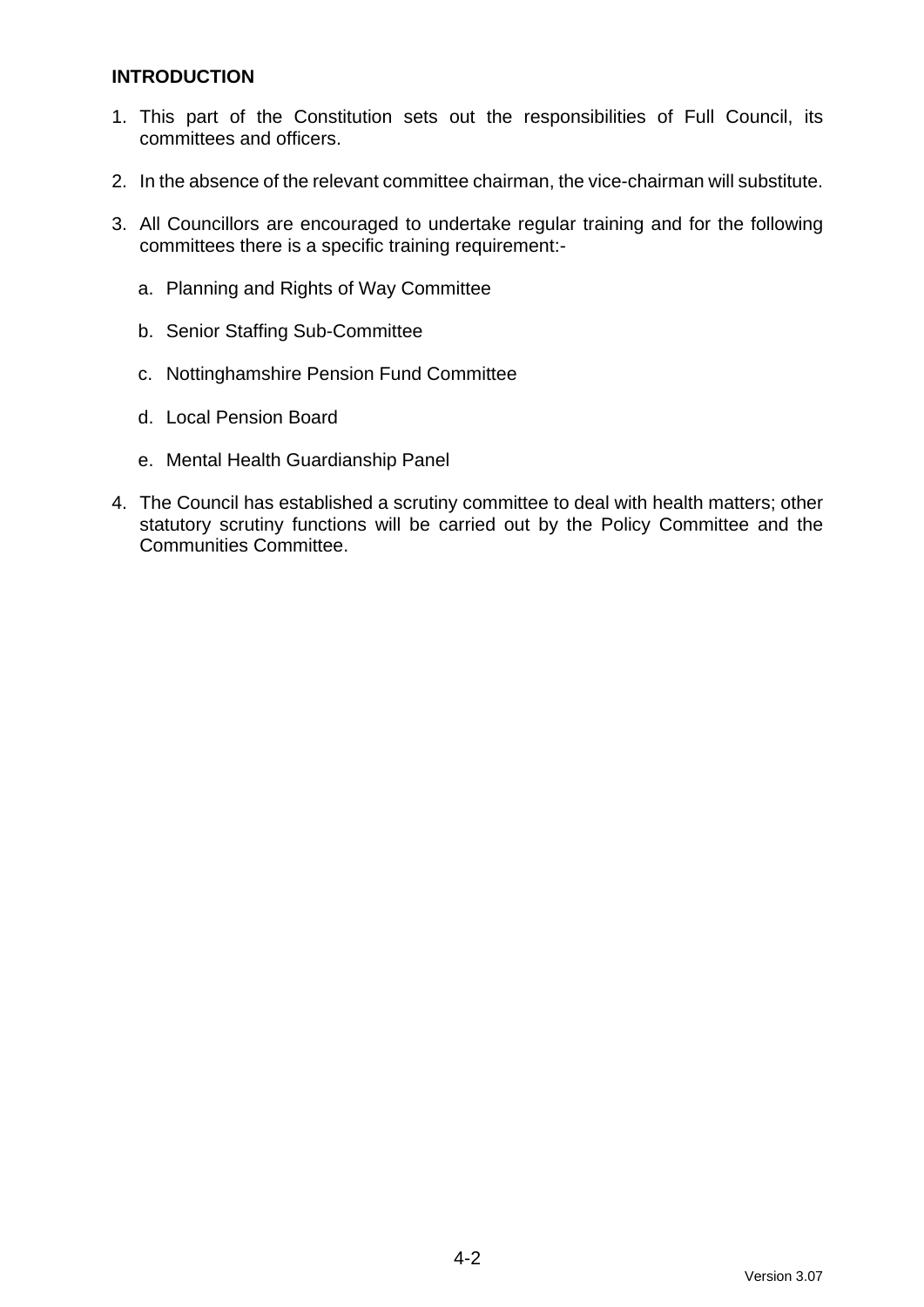#### **INTRODUCTION**

- 1. This part of the Constitution sets out the responsibilities of Full Council, its committees and officers.
- 2. In the absence of the relevant committee chairman, the vice-chairman will substitute.
- 3. All Councillors are encouraged to undertake regular training and for the following committees there is a specific training requirement:
	- a. Planning and Rights of Way Committee
	- b. Senior Staffing Sub-Committee
	- c. Nottinghamshire Pension Fund Committee
	- d. Local Pension Board
	- e. Mental Health Guardianship Panel
- 4. The Council has established a scrutiny committee to deal with health matters; other statutory scrutiny functions will be carried out by the Policy Committee and the Communities Committee.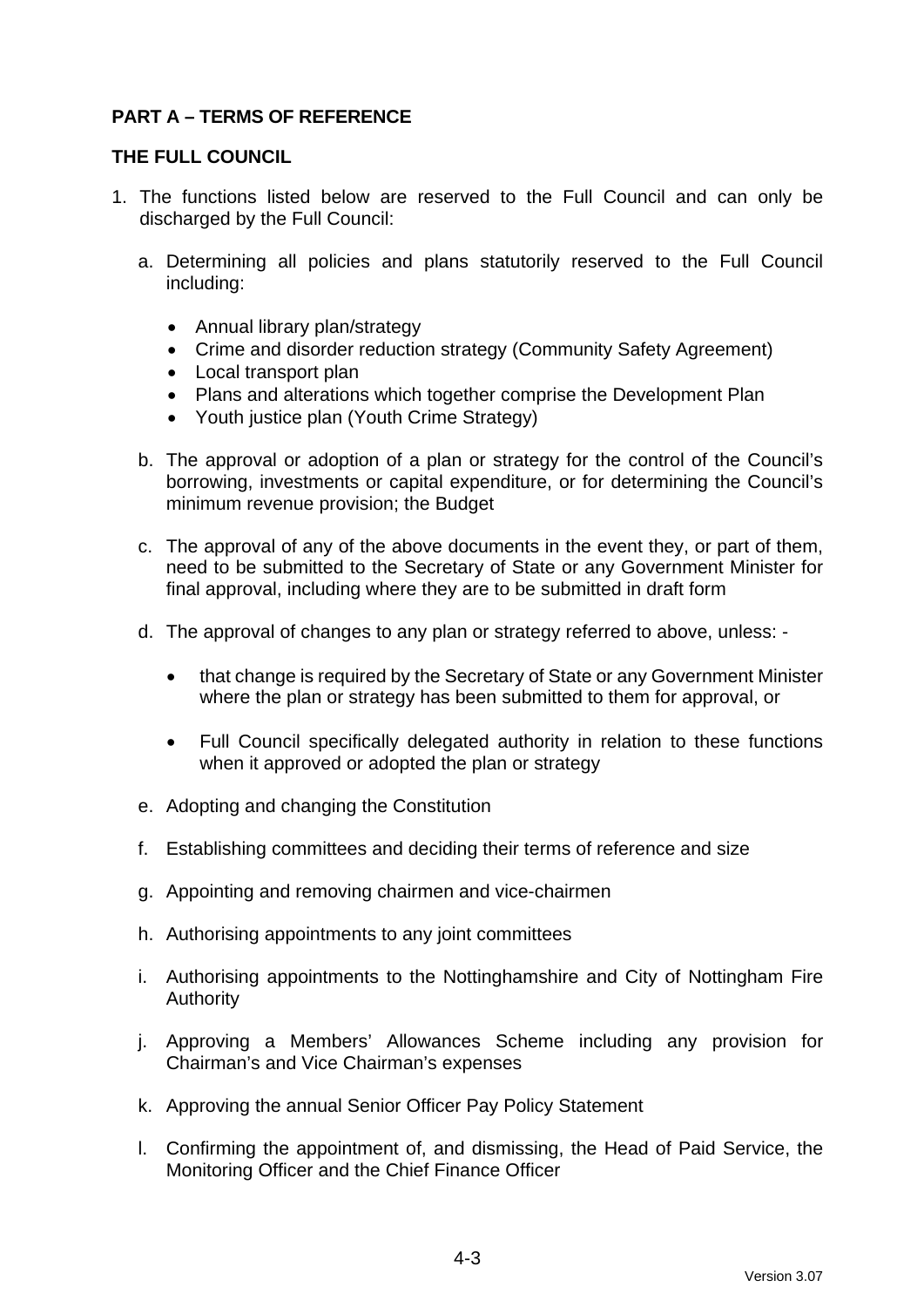# **PART A – TERMS OF REFERENCE**

#### **THE FULL COUNCIL**

- 1. The functions listed below are reserved to the Full Council and can only be discharged by the Full Council:
	- a. Determining all policies and plans statutorily reserved to the Full Council including:
		- Annual library plan/strategy
		- Crime and disorder reduction strategy (Community Safety Agreement)
		- Local transport plan
		- Plans and alterations which together comprise the Development Plan
		- Youth justice plan (Youth Crime Strategy)
	- b. The approval or adoption of a plan or strategy for the control of the Council's borrowing, investments or capital expenditure, or for determining the Council's minimum revenue provision; the Budget
	- c. The approval of any of the above documents in the event they, or part of them, need to be submitted to the Secretary of State or any Government Minister for final approval, including where they are to be submitted in draft form
	- d. The approval of changes to any plan or strategy referred to above, unless:
		- that change is required by the Secretary of State or any Government Minister where the plan or strategy has been submitted to them for approval, or
		- Full Council specifically delegated authority in relation to these functions when it approved or adopted the plan or strategy
	- e. Adopting and changing the Constitution
	- f. Establishing committees and deciding their terms of reference and size
	- g. Appointing and removing chairmen and vice-chairmen
	- h. Authorising appointments to any joint committees
	- i. Authorising appointments to the Nottinghamshire and City of Nottingham Fire Authority
	- j. Approving a Members' Allowances Scheme including any provision for Chairman's and Vice Chairman's expenses
	- k. Approving the annual Senior Officer Pay Policy Statement
	- l. Confirming the appointment of, and dismissing, the Head of Paid Service, the Monitoring Officer and the Chief Finance Officer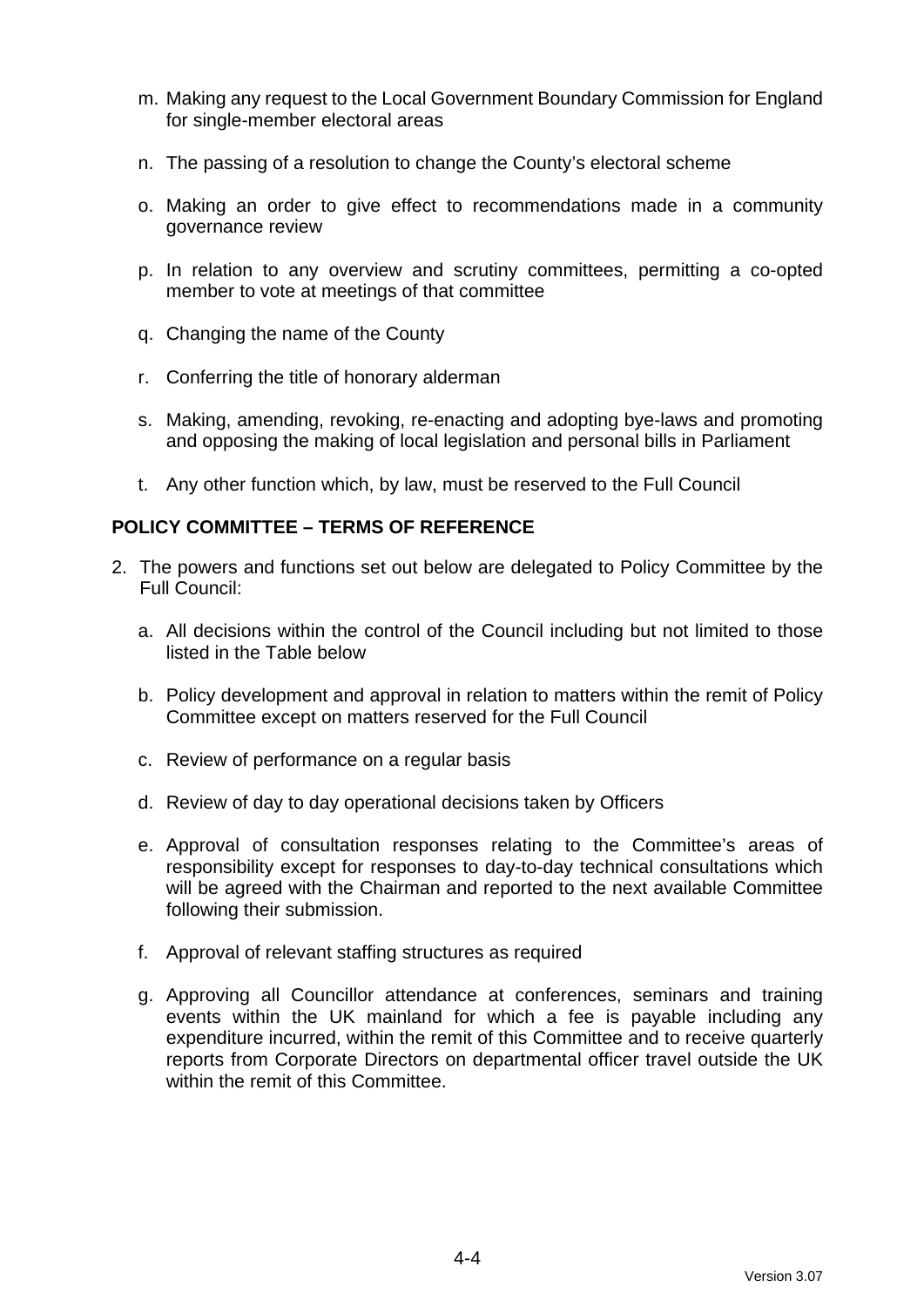- m. Making any request to the Local Government Boundary Commission for England for single-member electoral areas
- n. The passing of a resolution to change the County's electoral scheme
- o. Making an order to give effect to recommendations made in a community governance review
- p. In relation to any overview and scrutiny committees, permitting a co-opted member to vote at meetings of that committee
- q. Changing the name of the County
- r. Conferring the title of honorary alderman
- s. Making, amending, revoking, re-enacting and adopting bye-laws and promoting and opposing the making of local legislation and personal bills in Parliament
- t. Any other function which, by law, must be reserved to the Full Council

#### **POLICY COMMITTEE – TERMS OF REFERENCE**

- 2. The powers and functions set out below are delegated to Policy Committee by the Full Council:
	- a. All decisions within the control of the Council including but not limited to those listed in the Table below
	- b. Policy development and approval in relation to matters within the remit of Policy Committee except on matters reserved for the Full Council
	- c. Review of performance on a regular basis
	- d. Review of day to day operational decisions taken by Officers
	- e. Approval of consultation responses relating to the Committee's areas of responsibility except for responses to day-to-day technical consultations which will be agreed with the Chairman and reported to the next available Committee following their submission.
	- f. Approval of relevant staffing structures as required
	- g. Approving all Councillor attendance at conferences, seminars and training events within the UK mainland for which a fee is payable including any expenditure incurred, within the remit of this Committee and to receive quarterly reports from Corporate Directors on departmental officer travel outside the UK within the remit of this Committee.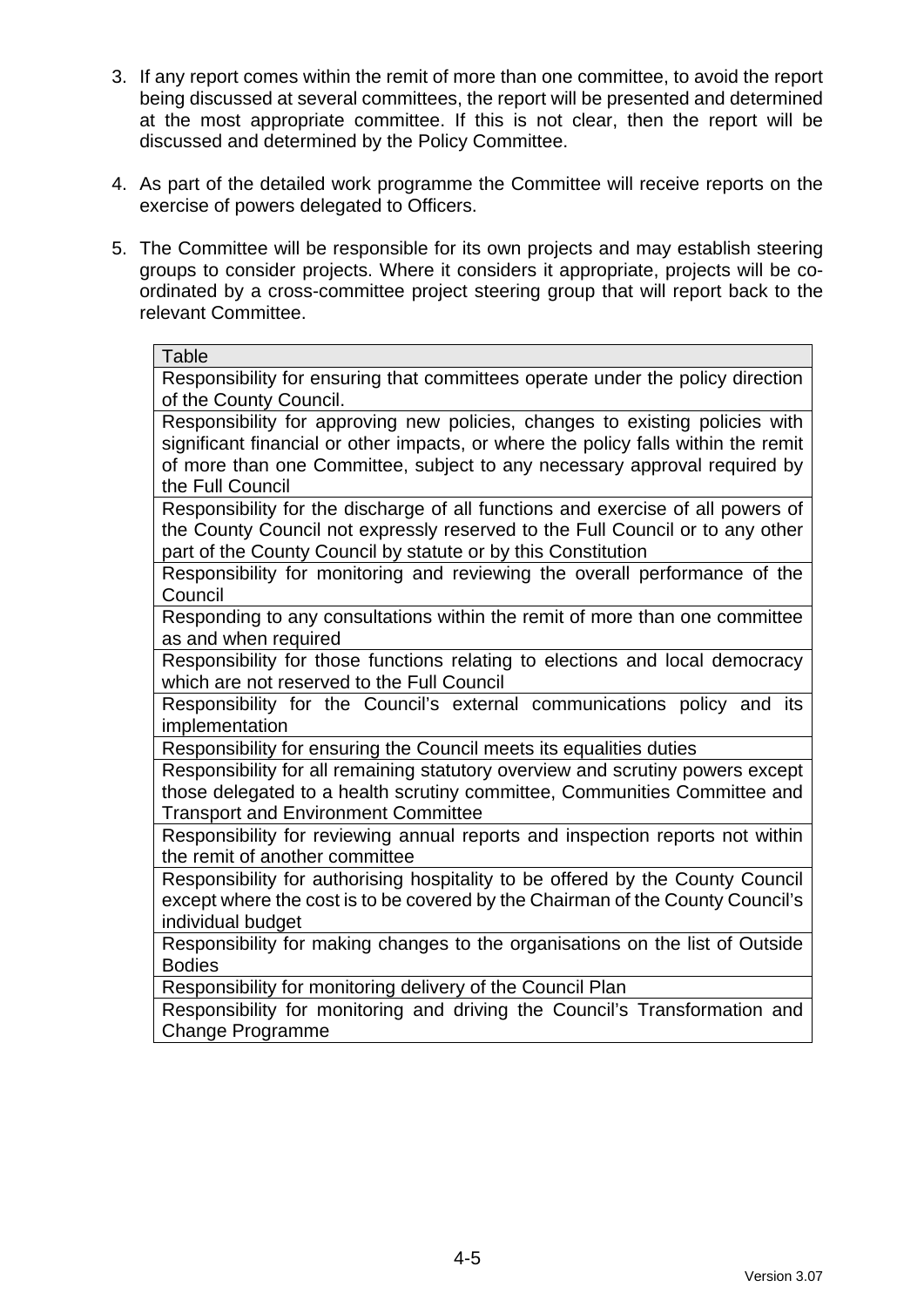- 3. If any report comes within the remit of more than one committee, to avoid the report being discussed at several committees, the report will be presented and determined at the most appropriate committee. If this is not clear, then the report will be discussed and determined by the Policy Committee.
- 4. As part of the detailed work programme the Committee will receive reports on the exercise of powers delegated to Officers.
- 5. The Committee will be responsible for its own projects and may establish steering groups to consider projects. Where it considers it appropriate, projects will be coordinated by a cross-committee project steering group that will report back to the relevant Committee.

Responsibility for ensuring that committees operate under the policy direction of the County Council.

Responsibility for approving new policies, changes to existing policies with significant financial or other impacts, or where the policy falls within the remit of more than one Committee, subject to any necessary approval required by the Full Council

Responsibility for the discharge of all functions and exercise of all powers of the County Council not expressly reserved to the Full Council or to any other part of the County Council by statute or by this Constitution

Responsibility for monitoring and reviewing the overall performance of the Council

Responding to any consultations within the remit of more than one committee as and when required

Responsibility for those functions relating to elections and local democracy which are not reserved to the Full Council

Responsibility for the Council's external communications policy and its implementation

Responsibility for ensuring the Council meets its equalities duties

Responsibility for all remaining statutory overview and scrutiny powers except those delegated to a health scrutiny committee, Communities Committee and Transport and Environment Committee

Responsibility for reviewing annual reports and inspection reports not within the remit of another committee

Responsibility for authorising hospitality to be offered by the County Council except where the cost is to be covered by the Chairman of the County Council's individual budget

Responsibility for making changes to the organisations on the list of Outside Bodies

Responsibility for monitoring delivery of the Council Plan

Responsibility for monitoring and driving the Council's Transformation and Change Programme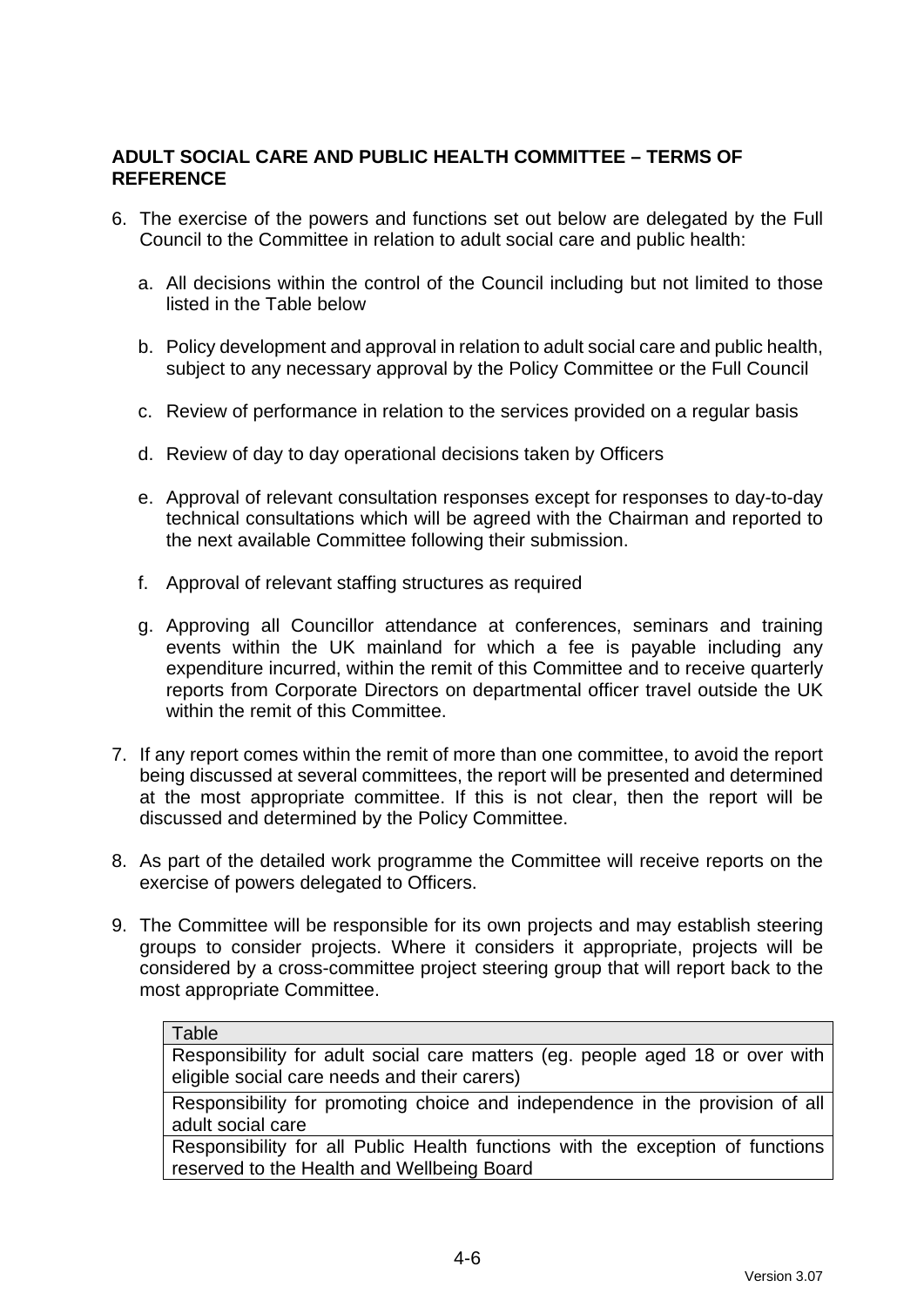# **ADULT SOCIAL CARE AND PUBLIC HEALTH COMMITTEE – TERMS OF REFERENCE**

- 6. The exercise of the powers and functions set out below are delegated by the Full Council to the Committee in relation to adult social care and public health:
	- a. All decisions within the control of the Council including but not limited to those listed in the Table below
	- b. Policy development and approval in relation to adult social care and public health, subject to any necessary approval by the Policy Committee or the Full Council
	- c. Review of performance in relation to the services provided on a regular basis
	- d. Review of day to day operational decisions taken by Officers
	- e. Approval of relevant consultation responses except for responses to day-to-day technical consultations which will be agreed with the Chairman and reported to the next available Committee following their submission.
	- f. Approval of relevant staffing structures as required
	- g. Approving all Councillor attendance at conferences, seminars and training events within the UK mainland for which a fee is payable including any expenditure incurred, within the remit of this Committee and to receive quarterly reports from Corporate Directors on departmental officer travel outside the UK within the remit of this Committee.
- 7. If any report comes within the remit of more than one committee, to avoid the report being discussed at several committees, the report will be presented and determined at the most appropriate committee. If this is not clear, then the report will be discussed and determined by the Policy Committee.
- 8. As part of the detailed work programme the Committee will receive reports on the exercise of powers delegated to Officers.
- 9. The Committee will be responsible for its own projects and may establish steering groups to consider projects. Where it considers it appropriate, projects will be considered by a cross-committee project steering group that will report back to the most appropriate Committee.

#### **Table**

Responsibility for adult social care matters (eg. people aged 18 or over with eligible social care needs and their carers)

Responsibility for promoting choice and independence in the provision of all adult social care

Responsibility for all Public Health functions with the exception of functions reserved to the Health and Wellbeing Board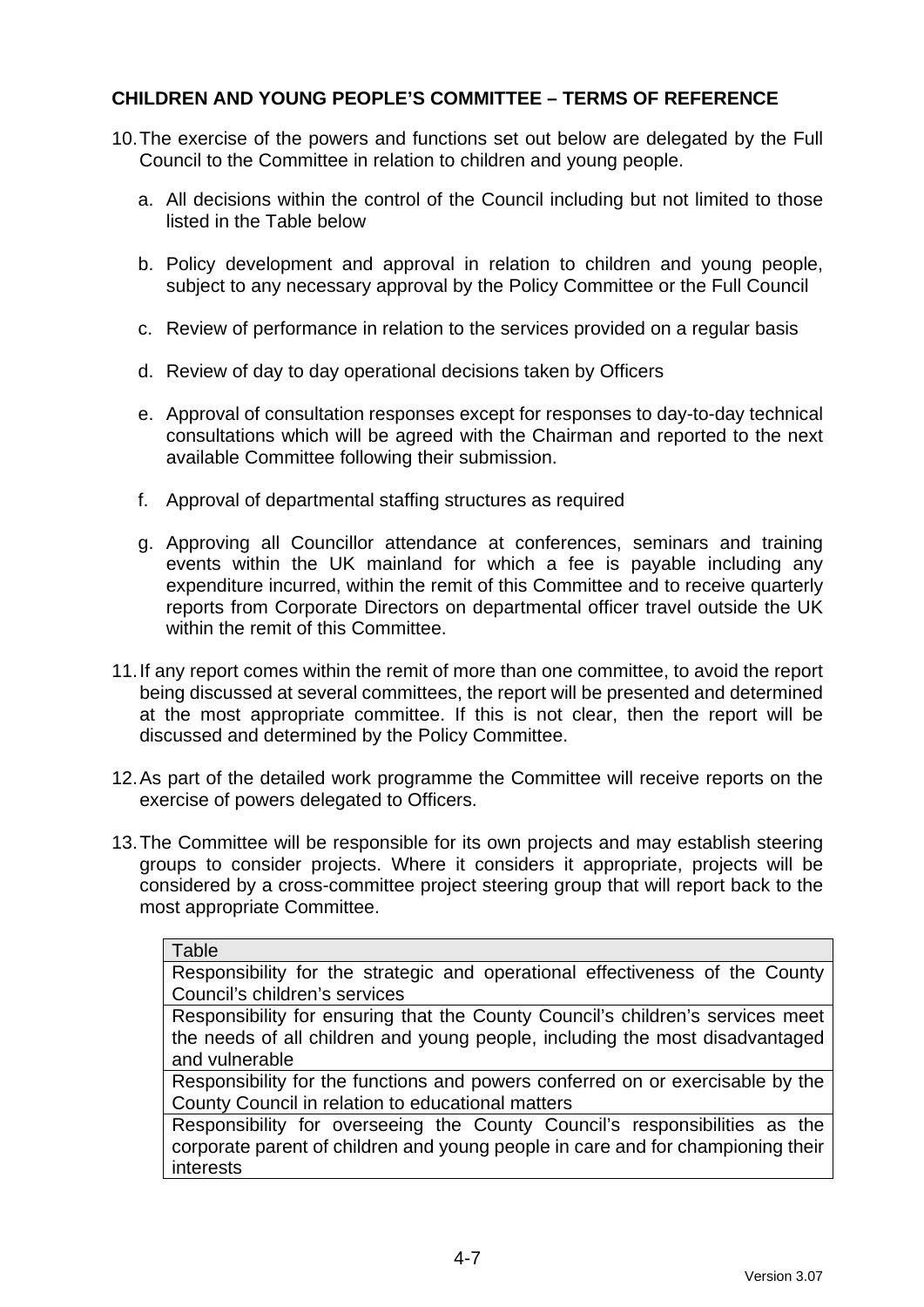# **CHILDREN AND YOUNG PEOPLE'S COMMITTEE – TERMS OF REFERENCE**

- 10.The exercise of the powers and functions set out below are delegated by the Full Council to the Committee in relation to children and young people.
	- a. All decisions within the control of the Council including but not limited to those listed in the Table below
	- b. Policy development and approval in relation to children and young people, subject to any necessary approval by the Policy Committee or the Full Council
	- c. Review of performance in relation to the services provided on a regular basis
	- d. Review of day to day operational decisions taken by Officers
	- e. Approval of consultation responses except for responses to day-to-day technical consultations which will be agreed with the Chairman and reported to the next available Committee following their submission.
	- f. Approval of departmental staffing structures as required
	- g. Approving all Councillor attendance at conferences, seminars and training events within the UK mainland for which a fee is payable including any expenditure incurred, within the remit of this Committee and to receive quarterly reports from Corporate Directors on departmental officer travel outside the UK within the remit of this Committee.
- 11.If any report comes within the remit of more than one committee, to avoid the report being discussed at several committees, the report will be presented and determined at the most appropriate committee. If this is not clear, then the report will be discussed and determined by the Policy Committee.
- 12.As part of the detailed work programme the Committee will receive reports on the exercise of powers delegated to Officers.
- 13.The Committee will be responsible for its own projects and may establish steering groups to consider projects. Where it considers it appropriate, projects will be considered by a cross-committee project steering group that will report back to the most appropriate Committee.

| Table                                                                           |
|---------------------------------------------------------------------------------|
| Responsibility for the strategic and operational effectiveness of the County    |
| Council's children's services                                                   |
| Responsibility for ensuring that the County Council's children's services meet  |
| the needs of all children and young people, including the most disadvantaged    |
| and vulnerable                                                                  |
| Responsibility for the functions and powers conferred on or exercisable by the  |
| County Council in relation to educational matters                               |
| Responsibility for overseeing the County Council's responsibilities as the      |
| corporate parent of children and young people in care and for championing their |
| interests                                                                       |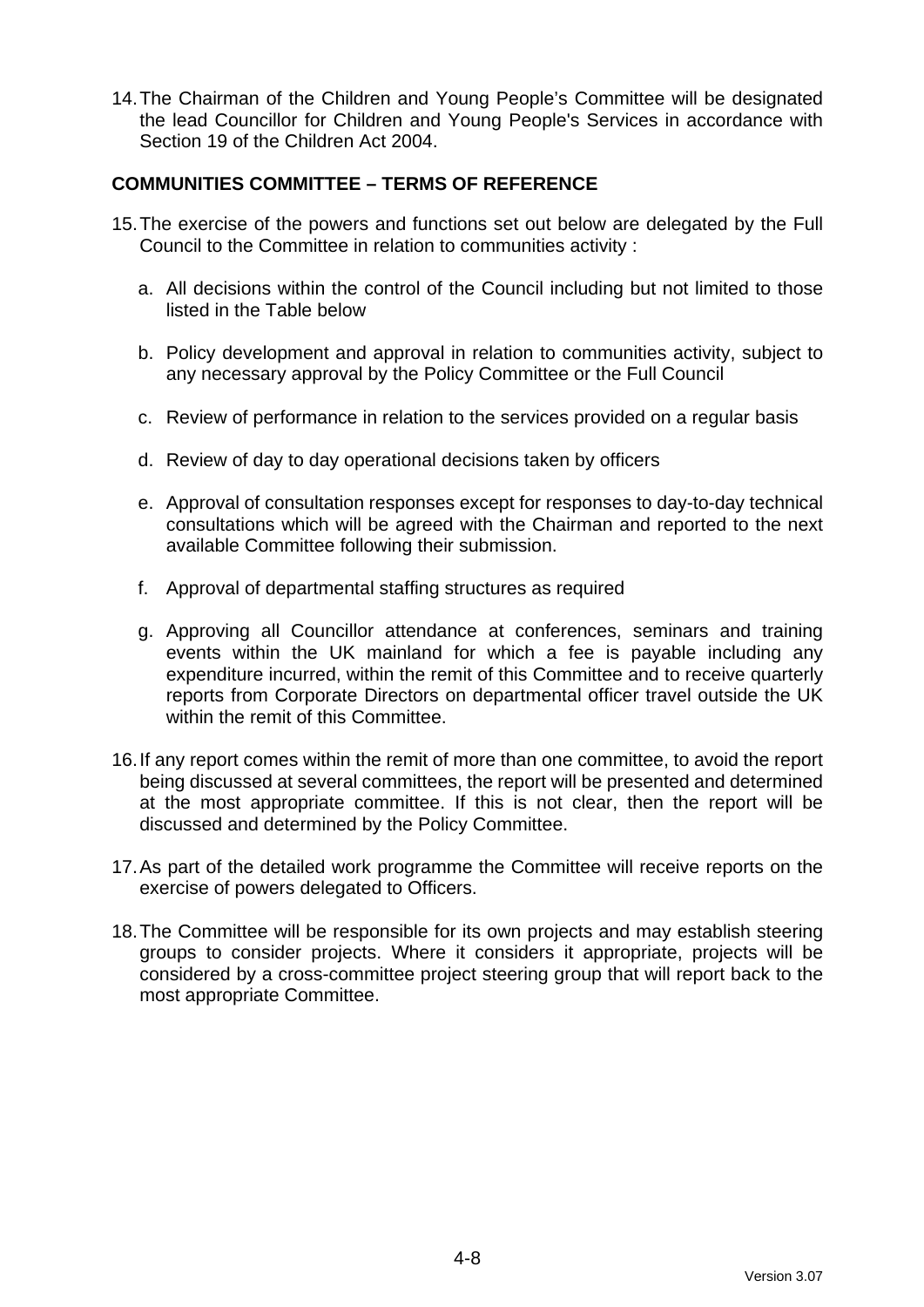14.The Chairman of the Children and Young People's Committee will be designated the lead Councillor for Children and Young People's Services in accordance with Section 19 of the Children Act 2004.

#### **COMMUNITIES COMMITTEE – TERMS OF REFERENCE**

- 15.The exercise of the powers and functions set out below are delegated by the Full Council to the Committee in relation to communities activity :
	- a. All decisions within the control of the Council including but not limited to those listed in the Table below
	- b. Policy development and approval in relation to communities activity, subject to any necessary approval by the Policy Committee or the Full Council
	- c. Review of performance in relation to the services provided on a regular basis
	- d. Review of day to day operational decisions taken by officers
	- e. Approval of consultation responses except for responses to day-to-day technical consultations which will be agreed with the Chairman and reported to the next available Committee following their submission.
	- f. Approval of departmental staffing structures as required
	- g. Approving all Councillor attendance at conferences, seminars and training events within the UK mainland for which a fee is payable including any expenditure incurred, within the remit of this Committee and to receive quarterly reports from Corporate Directors on departmental officer travel outside the UK within the remit of this Committee.
- 16.If any report comes within the remit of more than one committee, to avoid the report being discussed at several committees, the report will be presented and determined at the most appropriate committee. If this is not clear, then the report will be discussed and determined by the Policy Committee.
- 17.As part of the detailed work programme the Committee will receive reports on the exercise of powers delegated to Officers.
- 18.The Committee will be responsible for its own projects and may establish steering groups to consider projects. Where it considers it appropriate, projects will be considered by a cross-committee project steering group that will report back to the most appropriate Committee.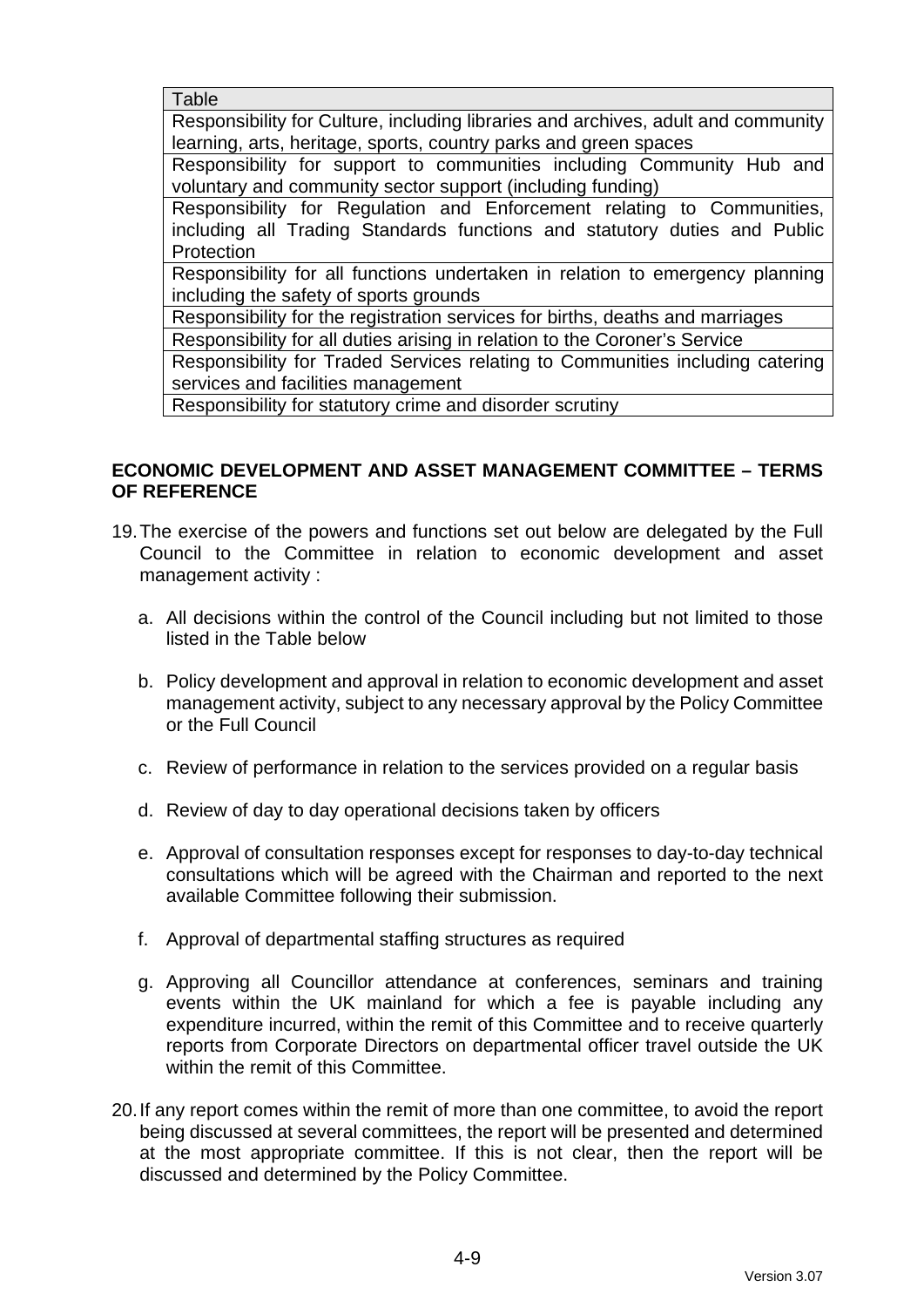Responsibility for Culture, including libraries and archives, adult and community learning, arts, heritage, sports, country parks and green spaces

Responsibility for support to communities including Community Hub and voluntary and community sector support (including funding)

Responsibility for Regulation and Enforcement relating to Communities, including all Trading Standards functions and statutory duties and Public **Protection** 

Responsibility for all functions undertaken in relation to emergency planning including the safety of sports grounds

Responsibility for the registration services for births, deaths and marriages Responsibility for all duties arising in relation to the Coroner's Service

Responsibility for Traded Services relating to Communities including catering services and facilities management

Responsibility for statutory crime and disorder scrutiny

#### **ECONOMIC DEVELOPMENT AND ASSET MANAGEMENT COMMITTEE – TERMS OF REFERENCE**

- 19.The exercise of the powers and functions set out below are delegated by the Full Council to the Committee in relation to economic development and asset management activity :
	- a. All decisions within the control of the Council including but not limited to those listed in the Table below
	- b. Policy development and approval in relation to economic development and asset management activity, subject to any necessary approval by the Policy Committee or the Full Council
	- c. Review of performance in relation to the services provided on a regular basis
	- d. Review of day to day operational decisions taken by officers
	- e. Approval of consultation responses except for responses to day-to-day technical consultations which will be agreed with the Chairman and reported to the next available Committee following their submission.
	- f. Approval of departmental staffing structures as required
	- g. Approving all Councillor attendance at conferences, seminars and training events within the UK mainland for which a fee is payable including any expenditure incurred, within the remit of this Committee and to receive quarterly reports from Corporate Directors on departmental officer travel outside the UK within the remit of this Committee.
- 20.If any report comes within the remit of more than one committee, to avoid the report being discussed at several committees, the report will be presented and determined at the most appropriate committee. If this is not clear, then the report will be discussed and determined by the Policy Committee.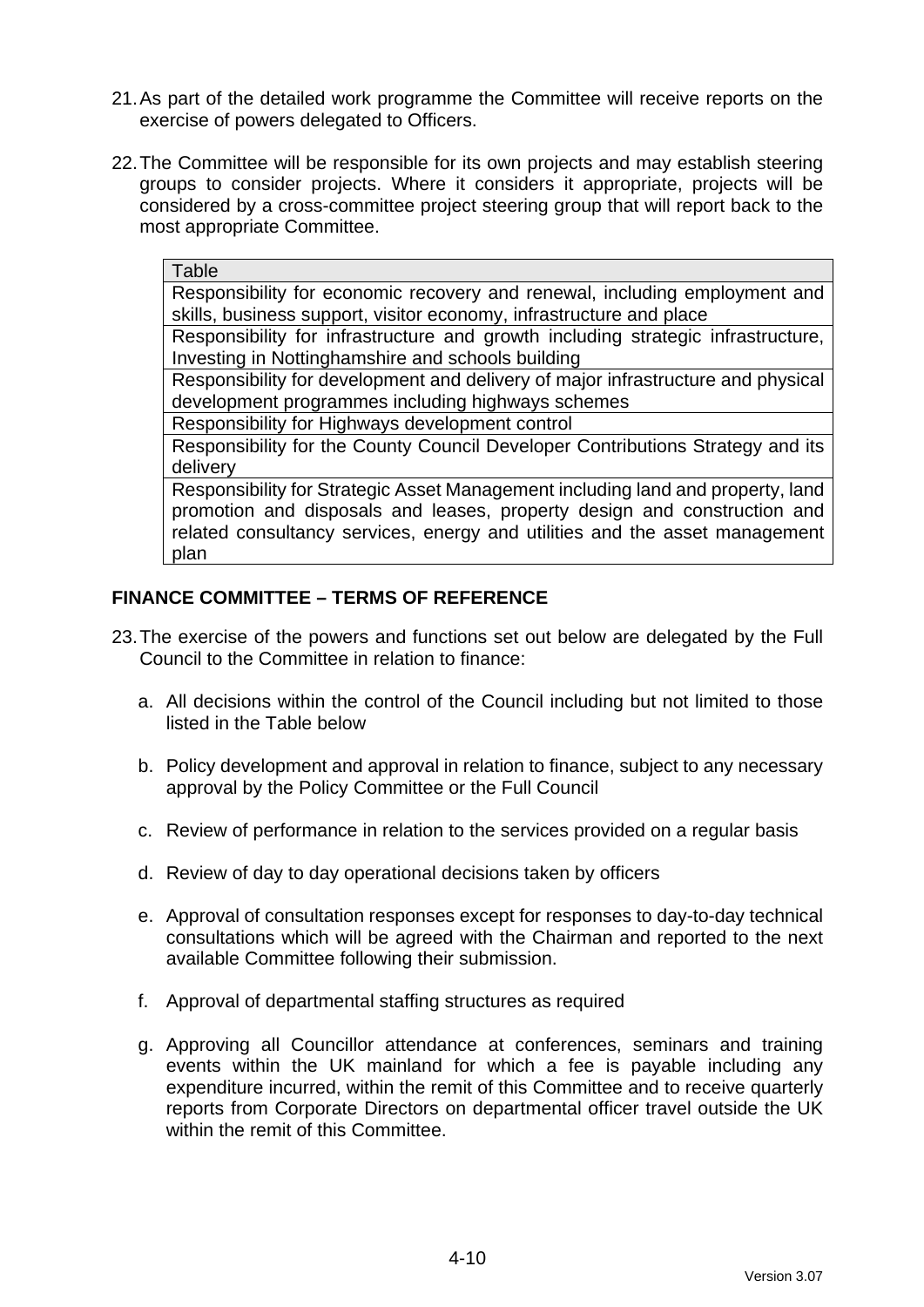- 21.As part of the detailed work programme the Committee will receive reports on the exercise of powers delegated to Officers.
- 22.The Committee will be responsible for its own projects and may establish steering groups to consider projects. Where it considers it appropriate, projects will be considered by a cross-committee project steering group that will report back to the most appropriate Committee.

Responsibility for economic recovery and renewal, including employment and skills, business support, visitor economy, infrastructure and place

Responsibility for infrastructure and growth including strategic infrastructure, Investing in Nottinghamshire and schools building

Responsibility for development and delivery of major infrastructure and physical development programmes including highways schemes

Responsibility for Highways development control

Responsibility for the County Council Developer Contributions Strategy and its delivery

Responsibility for Strategic Asset Management including land and property, land promotion and disposals and leases, property design and construction and related consultancy services, energy and utilities and the asset management plan

#### **FINANCE COMMITTEE – TERMS OF REFERENCE**

- 23.The exercise of the powers and functions set out below are delegated by the Full Council to the Committee in relation to finance:
	- a. All decisions within the control of the Council including but not limited to those listed in the Table below
	- b. Policy development and approval in relation to finance, subject to any necessary approval by the Policy Committee or the Full Council
	- c. Review of performance in relation to the services provided on a regular basis
	- d. Review of day to day operational decisions taken by officers
	- e. Approval of consultation responses except for responses to day-to-day technical consultations which will be agreed with the Chairman and reported to the next available Committee following their submission.
	- f. Approval of departmental staffing structures as required
	- g. Approving all Councillor attendance at conferences, seminars and training events within the UK mainland for which a fee is payable including any expenditure incurred, within the remit of this Committee and to receive quarterly reports from Corporate Directors on departmental officer travel outside the UK within the remit of this Committee.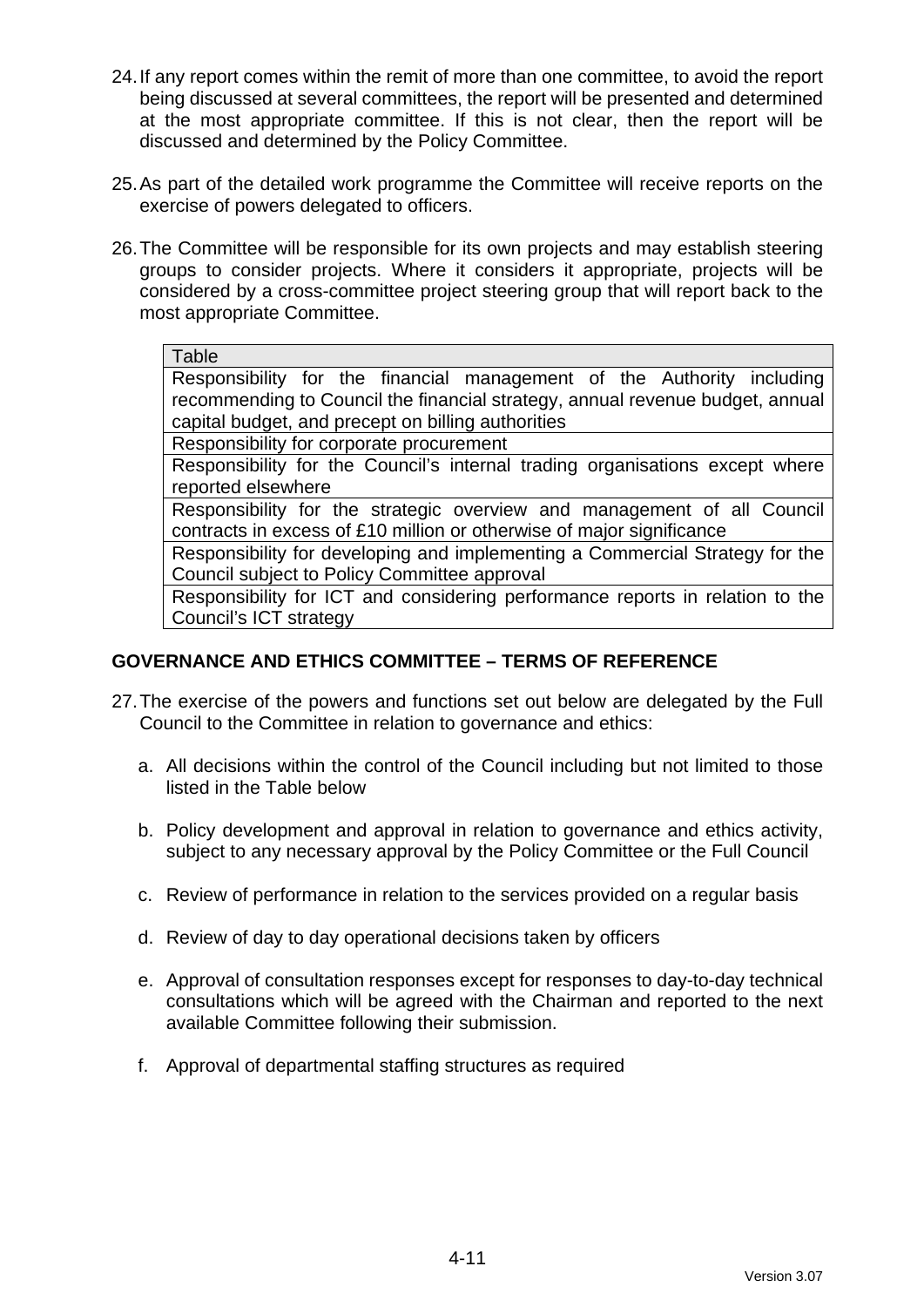- 24.If any report comes within the remit of more than one committee, to avoid the report being discussed at several committees, the report will be presented and determined at the most appropriate committee. If this is not clear, then the report will be discussed and determined by the Policy Committee.
- 25.As part of the detailed work programme the Committee will receive reports on the exercise of powers delegated to officers.
- 26.The Committee will be responsible for its own projects and may establish steering groups to consider projects. Where it considers it appropriate, projects will be considered by a cross-committee project steering group that will report back to the most appropriate Committee.

Responsibility for the financial management of the Authority including recommending to Council the financial strategy, annual revenue budget, annual capital budget, and precept on billing authorities

Responsibility for corporate procurement

Responsibility for the Council's internal trading organisations except where reported elsewhere

Responsibility for the strategic overview and management of all Council contracts in excess of £10 million or otherwise of major significance

Responsibility for developing and implementing a Commercial Strategy for the Council subject to Policy Committee approval

Responsibility for ICT and considering performance reports in relation to the Council's ICT strategy

#### **GOVERNANCE AND ETHICS COMMITTEE – TERMS OF REFERENCE**

- 27.The exercise of the powers and functions set out below are delegated by the Full Council to the Committee in relation to governance and ethics:
	- a. All decisions within the control of the Council including but not limited to those listed in the Table below
	- b. Policy development and approval in relation to governance and ethics activity, subject to any necessary approval by the Policy Committee or the Full Council
	- c. Review of performance in relation to the services provided on a regular basis
	- d. Review of day to day operational decisions taken by officers
	- e. Approval of consultation responses except for responses to day-to-day technical consultations which will be agreed with the Chairman and reported to the next available Committee following their submission.
	- f. Approval of departmental staffing structures as required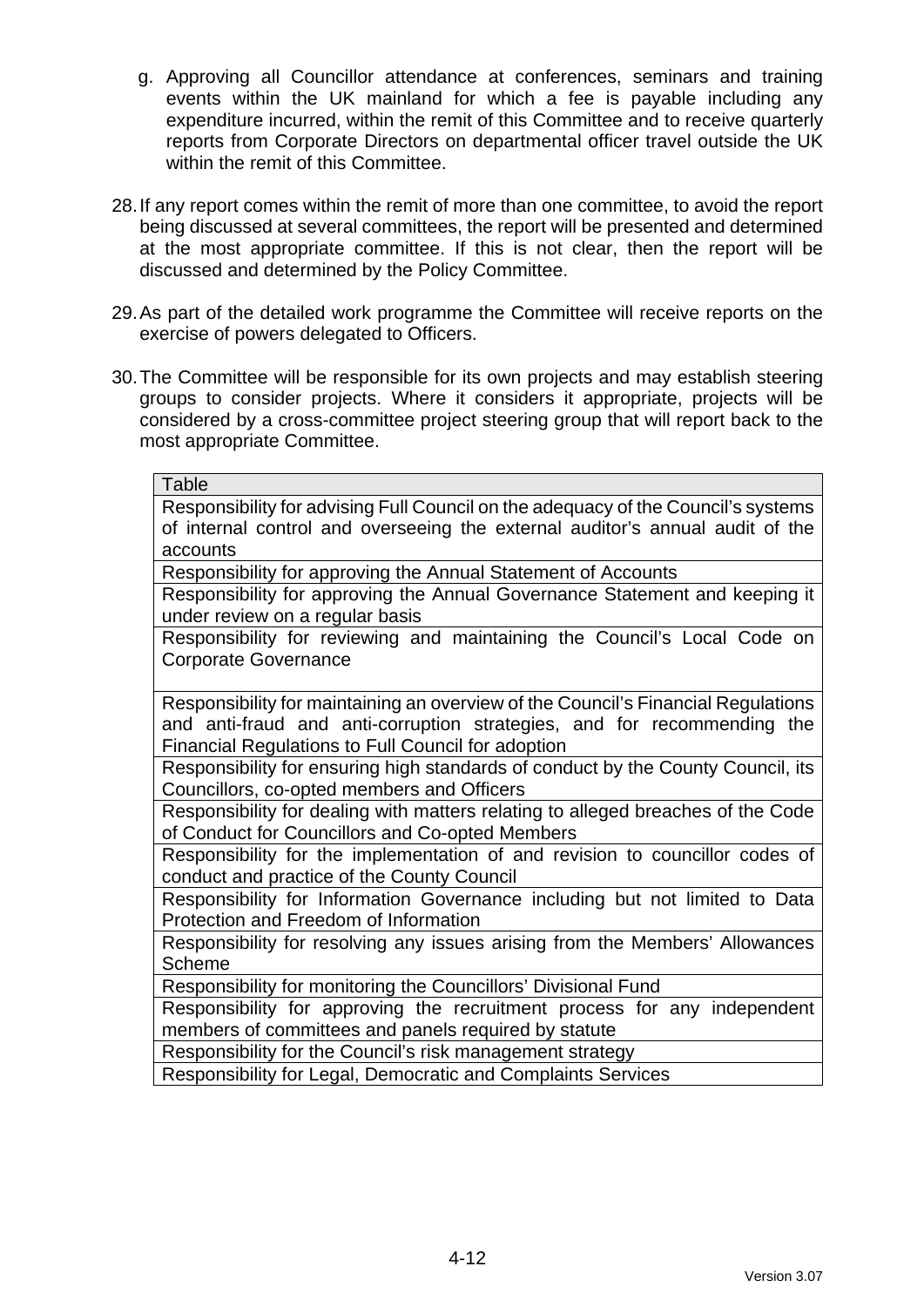- g. Approving all Councillor attendance at conferences, seminars and training events within the UK mainland for which a fee is payable including any expenditure incurred, within the remit of this Committee and to receive quarterly reports from Corporate Directors on departmental officer travel outside the UK within the remit of this Committee.
- 28.If any report comes within the remit of more than one committee, to avoid the report being discussed at several committees, the report will be presented and determined at the most appropriate committee. If this is not clear, then the report will be discussed and determined by the Policy Committee.
- 29.As part of the detailed work programme the Committee will receive reports on the exercise of powers delegated to Officers.
- 30.The Committee will be responsible for its own projects and may establish steering groups to consider projects. Where it considers it appropriate, projects will be considered by a cross-committee project steering group that will report back to the most appropriate Committee.

Responsibility for advising Full Council on the adequacy of the Council's systems of internal control and overseeing the external auditor's annual audit of the accounts

Responsibility for approving the Annual Statement of Accounts

Responsibility for approving the Annual Governance Statement and keeping it under review on a regular basis

Responsibility for reviewing and maintaining the Council's Local Code on Corporate Governance

Responsibility for maintaining an overview of the Council's Financial Regulations and anti-fraud and anti-corruption strategies, and for recommending the Financial Regulations to Full Council for adoption

Responsibility for ensuring high standards of conduct by the County Council, its Councillors, co-opted members and Officers

Responsibility for dealing with matters relating to alleged breaches of the Code of Conduct for Councillors and Co-opted Members

Responsibility for the implementation of and revision to councillor codes of conduct and practice of the County Council

Responsibility for Information Governance including but not limited to Data Protection and Freedom of Information

Responsibility for resolving any issues arising from the Members' Allowances Scheme

Responsibility for monitoring the Councillors' Divisional Fund

Responsibility for approving the recruitment process for any independent members of committees and panels required by statute

Responsibility for the Council's risk management strategy

Responsibility for Legal, Democratic and Complaints Services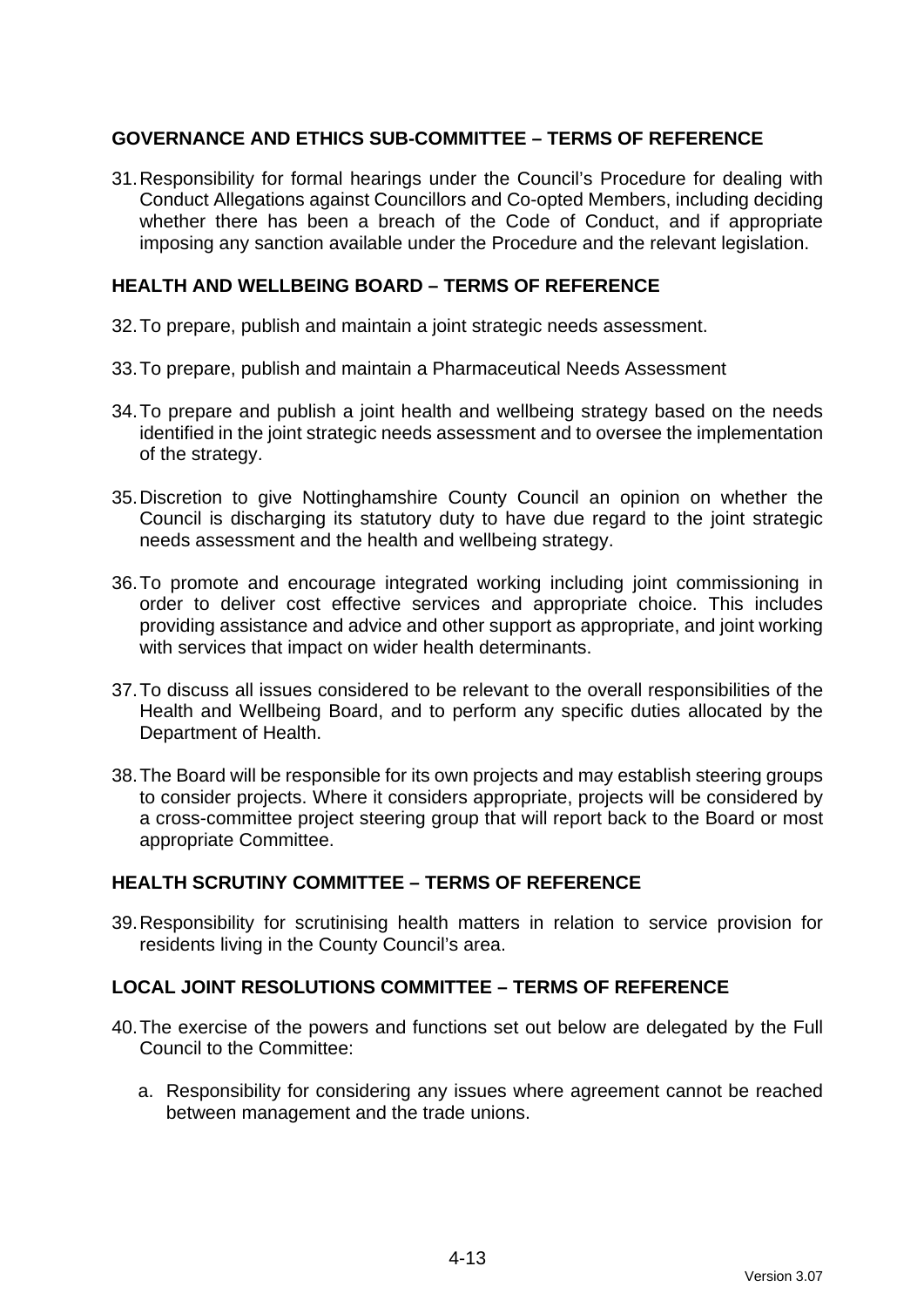#### **GOVERNANCE AND ETHICS SUB-COMMITTEE – TERMS OF REFERENCE**

31.Responsibility for formal hearings under the Council's Procedure for dealing with Conduct Allegations against Councillors and Co-opted Members, including deciding whether there has been a breach of the Code of Conduct, and if appropriate imposing any sanction available under the Procedure and the relevant legislation.

#### **HEALTH AND WELLBEING BOARD – TERMS OF REFERENCE**

- 32.To prepare, publish and maintain a joint strategic needs assessment.
- 33.To prepare, publish and maintain a Pharmaceutical Needs Assessment
- 34.To prepare and publish a joint health and wellbeing strategy based on the needs identified in the joint strategic needs assessment and to oversee the implementation of the strategy.
- 35.Discretion to give Nottinghamshire County Council an opinion on whether the Council is discharging its statutory duty to have due regard to the joint strategic needs assessment and the health and wellbeing strategy.
- 36.To promote and encourage integrated working including joint commissioning in order to deliver cost effective services and appropriate choice. This includes providing assistance and advice and other support as appropriate, and joint working with services that impact on wider health determinants.
- 37.To discuss all issues considered to be relevant to the overall responsibilities of the Health and Wellbeing Board, and to perform any specific duties allocated by the Department of Health.
- 38.The Board will be responsible for its own projects and may establish steering groups to consider projects. Where it considers appropriate, projects will be considered by a cross-committee project steering group that will report back to the Board or most appropriate Committee.

#### **HEALTH SCRUTINY COMMITTEE – TERMS OF REFERENCE**

39.Responsibility for scrutinising health matters in relation to service provision for residents living in the County Council's area.

#### **LOCAL JOINT RESOLUTIONS COMMITTEE – TERMS OF REFERENCE**

- 40.The exercise of the powers and functions set out below are delegated by the Full Council to the Committee:
	- a. Responsibility for considering any issues where agreement cannot be reached between management and the trade unions.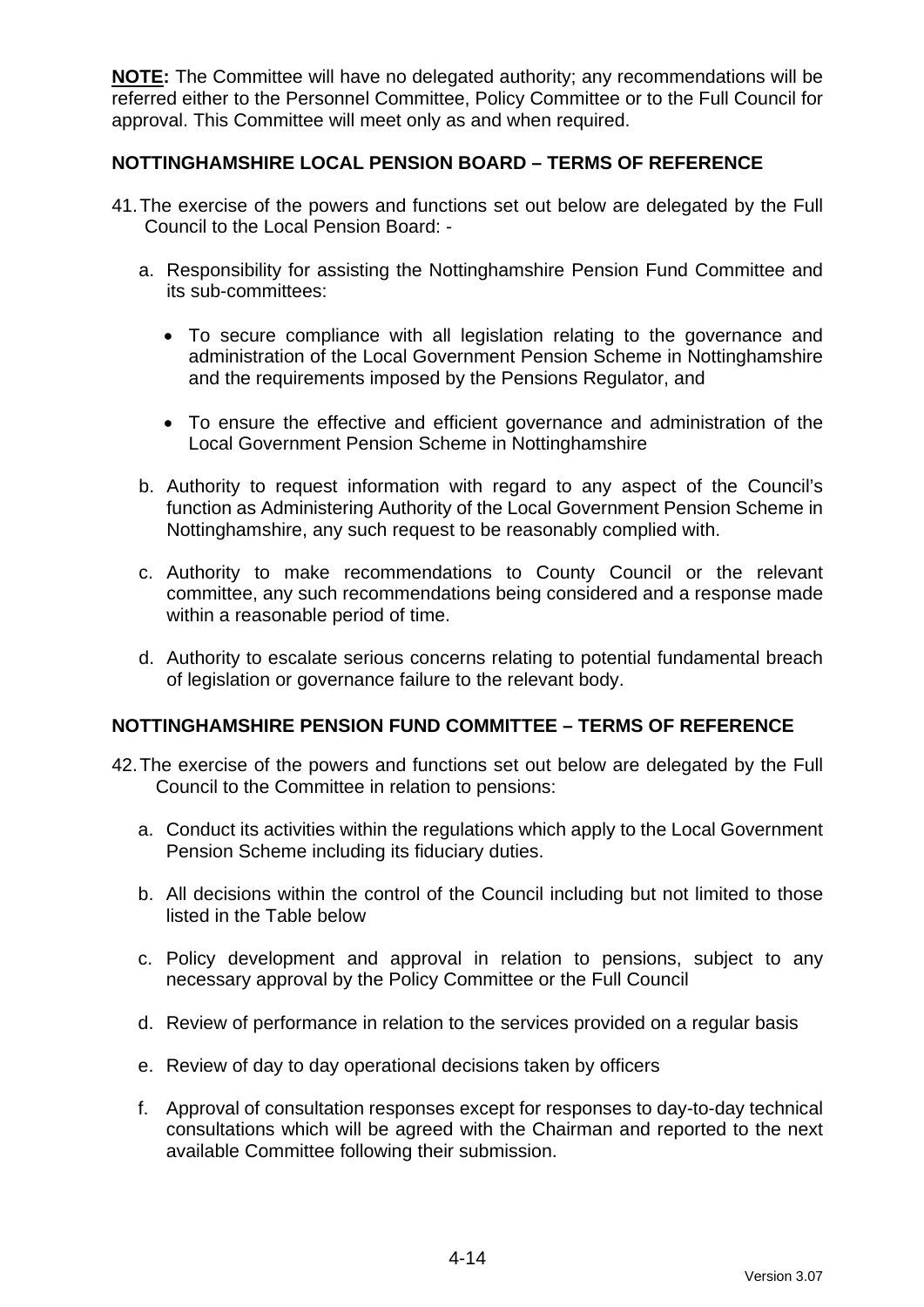**NOTE:** The Committee will have no delegated authority; any recommendations will be referred either to the Personnel Committee, Policy Committee or to the Full Council for approval. This Committee will meet only as and when required.

#### **NOTTINGHAMSHIRE LOCAL PENSION BOARD – TERMS OF REFERENCE**

- 41.The exercise of the powers and functions set out below are delegated by the Full Council to the Local Pension Board:
	- a. Responsibility for assisting the Nottinghamshire Pension Fund Committee and its sub-committees:
		- To secure compliance with all legislation relating to the governance and administration of the Local Government Pension Scheme in Nottinghamshire and the requirements imposed by the Pensions Regulator, and
		- To ensure the effective and efficient governance and administration of the Local Government Pension Scheme in Nottinghamshire
	- b. Authority to request information with regard to any aspect of the Council's function as Administering Authority of the Local Government Pension Scheme in Nottinghamshire, any such request to be reasonably complied with.
	- c. Authority to make recommendations to County Council or the relevant committee, any such recommendations being considered and a response made within a reasonable period of time.
	- d. Authority to escalate serious concerns relating to potential fundamental breach of legislation or governance failure to the relevant body.

#### **NOTTINGHAMSHIRE PENSION FUND COMMITTEE – TERMS OF REFERENCE**

- 42.The exercise of the powers and functions set out below are delegated by the Full Council to the Committee in relation to pensions:
	- a. Conduct its activities within the regulations which apply to the Local Government Pension Scheme including its fiduciary duties.
	- b. All decisions within the control of the Council including but not limited to those listed in the Table below
	- c. Policy development and approval in relation to pensions, subject to any necessary approval by the Policy Committee or the Full Council
	- d. Review of performance in relation to the services provided on a regular basis
	- e. Review of day to day operational decisions taken by officers
	- f. Approval of consultation responses except for responses to day-to-day technical consultations which will be agreed with the Chairman and reported to the next available Committee following their submission.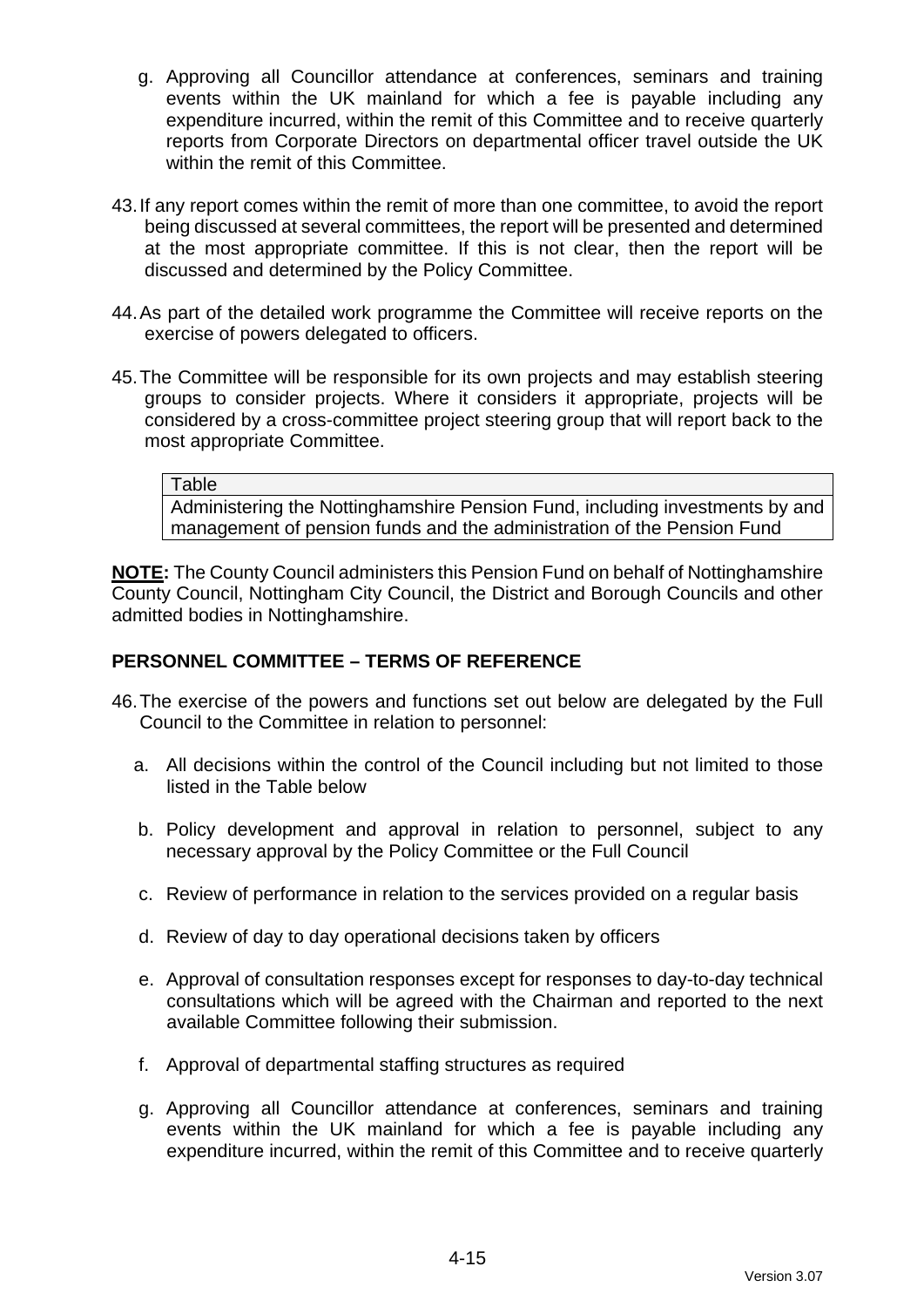- g. Approving all Councillor attendance at conferences, seminars and training events within the UK mainland for which a fee is payable including any expenditure incurred, within the remit of this Committee and to receive quarterly reports from Corporate Directors on departmental officer travel outside the UK within the remit of this Committee.
- 43.If any report comes within the remit of more than one committee, to avoid the report being discussed at several committees, the report will be presented and determined at the most appropriate committee. If this is not clear, then the report will be discussed and determined by the Policy Committee.
- 44.As part of the detailed work programme the Committee will receive reports on the exercise of powers delegated to officers.
- 45.The Committee will be responsible for its own projects and may establish steering groups to consider projects. Where it considers it appropriate, projects will be considered by a cross-committee project steering group that will report back to the most appropriate Committee.

Administering the Nottinghamshire Pension Fund, including investments by and management of pension funds and the administration of the Pension Fund

**NOTE:** The County Council administers this Pension Fund on behalf of Nottinghamshire County Council, Nottingham City Council, the District and Borough Councils and other admitted bodies in Nottinghamshire.

#### **PERSONNEL COMMITTEE – TERMS OF REFERENCE**

- 46.The exercise of the powers and functions set out below are delegated by the Full Council to the Committee in relation to personnel:
	- a. All decisions within the control of the Council including but not limited to those listed in the Table below
	- b. Policy development and approval in relation to personnel, subject to any necessary approval by the Policy Committee or the Full Council
	- c. Review of performance in relation to the services provided on a regular basis
	- d. Review of day to day operational decisions taken by officers
	- e. Approval of consultation responses except for responses to day-to-day technical consultations which will be agreed with the Chairman and reported to the next available Committee following their submission.
	- f. Approval of departmental staffing structures as required
	- g. Approving all Councillor attendance at conferences, seminars and training events within the UK mainland for which a fee is payable including any expenditure incurred, within the remit of this Committee and to receive quarterly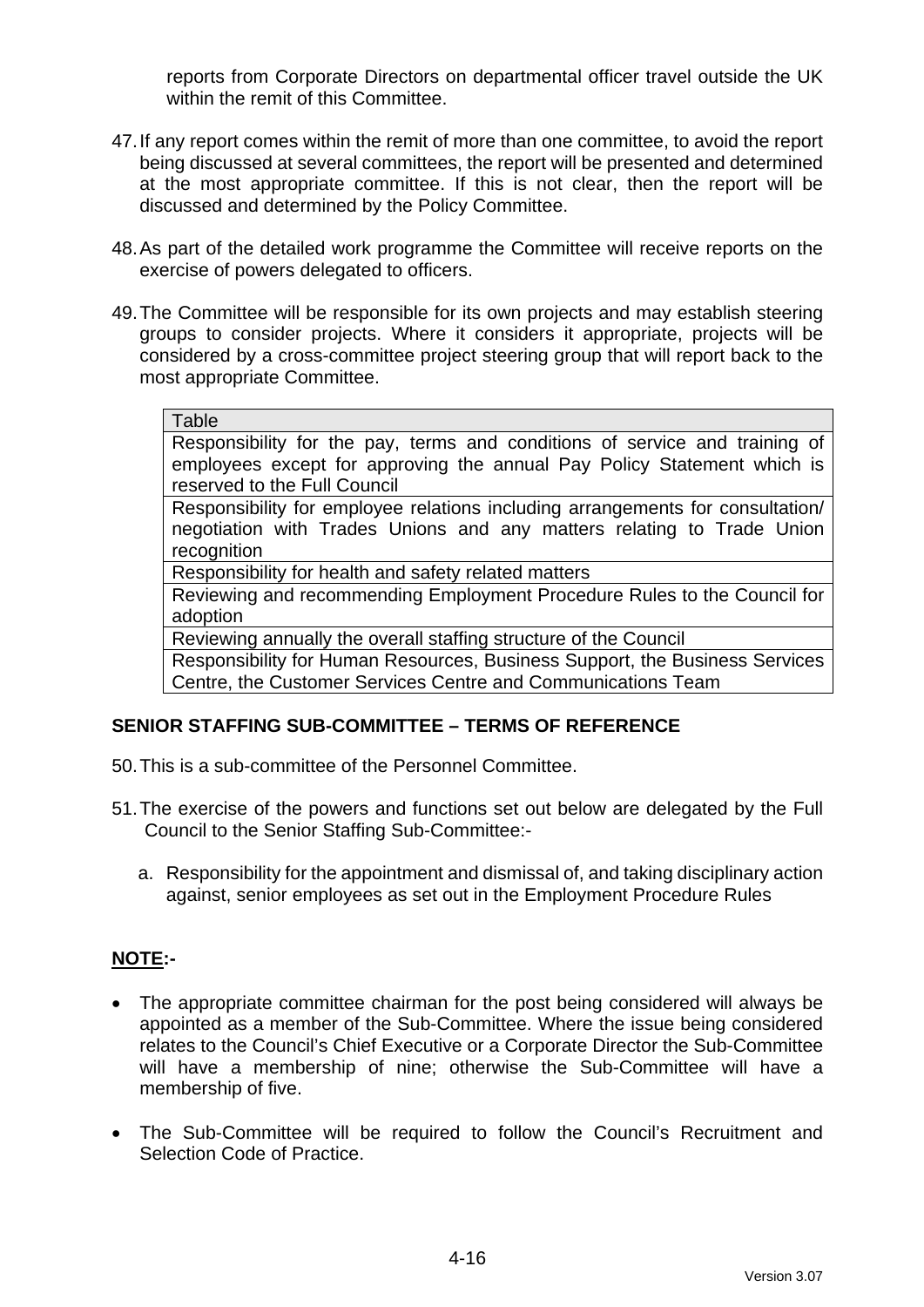reports from Corporate Directors on departmental officer travel outside the UK within the remit of this Committee.

- 47.If any report comes within the remit of more than one committee, to avoid the report being discussed at several committees, the report will be presented and determined at the most appropriate committee. If this is not clear, then the report will be discussed and determined by the Policy Committee.
- 48.As part of the detailed work programme the Committee will receive reports on the exercise of powers delegated to officers.
- 49.The Committee will be responsible for its own projects and may establish steering groups to consider projects. Where it considers it appropriate, projects will be considered by a cross-committee project steering group that will report back to the most appropriate Committee.

**Table** 

Responsibility for the pay, terms and conditions of service and training of employees except for approving the annual Pay Policy Statement which is reserved to the Full Council

Responsibility for employee relations including arrangements for consultation/ negotiation with Trades Unions and any matters relating to Trade Union recognition

Responsibility for health and safety related matters

Reviewing and recommending Employment Procedure Rules to the Council for adoption

Reviewing annually the overall staffing structure of the Council

Responsibility for Human Resources, Business Support, the Business Services Centre, the Customer Services Centre and Communications Team

# **SENIOR STAFFING SUB-COMMITTEE – TERMS OF REFERENCE**

- 50.This is a sub-committee of the Personnel Committee.
- 51.The exercise of the powers and functions set out below are delegated by the Full Council to the Senior Staffing Sub-Committee:
	- a. Responsibility for the appointment and dismissal of, and taking disciplinary action against, senior employees as set out in the Employment Procedure Rules

# **NOTE:-**

- The appropriate committee chairman for the post being considered will always be appointed as a member of the Sub-Committee. Where the issue being considered relates to the Council's Chief Executive or a Corporate Director the Sub-Committee will have a membership of nine; otherwise the Sub-Committee will have a membership of five.
- The Sub-Committee will be required to follow the Council's Recruitment and Selection Code of Practice.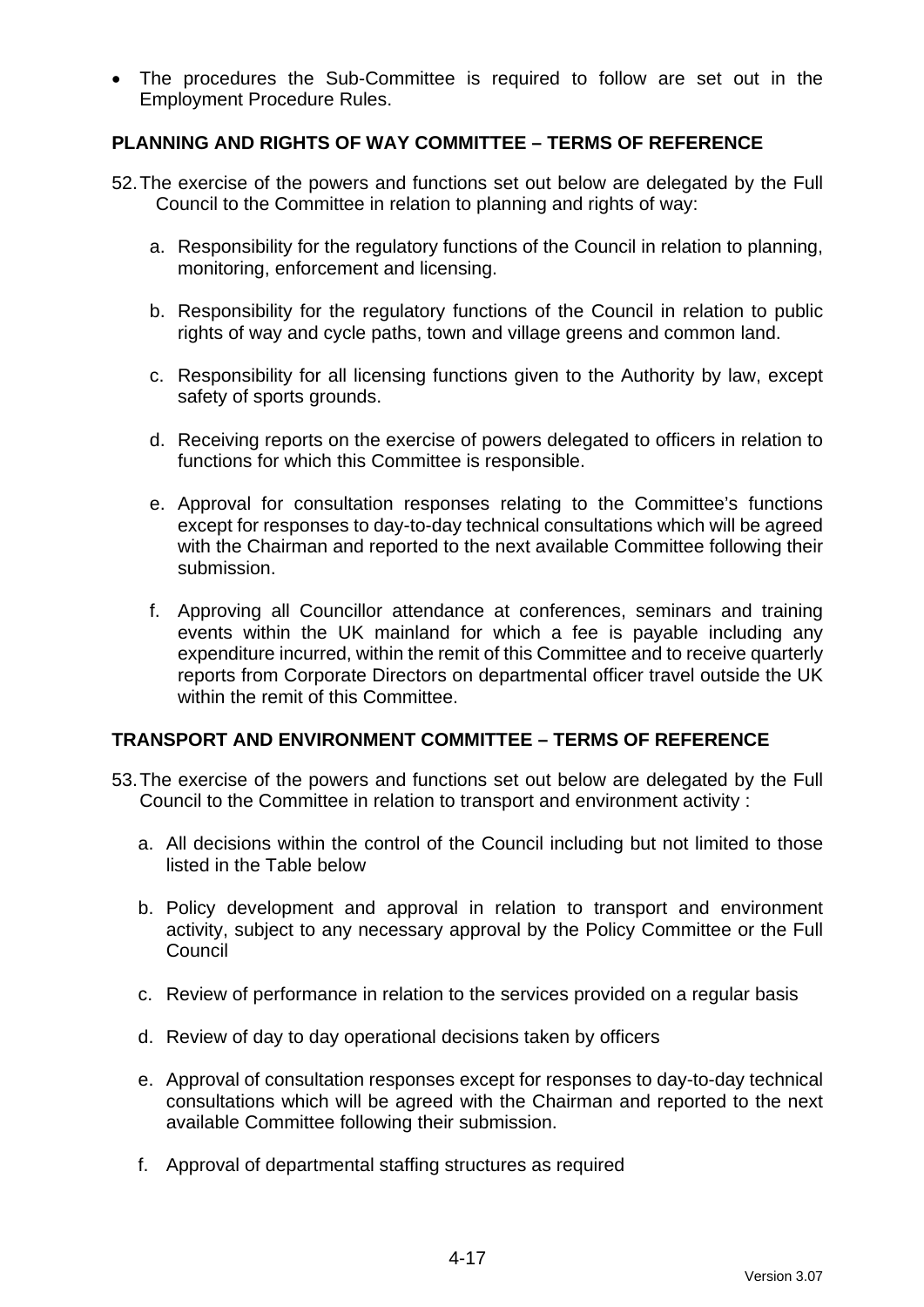• The procedures the Sub-Committee is required to follow are set out in the Employment Procedure Rules.

### **PLANNING AND RIGHTS OF WAY COMMITTEE – TERMS OF REFERENCE**

- 52.The exercise of the powers and functions set out below are delegated by the Full Council to the Committee in relation to planning and rights of way:
	- a. Responsibility for the regulatory functions of the Council in relation to planning, monitoring, enforcement and licensing.
	- b. Responsibility for the regulatory functions of the Council in relation to public rights of way and cycle paths, town and village greens and common land.
	- c. Responsibility for all licensing functions given to the Authority by law, except safety of sports grounds.
	- d. Receiving reports on the exercise of powers delegated to officers in relation to functions for which this Committee is responsible.
	- e. Approval for consultation responses relating to the Committee's functions except for responses to day-to-day technical consultations which will be agreed with the Chairman and reported to the next available Committee following their submission.
	- f. Approving all Councillor attendance at conferences, seminars and training events within the UK mainland for which a fee is payable including any expenditure incurred, within the remit of this Committee and to receive quarterly reports from Corporate Directors on departmental officer travel outside the UK within the remit of this Committee.

### **TRANSPORT AND ENVIRONMENT COMMITTEE – TERMS OF REFERENCE**

- 53.The exercise of the powers and functions set out below are delegated by the Full Council to the Committee in relation to transport and environment activity :
	- a. All decisions within the control of the Council including but not limited to those listed in the Table below
	- b. Policy development and approval in relation to transport and environment activity, subject to any necessary approval by the Policy Committee or the Full **Council**
	- c. Review of performance in relation to the services provided on a regular basis
	- d. Review of day to day operational decisions taken by officers
	- e. Approval of consultation responses except for responses to day-to-day technical consultations which will be agreed with the Chairman and reported to the next available Committee following their submission.
	- f. Approval of departmental staffing structures as required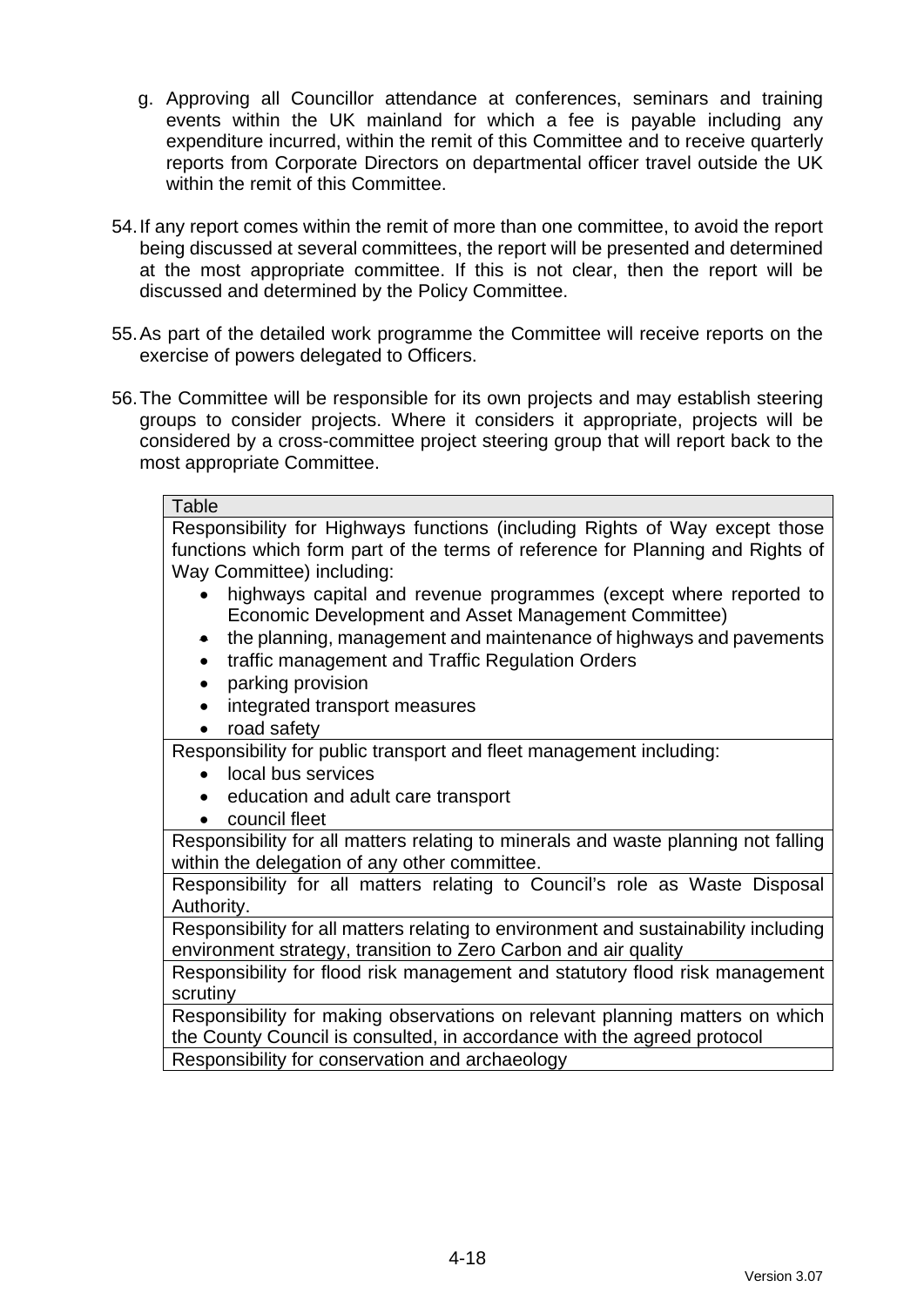- g. Approving all Councillor attendance at conferences, seminars and training events within the UK mainland for which a fee is payable including any expenditure incurred, within the remit of this Committee and to receive quarterly reports from Corporate Directors on departmental officer travel outside the UK within the remit of this Committee.
- 54.If any report comes within the remit of more than one committee, to avoid the report being discussed at several committees, the report will be presented and determined at the most appropriate committee. If this is not clear, then the report will be discussed and determined by the Policy Committee.
- 55.As part of the detailed work programme the Committee will receive reports on the exercise of powers delegated to Officers.
- 56.The Committee will be responsible for its own projects and may establish steering groups to consider projects. Where it considers it appropriate, projects will be considered by a cross-committee project steering group that will report back to the most appropriate Committee.

#### **Table**

Responsibility for Highways functions (including Rights of Way except those functions which form part of the terms of reference for Planning and Rights of Way Committee) including:

- highways capital and revenue programmes (except where reported to Economic Development and Asset Management Committee)
- the planning, management and maintenance of highways and pavements
- traffic management and Traffic Regulation Orders
- parking provision
- integrated transport measures
- road safety

Responsibility for public transport and fleet management including:

- local bus services
- education and adult care transport
- council fleet

Responsibility for all matters relating to minerals and waste planning not falling within the delegation of any other committee.

Responsibility for all matters relating to Council's role as Waste Disposal Authority.

Responsibility for all matters relating to environment and sustainability including environment strategy, transition to Zero Carbon and air quality

Responsibility for flood risk management and statutory flood risk management scrutiny

Responsibility for making observations on relevant planning matters on which the County Council is consulted, in accordance with the agreed protocol Responsibility for conservation and archaeology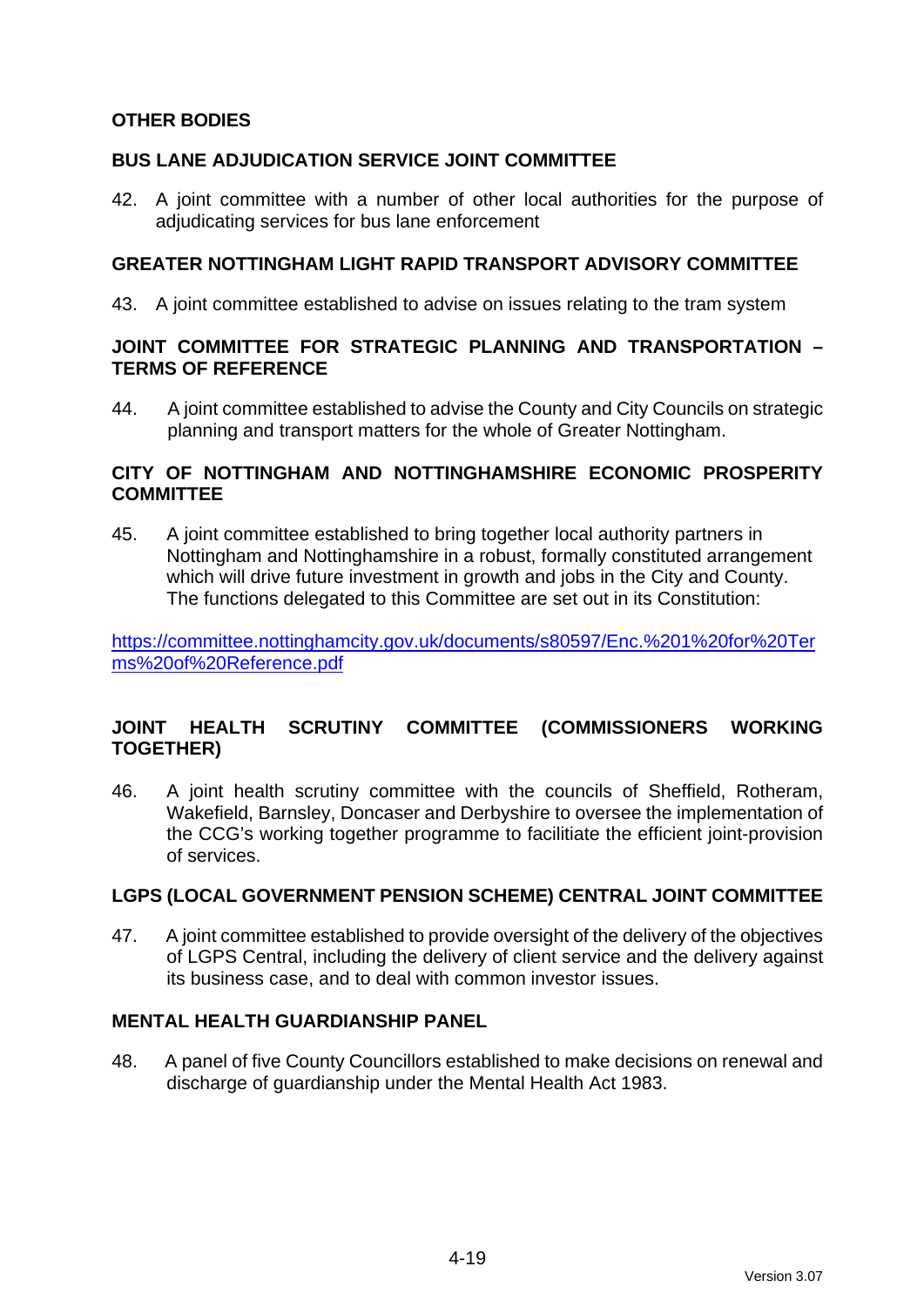# **OTHER BODIES**

# **BUS LANE ADJUDICATION SERVICE JOINT COMMITTEE**

42. A joint committee with a number of other local authorities for the purpose of adjudicating services for bus lane enforcement

## **GREATER NOTTINGHAM LIGHT RAPID TRANSPORT ADVISORY COMMITTEE**

43. A joint committee established to advise on issues relating to the tram system

### **JOINT COMMITTEE FOR STRATEGIC PLANNING AND TRANSPORTATION – TERMS OF REFERENCE**

44. A joint committee established to advise the County and City Councils on strategic planning and transport matters for the whole of Greater Nottingham.

### **CITY OF NOTTINGHAM AND NOTTINGHAMSHIRE ECONOMIC PROSPERITY COMMITTEE**

45. A joint committee established to bring together local authority partners in Nottingham and Nottinghamshire in a robust, formally constituted arrangement which will drive future investment in growth and jobs in the City and County. The functions delegated to this Committee are set out in its Constitution:

[https://committee.nottinghamcity.gov.uk/documents/s80597/Enc.%201%20for%20Ter](https://committee.nottinghamcity.gov.uk/documents/s80597/Enc.%201%20for%20Terms%20of%20Reference.pdf) [ms%20of%20Reference.pdf](https://committee.nottinghamcity.gov.uk/documents/s80597/Enc.%201%20for%20Terms%20of%20Reference.pdf)

### **JOINT HEALTH SCRUTINY COMMITTEE (COMMISSIONERS WORKING TOGETHER)**

46. A joint health scrutiny committee with the councils of Sheffield, Rotheram, Wakefield, Barnsley, Doncaser and Derbyshire to oversee the implementation of the CCG's working together programme to facilitiate the efficient joint-provision of services.

### **LGPS (LOCAL GOVERNMENT PENSION SCHEME) CENTRAL JOINT COMMITTEE**

47. A joint committee established to provide oversight of the delivery of the objectives of LGPS Central, including the delivery of client service and the delivery against its business case, and to deal with common investor issues.

### **MENTAL HEALTH GUARDIANSHIP PANEL**

48. A panel of five County Councillors established to make decisions on renewal and discharge of guardianship under the Mental Health Act 1983.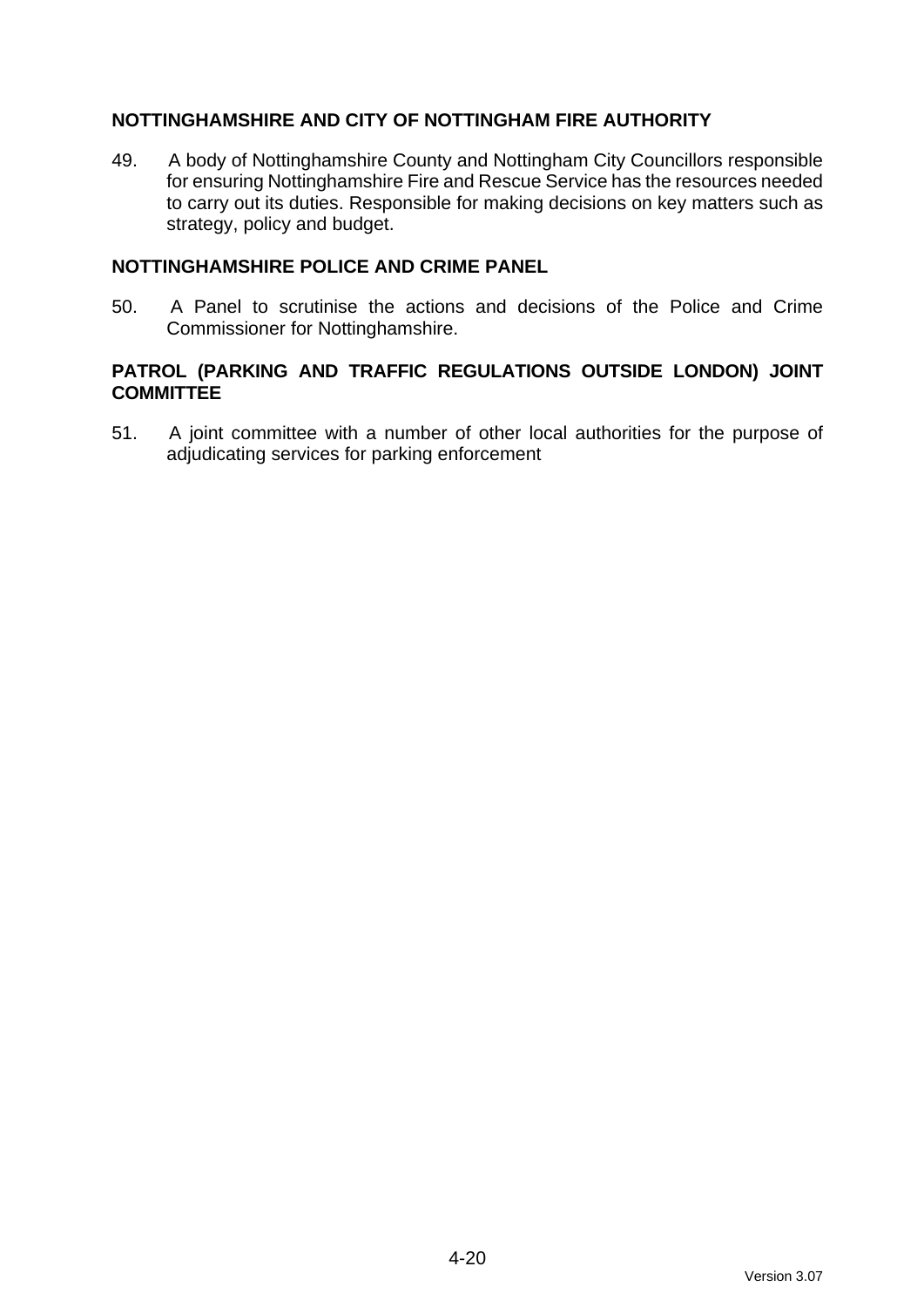## **NOTTINGHAMSHIRE AND CITY OF NOTTINGHAM FIRE AUTHORITY**

49. A body of Nottinghamshire County and Nottingham City Councillors responsible for ensuring Nottinghamshire Fire and Rescue Service has the resources needed to carry out its duties. Responsible for making decisions on key matters such as strategy, policy and budget.

#### **NOTTINGHAMSHIRE POLICE AND CRIME PANEL**

50. A Panel to scrutinise the actions and decisions of the Police and Crime Commissioner for Nottinghamshire.

### **PATROL (PARKING AND TRAFFIC REGULATIONS OUTSIDE LONDON) JOINT COMMITTEE**

51. A joint committee with a number of other local authorities for the purpose of adjudicating services for parking enforcement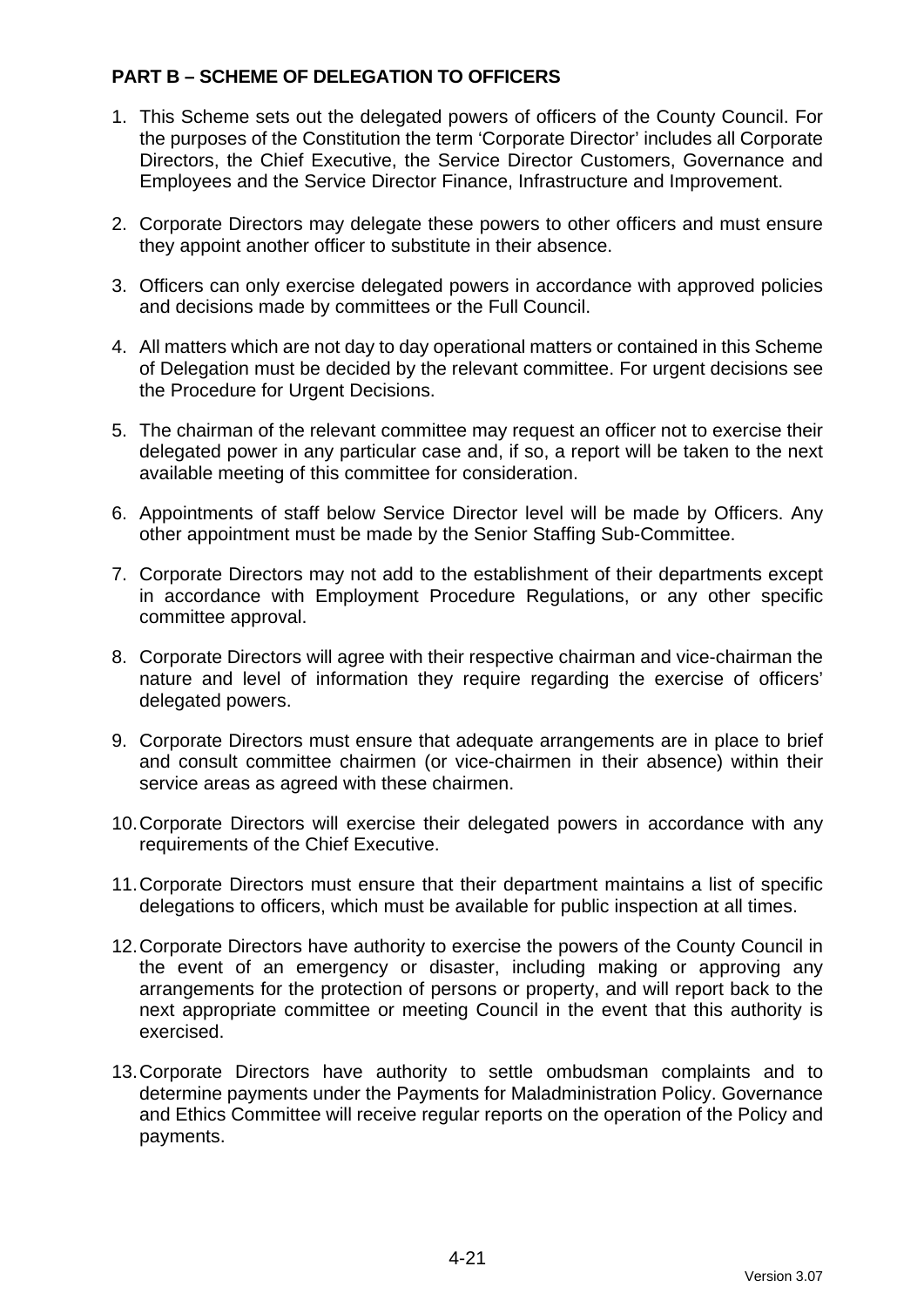# **PART B – SCHEME OF DELEGATION TO OFFICERS**

- 1. This Scheme sets out the delegated powers of officers of the County Council. For the purposes of the Constitution the term 'Corporate Director' includes all Corporate Directors, the Chief Executive, the Service Director Customers, Governance and Employees and the Service Director Finance, Infrastructure and Improvement.
- 2. Corporate Directors may delegate these powers to other officers and must ensure they appoint another officer to substitute in their absence.
- 3. Officers can only exercise delegated powers in accordance with approved policies and decisions made by committees or the Full Council.
- 4. All matters which are not day to day operational matters or contained in this Scheme of Delegation must be decided by the relevant committee. For urgent decisions see the Procedure for Urgent Decisions.
- 5. The chairman of the relevant committee may request an officer not to exercise their delegated power in any particular case and, if so, a report will be taken to the next available meeting of this committee for consideration.
- 6. Appointments of staff below Service Director level will be made by Officers. Any other appointment must be made by the Senior Staffing Sub-Committee.
- 7. Corporate Directors may not add to the establishment of their departments except in accordance with Employment Procedure Regulations, or any other specific committee approval.
- 8. Corporate Directors will agree with their respective chairman and vice-chairman the nature and level of information they require regarding the exercise of officers' delegated powers.
- 9. Corporate Directors must ensure that adequate arrangements are in place to brief and consult committee chairmen (or vice-chairmen in their absence) within their service areas as agreed with these chairmen.
- 10.Corporate Directors will exercise their delegated powers in accordance with any requirements of the Chief Executive.
- 11.Corporate Directors must ensure that their department maintains a list of specific delegations to officers, which must be available for public inspection at all times.
- 12.Corporate Directors have authority to exercise the powers of the County Council in the event of an emergency or disaster, including making or approving any arrangements for the protection of persons or property, and will report back to the next appropriate committee or meeting Council in the event that this authority is exercised.
- 13.Corporate Directors have authority to settle ombudsman complaints and to determine payments under the Payments for Maladministration Policy. Governance and Ethics Committee will receive regular reports on the operation of the Policy and payments.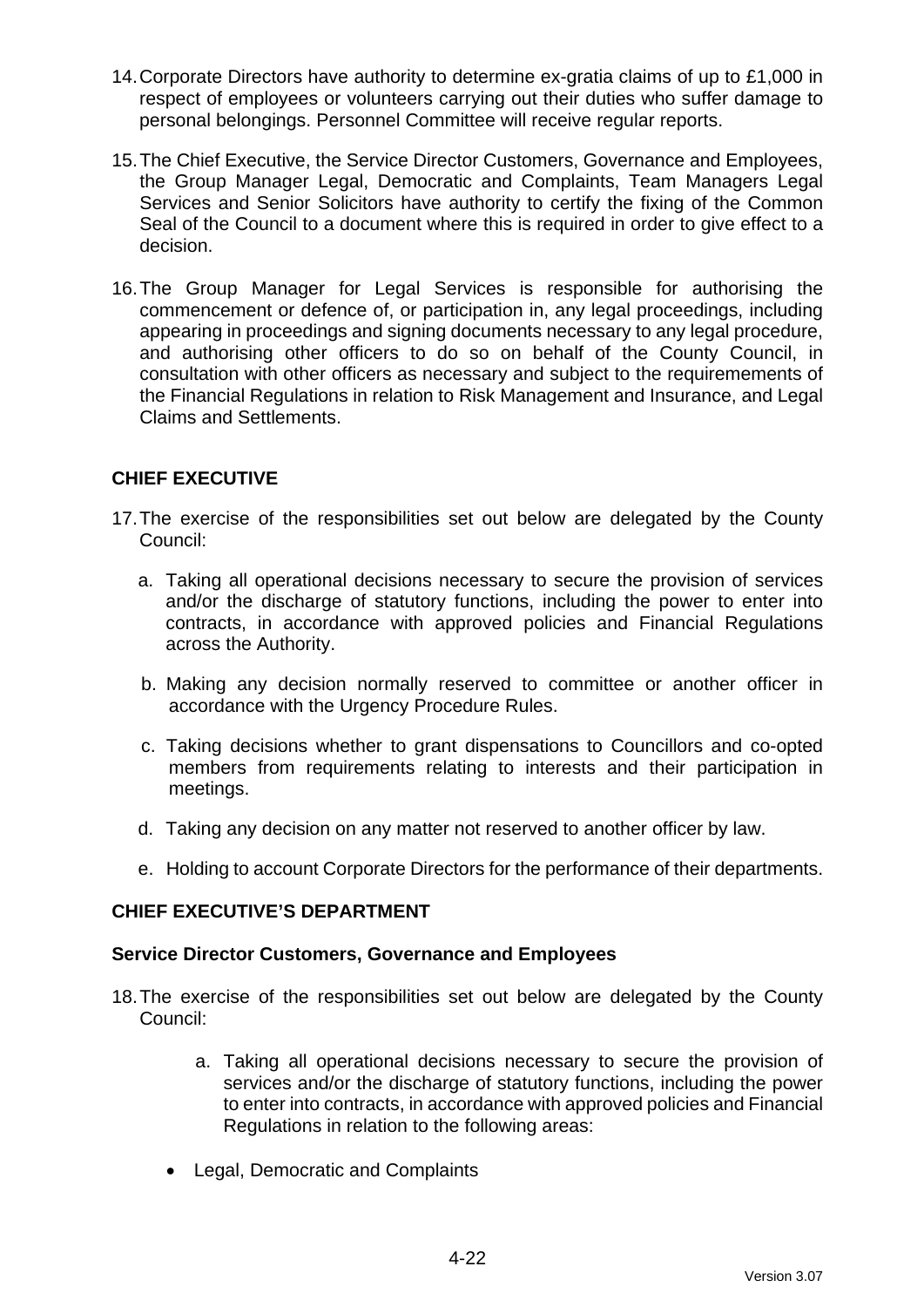- 14.Corporate Directors have authority to determine ex-gratia claims of up to £1,000 in respect of employees or volunteers carrying out their duties who suffer damage to personal belongings. Personnel Committee will receive regular reports.
- 15.The Chief Executive, the Service Director Customers, Governance and Employees, the Group Manager Legal, Democratic and Complaints, Team Managers Legal Services and Senior Solicitors have authority to certify the fixing of the Common Seal of the Council to a document where this is required in order to give effect to a decision.
- 16.The Group Manager for Legal Services is responsible for authorising the commencement or defence of, or participation in, any legal proceedings, including appearing in proceedings and signing documents necessary to any legal procedure, and authorising other officers to do so on behalf of the County Council, in consultation with other officers as necessary and subject to the requiremements of the Financial Regulations in relation to Risk Management and Insurance, and Legal Claims and Settlements.

# **CHIEF EXECUTIVE**

- 17.The exercise of the responsibilities set out below are delegated by the County Council:
	- a. Taking all operational decisions necessary to secure the provision of services and/or the discharge of statutory functions, including the power to enter into contracts, in accordance with approved policies and Financial Regulations across the Authority.
	- b. Making any decision normally reserved to committee or another officer in accordance with the Urgency Procedure Rules.
	- c. Taking decisions whether to grant dispensations to Councillors and co-opted members from requirements relating to interests and their participation in meetings.
	- d. Taking any decision on any matter not reserved to another officer by law.
	- e. Holding to account Corporate Directors for the performance of their departments.

### **CHIEF EXECUTIVE'S DEPARTMENT**

#### **Service Director Customers, Governance and Employees**

- 18.The exercise of the responsibilities set out below are delegated by the County Council:
	- a. Taking all operational decisions necessary to secure the provision of services and/or the discharge of statutory functions, including the power to enter into contracts, in accordance with approved policies and Financial Regulations in relation to the following areas:
	- Legal, Democratic and Complaints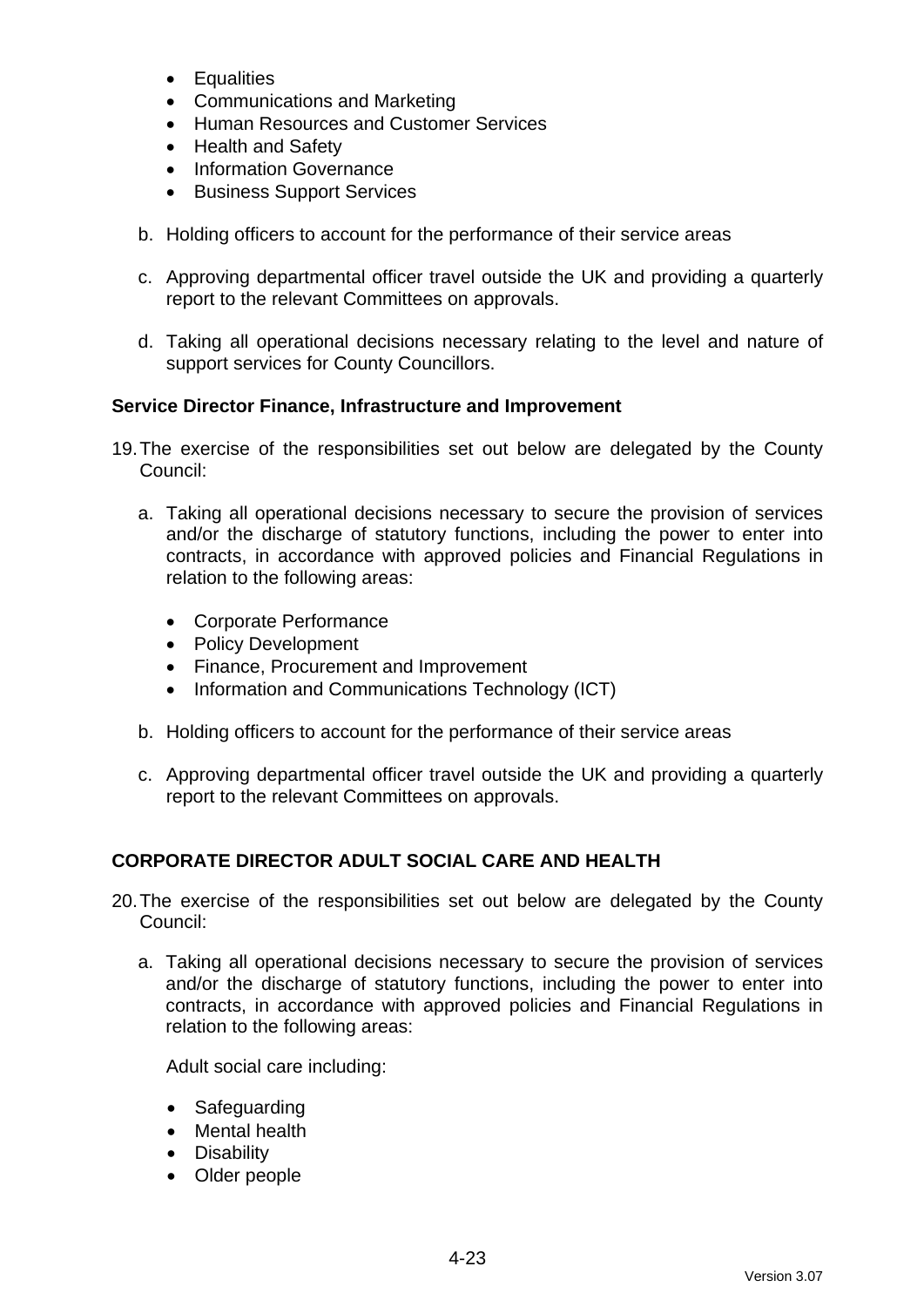- Equalities
- Communications and Marketing
- Human Resources and Customer Services
- Health and Safety
- Information Governance
- Business Support Services
- b. Holding officers to account for the performance of their service areas
- c. Approving departmental officer travel outside the UK and providing a quarterly report to the relevant Committees on approvals.
- d. Taking all operational decisions necessary relating to the level and nature of support services for County Councillors.

### **Service Director Finance, Infrastructure and Improvement**

- 19.The exercise of the responsibilities set out below are delegated by the County Council:
	- a. Taking all operational decisions necessary to secure the provision of services and/or the discharge of statutory functions, including the power to enter into contracts, in accordance with approved policies and Financial Regulations in relation to the following areas:
		- Corporate Performance
		- Policy Development
		- Finance, Procurement and Improvement
		- Information and Communications Technology (ICT)
	- b. Holding officers to account for the performance of their service areas
	- c. Approving departmental officer travel outside the UK and providing a quarterly report to the relevant Committees on approvals.

### **CORPORATE DIRECTOR ADULT SOCIAL CARE AND HEALTH**

- 20.The exercise of the responsibilities set out below are delegated by the County Council:
	- a. Taking all operational decisions necessary to secure the provision of services and/or the discharge of statutory functions, including the power to enter into contracts, in accordance with approved policies and Financial Regulations in relation to the following areas:

Adult social care including:

- Safeguarding
- Mental health
- Disability
- Older people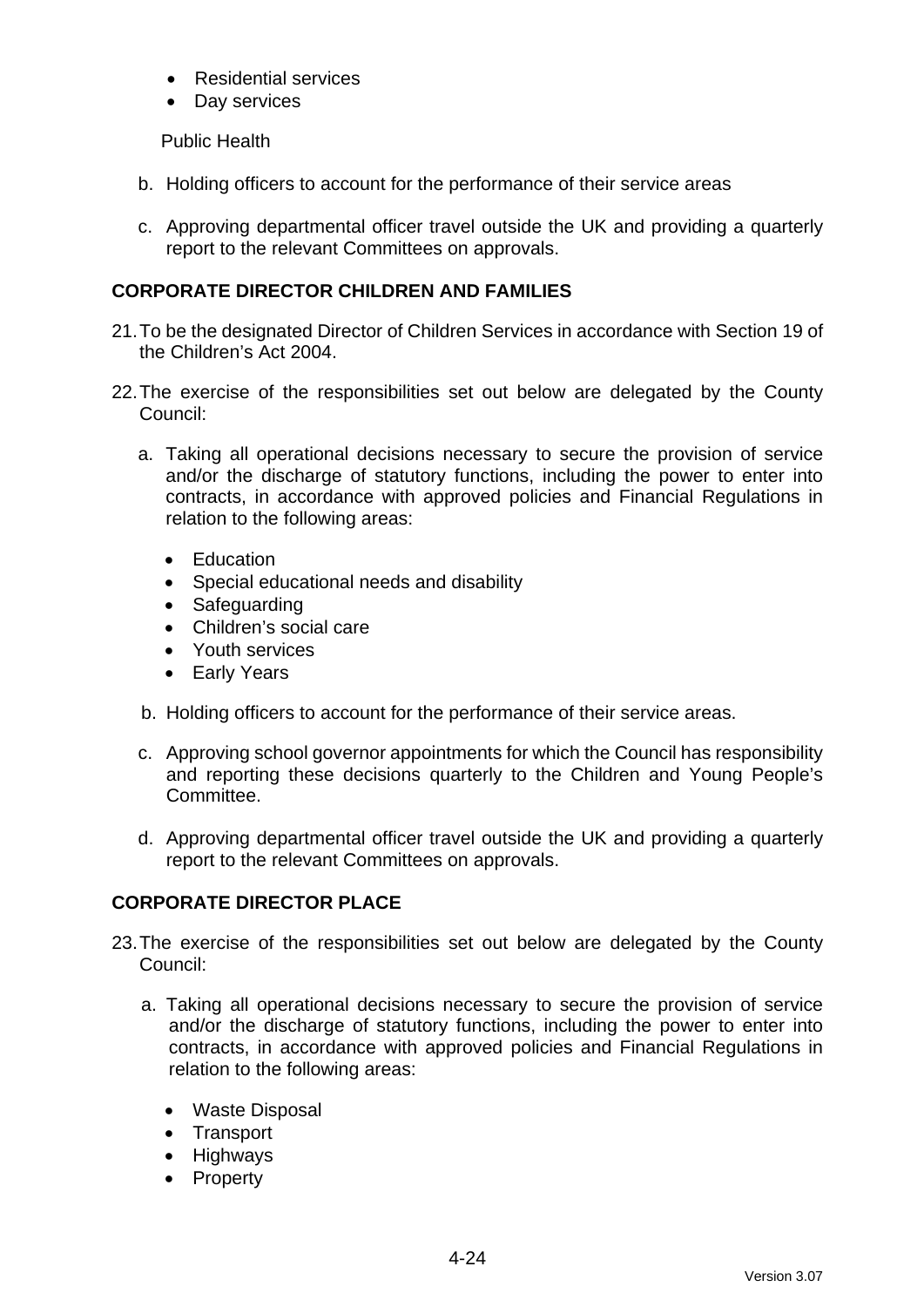- Residential services
- Day services

Public Health

- b. Holding officers to account for the performance of their service areas
- c. Approving departmental officer travel outside the UK and providing a quarterly report to the relevant Committees on approvals.

# **CORPORATE DIRECTOR CHILDREN AND FAMILIES**

- 21.To be the designated Director of Children Services in accordance with Section 19 of the Children's Act 2004.
- 22.The exercise of the responsibilities set out below are delegated by the County Council:
	- a. Taking all operational decisions necessary to secure the provision of service and/or the discharge of statutory functions, including the power to enter into contracts, in accordance with approved policies and Financial Regulations in relation to the following areas:
		- Education
		- Special educational needs and disability
		- Safeguarding
		- Children's social care
		- Youth services
		- Early Years
	- b. Holding officers to account for the performance of their service areas.
	- c. Approving school governor appointments for which the Council has responsibility and reporting these decisions quarterly to the Children and Young People's Committee.
	- d. Approving departmental officer travel outside the UK and providing a quarterly report to the relevant Committees on approvals.

# **CORPORATE DIRECTOR PLACE**

- 23.The exercise of the responsibilities set out below are delegated by the County Council:
	- a. Taking all operational decisions necessary to secure the provision of service and/or the discharge of statutory functions, including the power to enter into contracts, in accordance with approved policies and Financial Regulations in relation to the following areas:
		- Waste Disposal
		- Transport
		- Highways
		- Property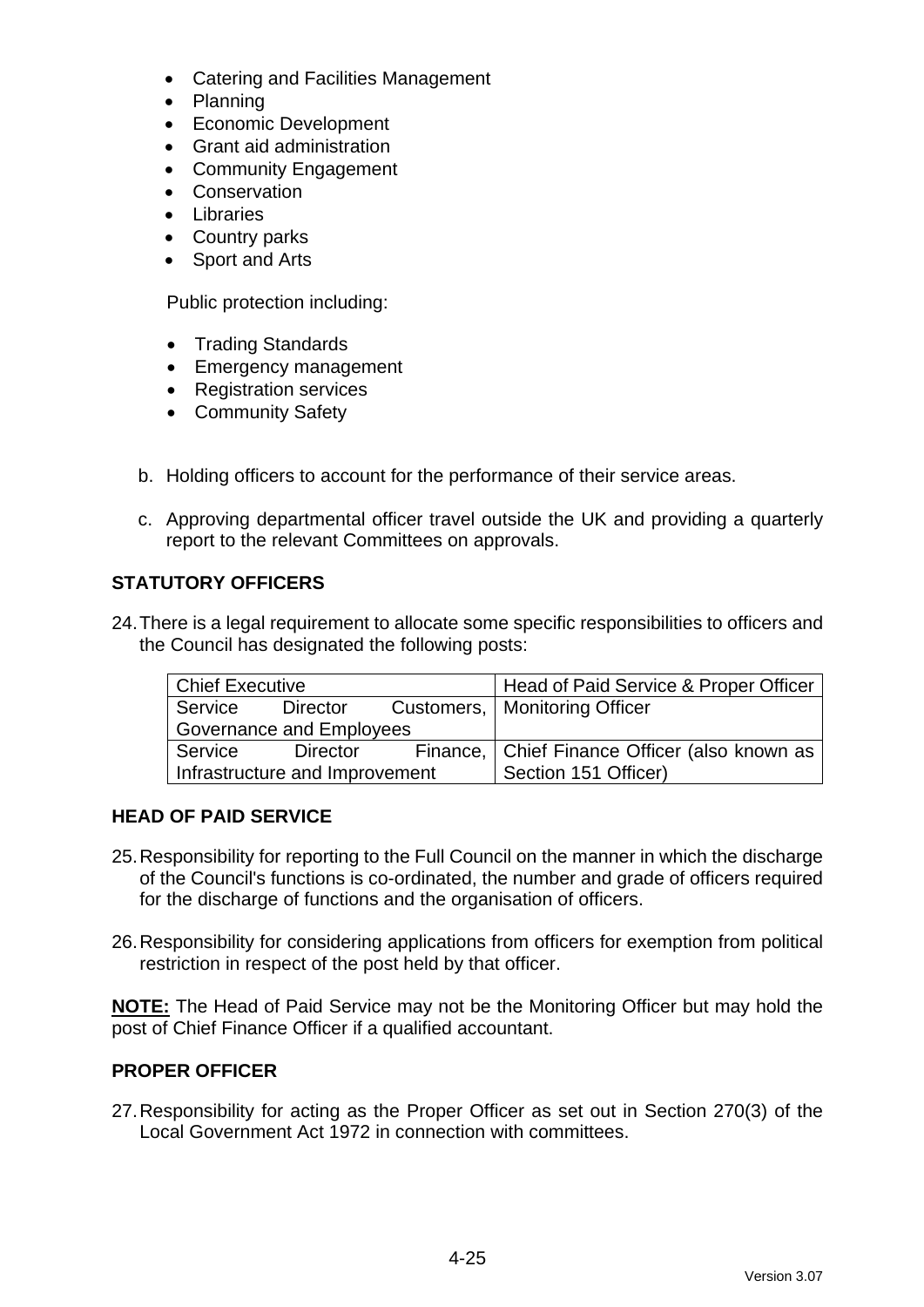- Catering and Facilities Management
- Planning
- Economic Development
- Grant aid administration
- Community Engagement
- Conservation
- Libraries
- Country parks
- Sport and Arts

Public protection including:

- Trading Standards
- Emergency management
- Registration services
- Community Safety
- b. Holding officers to account for the performance of their service areas.
- c. Approving departmental officer travel outside the UK and providing a quarterly report to the relevant Committees on approvals.

# **STATUTORY OFFICERS**

24.There is a legal requirement to allocate some specific responsibilities to officers and the Council has designated the following posts:

| Chief Executive                 |          |  | Head of Paid Service & Proper Officer           |
|---------------------------------|----------|--|-------------------------------------------------|
| Service                         | Director |  | Customers,   Monitoring Officer                 |
| <b>Governance and Employees</b> |          |  |                                                 |
| Service                         | Director |  | Finance,   Chief Finance Officer (also known as |
| Infrastructure and Improvement  |          |  | Section 151 Officer)                            |

# **HEAD OF PAID SERVICE**

- 25.Responsibility for reporting to the Full Council on the manner in which the discharge of the Council's functions is co-ordinated, the number and grade of officers required for the discharge of functions and the organisation of officers.
- 26.Responsibility for considering applications from officers for exemption from political restriction in respect of the post held by that officer.

**NOTE:** The Head of Paid Service may not be the Monitoring Officer but may hold the post of Chief Finance Officer if a qualified accountant.

### **PROPER OFFICER**

27.Responsibility for acting as the Proper Officer as set out in Section 270(3) of the Local Government Act 1972 in connection with committees.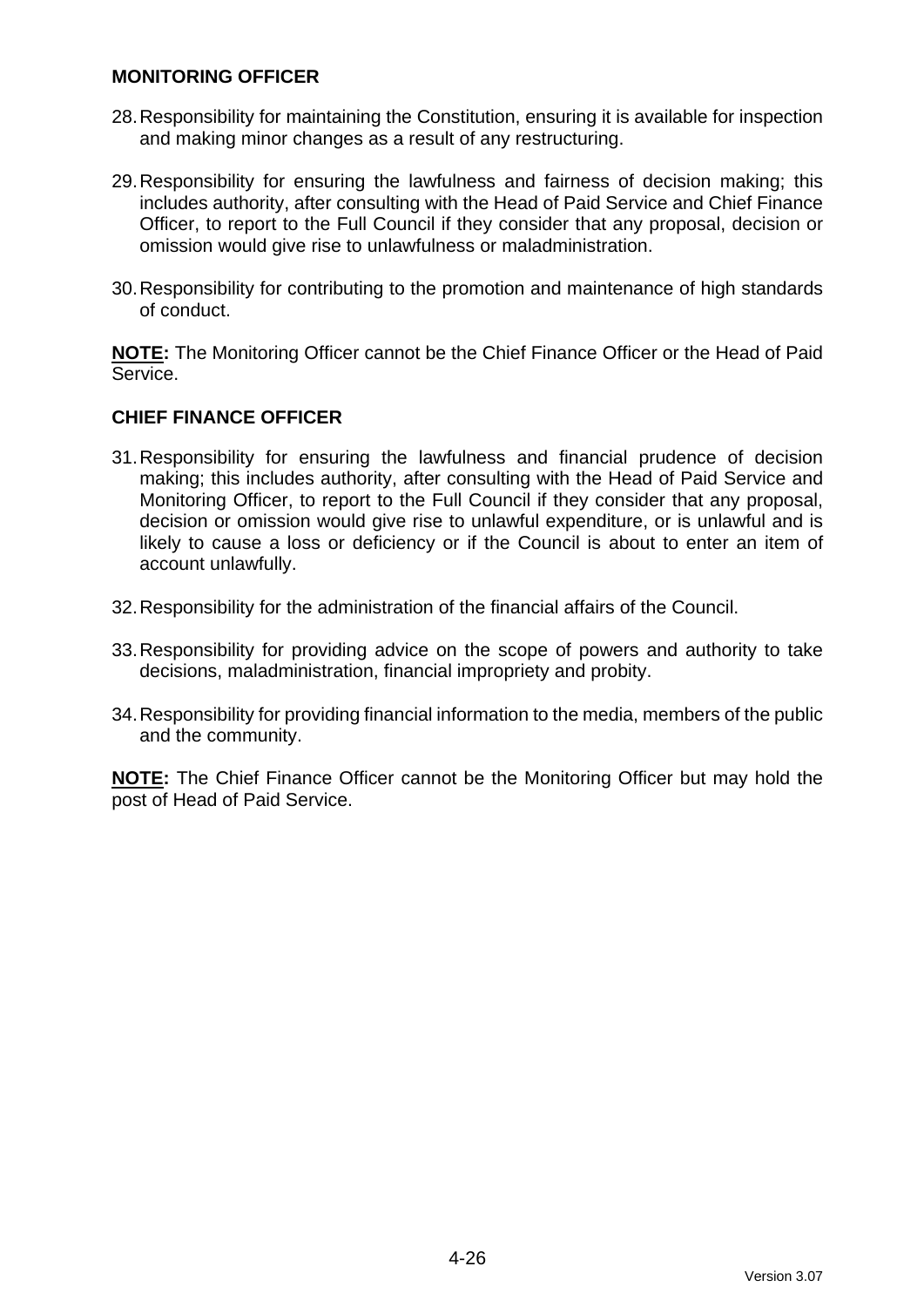#### **MONITORING OFFICER**

- 28.Responsibility for maintaining the Constitution, ensuring it is available for inspection and making minor changes as a result of any restructuring.
- 29.Responsibility for ensuring the lawfulness and fairness of decision making; this includes authority, after consulting with the Head of Paid Service and Chief Finance Officer, to report to the Full Council if they consider that any proposal, decision or omission would give rise to unlawfulness or maladministration.
- 30.Responsibility for contributing to the promotion and maintenance of high standards of conduct.

**NOTE:** The Monitoring Officer cannot be the Chief Finance Officer or the Head of Paid Service.

### **CHIEF FINANCE OFFICER**

- 31.Responsibility for ensuring the lawfulness and financial prudence of decision making; this includes authority, after consulting with the Head of Paid Service and Monitoring Officer, to report to the Full Council if they consider that any proposal, decision or omission would give rise to unlawful expenditure, or is unlawful and is likely to cause a loss or deficiency or if the Council is about to enter an item of account unlawfully.
- 32.Responsibility for the administration of the financial affairs of the Council.
- 33.Responsibility for providing advice on the scope of powers and authority to take decisions, maladministration, financial impropriety and probity.
- 34.Responsibility for providing financial information to the media, members of the public and the community.

**NOTE:** The Chief Finance Officer cannot be the Monitoring Officer but may hold the post of Head of Paid Service.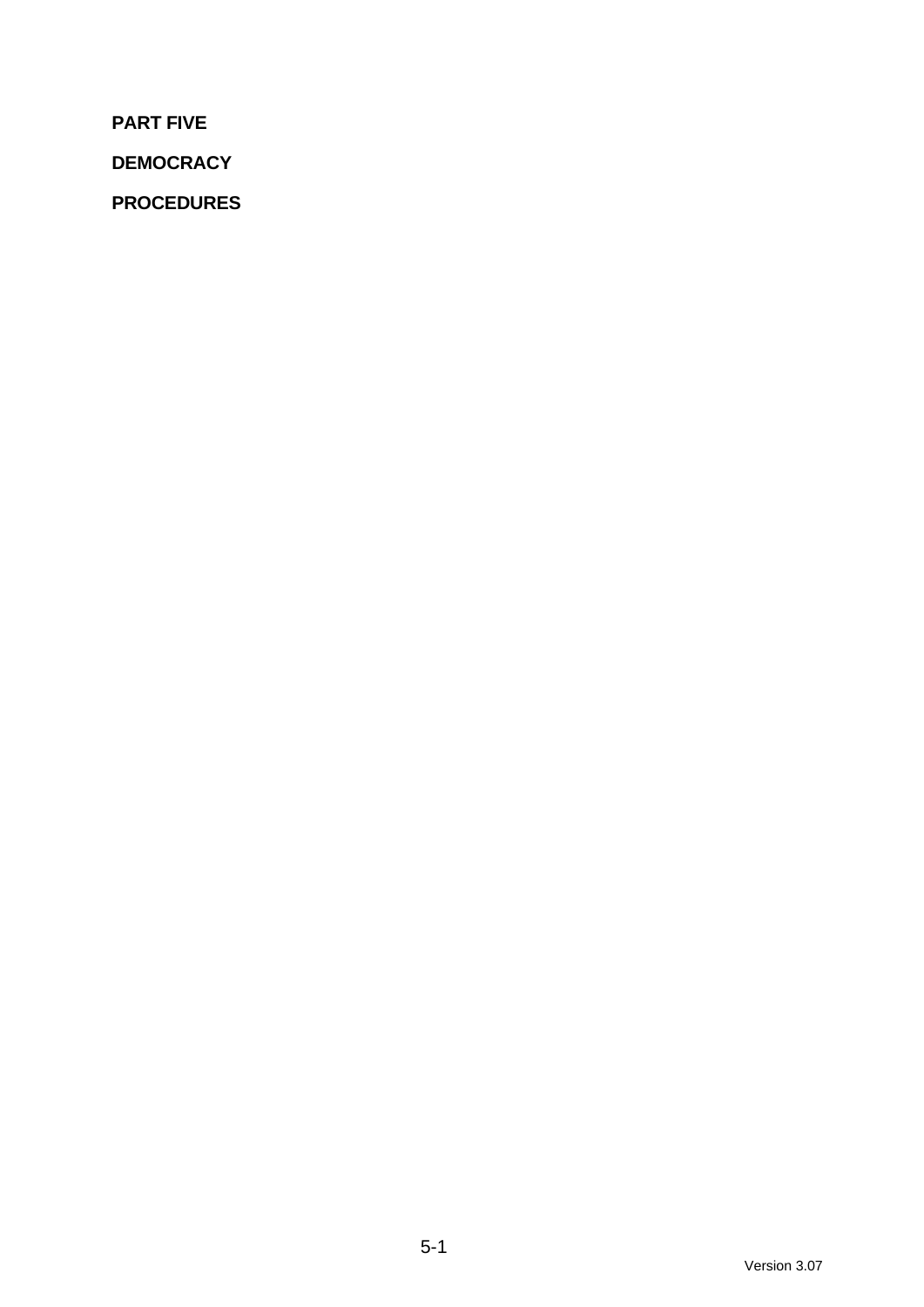**PART FIVE**

**DEMOCRACY**

**PROCEDURES**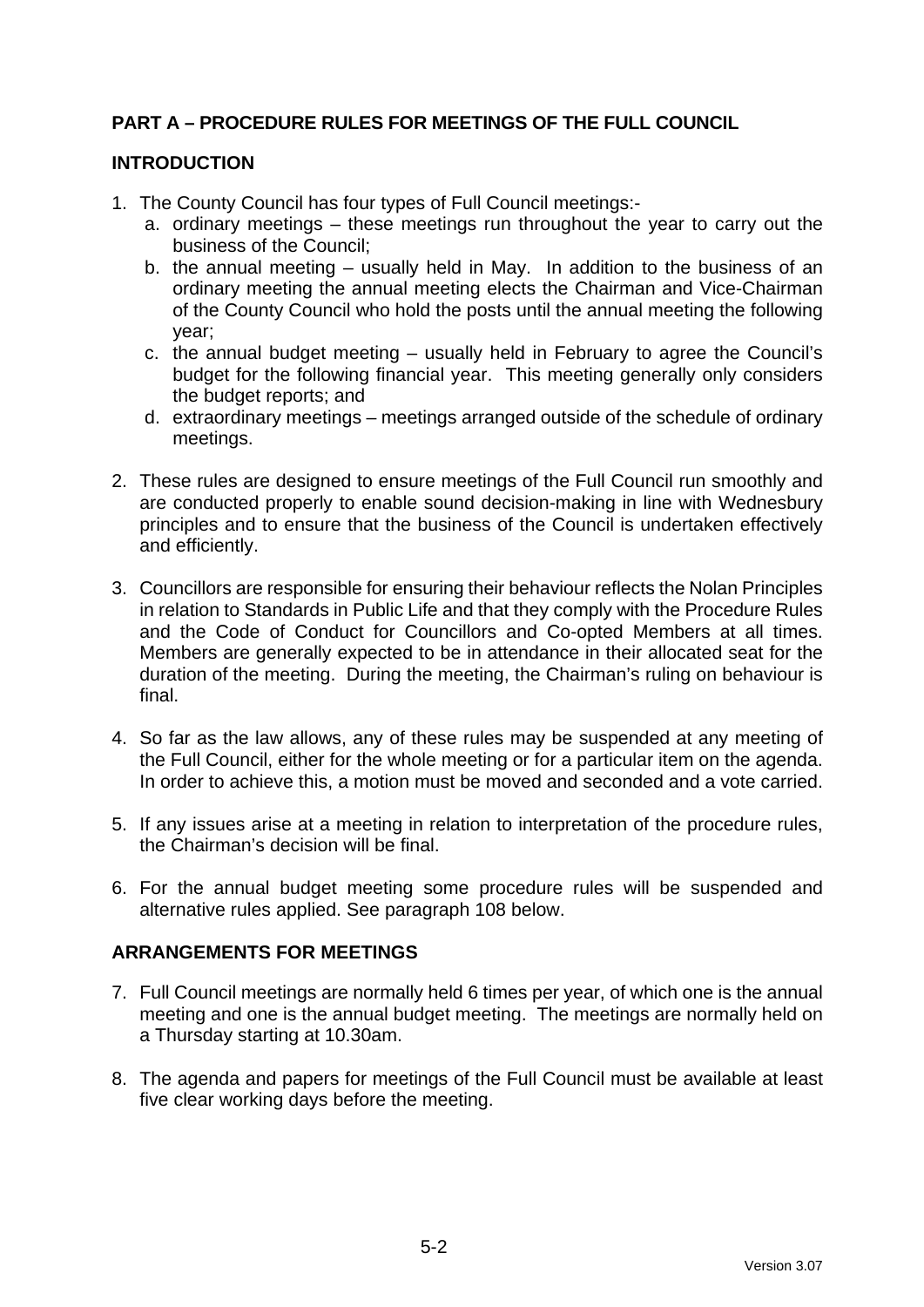# **PART A – PROCEDURE RULES FOR MEETINGS OF THE FULL COUNCIL**

### **INTRODUCTION**

- 1. The County Council has four types of Full Council meetings:
	- a. ordinary meetings these meetings run throughout the year to carry out the business of the Council;
	- b. the annual meeting usually held in May. In addition to the business of an ordinary meeting the annual meeting elects the Chairman and Vice-Chairman of the County Council who hold the posts until the annual meeting the following year;
	- c. the annual budget meeting usually held in February to agree the Council's budget for the following financial year. This meeting generally only considers the budget reports; and
	- d. extraordinary meetings meetings arranged outside of the schedule of ordinary meetings.
- 2. These rules are designed to ensure meetings of the Full Council run smoothly and are conducted properly to enable sound decision-making in line with Wednesbury principles and to ensure that the business of the Council is undertaken effectively and efficiently.
- 3. Councillors are responsible for ensuring their behaviour reflects the Nolan Principles in relation to Standards in Public Life and that they comply with the Procedure Rules and the Code of Conduct for Councillors and Co-opted Members at all times. Members are generally expected to be in attendance in their allocated seat for the duration of the meeting. During the meeting, the Chairman's ruling on behaviour is final.
- 4. So far as the law allows, any of these rules may be suspended at any meeting of the Full Council, either for the whole meeting or for a particular item on the agenda. In order to achieve this, a motion must be moved and seconded and a vote carried.
- 5. If any issues arise at a meeting in relation to interpretation of the procedure rules, the Chairman's decision will be final.
- 6. For the annual budget meeting some procedure rules will be suspended and alternative rules applied. See paragraph 108 below.

### **ARRANGEMENTS FOR MEETINGS**

- 7. Full Council meetings are normally held 6 times per year, of which one is the annual meeting and one is the annual budget meeting. The meetings are normally held on a Thursday starting at 10.30am.
- 8. The agenda and papers for meetings of the Full Council must be available at least five clear working days before the meeting.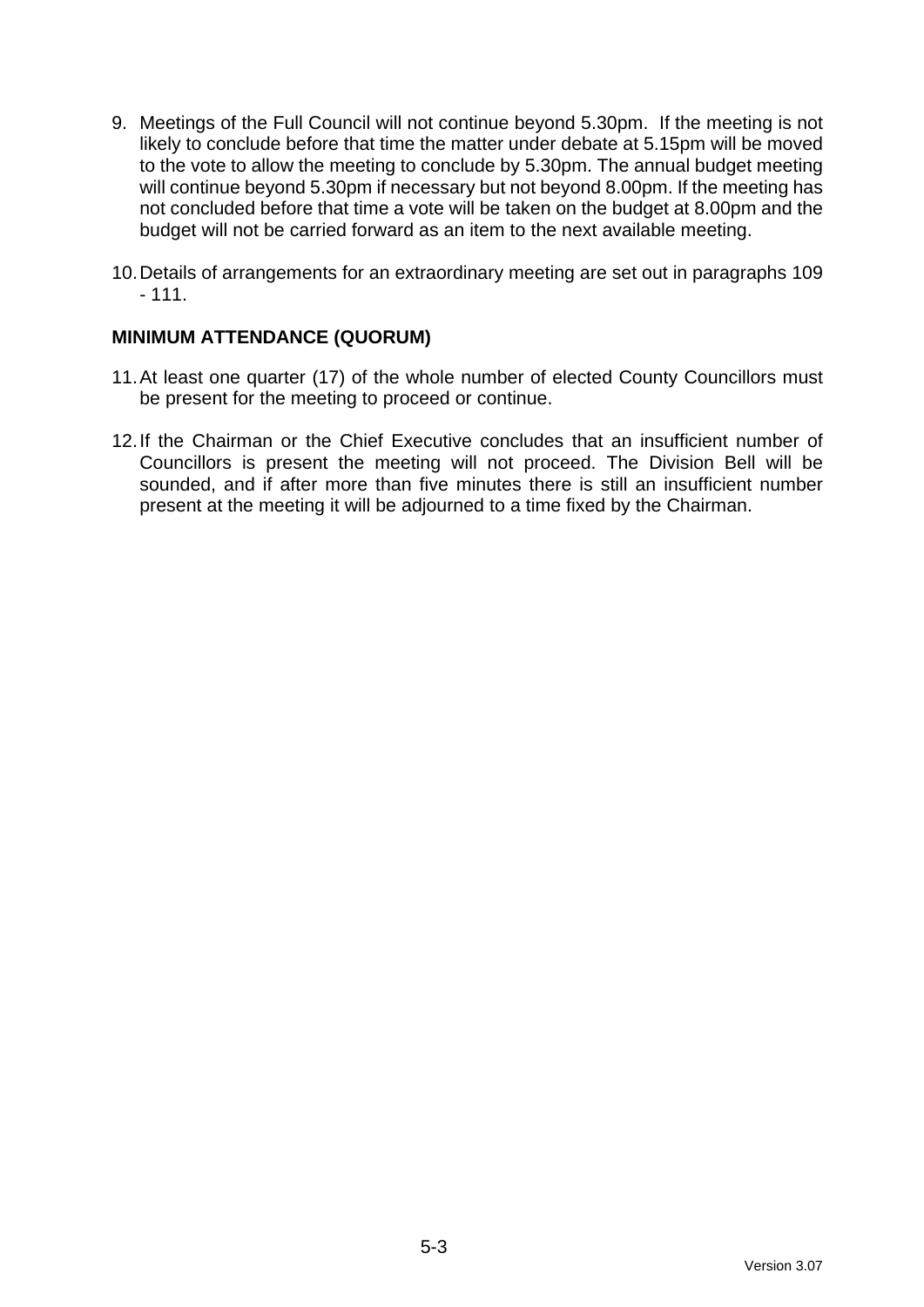- 9. Meetings of the Full Council will not continue beyond 5.30pm. If the meeting is not likely to conclude before that time the matter under debate at 5.15pm will be moved to the vote to allow the meeting to conclude by 5.30pm. The annual budget meeting will continue beyond 5.30pm if necessary but not beyond 8.00pm. If the meeting has not concluded before that time a vote will be taken on the budget at 8.00pm and the budget will not be carried forward as an item to the next available meeting.
- 10.Details of arrangements for an extraordinary meeting are set out in paragraphs 109  $-111.$

### **MINIMUM ATTENDANCE (QUORUM)**

- 11.At least one quarter (17) of the whole number of elected County Councillors must be present for the meeting to proceed or continue.
- 12.If the Chairman or the Chief Executive concludes that an insufficient number of Councillors is present the meeting will not proceed. The Division Bell will be sounded, and if after more than five minutes there is still an insufficient number present at the meeting it will be adjourned to a time fixed by the Chairman.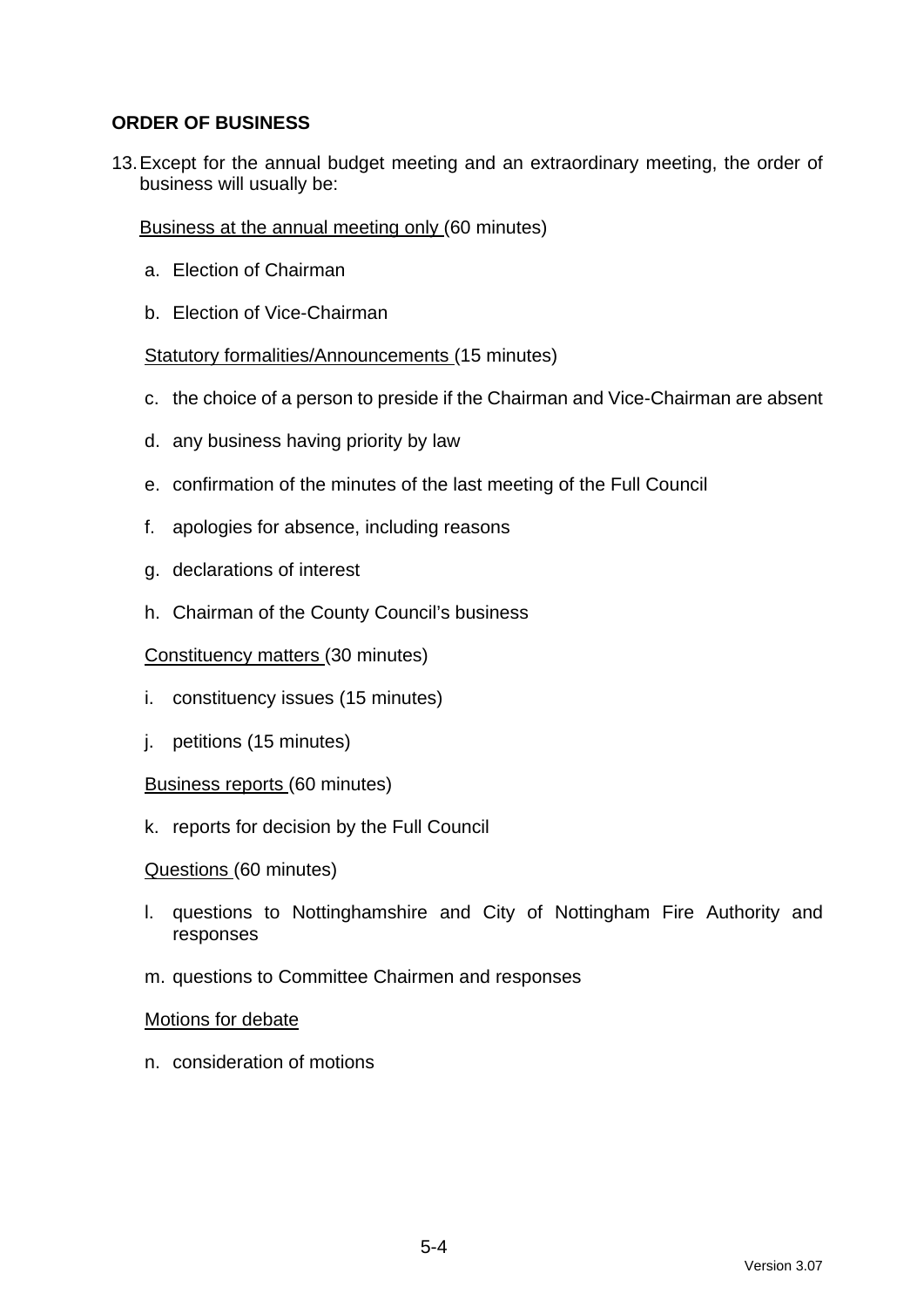## **ORDER OF BUSINESS**

13.Except for the annual budget meeting and an extraordinary meeting, the order of business will usually be:

Business at the annual meeting only (60 minutes)

- a. Election of Chairman
- b. Election of Vice-Chairman

### Statutory formalities/Announcements (15 minutes)

- c. the choice of a person to preside if the Chairman and Vice-Chairman are absent
- d. any business having priority by law
- e. confirmation of the minutes of the last meeting of the Full Council
- f. apologies for absence, including reasons
- g. declarations of interest
- h. Chairman of the County Council's business

Constituency matters (30 minutes)

- i. constituency issues (15 minutes)
- j. petitions (15 minutes)
- Business reports (60 minutes)
- k. reports for decision by the Full Council

#### Questions (60 minutes)

- l. questions to Nottinghamshire and City of Nottingham Fire Authority and responses
- m. questions to Committee Chairmen and responses

#### Motions for debate

n. consideration of motions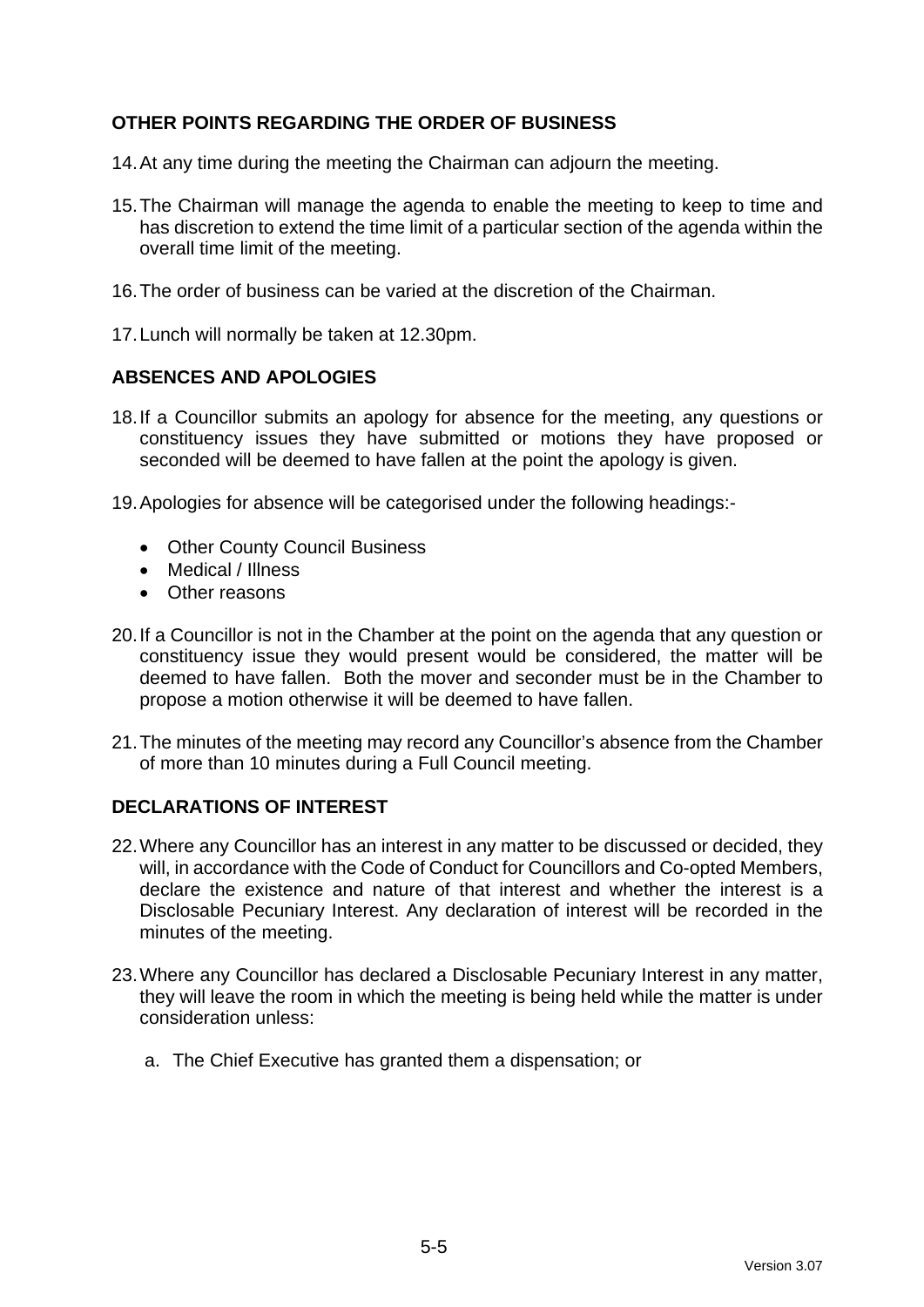## **OTHER POINTS REGARDING THE ORDER OF BUSINESS**

- 14.At any time during the meeting the Chairman can adjourn the meeting.
- 15.The Chairman will manage the agenda to enable the meeting to keep to time and has discretion to extend the time limit of a particular section of the agenda within the overall time limit of the meeting.
- 16.The order of business can be varied at the discretion of the Chairman.
- 17.Lunch will normally be taken at 12.30pm.

### **ABSENCES AND APOLOGIES**

- 18.If a Councillor submits an apology for absence for the meeting, any questions or constituency issues they have submitted or motions they have proposed or seconded will be deemed to have fallen at the point the apology is given.
- 19.Apologies for absence will be categorised under the following headings:-
	- Other County Council Business
	- Medical / Illness
	- Other reasons
- 20.If a Councillor is not in the Chamber at the point on the agenda that any question or constituency issue they would present would be considered, the matter will be deemed to have fallen. Both the mover and seconder must be in the Chamber to propose a motion otherwise it will be deemed to have fallen.
- 21.The minutes of the meeting may record any Councillor's absence from the Chamber of more than 10 minutes during a Full Council meeting.

### **DECLARATIONS OF INTEREST**

- 22.Where any Councillor has an interest in any matter to be discussed or decided, they will, in accordance with the Code of Conduct for Councillors and Co-opted Members, declare the existence and nature of that interest and whether the interest is a Disclosable Pecuniary Interest. Any declaration of interest will be recorded in the minutes of the meeting.
- 23.Where any Councillor has declared a Disclosable Pecuniary Interest in any matter, they will leave the room in which the meeting is being held while the matter is under consideration unless:
	- a. The Chief Executive has granted them a dispensation; or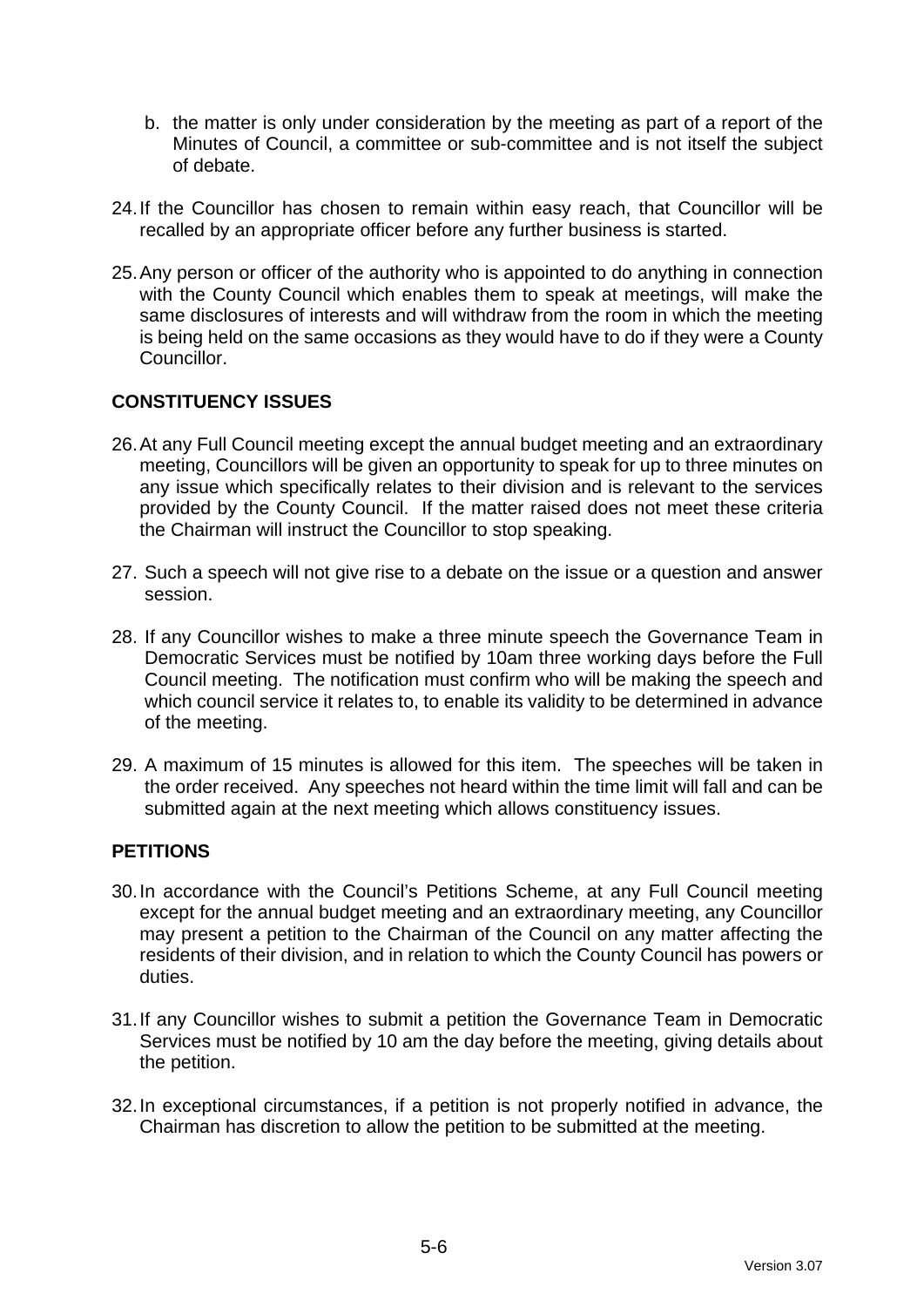- b. the matter is only under consideration by the meeting as part of a report of the Minutes of Council, a committee or sub-committee and is not itself the subject of debate.
- 24.If the Councillor has chosen to remain within easy reach, that Councillor will be recalled by an appropriate officer before any further business is started.
- 25.Any person or officer of the authority who is appointed to do anything in connection with the County Council which enables them to speak at meetings, will make the same disclosures of interests and will withdraw from the room in which the meeting is being held on the same occasions as they would have to do if they were a County Councillor.

### **CONSTITUENCY ISSUES**

- 26.At any Full Council meeting except the annual budget meeting and an extraordinary meeting, Councillors will be given an opportunity to speak for up to three minutes on any issue which specifically relates to their division and is relevant to the services provided by the County Council. If the matter raised does not meet these criteria the Chairman will instruct the Councillor to stop speaking.
- 27. Such a speech will not give rise to a debate on the issue or a question and answer session.
- 28. If any Councillor wishes to make a three minute speech the Governance Team in Democratic Services must be notified by 10am three working days before the Full Council meeting. The notification must confirm who will be making the speech and which council service it relates to, to enable its validity to be determined in advance of the meeting.
- 29. A maximum of 15 minutes is allowed for this item. The speeches will be taken in the order received. Any speeches not heard within the time limit will fall and can be submitted again at the next meeting which allows constituency issues.

### **PETITIONS**

- 30.In accordance with the Council's Petitions Scheme, at any Full Council meeting except for the annual budget meeting and an extraordinary meeting, any Councillor may present a petition to the Chairman of the Council on any matter affecting the residents of their division, and in relation to which the County Council has powers or duties.
- 31.If any Councillor wishes to submit a petition the Governance Team in Democratic Services must be notified by 10 am the day before the meeting, giving details about the petition.
- 32.In exceptional circumstances, if a petition is not properly notified in advance, the Chairman has discretion to allow the petition to be submitted at the meeting.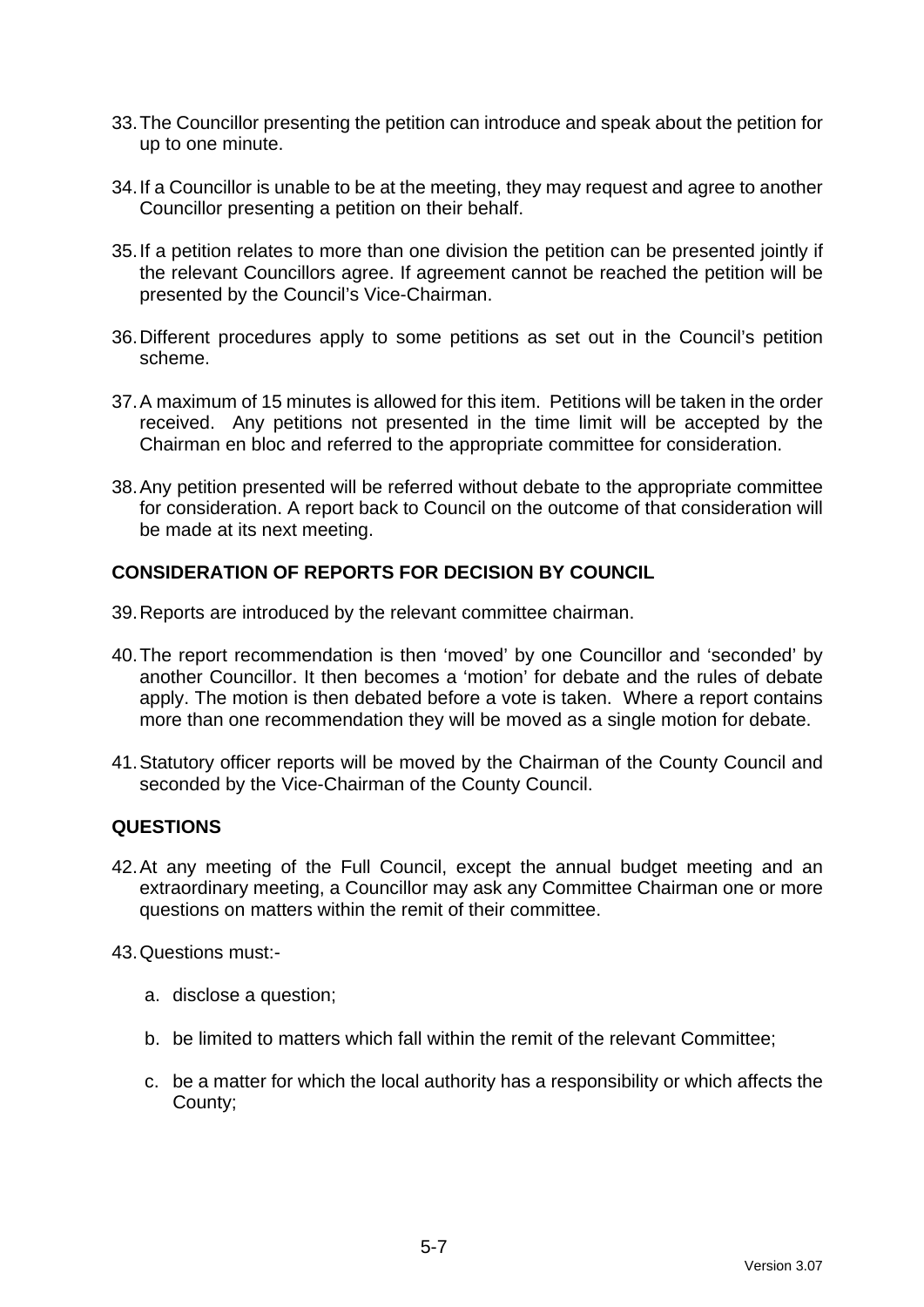- 33.The Councillor presenting the petition can introduce and speak about the petition for up to one minute.
- 34.If a Councillor is unable to be at the meeting, they may request and agree to another Councillor presenting a petition on their behalf.
- 35.If a petition relates to more than one division the petition can be presented jointly if the relevant Councillors agree. If agreement cannot be reached the petition will be presented by the Council's Vice-Chairman.
- 36.Different procedures apply to some petitions as set out in the Council's petition scheme.
- 37.A maximum of 15 minutes is allowed for this item. Petitions will be taken in the order received. Any petitions not presented in the time limit will be accepted by the Chairman en bloc and referred to the appropriate committee for consideration.
- 38.Any petition presented will be referred without debate to the appropriate committee for consideration. A report back to Council on the outcome of that consideration will be made at its next meeting.

### **CONSIDERATION OF REPORTS FOR DECISION BY COUNCIL**

- 39.Reports are introduced by the relevant committee chairman.
- 40.The report recommendation is then 'moved' by one Councillor and 'seconded' by another Councillor. It then becomes a 'motion' for debate and the rules of debate apply. The motion is then debated before a vote is taken. Where a report contains more than one recommendation they will be moved as a single motion for debate.
- 41.Statutory officer reports will be moved by the Chairman of the County Council and seconded by the Vice-Chairman of the County Council.

### **QUESTIONS**

- 42.At any meeting of the Full Council, except the annual budget meeting and an extraordinary meeting, a Councillor may ask any Committee Chairman one or more questions on matters within the remit of their committee.
- 43.Questions must:
	- a. disclose a question;
	- b. be limited to matters which fall within the remit of the relevant Committee;
	- c. be a matter for which the local authority has a responsibility or which affects the County;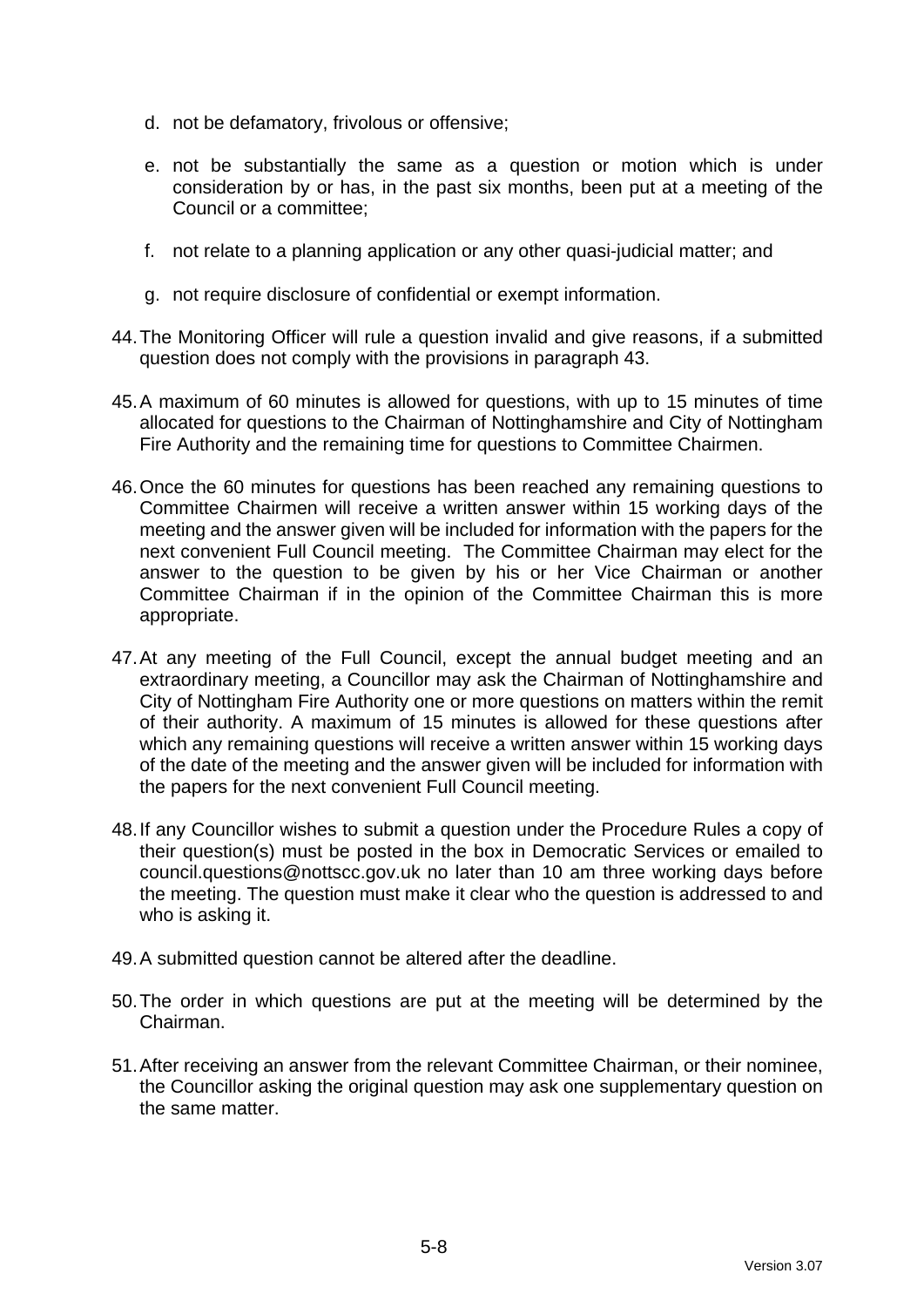- d. not be defamatory, frivolous or offensive;
- e. not be substantially the same as a question or motion which is under consideration by or has, in the past six months, been put at a meeting of the Council or a committee;
- f. not relate to a planning application or any other quasi-judicial matter; and
- g. not require disclosure of confidential or exempt information.
- 44.The Monitoring Officer will rule a question invalid and give reasons, if a submitted question does not comply with the provisions in paragraph 43.
- 45.A maximum of 60 minutes is allowed for questions, with up to 15 minutes of time allocated for questions to the Chairman of Nottinghamshire and City of Nottingham Fire Authority and the remaining time for questions to Committee Chairmen.
- 46.Once the 60 minutes for questions has been reached any remaining questions to Committee Chairmen will receive a written answer within 15 working days of the meeting and the answer given will be included for information with the papers for the next convenient Full Council meeting. The Committee Chairman may elect for the answer to the question to be given by his or her Vice Chairman or another Committee Chairman if in the opinion of the Committee Chairman this is more appropriate.
- 47.At any meeting of the Full Council, except the annual budget meeting and an extraordinary meeting, a Councillor may ask the Chairman of Nottinghamshire and City of Nottingham Fire Authority one or more questions on matters within the remit of their authority. A maximum of 15 minutes is allowed for these questions after which any remaining questions will receive a written answer within 15 working days of the date of the meeting and the answer given will be included for information with the papers for the next convenient Full Council meeting.
- 48.If any Councillor wishes to submit a question under the Procedure Rules a copy of their question(s) must be posted in the box in Democratic Services or emailed to council.questions@nottscc.gov.uk no later than 10 am three working days before the meeting. The question must make it clear who the question is addressed to and who is asking it.
- 49.A submitted question cannot be altered after the deadline.
- 50.The order in which questions are put at the meeting will be determined by the Chairman.
- 51.After receiving an answer from the relevant Committee Chairman, or their nominee, the Councillor asking the original question may ask one supplementary question on the same matter.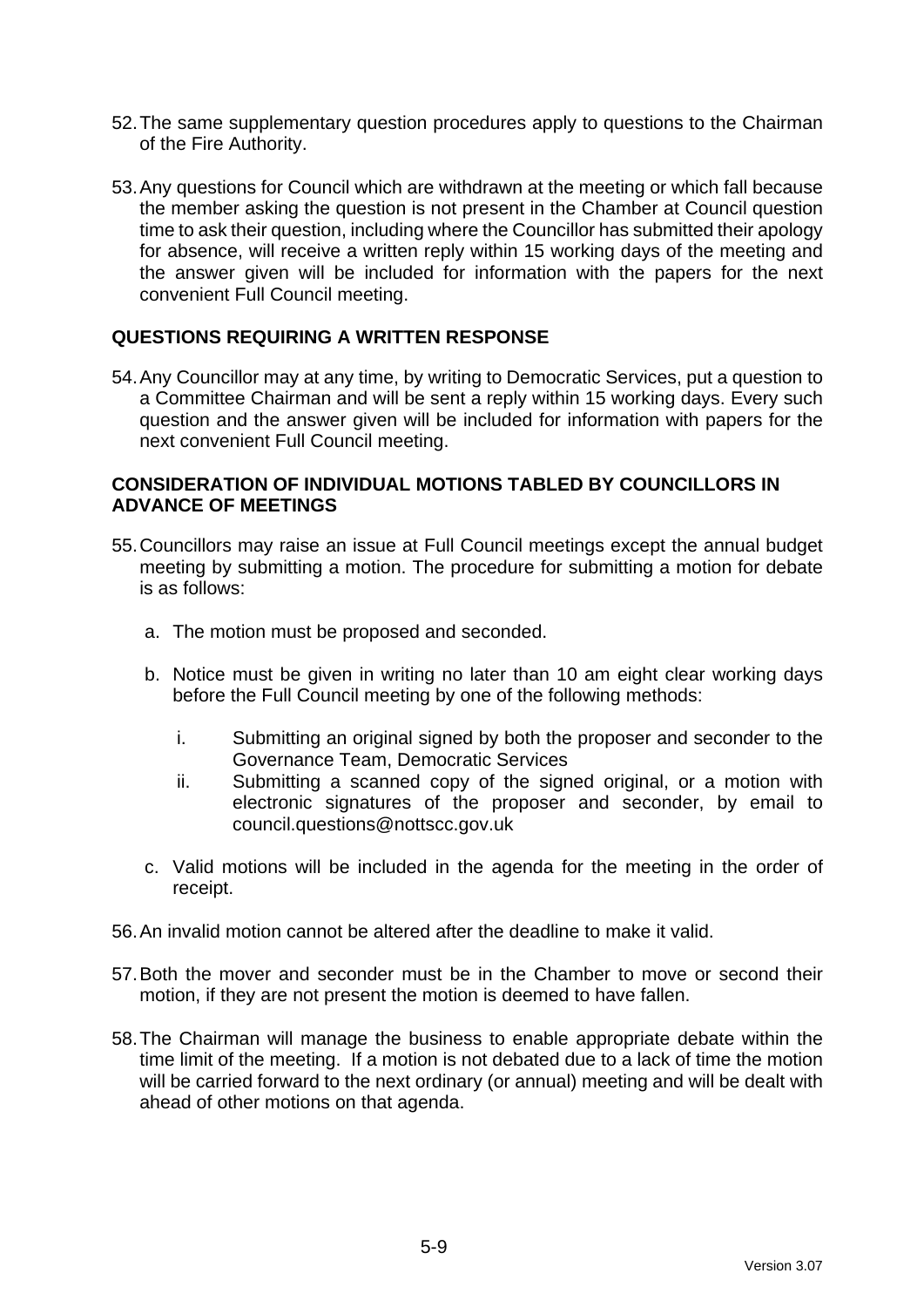- 52.The same supplementary question procedures apply to questions to the Chairman of the Fire Authority.
- 53.Any questions for Council which are withdrawn at the meeting or which fall because the member asking the question is not present in the Chamber at Council question time to ask their question, including where the Councillor has submitted their apology for absence, will receive a written reply within 15 working days of the meeting and the answer given will be included for information with the papers for the next convenient Full Council meeting.

### **QUESTIONS REQUIRING A WRITTEN RESPONSE**

54.Any Councillor may at any time, by writing to Democratic Services, put a question to a Committee Chairman and will be sent a reply within 15 working days. Every such question and the answer given will be included for information with papers for the next convenient Full Council meeting.

#### **CONSIDERATION OF INDIVIDUAL MOTIONS TABLED BY COUNCILLORS IN ADVANCE OF MEETINGS**

- 55.Councillors may raise an issue at Full Council meetings except the annual budget meeting by submitting a motion. The procedure for submitting a motion for debate is as follows:
	- a. The motion must be proposed and seconded.
	- b. Notice must be given in writing no later than 10 am eight clear working days before the Full Council meeting by one of the following methods:
		- i. Submitting an original signed by both the proposer and seconder to the Governance Team, Democratic Services
		- ii. Submitting a scanned copy of the signed original, or a motion with electronic signatures of the proposer and seconder, by email to council.questions@nottscc.gov.uk
	- c. Valid motions will be included in the agenda for the meeting in the order of receipt.
- 56.An invalid motion cannot be altered after the deadline to make it valid.
- 57.Both the mover and seconder must be in the Chamber to move or second their motion, if they are not present the motion is deemed to have fallen.
- 58.The Chairman will manage the business to enable appropriate debate within the time limit of the meeting. If a motion is not debated due to a lack of time the motion will be carried forward to the next ordinary (or annual) meeting and will be dealt with ahead of other motions on that agenda.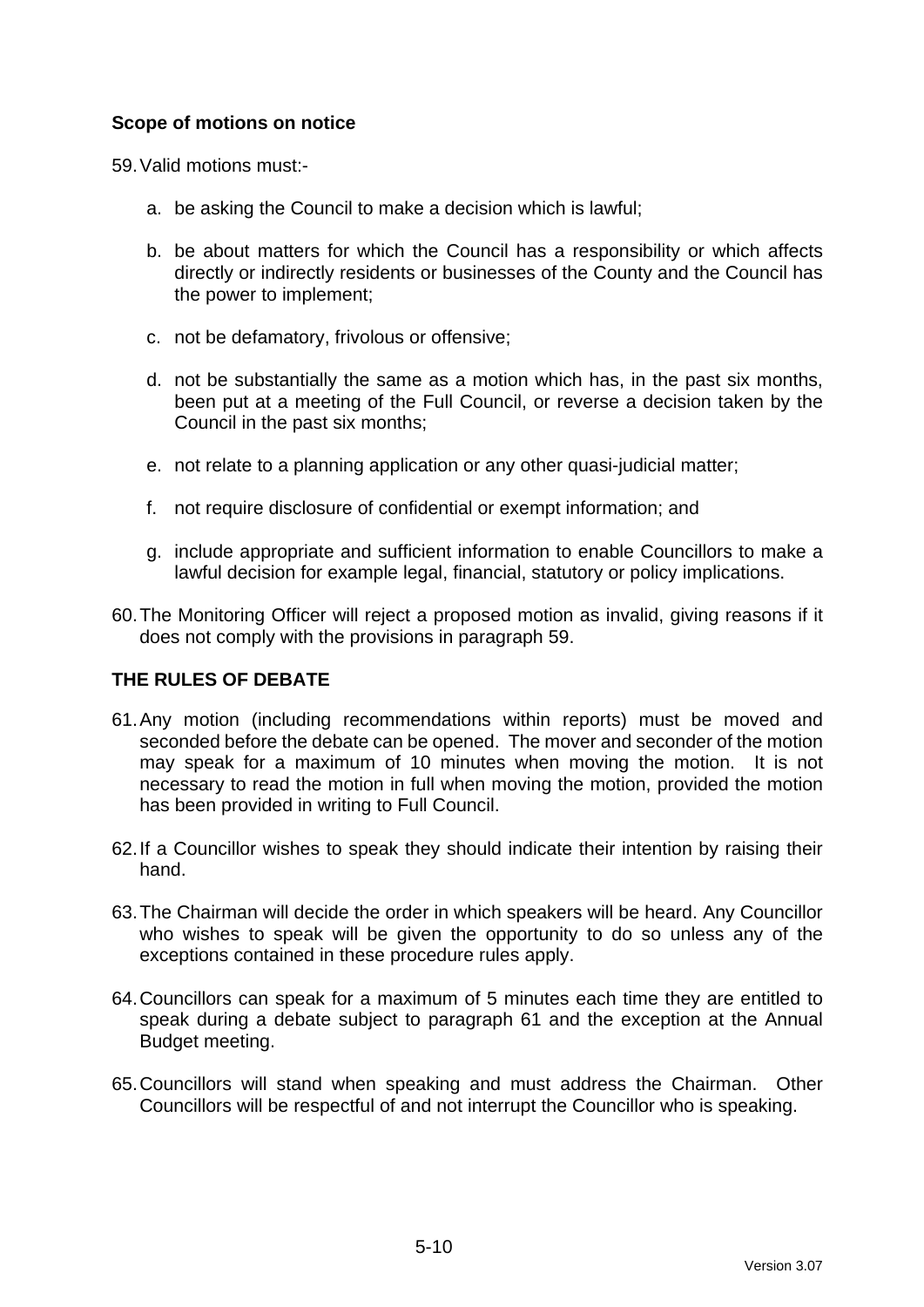# **Scope of motions on notice**

59.Valid motions must:-

- a. be asking the Council to make a decision which is lawful;
- b. be about matters for which the Council has a responsibility or which affects directly or indirectly residents or businesses of the County and the Council has the power to implement;
- c. not be defamatory, frivolous or offensive;
- d. not be substantially the same as a motion which has, in the past six months, been put at a meeting of the Full Council, or reverse a decision taken by the Council in the past six months;
- e. not relate to a planning application or any other quasi-judicial matter;
- f. not require disclosure of confidential or exempt information; and
- g. include appropriate and sufficient information to enable Councillors to make a lawful decision for example legal, financial, statutory or policy implications.
- 60.The Monitoring Officer will reject a proposed motion as invalid, giving reasons if it does not comply with the provisions in paragraph 59.

### **THE RULES OF DEBATE**

- 61.Any motion (including recommendations within reports) must be moved and seconded before the debate can be opened. The mover and seconder of the motion may speak for a maximum of 10 minutes when moving the motion. It is not necessary to read the motion in full when moving the motion, provided the motion has been provided in writing to Full Council.
- 62.If a Councillor wishes to speak they should indicate their intention by raising their hand.
- 63.The Chairman will decide the order in which speakers will be heard. Any Councillor who wishes to speak will be given the opportunity to do so unless any of the exceptions contained in these procedure rules apply.
- 64.Councillors can speak for a maximum of 5 minutes each time they are entitled to speak during a debate subject to paragraph 61 and the exception at the Annual Budget meeting.
- 65.Councillors will stand when speaking and must address the Chairman. Other Councillors will be respectful of and not interrupt the Councillor who is speaking.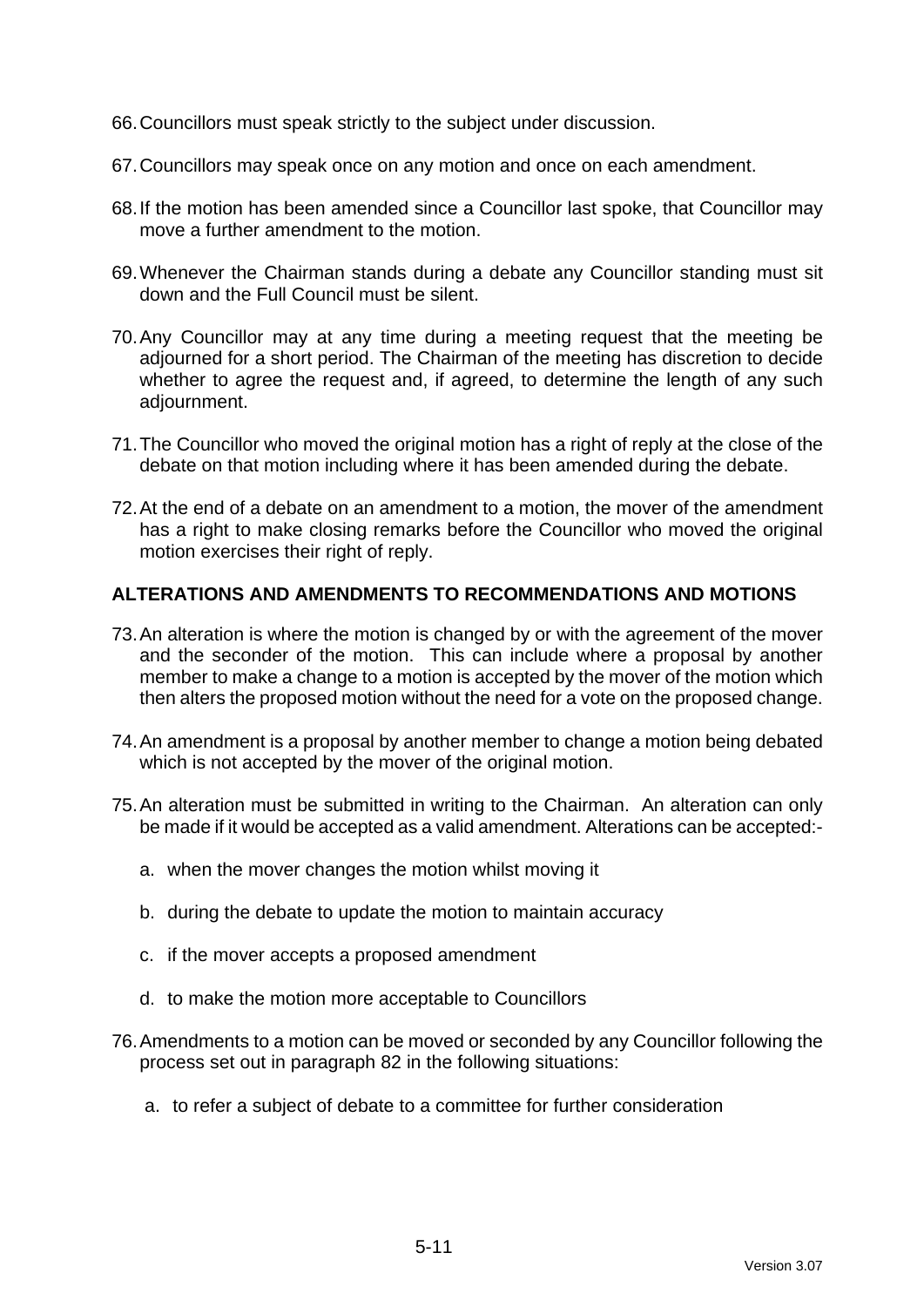- 66.Councillors must speak strictly to the subject under discussion.
- 67.Councillors may speak once on any motion and once on each amendment.
- 68.If the motion has been amended since a Councillor last spoke, that Councillor may move a further amendment to the motion.
- 69.Whenever the Chairman stands during a debate any Councillor standing must sit down and the Full Council must be silent.
- 70.Any Councillor may at any time during a meeting request that the meeting be adjourned for a short period. The Chairman of the meeting has discretion to decide whether to agree the request and, if agreed, to determine the length of any such adjournment.
- 71.The Councillor who moved the original motion has a right of reply at the close of the debate on that motion including where it has been amended during the debate.
- 72.At the end of a debate on an amendment to a motion, the mover of the amendment has a right to make closing remarks before the Councillor who moved the original motion exercises their right of reply.

### **ALTERATIONS AND AMENDMENTS TO RECOMMENDATIONS AND MOTIONS**

- 73.An alteration is where the motion is changed by or with the agreement of the mover and the seconder of the motion. This can include where a proposal by another member to make a change to a motion is accepted by the mover of the motion which then alters the proposed motion without the need for a vote on the proposed change.
- 74.An amendment is a proposal by another member to change a motion being debated which is not accepted by the mover of the original motion.
- 75.An alteration must be submitted in writing to the Chairman. An alteration can only be made if it would be accepted as a valid amendment. Alterations can be accepted:
	- a. when the mover changes the motion whilst moving it
	- b. during the debate to update the motion to maintain accuracy
	- c. if the mover accepts a proposed amendment
	- d. to make the motion more acceptable to Councillors
- 76.Amendments to a motion can be moved or seconded by any Councillor following the process set out in paragraph 82 in the following situations:
	- a. to refer a subject of debate to a committee for further consideration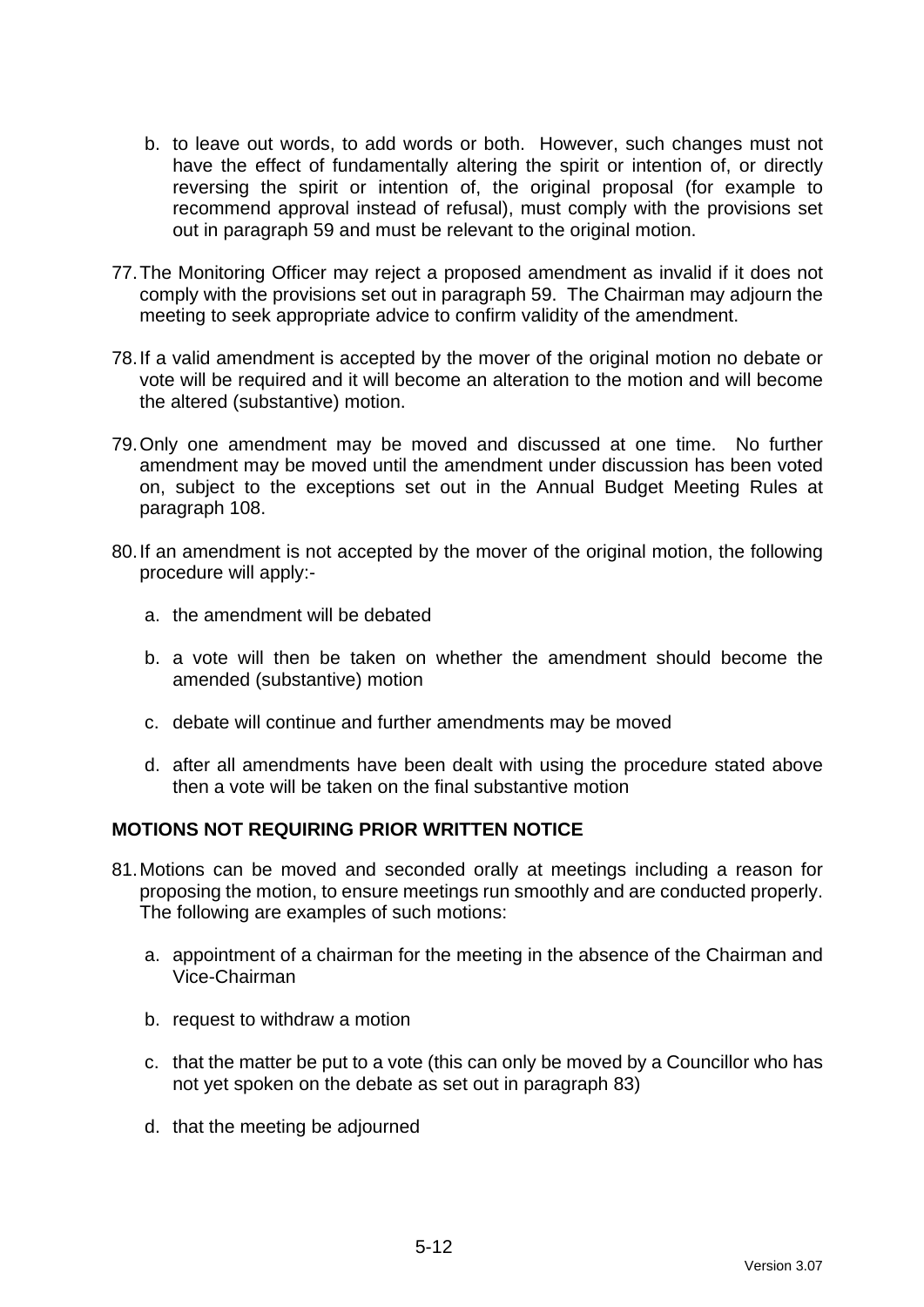- b. to leave out words, to add words or both. However, such changes must not have the effect of fundamentally altering the spirit or intention of, or directly reversing the spirit or intention of, the original proposal (for example to recommend approval instead of refusal), must comply with the provisions set out in paragraph 59 and must be relevant to the original motion.
- 77.The Monitoring Officer may reject a proposed amendment as invalid if it does not comply with the provisions set out in paragraph 59. The Chairman may adjourn the meeting to seek appropriate advice to confirm validity of the amendment.
- 78.If a valid amendment is accepted by the mover of the original motion no debate or vote will be required and it will become an alteration to the motion and will become the altered (substantive) motion.
- 79.Only one amendment may be moved and discussed at one time. No further amendment may be moved until the amendment under discussion has been voted on, subject to the exceptions set out in the Annual Budget Meeting Rules at paragraph 108.
- 80.If an amendment is not accepted by the mover of the original motion, the following procedure will apply:
	- a. the amendment will be debated
	- b. a vote will then be taken on whether the amendment should become the amended (substantive) motion
	- c. debate will continue and further amendments may be moved
	- d. after all amendments have been dealt with using the procedure stated above then a vote will be taken on the final substantive motion

### **MOTIONS NOT REQUIRING PRIOR WRITTEN NOTICE**

- 81.Motions can be moved and seconded orally at meetings including a reason for proposing the motion, to ensure meetings run smoothly and are conducted properly. The following are examples of such motions:
	- a. appointment of a chairman for the meeting in the absence of the Chairman and Vice-Chairman
	- b. request to withdraw a motion
	- c. that the matter be put to a vote (this can only be moved by a Councillor who has not yet spoken on the debate as set out in paragraph 83)
	- d. that the meeting be adjourned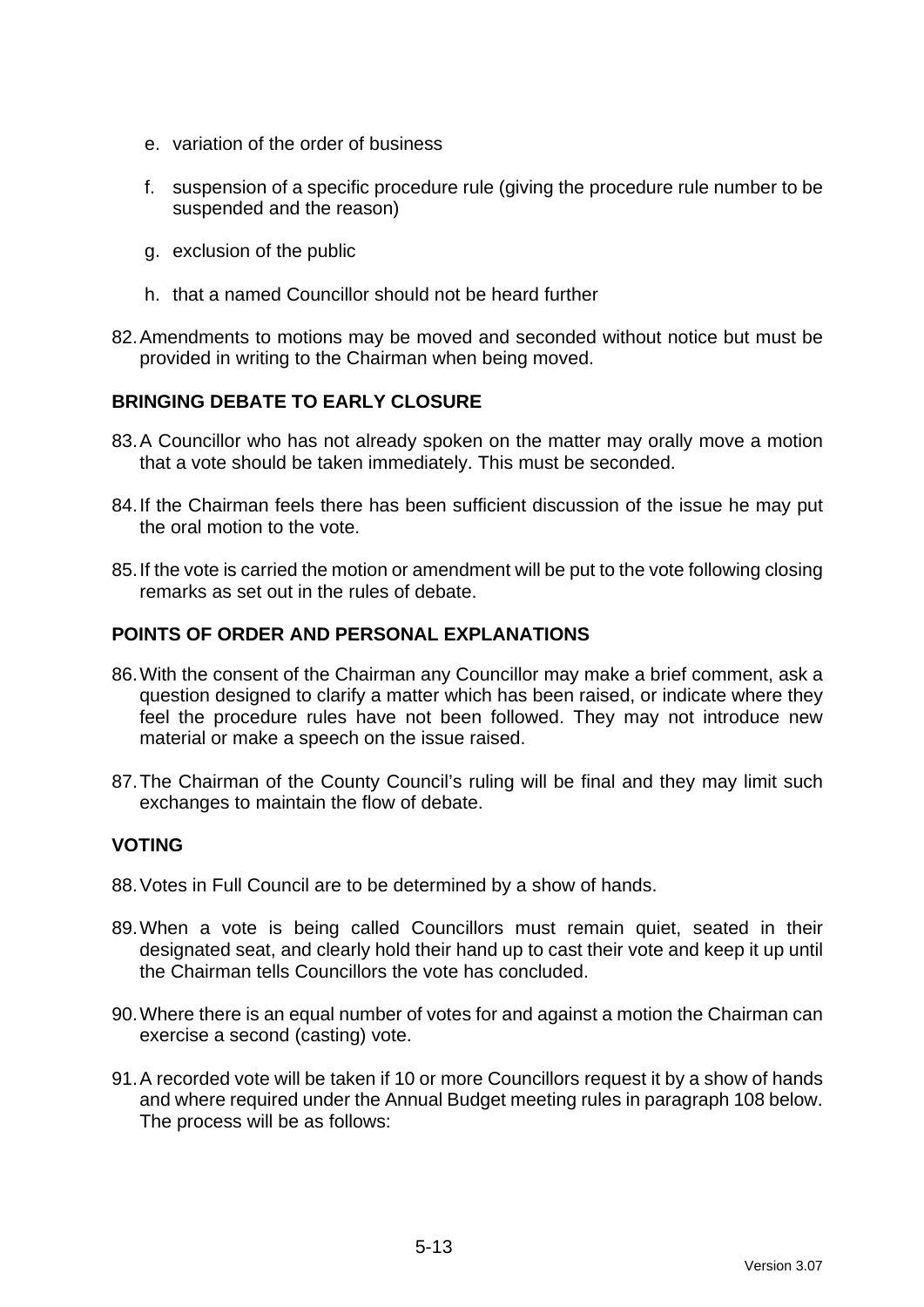- e. variation of the order of business
- f. suspension of a specific procedure rule (giving the procedure rule number to be suspended and the reason)
- g. exclusion of the public
- h. that a named Councillor should not be heard further
- 82.Amendments to motions may be moved and seconded without notice but must be provided in writing to the Chairman when being moved.

### **BRINGING DEBATE TO EARLY CLOSURE**

- 83.A Councillor who has not already spoken on the matter may orally move a motion that a vote should be taken immediately. This must be seconded.
- 84.If the Chairman feels there has been sufficient discussion of the issue he may put the oral motion to the vote.
- 85.If the vote is carried the motion or amendment will be put to the vote following closing remarks as set out in the rules of debate.

### **POINTS OF ORDER AND PERSONAL EXPLANATIONS**

- 86.With the consent of the Chairman any Councillor may make a brief comment, ask a question designed to clarify a matter which has been raised, or indicate where they feel the procedure rules have not been followed. They may not introduce new material or make a speech on the issue raised.
- 87.The Chairman of the County Council's ruling will be final and they may limit such exchanges to maintain the flow of debate.

### **VOTING**

- 88.Votes in Full Council are to be determined by a show of hands.
- 89.When a vote is being called Councillors must remain quiet, seated in their designated seat, and clearly hold their hand up to cast their vote and keep it up until the Chairman tells Councillors the vote has concluded.
- 90.Where there is an equal number of votes for and against a motion the Chairman can exercise a second (casting) vote.
- 91.A recorded vote will be taken if 10 or more Councillors request it by a show of hands and where required under the Annual Budget meeting rules in paragraph 108 below. The process will be as follows: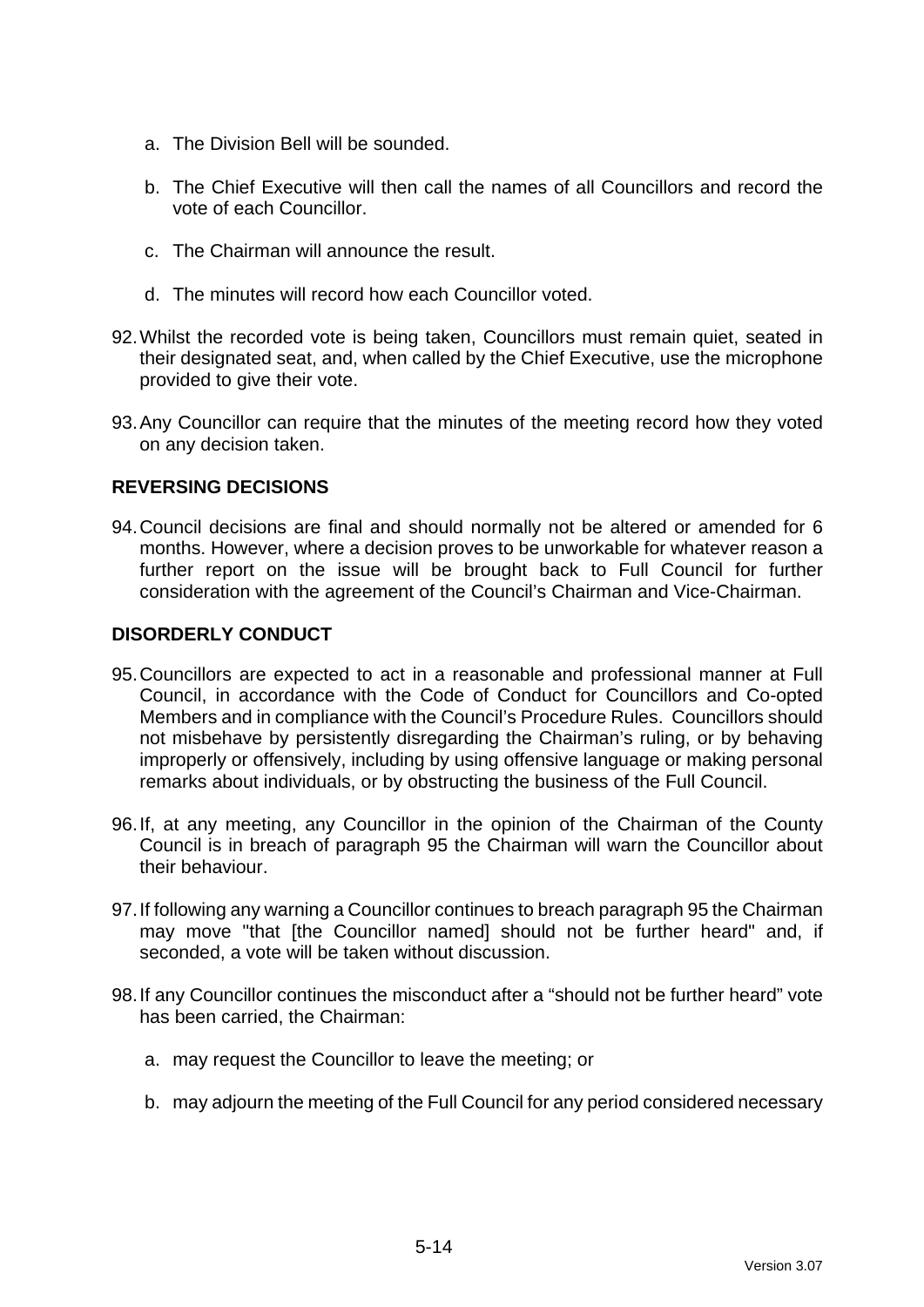- a. The Division Bell will be sounded.
- b. The Chief Executive will then call the names of all Councillors and record the vote of each Councillor.
- c. The Chairman will announce the result.
- d. The minutes will record how each Councillor voted.
- 92.Whilst the recorded vote is being taken, Councillors must remain quiet, seated in their designated seat, and, when called by the Chief Executive, use the microphone provided to give their vote.
- 93.Any Councillor can require that the minutes of the meeting record how they voted on any decision taken.

### **REVERSING DECISIONS**

94.Council decisions are final and should normally not be altered or amended for 6 months. However, where a decision proves to be unworkable for whatever reason a further report on the issue will be brought back to Full Council for further consideration with the agreement of the Council's Chairman and Vice-Chairman.

#### **DISORDERLY CONDUCT**

- 95.Councillors are expected to act in a reasonable and professional manner at Full Council, in accordance with the Code of Conduct for Councillors and Co-opted Members and in compliance with the Council's Procedure Rules. Councillors should not misbehave by persistently disregarding the Chairman's ruling, or by behaving improperly or offensively, including by using offensive language or making personal remarks about individuals, or by obstructing the business of the Full Council.
- 96.If, at any meeting, any Councillor in the opinion of the Chairman of the County Council is in breach of paragraph 95 the Chairman will warn the Councillor about their behaviour.
- 97.If following any warning a Councillor continues to breach paragraph 95 the Chairman may move "that [the Councillor named] should not be further heard" and, if seconded, a vote will be taken without discussion.
- 98.If any Councillor continues the misconduct after a "should not be further heard" vote has been carried, the Chairman:
	- a. may request the Councillor to leave the meeting; or
	- b. may adjourn the meeting of the Full Council for any period considered necessary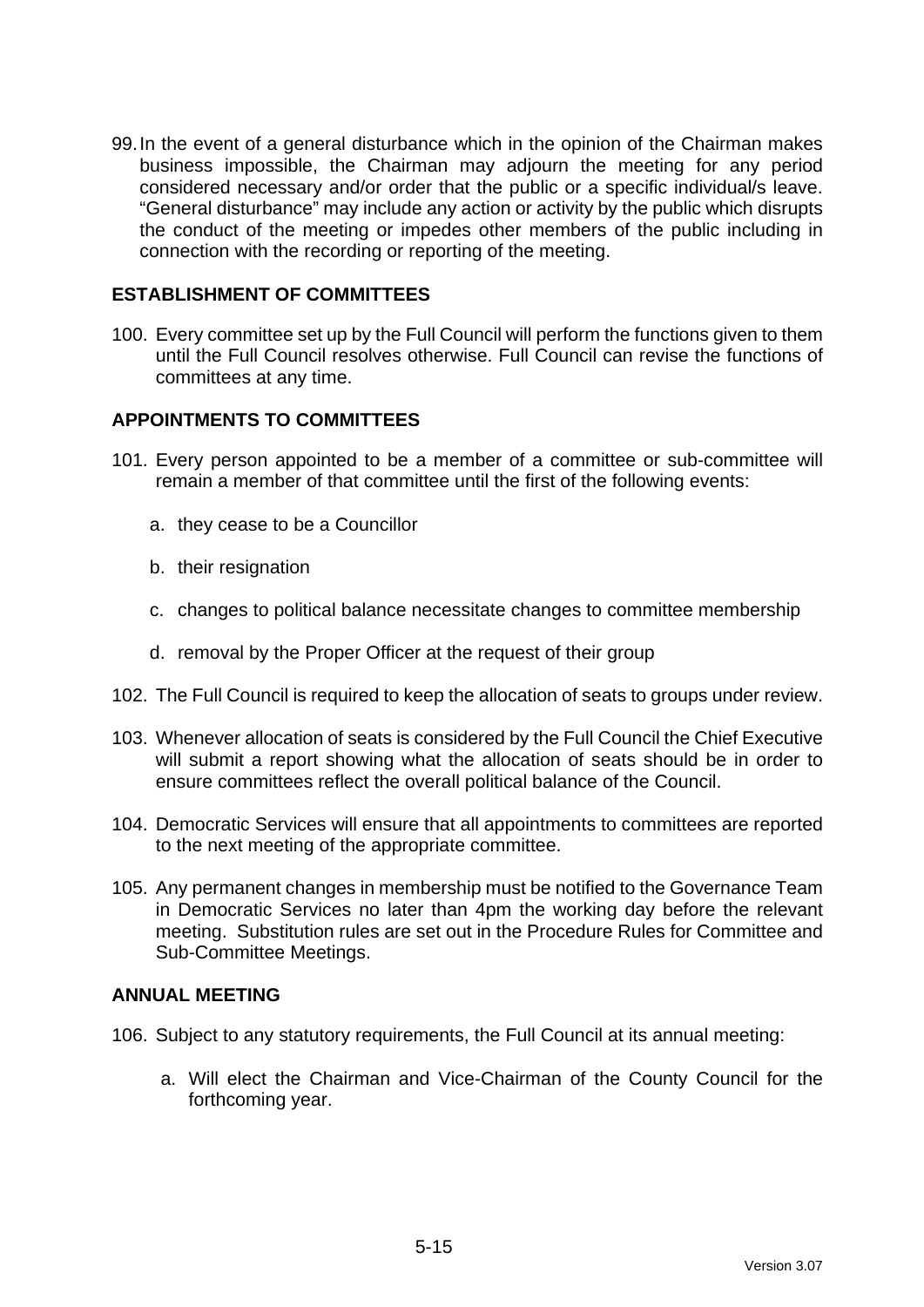99.In the event of a general disturbance which in the opinion of the Chairman makes business impossible, the Chairman may adjourn the meeting for any period considered necessary and/or order that the public or a specific individual/s leave. "General disturbance" may include any action or activity by the public which disrupts the conduct of the meeting or impedes other members of the public including in connection with the recording or reporting of the meeting.

### **ESTABLISHMENT OF COMMITTEES**

100. Every committee set up by the Full Council will perform the functions given to them until the Full Council resolves otherwise. Full Council can revise the functions of committees at any time.

### **APPOINTMENTS TO COMMITTEES**

- 101. Every person appointed to be a member of a committee or sub-committee will remain a member of that committee until the first of the following events:
	- a. they cease to be a Councillor
	- b. their resignation
	- c. changes to political balance necessitate changes to committee membership
	- d. removal by the Proper Officer at the request of their group
- 102. The Full Council is required to keep the allocation of seats to groups under review.
- 103. Whenever allocation of seats is considered by the Full Council the Chief Executive will submit a report showing what the allocation of seats should be in order to ensure committees reflect the overall political balance of the Council.
- 104. Democratic Services will ensure that all appointments to committees are reported to the next meeting of the appropriate committee.
- 105. Any permanent changes in membership must be notified to the Governance Team in Democratic Services no later than 4pm the working day before the relevant meeting. Substitution rules are set out in the Procedure Rules for Committee and Sub-Committee Meetings.

### **ANNUAL MEETING**

- 106. Subject to any statutory requirements, the Full Council at its annual meeting:
	- a. Will elect the Chairman and Vice-Chairman of the County Council for the forthcoming year.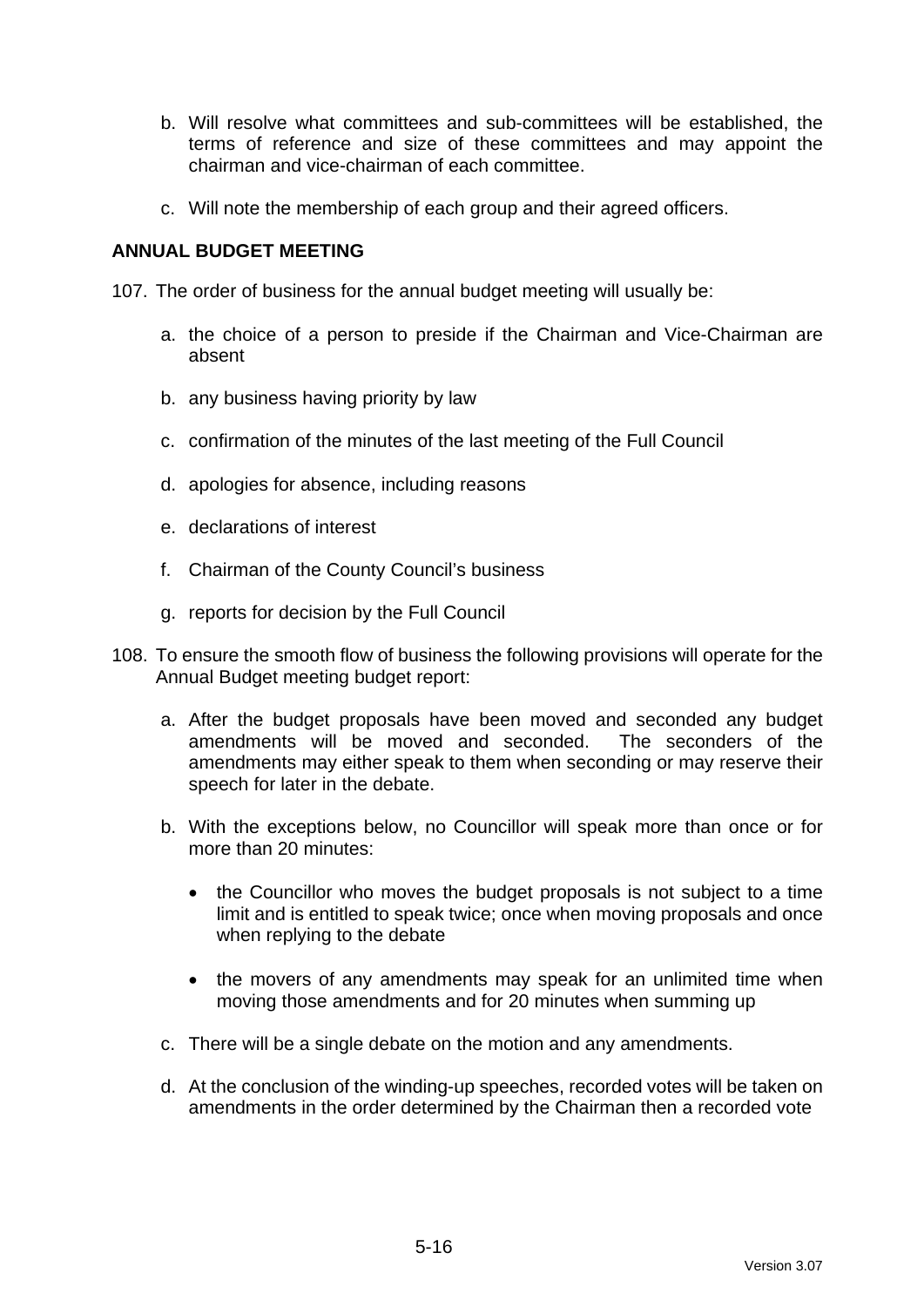- b. Will resolve what committees and sub-committees will be established, the terms of reference and size of these committees and may appoint the chairman and vice-chairman of each committee.
- c. Will note the membership of each group and their agreed officers.

#### **ANNUAL BUDGET MEETING**

107. The order of business for the annual budget meeting will usually be:

- a. the choice of a person to preside if the Chairman and Vice-Chairman are absent
- b. any business having priority by law
- c. confirmation of the minutes of the last meeting of the Full Council
- d. apologies for absence, including reasons
- e. declarations of interest
- f. Chairman of the County Council's business
- g. reports for decision by the Full Council
- 108. To ensure the smooth flow of business the following provisions will operate for the Annual Budget meeting budget report:
	- a. After the budget proposals have been moved and seconded any budget amendments will be moved and seconded. The seconders of the amendments may either speak to them when seconding or may reserve their speech for later in the debate.
	- b. With the exceptions below, no Councillor will speak more than once or for more than 20 minutes:
		- the Councillor who moves the budget proposals is not subject to a time limit and is entitled to speak twice; once when moving proposals and once when replying to the debate
		- the movers of any amendments may speak for an unlimited time when moving those amendments and for 20 minutes when summing up
	- c. There will be a single debate on the motion and any amendments.
	- d. At the conclusion of the winding-up speeches, recorded votes will be taken on amendments in the order determined by the Chairman then a recorded vote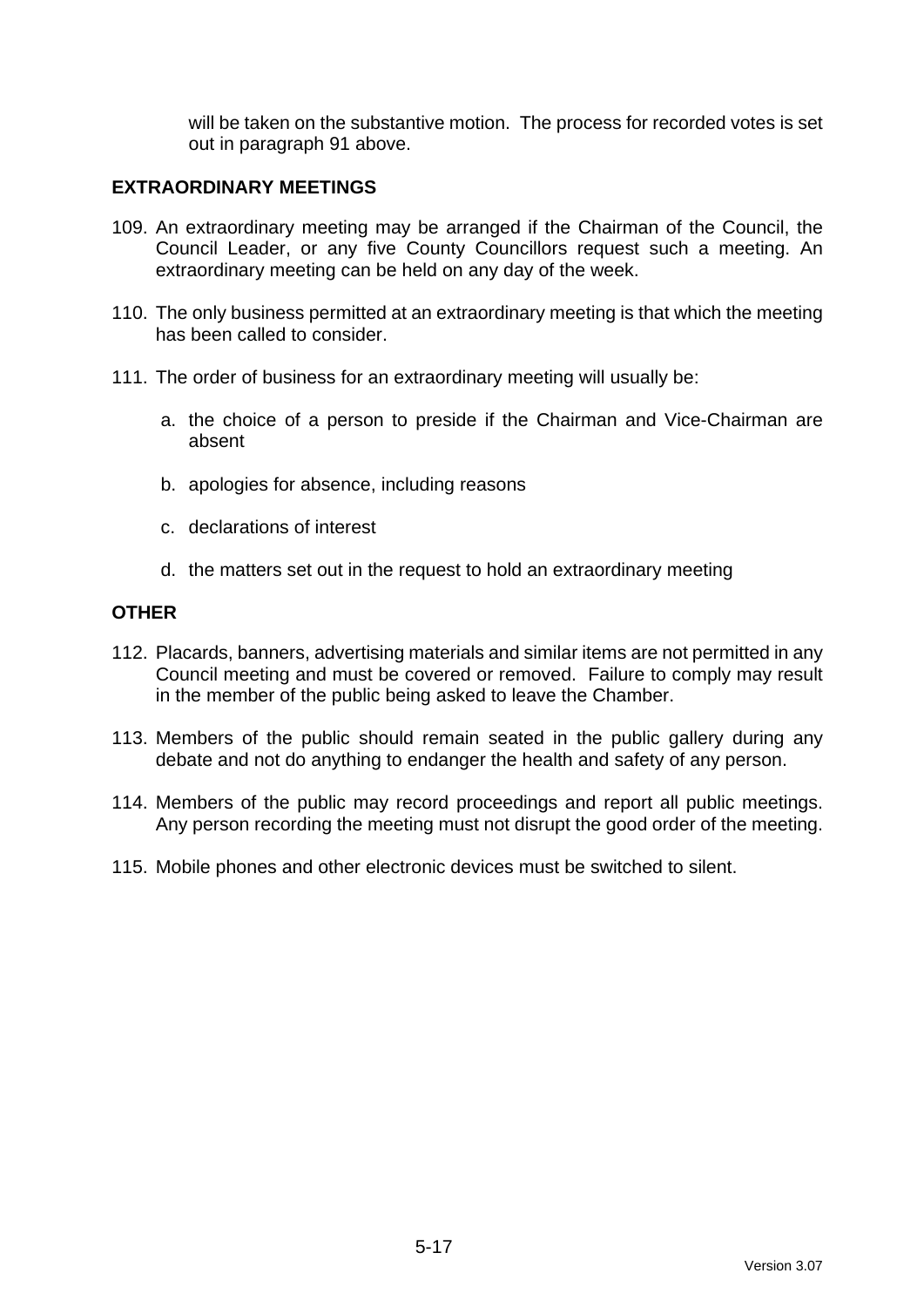will be taken on the substantive motion. The process for recorded votes is set out in paragraph 91 above.

## **EXTRAORDINARY MEETINGS**

- 109. An extraordinary meeting may be arranged if the Chairman of the Council, the Council Leader, or any five County Councillors request such a meeting. An extraordinary meeting can be held on any day of the week.
- 110. The only business permitted at an extraordinary meeting is that which the meeting has been called to consider.
- 111. The order of business for an extraordinary meeting will usually be:
	- a. the choice of a person to preside if the Chairman and Vice-Chairman are absent
	- b. apologies for absence, including reasons
	- c. declarations of interest
	- d. the matters set out in the request to hold an extraordinary meeting

#### **OTHER**

- 112. Placards, banners, advertising materials and similar items are not permitted in any Council meeting and must be covered or removed. Failure to comply may result in the member of the public being asked to leave the Chamber.
- 113. Members of the public should remain seated in the public gallery during any debate and not do anything to endanger the health and safety of any person.
- 114. Members of the public may record proceedings and report all public meetings. Any person recording the meeting must not disrupt the good order of the meeting.
- 115. Mobile phones and other electronic devices must be switched to silent.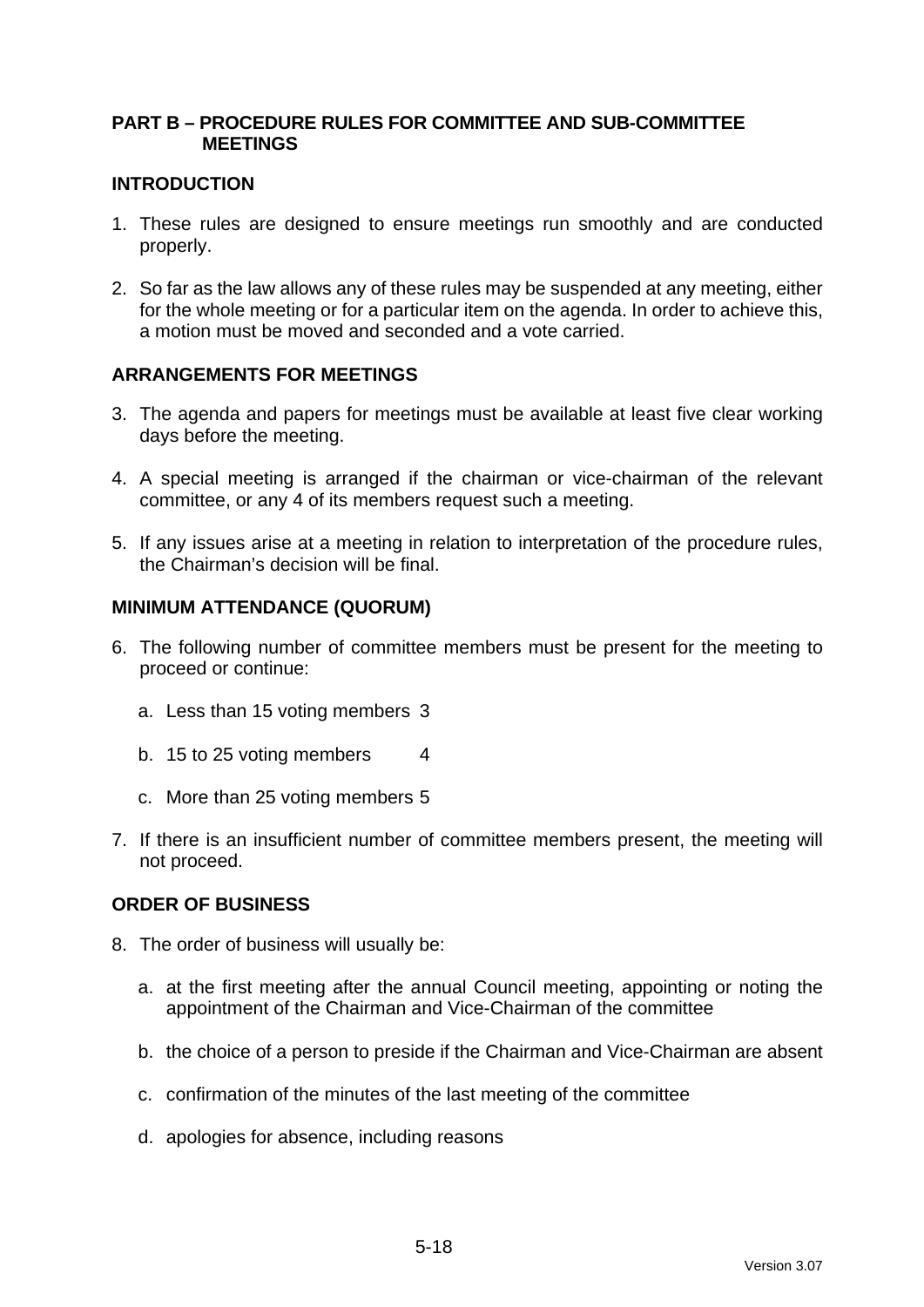### **PART B – PROCEDURE RULES FOR COMMITTEE AND SUB-COMMITTEE MEETINGS**

### **INTRODUCTION**

- 1. These rules are designed to ensure meetings run smoothly and are conducted properly.
- 2. So far as the law allows any of these rules may be suspended at any meeting, either for the whole meeting or for a particular item on the agenda. In order to achieve this, a motion must be moved and seconded and a vote carried.

### **ARRANGEMENTS FOR MEETINGS**

- 3. The agenda and papers for meetings must be available at least five clear working days before the meeting.
- 4. A special meeting is arranged if the chairman or vice-chairman of the relevant committee, or any 4 of its members request such a meeting.
- 5. If any issues arise at a meeting in relation to interpretation of the procedure rules, the Chairman's decision will be final.

#### **MINIMUM ATTENDANCE (QUORUM)**

- 6. The following number of committee members must be present for the meeting to proceed or continue:
	- a. Less than 15 voting members 3
	- b. 15 to 25 voting members 4
	- c. More than 25 voting members 5
- 7. If there is an insufficient number of committee members present, the meeting will not proceed.

#### **ORDER OF BUSINESS**

- 8. The order of business will usually be:
	- a. at the first meeting after the annual Council meeting, appointing or noting the appointment of the Chairman and Vice-Chairman of the committee
	- b. the choice of a person to preside if the Chairman and Vice-Chairman are absent
	- c. confirmation of the minutes of the last meeting of the committee
	- d. apologies for absence, including reasons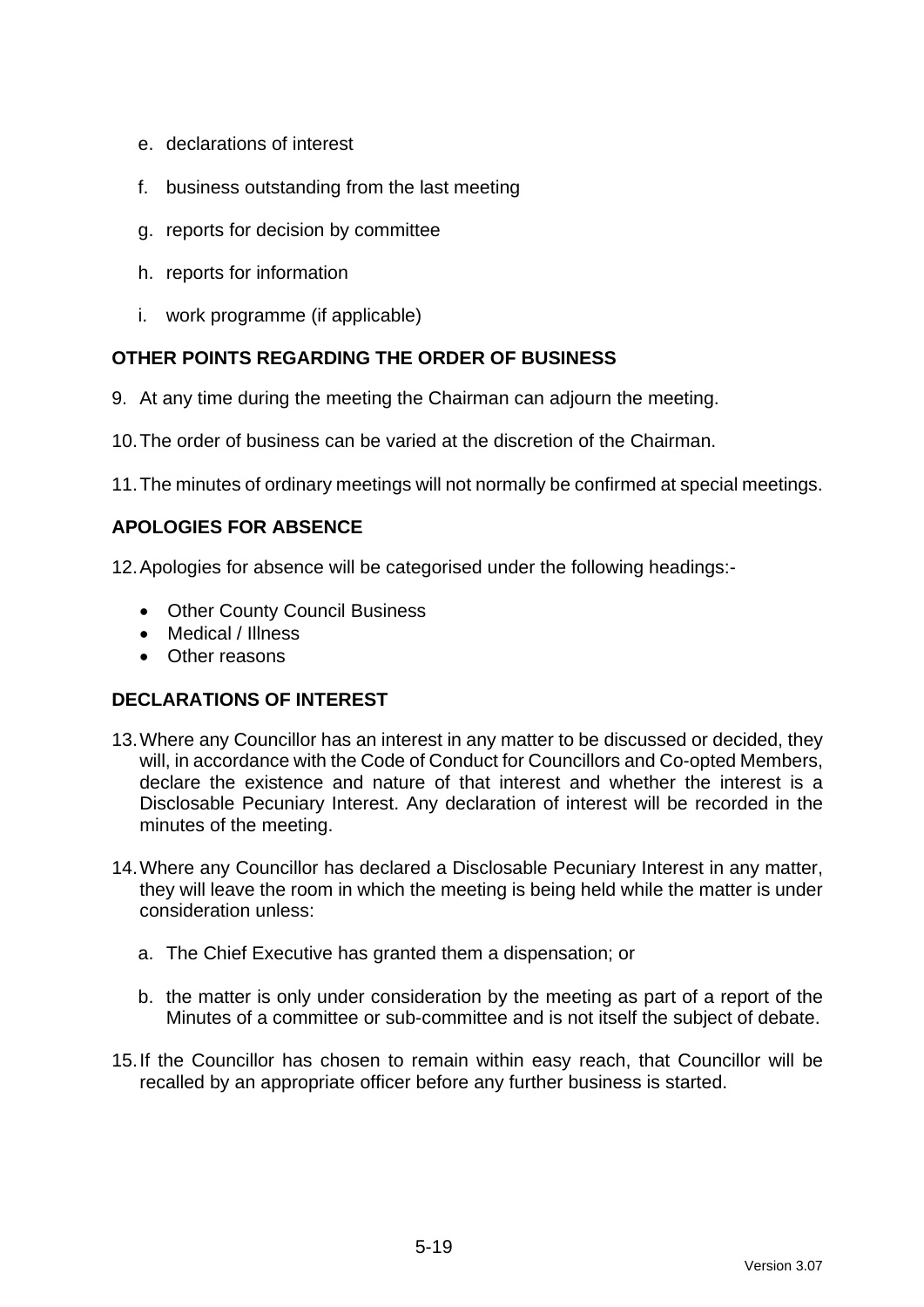- e. declarations of interest
- f. business outstanding from the last meeting
- g. reports for decision by committee
- h. reports for information
- i. work programme (if applicable)

# **OTHER POINTS REGARDING THE ORDER OF BUSINESS**

- 9. At any time during the meeting the Chairman can adjourn the meeting.
- 10.The order of business can be varied at the discretion of the Chairman.
- 11.The minutes of ordinary meetings will not normally be confirmed at special meetings.

# **APOLOGIES FOR ABSENCE**

12.Apologies for absence will be categorised under the following headings:-

- Other County Council Business
- Medical / Illness
- Other reasons

# **DECLARATIONS OF INTEREST**

- 13.Where any Councillor has an interest in any matter to be discussed or decided, they will, in accordance with the Code of Conduct for Councillors and Co-opted Members, declare the existence and nature of that interest and whether the interest is a Disclosable Pecuniary Interest. Any declaration of interest will be recorded in the minutes of the meeting.
- 14.Where any Councillor has declared a Disclosable Pecuniary Interest in any matter, they will leave the room in which the meeting is being held while the matter is under consideration unless:
	- a. The Chief Executive has granted them a dispensation; or
	- b. the matter is only under consideration by the meeting as part of a report of the Minutes of a committee or sub-committee and is not itself the subject of debate.
- 15.If the Councillor has chosen to remain within easy reach, that Councillor will be recalled by an appropriate officer before any further business is started.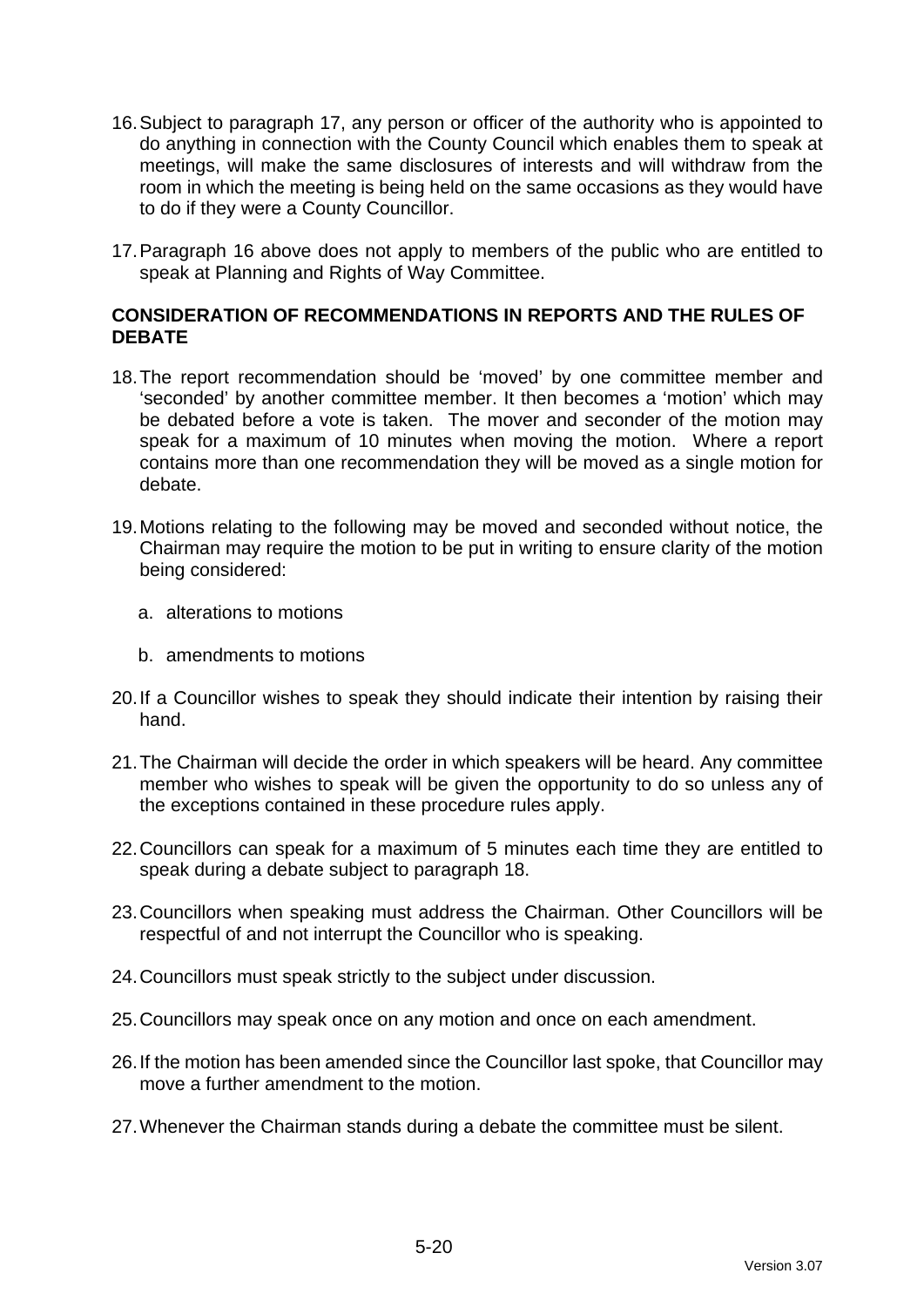- 16.Subject to paragraph 17, any person or officer of the authority who is appointed to do anything in connection with the County Council which enables them to speak at meetings, will make the same disclosures of interests and will withdraw from the room in which the meeting is being held on the same occasions as they would have to do if they were a County Councillor.
- 17.Paragraph 16 above does not apply to members of the public who are entitled to speak at Planning and Rights of Way Committee.

### **CONSIDERATION OF RECOMMENDATIONS IN REPORTS AND THE RULES OF DEBATE**

- 18.The report recommendation should be 'moved' by one committee member and 'seconded' by another committee member. It then becomes a 'motion' which may be debated before a vote is taken. The mover and seconder of the motion may speak for a maximum of 10 minutes when moving the motion. Where a report contains more than one recommendation they will be moved as a single motion for debate.
- 19.Motions relating to the following may be moved and seconded without notice, the Chairman may require the motion to be put in writing to ensure clarity of the motion being considered:
	- a. alterations to motions
	- b. amendments to motions
- 20.If a Councillor wishes to speak they should indicate their intention by raising their hand.
- 21.The Chairman will decide the order in which speakers will be heard. Any committee member who wishes to speak will be given the opportunity to do so unless any of the exceptions contained in these procedure rules apply.
- 22.Councillors can speak for a maximum of 5 minutes each time they are entitled to speak during a debate subject to paragraph 18.
- 23.Councillors when speaking must address the Chairman. Other Councillors will be respectful of and not interrupt the Councillor who is speaking.
- 24.Councillors must speak strictly to the subject under discussion.
- 25.Councillors may speak once on any motion and once on each amendment.
- 26.If the motion has been amended since the Councillor last spoke, that Councillor may move a further amendment to the motion.
- 27.Whenever the Chairman stands during a debate the committee must be silent.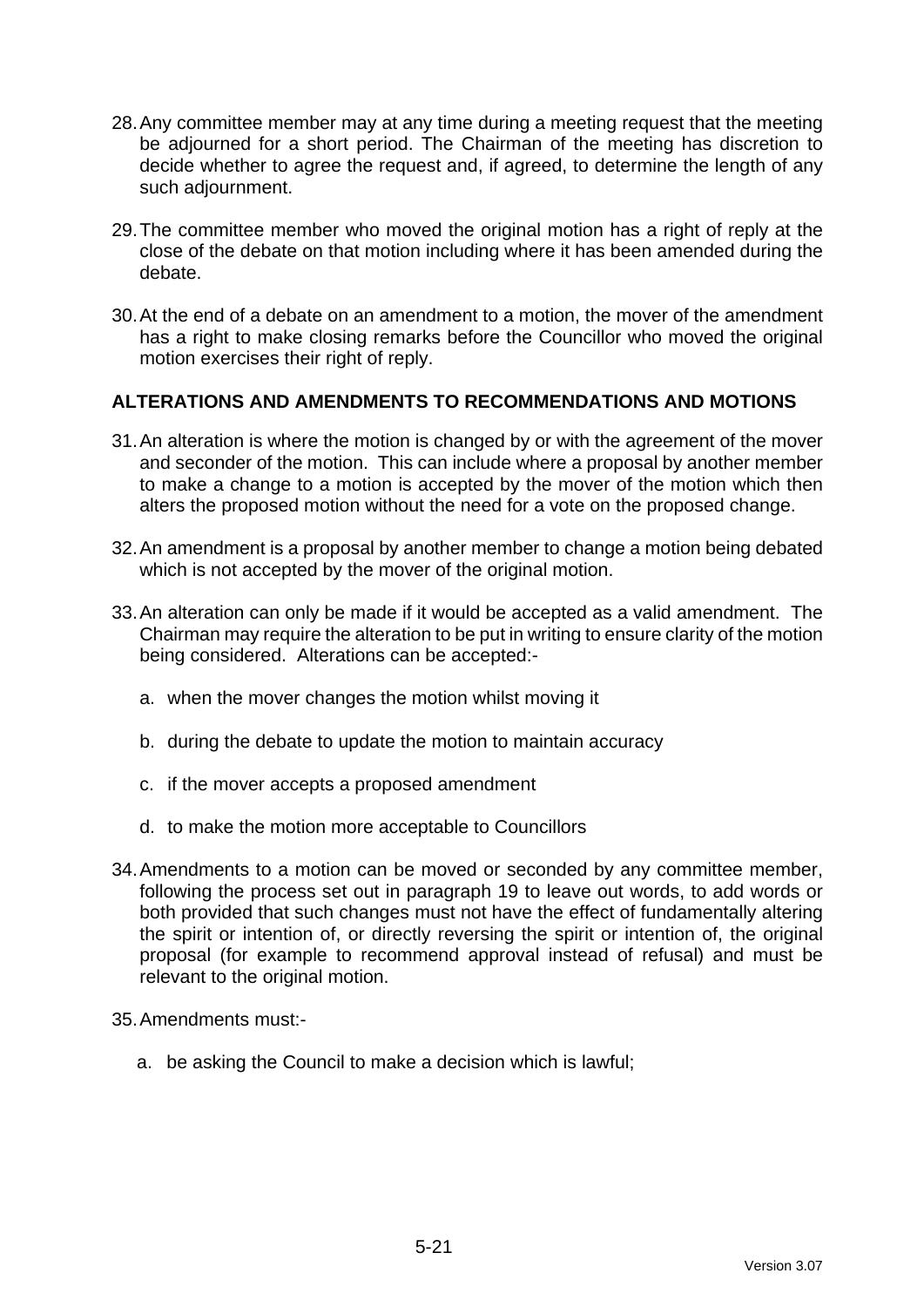- 28.Any committee member may at any time during a meeting request that the meeting be adjourned for a short period. The Chairman of the meeting has discretion to decide whether to agree the request and, if agreed, to determine the length of any such adjournment.
- 29.The committee member who moved the original motion has a right of reply at the close of the debate on that motion including where it has been amended during the debate.
- 30.At the end of a debate on an amendment to a motion, the mover of the amendment has a right to make closing remarks before the Councillor who moved the original motion exercises their right of reply.

### **ALTERATIONS AND AMENDMENTS TO RECOMMENDATIONS AND MOTIONS**

- 31.An alteration is where the motion is changed by or with the agreement of the mover and seconder of the motion. This can include where a proposal by another member to make a change to a motion is accepted by the mover of the motion which then alters the proposed motion without the need for a vote on the proposed change.
- 32.An amendment is a proposal by another member to change a motion being debated which is not accepted by the mover of the original motion.
- 33.An alteration can only be made if it would be accepted as a valid amendment. The Chairman may require the alteration to be put in writing to ensure clarity of the motion being considered. Alterations can be accepted:
	- a. when the mover changes the motion whilst moving it
	- b. during the debate to update the motion to maintain accuracy
	- c. if the mover accepts a proposed amendment
	- d. to make the motion more acceptable to Councillors
- 34.Amendments to a motion can be moved or seconded by any committee member, following the process set out in paragraph 19 to leave out words, to add words or both provided that such changes must not have the effect of fundamentally altering the spirit or intention of, or directly reversing the spirit or intention of, the original proposal (for example to recommend approval instead of refusal) and must be relevant to the original motion.
- 35.Amendments must:
	- a. be asking the Council to make a decision which is lawful;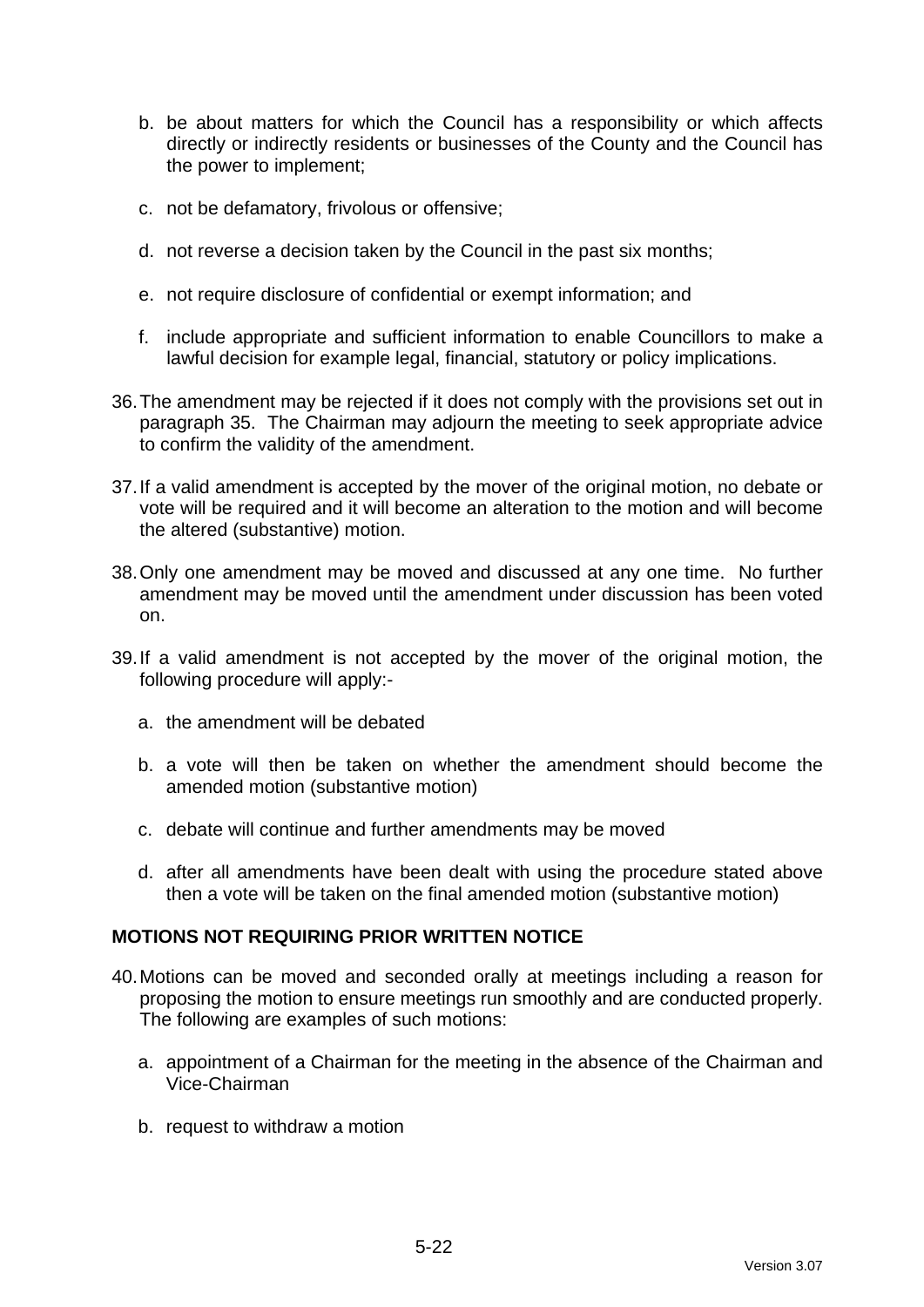- b. be about matters for which the Council has a responsibility or which affects directly or indirectly residents or businesses of the County and the Council has the power to implement;
- c. not be defamatory, frivolous or offensive;
- d. not reverse a decision taken by the Council in the past six months;
- e. not require disclosure of confidential or exempt information; and
- f. include appropriate and sufficient information to enable Councillors to make a lawful decision for example legal, financial, statutory or policy implications.
- 36.The amendment may be rejected if it does not comply with the provisions set out in paragraph 35. The Chairman may adjourn the meeting to seek appropriate advice to confirm the validity of the amendment.
- 37.If a valid amendment is accepted by the mover of the original motion, no debate or vote will be required and it will become an alteration to the motion and will become the altered (substantive) motion.
- 38.Only one amendment may be moved and discussed at any one time. No further amendment may be moved until the amendment under discussion has been voted on.
- 39.If a valid amendment is not accepted by the mover of the original motion, the following procedure will apply:
	- a. the amendment will be debated
	- b. a vote will then be taken on whether the amendment should become the amended motion (substantive motion)
	- c. debate will continue and further amendments may be moved
	- d. after all amendments have been dealt with using the procedure stated above then a vote will be taken on the final amended motion (substantive motion)

#### **MOTIONS NOT REQUIRING PRIOR WRITTEN NOTICE**

- 40.Motions can be moved and seconded orally at meetings including a reason for proposing the motion to ensure meetings run smoothly and are conducted properly. The following are examples of such motions:
	- a. appointment of a Chairman for the meeting in the absence of the Chairman and Vice-Chairman
	- b. request to withdraw a motion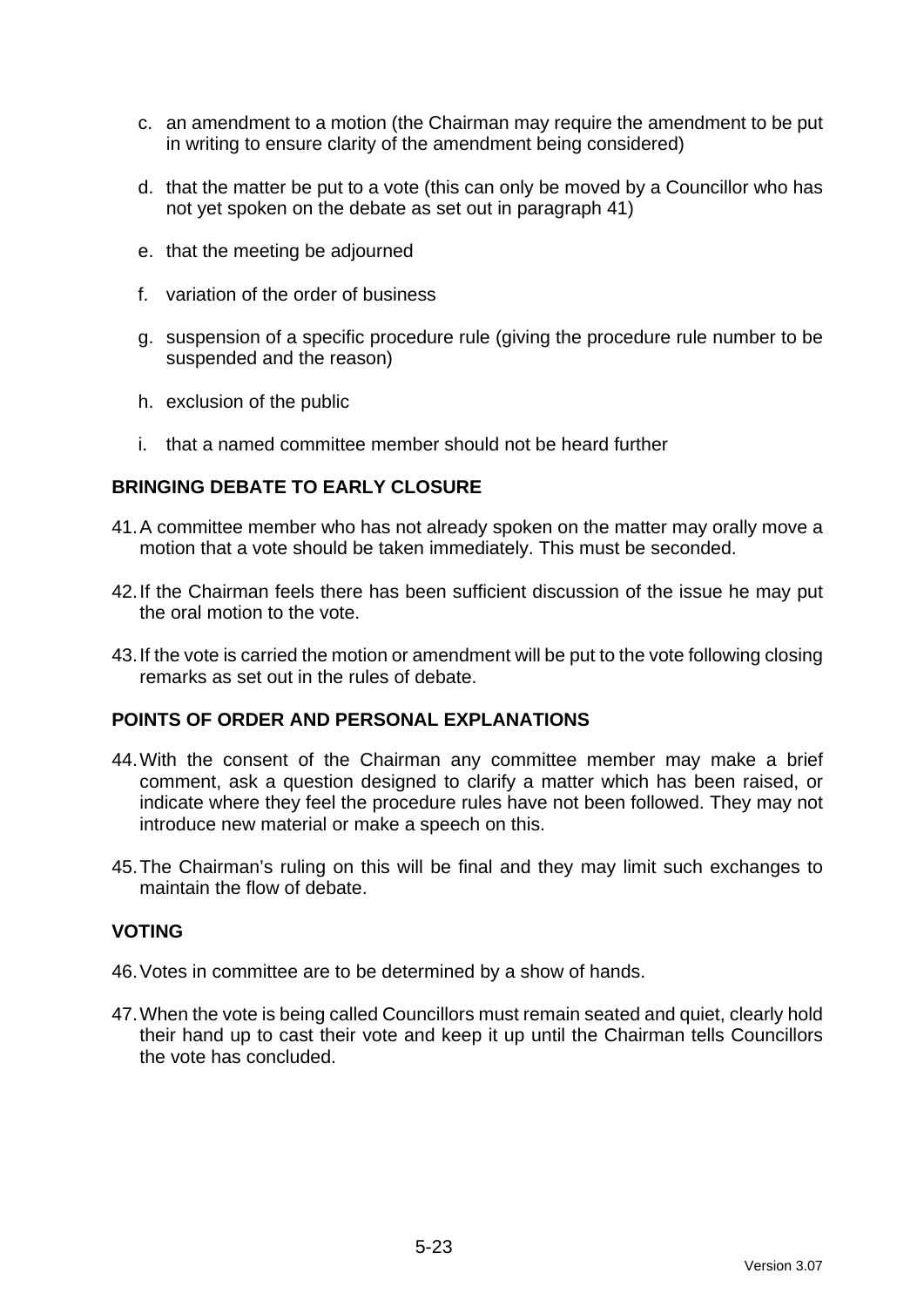- c. an amendment to a motion (the Chairman may require the amendment to be put in writing to ensure clarity of the amendment being considered)
- d. that the matter be put to a vote (this can only be moved by a Councillor who has not yet spoken on the debate as set out in paragraph 41)
- e. that the meeting be adjourned
- f. variation of the order of business
- g. suspension of a specific procedure rule (giving the procedure rule number to be suspended and the reason)
- h. exclusion of the public
- i. that a named committee member should not be heard further

### **BRINGING DEBATE TO EARLY CLOSURE**

- 41.A committee member who has not already spoken on the matter may orally move a motion that a vote should be taken immediately. This must be seconded.
- 42.If the Chairman feels there has been sufficient discussion of the issue he may put the oral motion to the vote.
- 43.If the vote is carried the motion or amendment will be put to the vote following closing remarks as set out in the rules of debate.

### **POINTS OF ORDER AND PERSONAL EXPLANATIONS**

- 44.With the consent of the Chairman any committee member may make a brief comment, ask a question designed to clarify a matter which has been raised, or indicate where they feel the procedure rules have not been followed. They may not introduce new material or make a speech on this.
- 45.The Chairman's ruling on this will be final and they may limit such exchanges to maintain the flow of debate.

#### **VOTING**

- 46.Votes in committee are to be determined by a show of hands.
- 47.When the vote is being called Councillors must remain seated and quiet, clearly hold their hand up to cast their vote and keep it up until the Chairman tells Councillors the vote has concluded.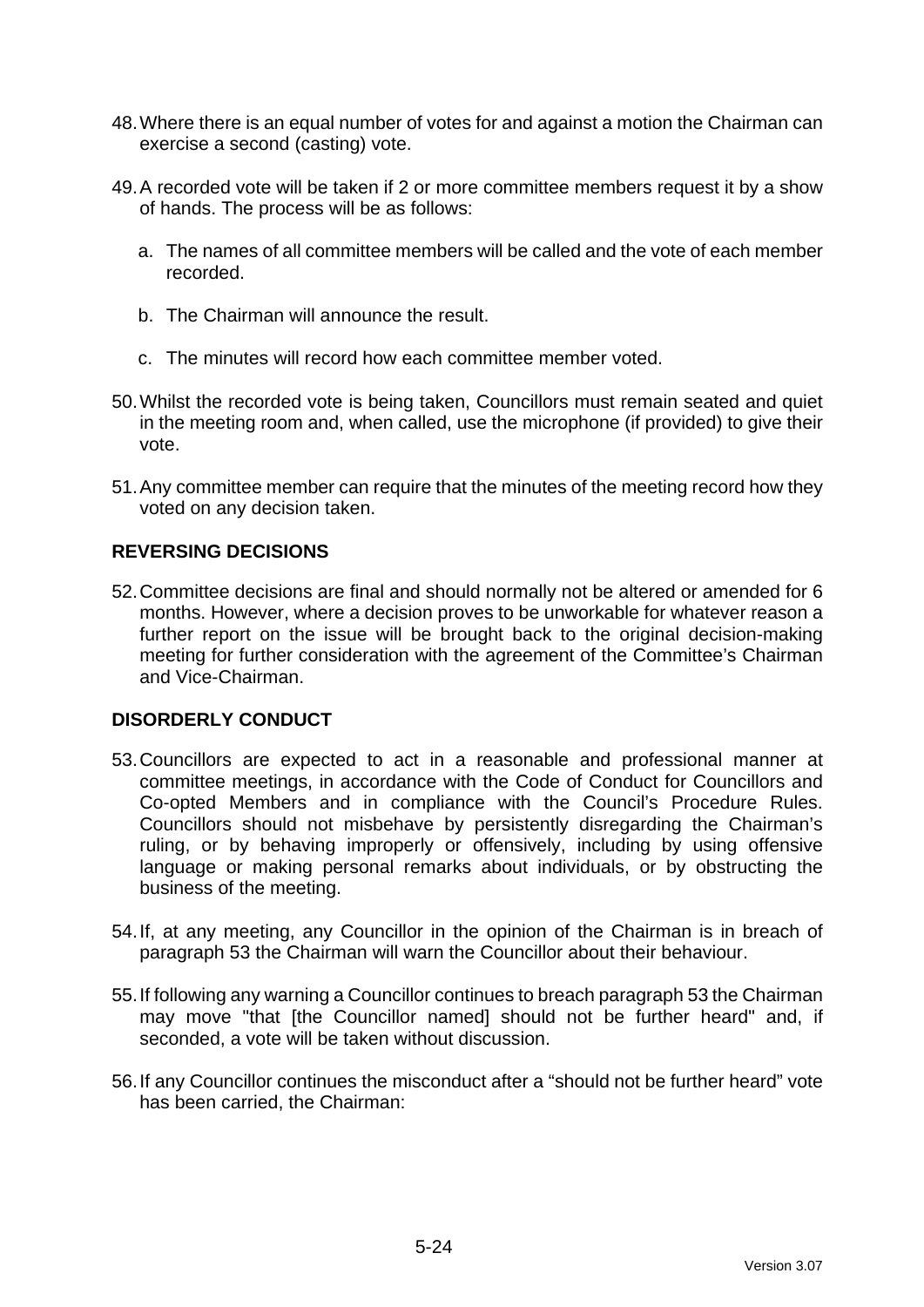- 48.Where there is an equal number of votes for and against a motion the Chairman can exercise a second (casting) vote.
- 49.A recorded vote will be taken if 2 or more committee members request it by a show of hands. The process will be as follows:
	- a. The names of all committee members will be called and the vote of each member recorded.
	- b. The Chairman will announce the result.
	- c. The minutes will record how each committee member voted.
- 50.Whilst the recorded vote is being taken, Councillors must remain seated and quiet in the meeting room and, when called, use the microphone (if provided) to give their vote.
- 51.Any committee member can require that the minutes of the meeting record how they voted on any decision taken.

### **REVERSING DECISIONS**

52.Committee decisions are final and should normally not be altered or amended for 6 months. However, where a decision proves to be unworkable for whatever reason a further report on the issue will be brought back to the original decision-making meeting for further consideration with the agreement of the Committee's Chairman and Vice-Chairman.

### **DISORDERLY CONDUCT**

- 53.Councillors are expected to act in a reasonable and professional manner at committee meetings, in accordance with the Code of Conduct for Councillors and Co-opted Members and in compliance with the Council's Procedure Rules. Councillors should not misbehave by persistently disregarding the Chairman's ruling, or by behaving improperly or offensively, including by using offensive language or making personal remarks about individuals, or by obstructing the business of the meeting.
- 54.If, at any meeting, any Councillor in the opinion of the Chairman is in breach of paragraph 53 the Chairman will warn the Councillor about their behaviour.
- 55.If following any warning a Councillor continues to breach paragraph 53 the Chairman may move "that [the Councillor named] should not be further heard" and, if seconded, a vote will be taken without discussion.
- 56.If any Councillor continues the misconduct after a "should not be further heard" vote has been carried, the Chairman: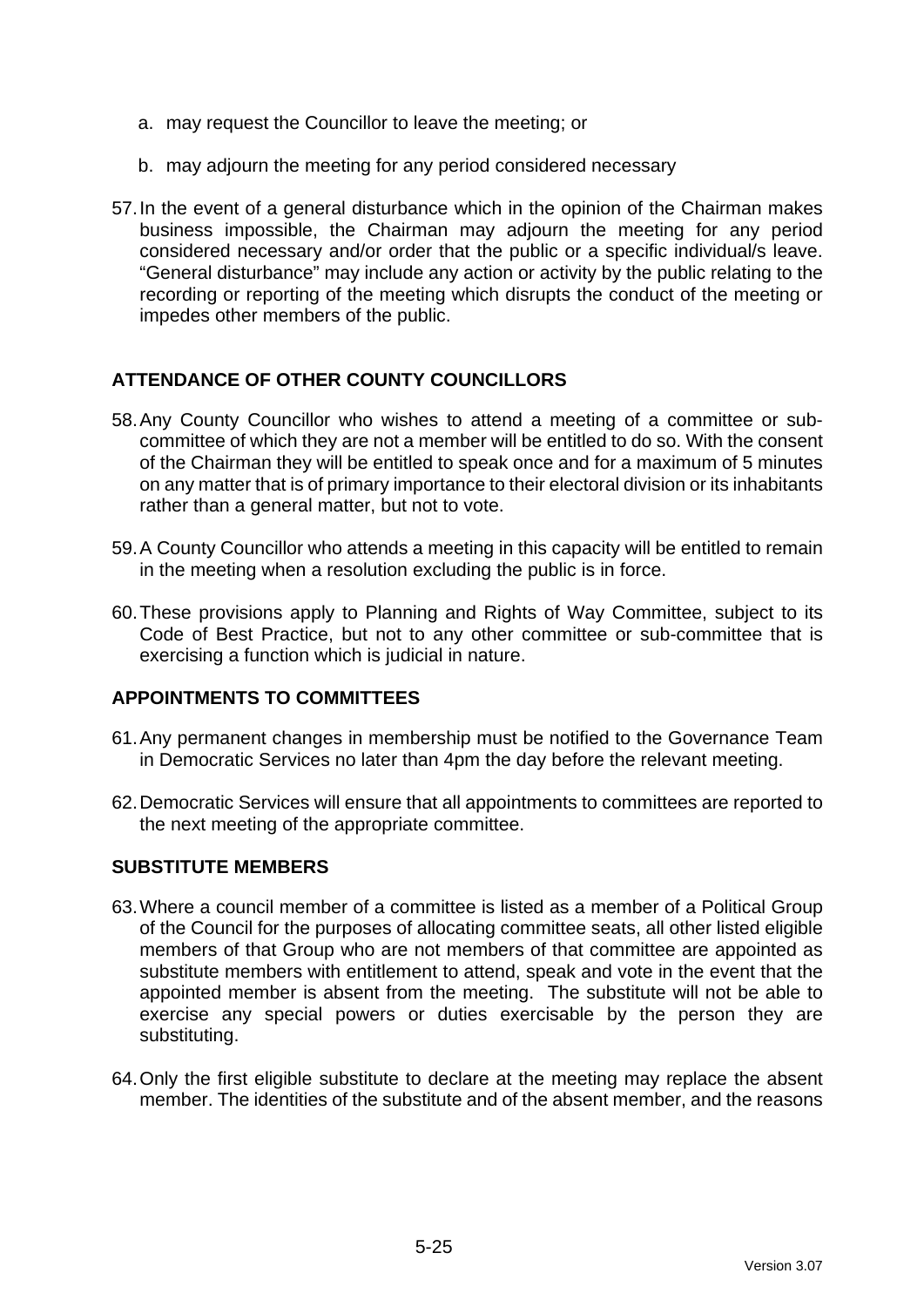- a. may request the Councillor to leave the meeting; or
- b. may adjourn the meeting for any period considered necessary
- 57.In the event of a general disturbance which in the opinion of the Chairman makes business impossible, the Chairman may adjourn the meeting for any period considered necessary and/or order that the public or a specific individual/s leave. "General disturbance" may include any action or activity by the public relating to the recording or reporting of the meeting which disrupts the conduct of the meeting or impedes other members of the public.

### **ATTENDANCE OF OTHER COUNTY COUNCILLORS**

- 58.Any County Councillor who wishes to attend a meeting of a committee or subcommittee of which they are not a member will be entitled to do so. With the consent of the Chairman they will be entitled to speak once and for a maximum of 5 minutes on any matter that is of primary importance to their electoral division or its inhabitants rather than a general matter, but not to vote.
- 59.A County Councillor who attends a meeting in this capacity will be entitled to remain in the meeting when a resolution excluding the public is in force.
- 60.These provisions apply to Planning and Rights of Way Committee, subject to its Code of Best Practice, but not to any other committee or sub-committee that is exercising a function which is judicial in nature.

### **APPOINTMENTS TO COMMITTEES**

- 61.Any permanent changes in membership must be notified to the Governance Team in Democratic Services no later than 4pm the day before the relevant meeting.
- 62.Democratic Services will ensure that all appointments to committees are reported to the next meeting of the appropriate committee.

### **SUBSTITUTE MEMBERS**

- 63.Where a council member of a committee is listed as a member of a Political Group of the Council for the purposes of allocating committee seats, all other listed eligible members of that Group who are not members of that committee are appointed as substitute members with entitlement to attend, speak and vote in the event that the appointed member is absent from the meeting. The substitute will not be able to exercise any special powers or duties exercisable by the person they are substituting.
- 64.Only the first eligible substitute to declare at the meeting may replace the absent member. The identities of the substitute and of the absent member, and the reasons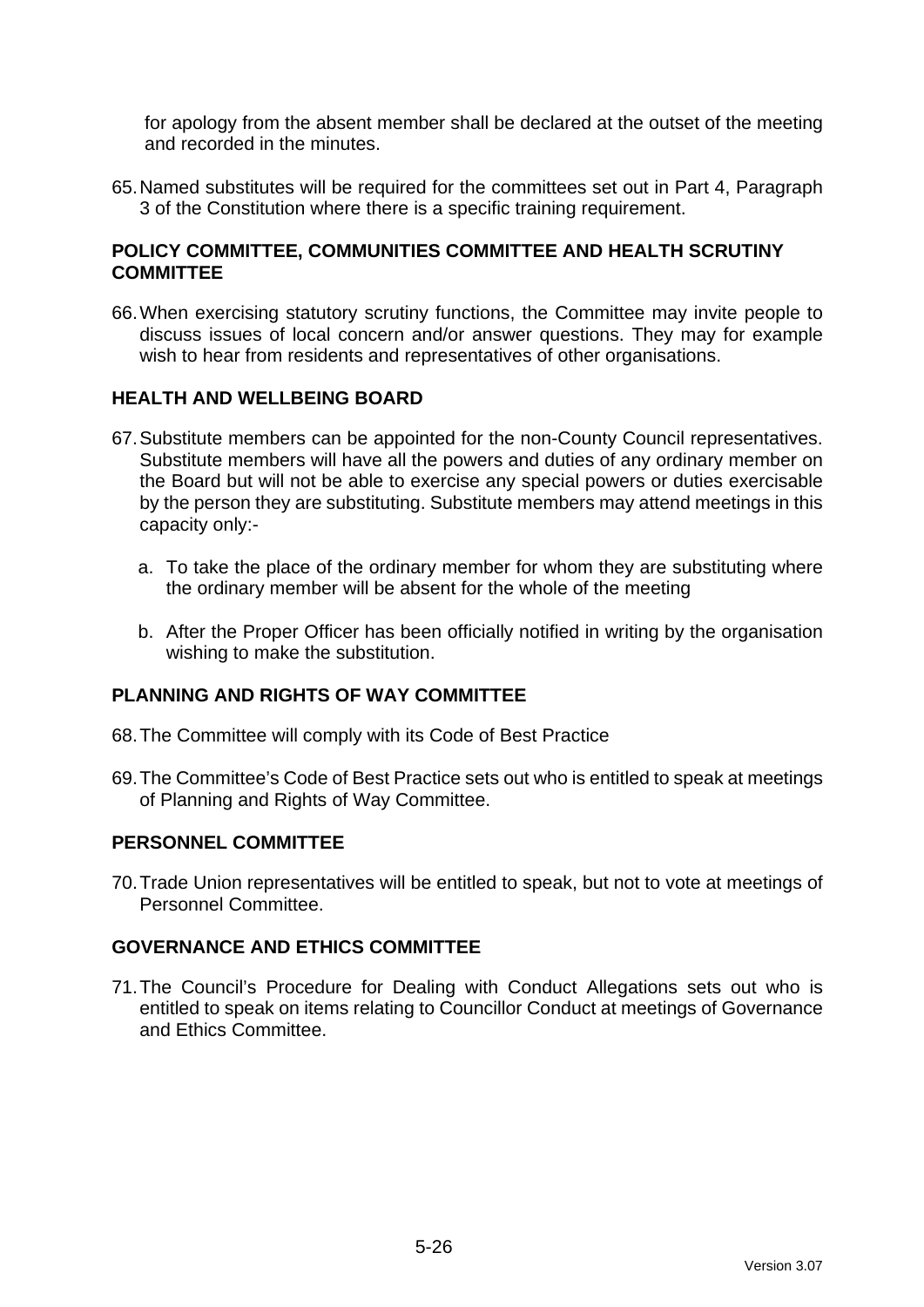for apology from the absent member shall be declared at the outset of the meeting and recorded in the minutes.

65.Named substitutes will be required for the committees set out in Part 4, Paragraph 3 of the Constitution where there is a specific training requirement.

### **POLICY COMMITTEE, COMMUNITIES COMMITTEE AND HEALTH SCRUTINY COMMITTEE**

66.When exercising statutory scrutiny functions, the Committee may invite people to discuss issues of local concern and/or answer questions. They may for example wish to hear from residents and representatives of other organisations.

### **HEALTH AND WELLBEING BOARD**

- 67.Substitute members can be appointed for the non-County Council representatives. Substitute members will have all the powers and duties of any ordinary member on the Board but will not be able to exercise any special powers or duties exercisable by the person they are substituting. Substitute members may attend meetings in this capacity only:
	- a. To take the place of the ordinary member for whom they are substituting where the ordinary member will be absent for the whole of the meeting
	- b. After the Proper Officer has been officially notified in writing by the organisation wishing to make the substitution.

### **PLANNING AND RIGHTS OF WAY COMMITTEE**

- 68.The Committee will comply with its Code of Best Practice
- 69.The Committee's Code of Best Practice sets out who is entitled to speak at meetings of Planning and Rights of Way Committee.

#### **PERSONNEL COMMITTEE**

70.Trade Union representatives will be entitled to speak, but not to vote at meetings of Personnel Committee.

#### **GOVERNANCE AND ETHICS COMMITTEE**

71.The Council's Procedure for Dealing with Conduct Allegations sets out who is entitled to speak on items relating to Councillor Conduct at meetings of Governance and Ethics Committee.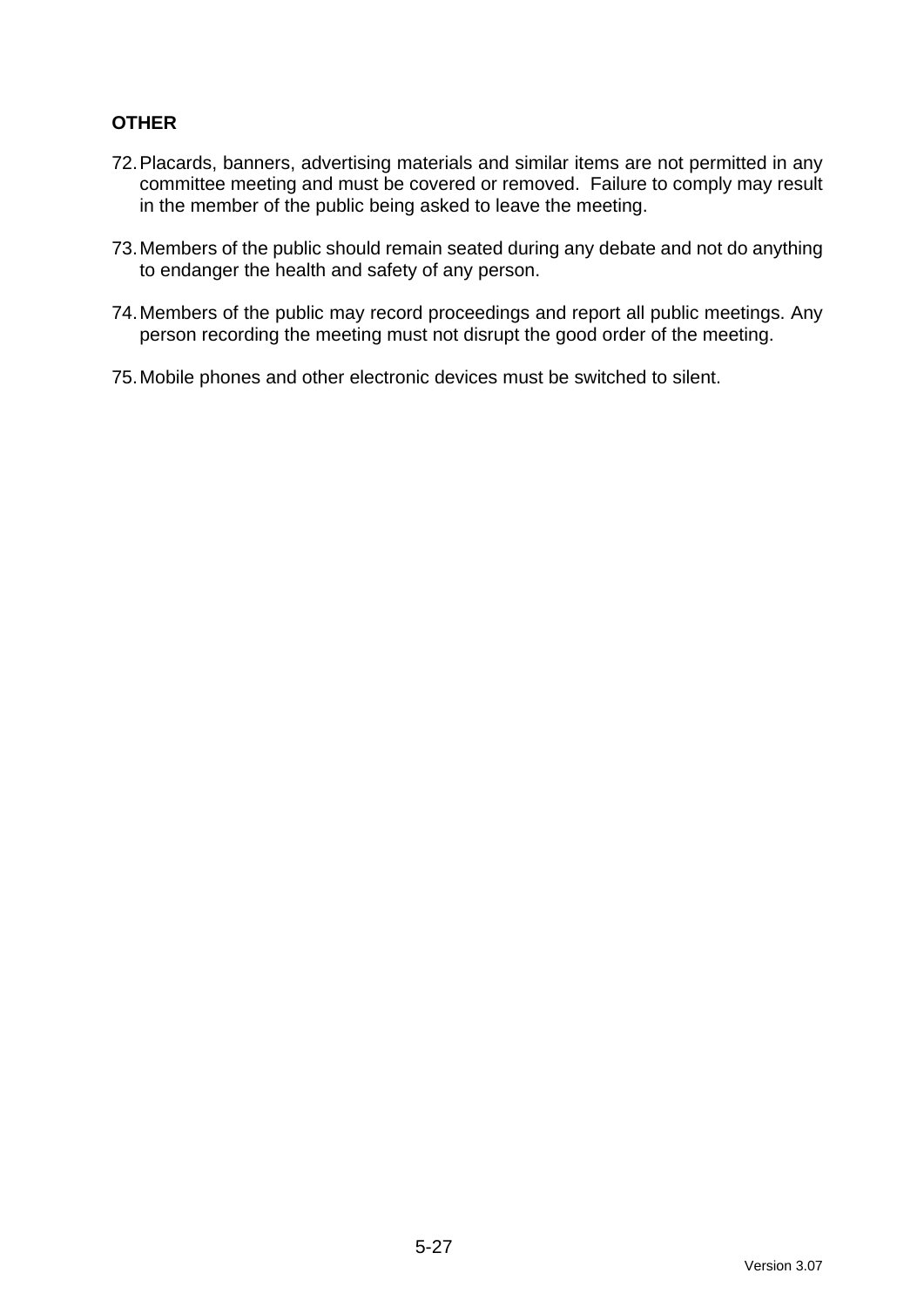## **OTHER**

- 72.Placards, banners, advertising materials and similar items are not permitted in any committee meeting and must be covered or removed. Failure to comply may result in the member of the public being asked to leave the meeting.
- 73.Members of the public should remain seated during any debate and not do anything to endanger the health and safety of any person.
- 74.Members of the public may record proceedings and report all public meetings. Any person recording the meeting must not disrupt the good order of the meeting.
- 75.Mobile phones and other electronic devices must be switched to silent.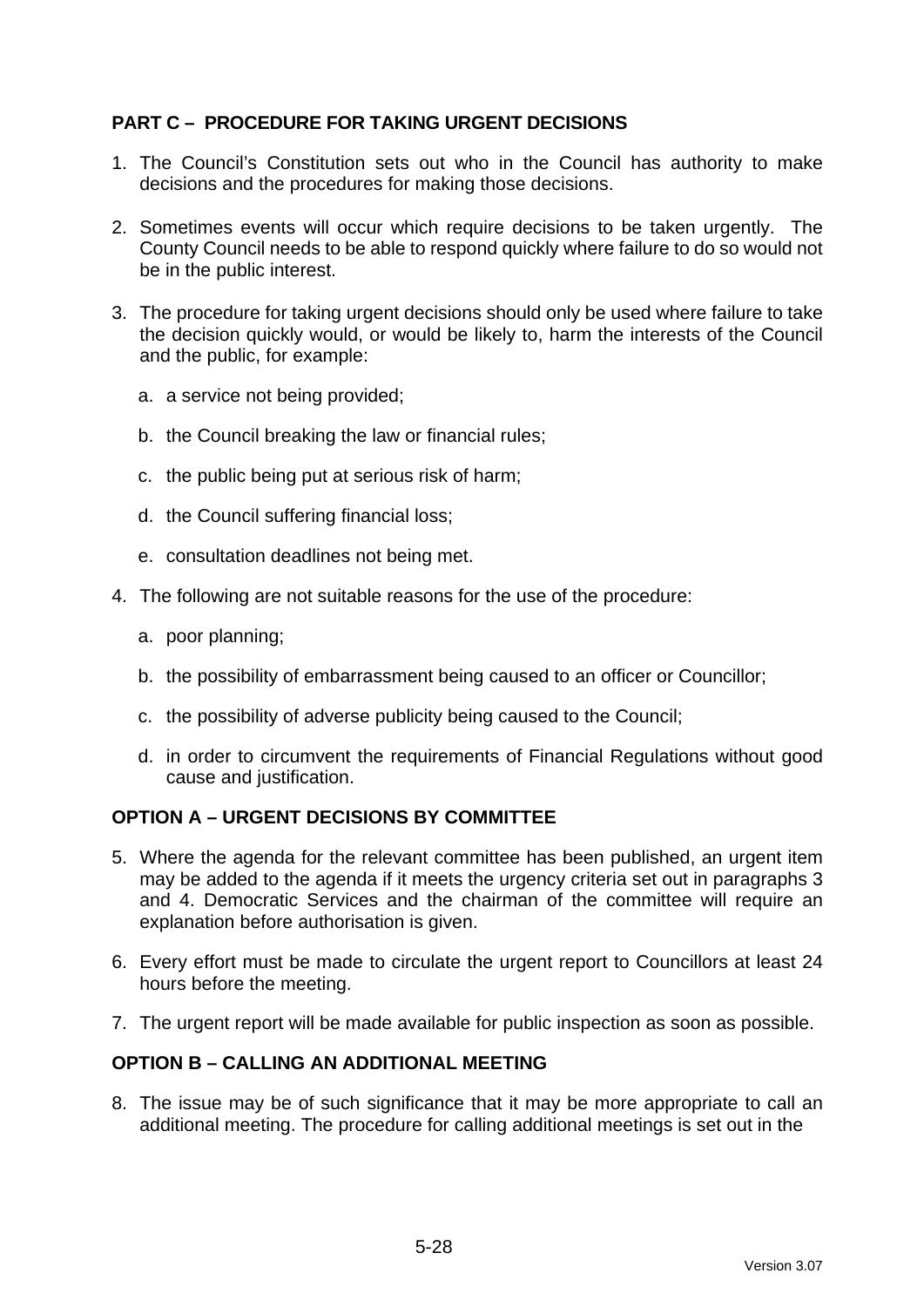## **PART C – PROCEDURE FOR TAKING URGENT DECISIONS**

- 1. The Council's Constitution sets out who in the Council has authority to make decisions and the procedures for making those decisions.
- 2. Sometimes events will occur which require decisions to be taken urgently. The County Council needs to be able to respond quickly where failure to do so would not be in the public interest.
- <span id="page-73-0"></span>3. The procedure for taking urgent decisions should only be used where failure to take the decision quickly would, or would be likely to, harm the interests of the Council and the public, for example:
	- a. a service not being provided;
	- b. the Council breaking the law or financial rules;
	- c. the public being put at serious risk of harm;
	- d. the Council suffering financial loss;
	- e. consultation deadlines not being met.
- <span id="page-73-1"></span>4. The following are not suitable reasons for the use of the procedure:
	- a. poor planning;
	- b. the possibility of embarrassment being caused to an officer or Councillor;
	- c. the possibility of adverse publicity being caused to the Council;
	- d. in order to circumvent the requirements of Financial Regulations without good cause and justification.

#### **OPTION A – URGENT DECISIONS BY COMMITTEE**

- 5. Where the agenda for the relevant committee has been published, an urgent item may be added to the agenda if it meets the urgency criteria set out in paragraphs 3 and 4. Democratic Services and the chairman of the committee will require an explanation before authorisation is given.
- 6. Every effort must be made to circulate the urgent report to Councillors at least 24 hours before the meeting.
- 7. The urgent report will be made available for public inspection as soon as possible.

#### **OPTION B – CALLING AN ADDITIONAL MEETING**

8. The issue may be of such significance that it may be more appropriate to call an additional meeting. The procedure for calling additional meetings is set out in the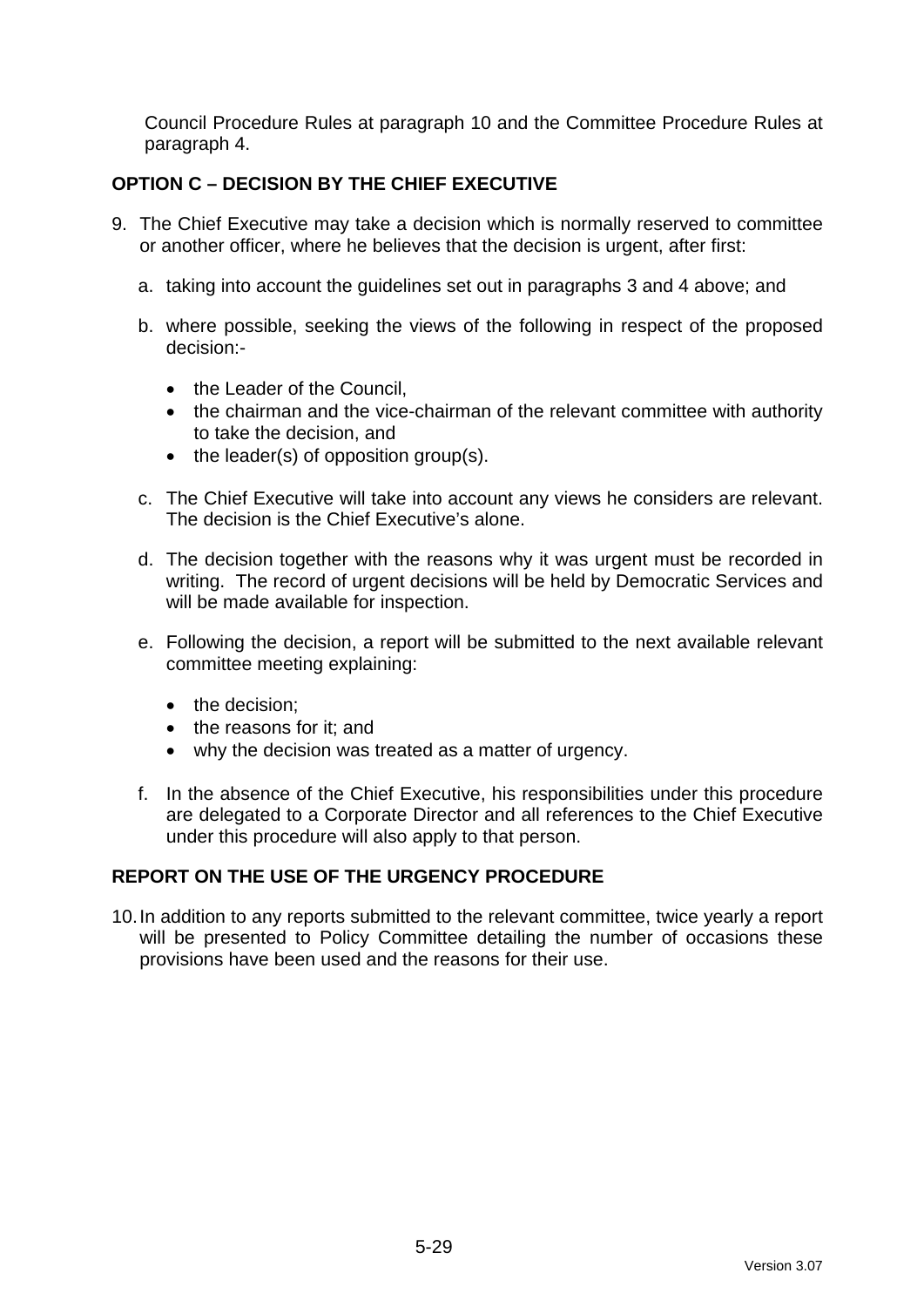Council Procedure Rules at paragraph 10 and the Committee Procedure Rules at paragraph 4.

## **OPTION C – DECISION BY THE CHIEF EXECUTIVE**

- 9. The Chief Executive may take a decision which is normally reserved to committee or another officer, where he believes that the decision is urgent, after first:
	- a. taking into account the guidelines set out in paragraphs [3](#page-73-0) and [4](#page-73-1) above; and
	- b. where possible, seeking the views of the following in respect of the proposed decision:-
		- the Leader of the Council.
		- the chairman and the vice-chairman of the relevant committee with authority to take the decision, and
		- the leader(s) of opposition group(s).
	- c. The Chief Executive will take into account any views he considers are relevant. The decision is the Chief Executive's alone.
	- d. The decision together with the reasons why it was urgent must be recorded in writing. The record of urgent decisions will be held by Democratic Services and will be made available for inspection.
	- e. Following the decision, a report will be submitted to the next available relevant committee meeting explaining:
		- the decision:
		- the reasons for it: and
		- why the decision was treated as a matter of urgency.
	- f. In the absence of the Chief Executive, his responsibilities under this procedure are delegated to a Corporate Director and all references to the Chief Executive under this procedure will also apply to that person.

#### **REPORT ON THE USE OF THE URGENCY PROCEDURE**

10.In addition to any reports submitted to the relevant committee, twice yearly a report will be presented to Policy Committee detailing the number of occasions these provisions have been used and the reasons for their use.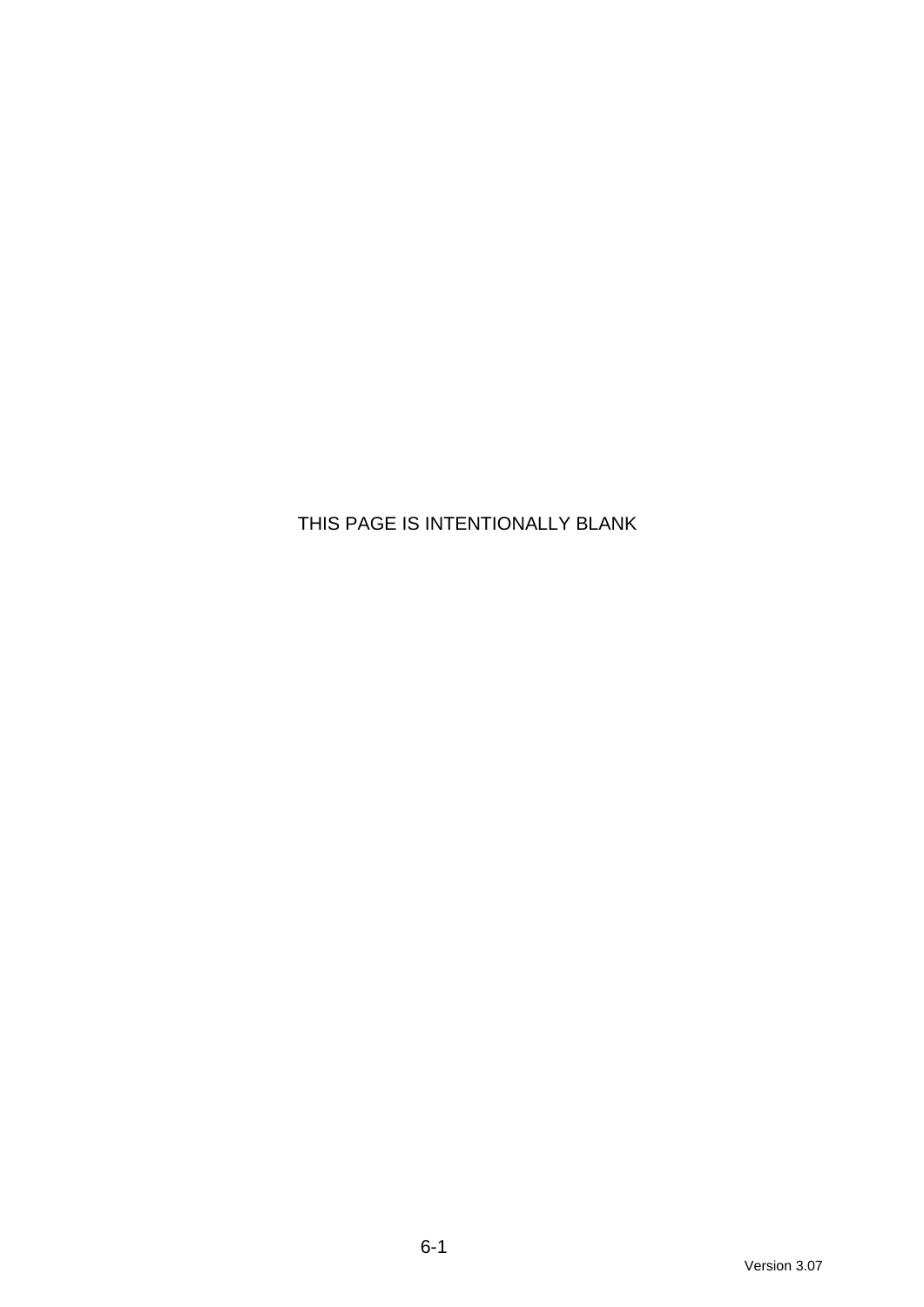# THIS PAGE IS INTENTIONALLY BLANK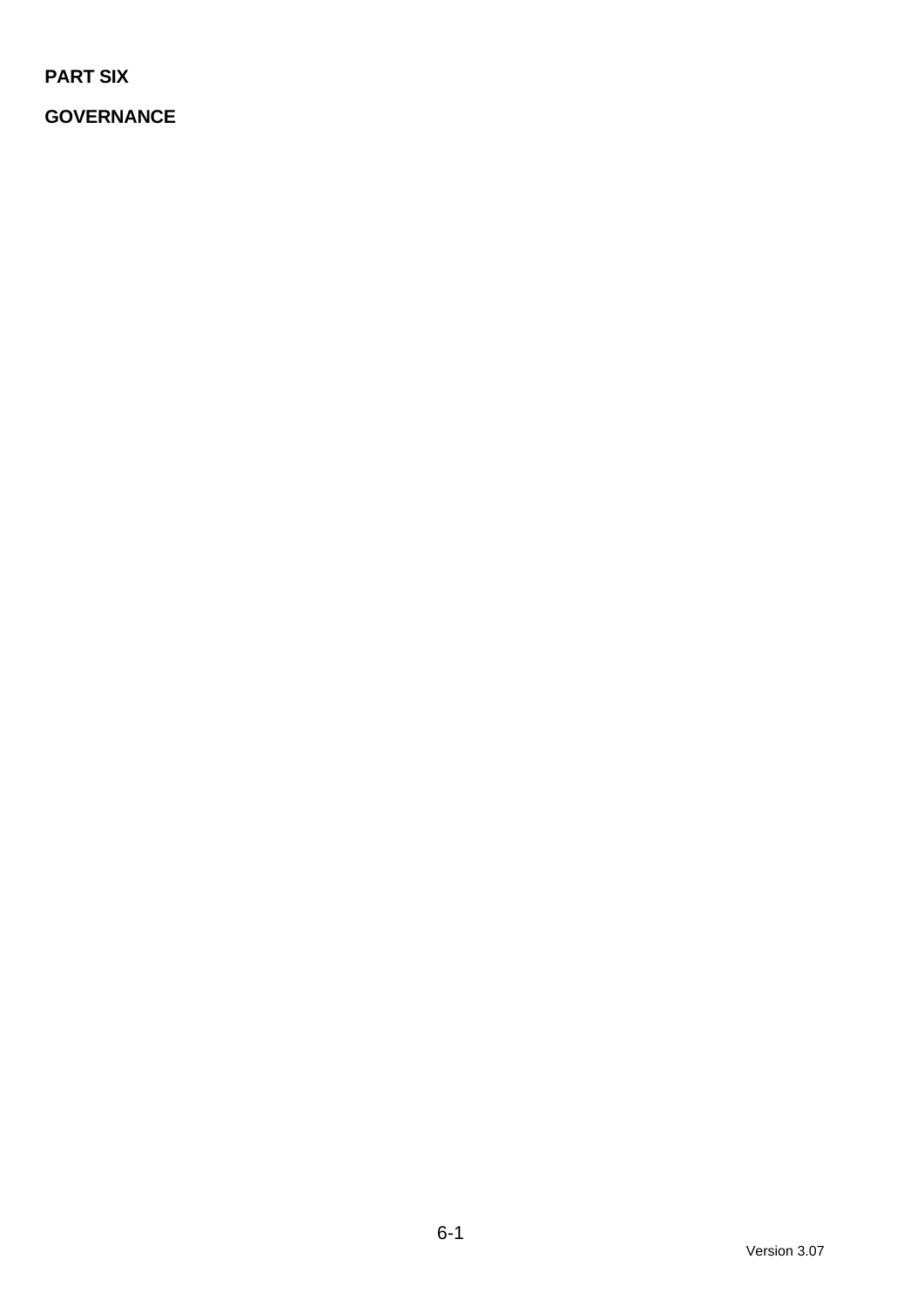**PART SIX**

**GOVERNANCE**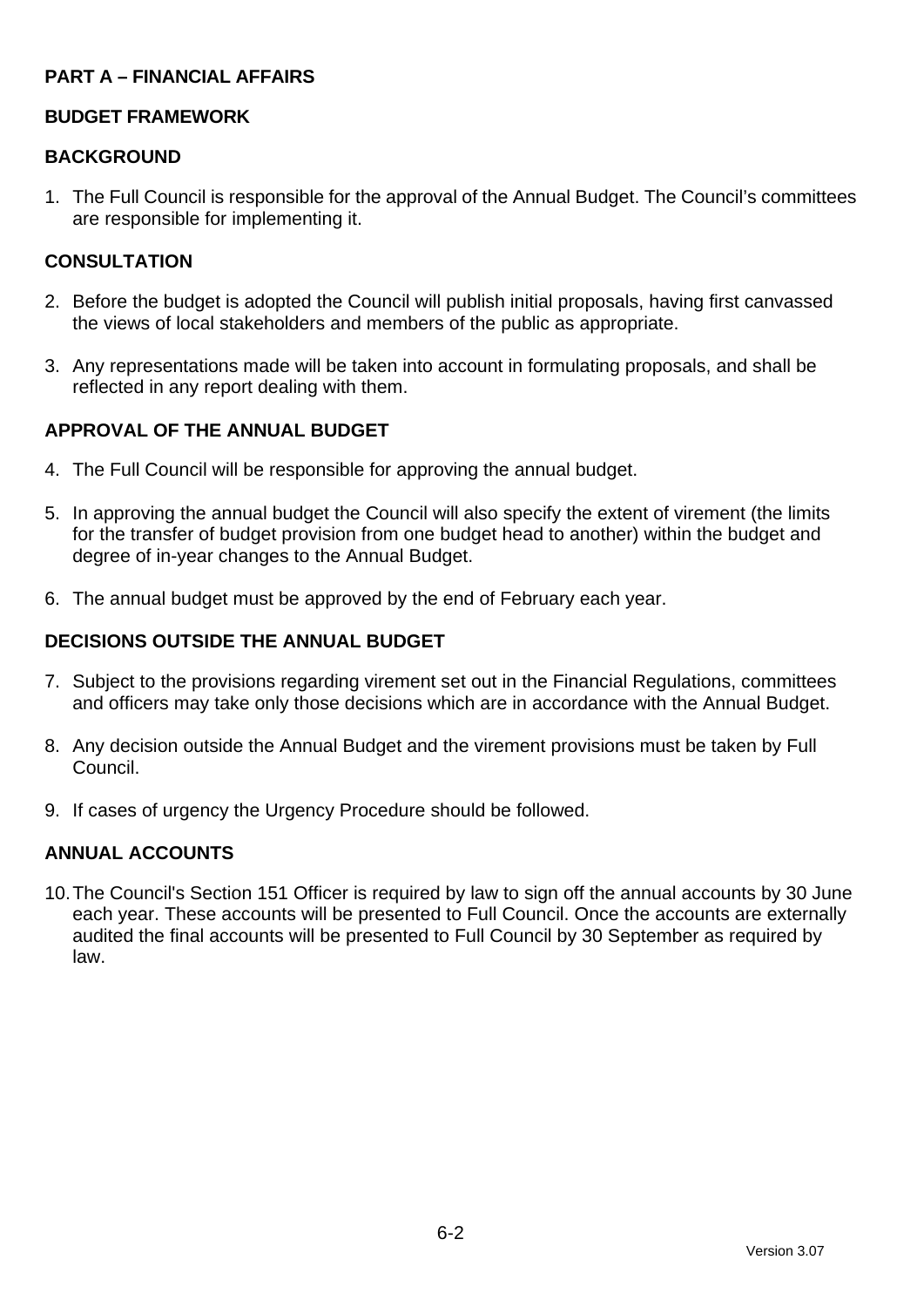## **PART A – FINANCIAL AFFAIRS**

## **BUDGET FRAMEWORK**

## **BACKGROUND**

1. The Full Council is responsible for the approval of the Annual Budget. The Council's committees are responsible for implementing it.

## **CONSULTATION**

- 2. Before the budget is adopted the Council will publish initial proposals, having first canvassed the views of local stakeholders and members of the public as appropriate.
- 3. Any representations made will be taken into account in formulating proposals, and shall be reflected in any report dealing with them.

## **APPROVAL OF THE ANNUAL BUDGET**

- 4. The Full Council will be responsible for approving the annual budget.
- 5. In approving the annual budget the Council will also specify the extent of virement (the limits for the transfer of budget provision from one budget head to another) within the budget and degree of in-year changes to the Annual Budget.
- 6. The annual budget must be approved by the end of February each year.

## **DECISIONS OUTSIDE THE ANNUAL BUDGET**

- 7. Subject to the provisions regarding virement set out in the Financial Regulations, committees and officers may take only those decisions which are in accordance with the Annual Budget.
- 8. Any decision outside the Annual Budget and the virement provisions must be taken by Full Council.
- 9. If cases of urgency the Urgency Procedure should be followed.

## **ANNUAL ACCOUNTS**

10.The Council's Section 151 Officer is required by law to sign off the annual accounts by 30 June each year. These accounts will be presented to Full Council. Once the accounts are externally audited the final accounts will be presented to Full Council by 30 September as required by law.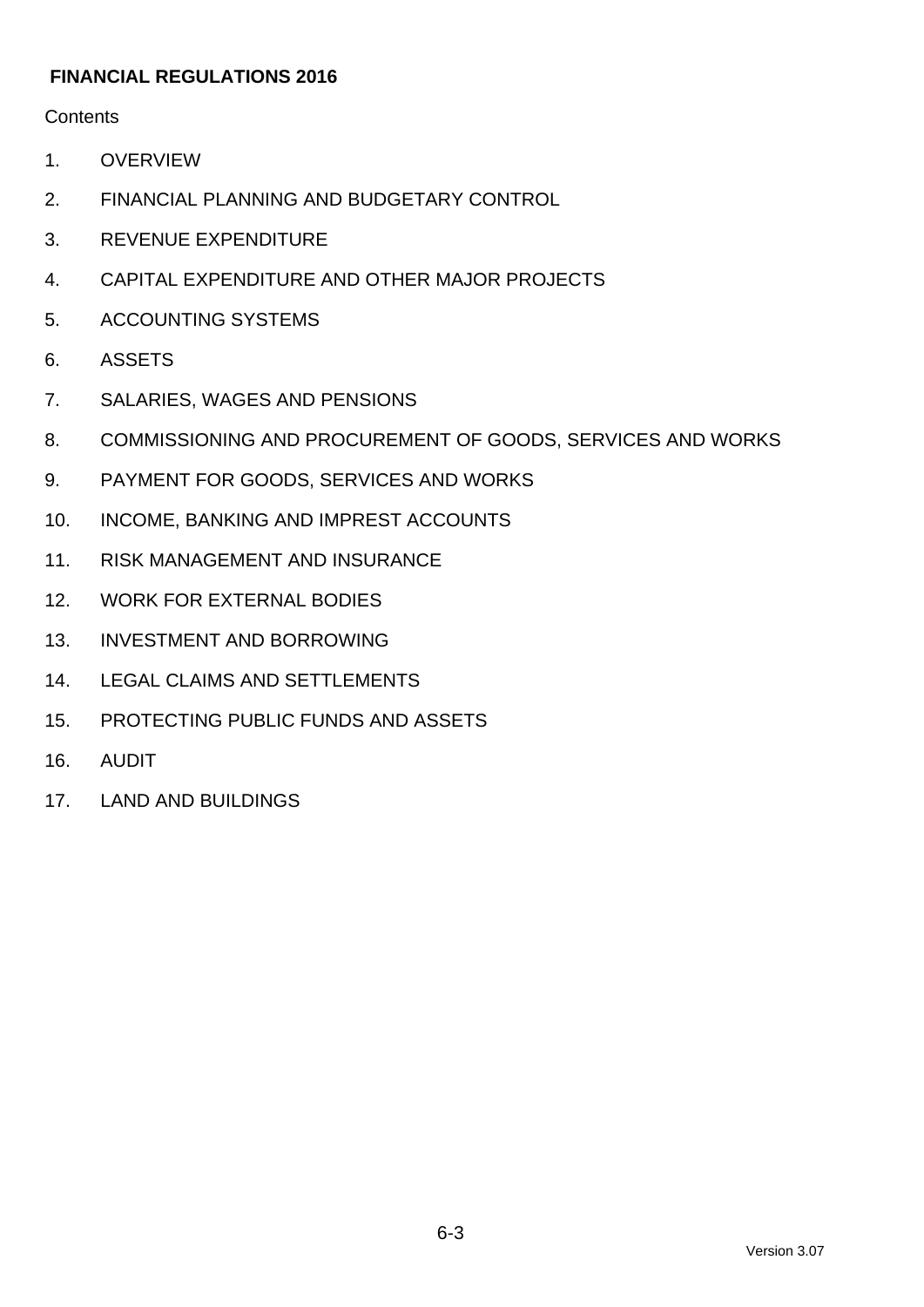## **FINANCIAL REGULATIONS 2016**

## **Contents**

- 1. [OVERVIEW](#page-79-0)
- 2. [FINANCIAL PLANNING AND BUDGETARY CONTROL](#page-80-0)
- 3. [REVENUE EXPENDITURE](#page-81-0)
- 4. [CAPITAL EXPENDITURE AND OTHER MAJOR PROJECTS](#page-85-0)
- 5. [ACCOUNTING SYSTEMS](#page-89-0)
- 6. [ASSETS](#page-90-0)
- 7. [SALARIES, WAGES AND PENSIONS](#page-92-0)
- 8. [COMMISSIONING AND PROCUREMENT OF GOODS, SERVICES AND WORKS](#page-93-0)
- 9. [PAYMENT FOR GOODS, SERVICES AND WORKS](#page-102-0)
- 10. [INCOME, BANKING AND IMPREST ACCOUNTS](#page-104-0)
- 11. [RISK MANAGEMENT AND INSURANCE](#page-107-0)
- 12. [WORK FOR EXTERNAL BODIES](#page-107-1)
- 13. [INVESTMENT AND BORROWING](#page-110-0)
- 14. [LEGAL CLAIMS AND SETTLEMENTS](#page-111-0)
- 15. [PROTECTING PUBLIC FUNDS AND ASSETS](#page-111-1)
- 16. [AUDIT](#page-111-2)
- 17. [LAND AND BUILDINGS](#page-112-0)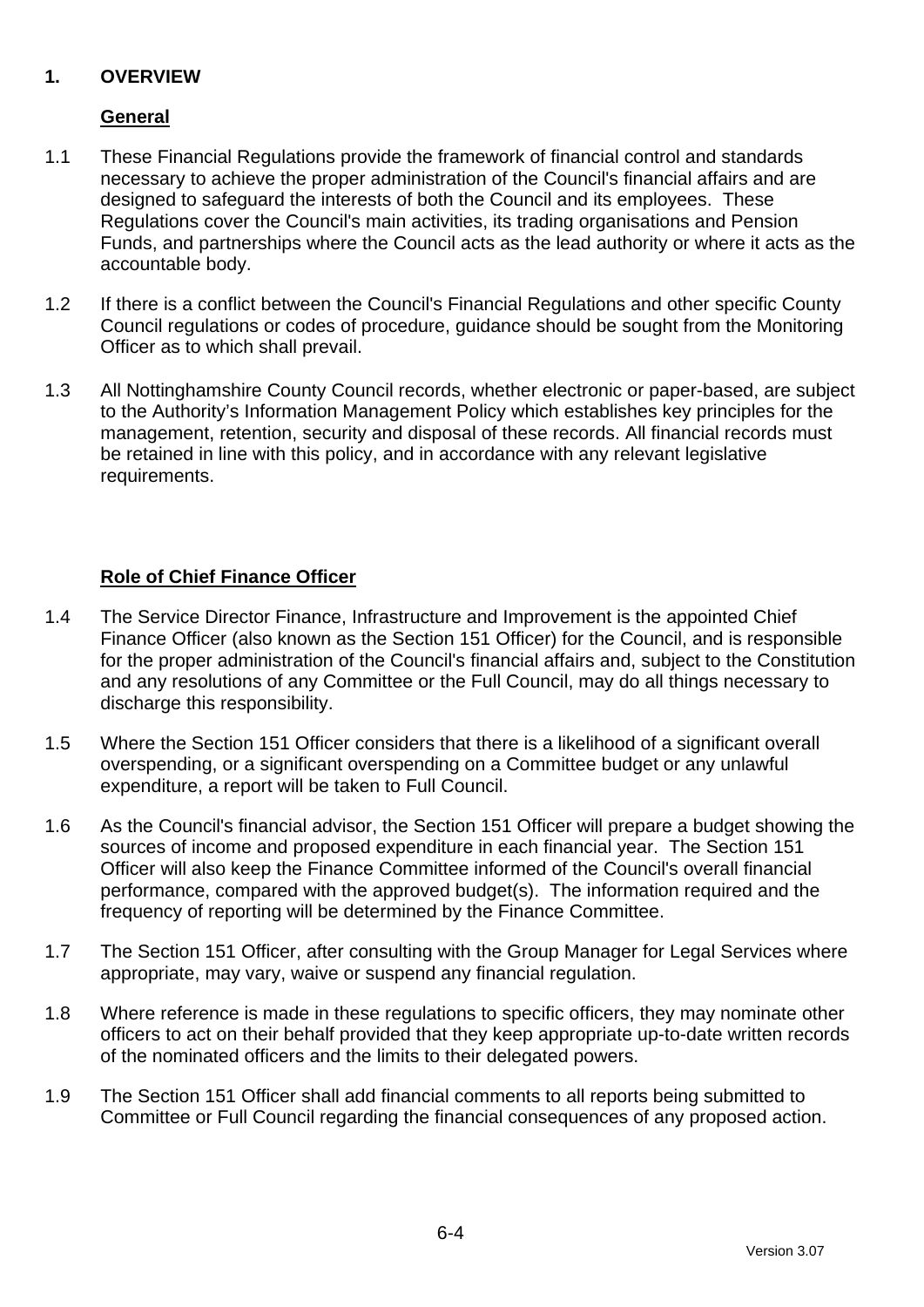# <span id="page-79-0"></span>**1. OVERVIEW**

# **General**

- 1.1 These Financial Regulations provide the framework of financial control and standards necessary to achieve the proper administration of the Council's financial affairs and are designed to safeguard the interests of both the Council and its employees. These Regulations cover the Council's main activities, its trading organisations and Pension Funds, and partnerships where the Council acts as the lead authority or where it acts as the accountable body.
- 1.2 If there is a conflict between the Council's Financial Regulations and other specific County Council regulations or codes of procedure, guidance should be sought from the Monitoring Officer as to which shall prevail.
- 1.3 All Nottinghamshire County Council records, whether electronic or paper-based, are subject to the Authority's Information Management Policy which establishes key principles for the management, retention, security and disposal of these records. All financial records must be retained in line with this policy, and in accordance with any relevant legislative requirements.

# **Role of Chief Finance Officer**

- 1.4 The Service Director Finance, Infrastructure and Improvement is the appointed Chief Finance Officer (also known as the Section 151 Officer) for the Council, and is responsible for the proper administration of the Council's financial affairs and, subject to the Constitution and any resolutions of any Committee or the Full Council, may do all things necessary to discharge this responsibility.
- 1.5 Where the Section 151 Officer considers that there is a likelihood of a significant overall overspending, or a significant overspending on a Committee budget or any unlawful expenditure, a report will be taken to Full Council.
- 1.6 As the Council's financial advisor, the Section 151 Officer will prepare a budget showing the sources of income and proposed expenditure in each financial year. The Section 151 Officer will also keep the Finance Committee informed of the Council's overall financial performance, compared with the approved budget(s). The information required and the frequency of reporting will be determined by the Finance Committee.
- 1.7 The Section 151 Officer, after consulting with the Group Manager for Legal Services where appropriate, may vary, waive or suspend any financial regulation.
- 1.8 Where reference is made in these regulations to specific officers, they may nominate other officers to act on their behalf provided that they keep appropriate up-to-date written records of the nominated officers and the limits to their delegated powers.
- 1.9 The Section 151 Officer shall add financial comments to all reports being submitted to Committee or Full Council regarding the financial consequences of any proposed action.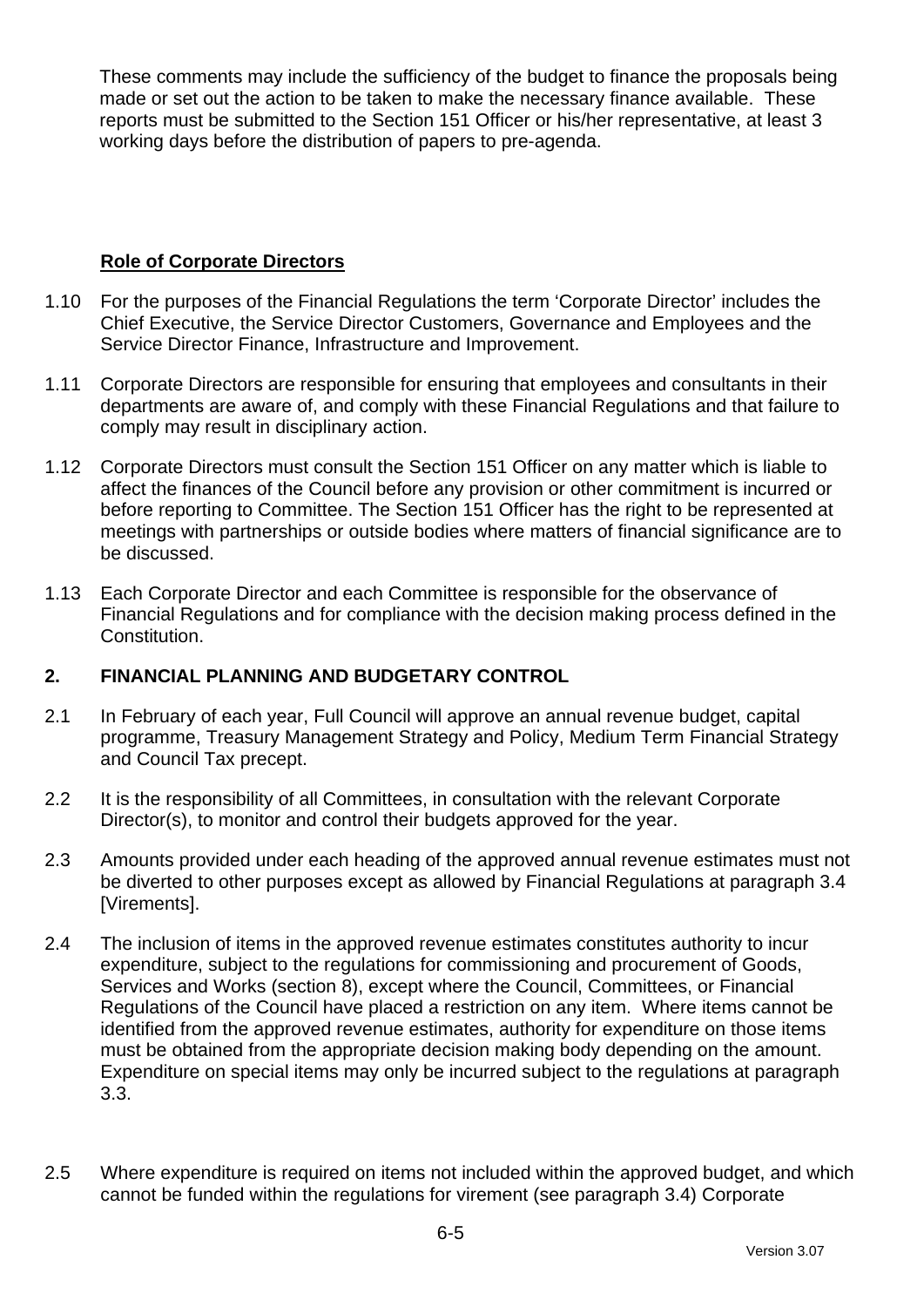These comments may include the sufficiency of the budget to finance the proposals being made or set out the action to be taken to make the necessary finance available. These reports must be submitted to the Section 151 Officer or his/her representative, at least 3 working days before the distribution of papers to pre-agenda.

## **Role of Corporate Directors**

- 1.10 For the purposes of the Financial Regulations the term 'Corporate Director' includes the Chief Executive, the Service Director Customers, Governance and Employees and the Service Director Finance, Infrastructure and Improvement.
- 1.11 Corporate Directors are responsible for ensuring that employees and consultants in their departments are aware of, and comply with these Financial Regulations and that failure to comply may result in disciplinary action.
- 1.12 Corporate Directors must consult the Section 151 Officer on any matter which is liable to affect the finances of the Council before any provision or other commitment is incurred or before reporting to Committee. The Section 151 Officer has the right to be represented at meetings with partnerships or outside bodies where matters of financial significance are to be discussed.
- 1.13 Each Corporate Director and each Committee is responsible for the observance of Financial Regulations and for compliance with the decision making process defined in the Constitution.

## <span id="page-80-0"></span>**2. FINANCIAL PLANNING AND BUDGETARY CONTROL**

- 2.1 In February of each year, Full Council will approve an annual revenue budget, capital programme, Treasury Management Strategy and Policy, Medium Term Financial Strategy and Council Tax precept.
- 2.2 It is the responsibility of all Committees, in consultation with the relevant Corporate Director(s), to monitor and control their budgets approved for the year.
- 2.3 Amounts provided under each heading of the approved annual revenue estimates must not be diverted to other purposes except as allowed by Financial Regulations at paragraph [3.4](#page-84-0) [Virements].
- 2.4 The inclusion of items in the approved revenue estimates constitutes authority to incur expenditure, subject to the regulations for commissioning and procurement of Goods, Services and Works (section [8\)](#page-93-0), except where the Council, Committees, or Financial Regulations of the Council have placed a restriction on any item. Where items cannot be identified from the approved revenue estimates, authority for expenditure on those items must be obtained from the appropriate decision making body depending on the amount. Expenditure on special items may only be incurred subject to the regulations at paragraph [3.3.](#page-82-0)
- 2.5 Where expenditure is required on items not included within the approved budget, and which cannot be funded within the regulations for virement (see paragraph [3.4\)](#page-84-0) Corporate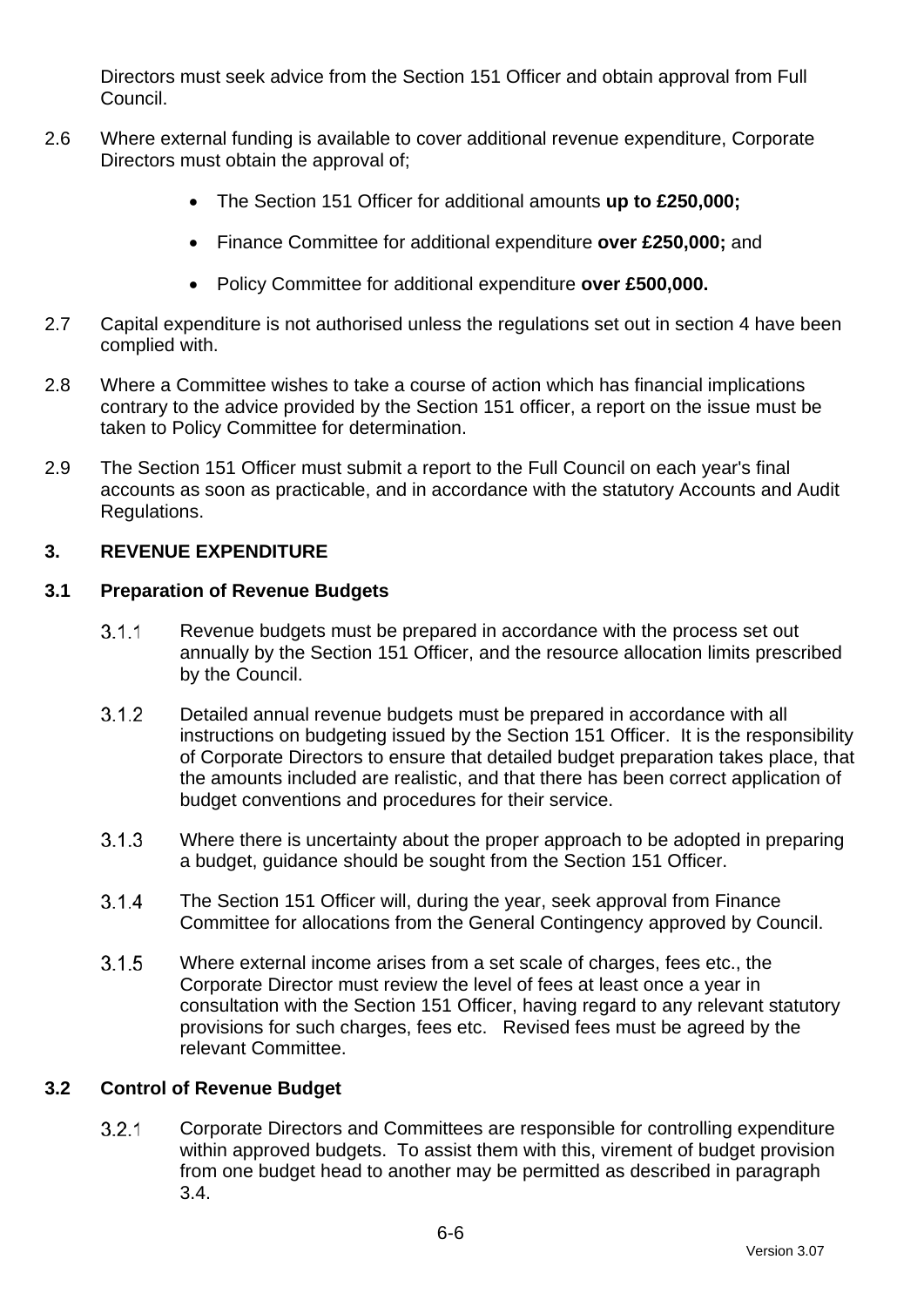Directors must seek advice from the Section 151 Officer and obtain approval from Full Council.

- 2.6 Where external funding is available to cover additional revenue expenditure, Corporate Directors must obtain the approval of;
	- The Section 151 Officer for additional amounts **up to £250,000;**
	- Finance Committee for additional expenditure **over £250,000;** and
	- Policy Committee for additional expenditure **over £500,000.**
- 2.7 Capital expenditure is not authorised unless the regulations set out in section [4](#page-85-0) have been complied with.
- 2.8 Where a Committee wishes to take a course of action which has financial implications contrary to the advice provided by the Section 151 officer, a report on the issue must be taken to Policy Committee for determination.
- 2.9 The Section 151 Officer must submit a report to the Full Council on each year's final accounts as soon as practicable, and in accordance with the statutory Accounts and Audit Regulations.

## <span id="page-81-0"></span>**3. REVENUE EXPENDITURE**

## **3.1 Preparation of Revenue Budgets**

- $3.1.1$ Revenue budgets must be prepared in accordance with the process set out annually by the Section 151 Officer, and the resource allocation limits prescribed by the Council.
- $3.1.2$ Detailed annual revenue budgets must be prepared in accordance with all instructions on budgeting issued by the Section 151 Officer. It is the responsibility of Corporate Directors to ensure that detailed budget preparation takes place, that the amounts included are realistic, and that there has been correct application of budget conventions and procedures for their service.
- $3.1.3$ Where there is uncertainty about the proper approach to be adopted in preparing a budget, guidance should be sought from the Section 151 Officer.
- $3.1.4$ The Section 151 Officer will, during the year, seek approval from Finance Committee for allocations from the General Contingency approved by Council.
- $3.1.5$ Where external income arises from a set scale of charges, fees etc., the Corporate Director must review the level of fees at least once a year in consultation with the Section 151 Officer, having regard to any relevant statutory provisions for such charges, fees etc. Revised fees must be agreed by the relevant Committee.

## **3.2 Control of Revenue Budget**

 $3.2.1$ Corporate Directors and Committees are responsible for controlling expenditure within approved budgets. To assist them with this, virement of budget provision from one budget head to another may be permitted as described in paragraph [3.4.](#page-84-0)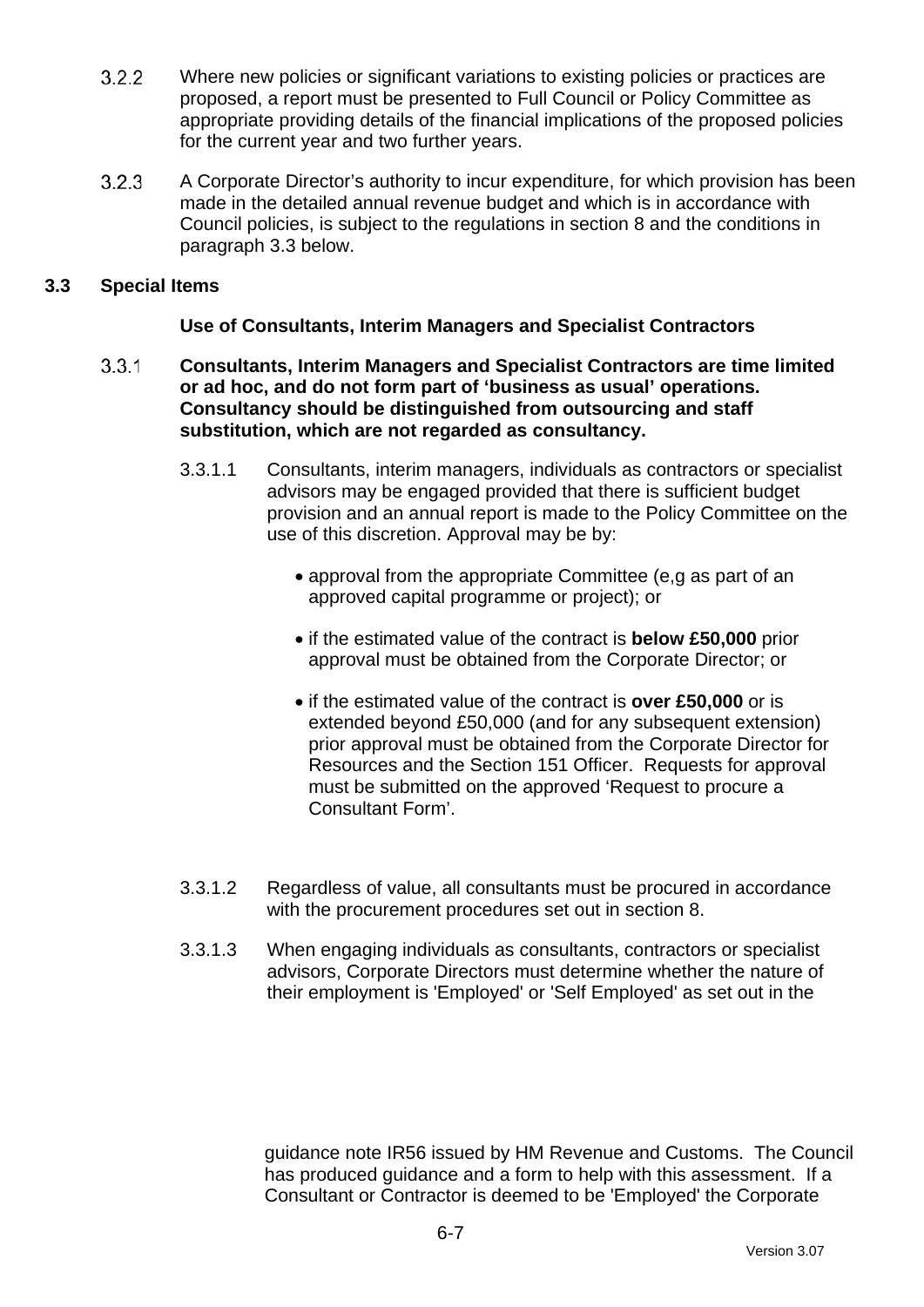- $3.2.2$ Where new policies or significant variations to existing policies or practices are proposed, a report must be presented to Full Council or Policy Committee as appropriate providing details of the financial implications of the proposed policies for the current year and two further years.
- $3.2.3$ A Corporate Director's authority to incur expenditure, for which provision has been made in the detailed annual revenue budget and which is in accordance with Council policies, is subject to the regulations in section [8](#page-93-0) and the conditions in paragraph [3.3](#page-82-0) below.

## <span id="page-82-0"></span>**3.3 Special Items**

## **Use of Consultants, Interim Managers and Specialist Contractors**

- $3.3.1$ **Consultants, Interim Managers and Specialist Contractors are time limited or ad hoc, and do not form part of 'business as usual' operations. Consultancy should be distinguished from outsourcing and staff substitution, which are not regarded as consultancy.**
	- 3.3.1.1 Consultants, interim managers, individuals as contractors or specialist advisors may be engaged provided that there is sufficient budget provision and an annual report is made to the Policy Committee on the use of this discretion. Approval may be by:
		- approval from the appropriate Committee (e,g as part of an approved capital programme or project); or
		- if the estimated value of the contract is **below £50,000** prior approval must be obtained from the Corporate Director; or
		- if the estimated value of the contract is **over £50,000** or is extended beyond £50,000 (and for any subsequent extension) prior approval must be obtained from the Corporate Director for Resources and the Section 151 Officer. Requests for approval must be submitted on the approved 'Request to procure a Consultant Form'.
	- 3.3.1.2 Regardless of value, all consultants must be procured in accordance with the procurement procedures set out in section [8.](#page-93-0)
	- 3.3.1.3 When engaging individuals as consultants, contractors or specialist advisors, Corporate Directors must determine whether the nature of their employment is 'Employed' or 'Self Employed' as set out in the

<span id="page-82-1"></span>guidance note IR56 issued by HM Revenue and Customs. The Council has produced guidance and a form to help with this assessment. If a Consultant or Contractor is deemed to be 'Employed' the Corporate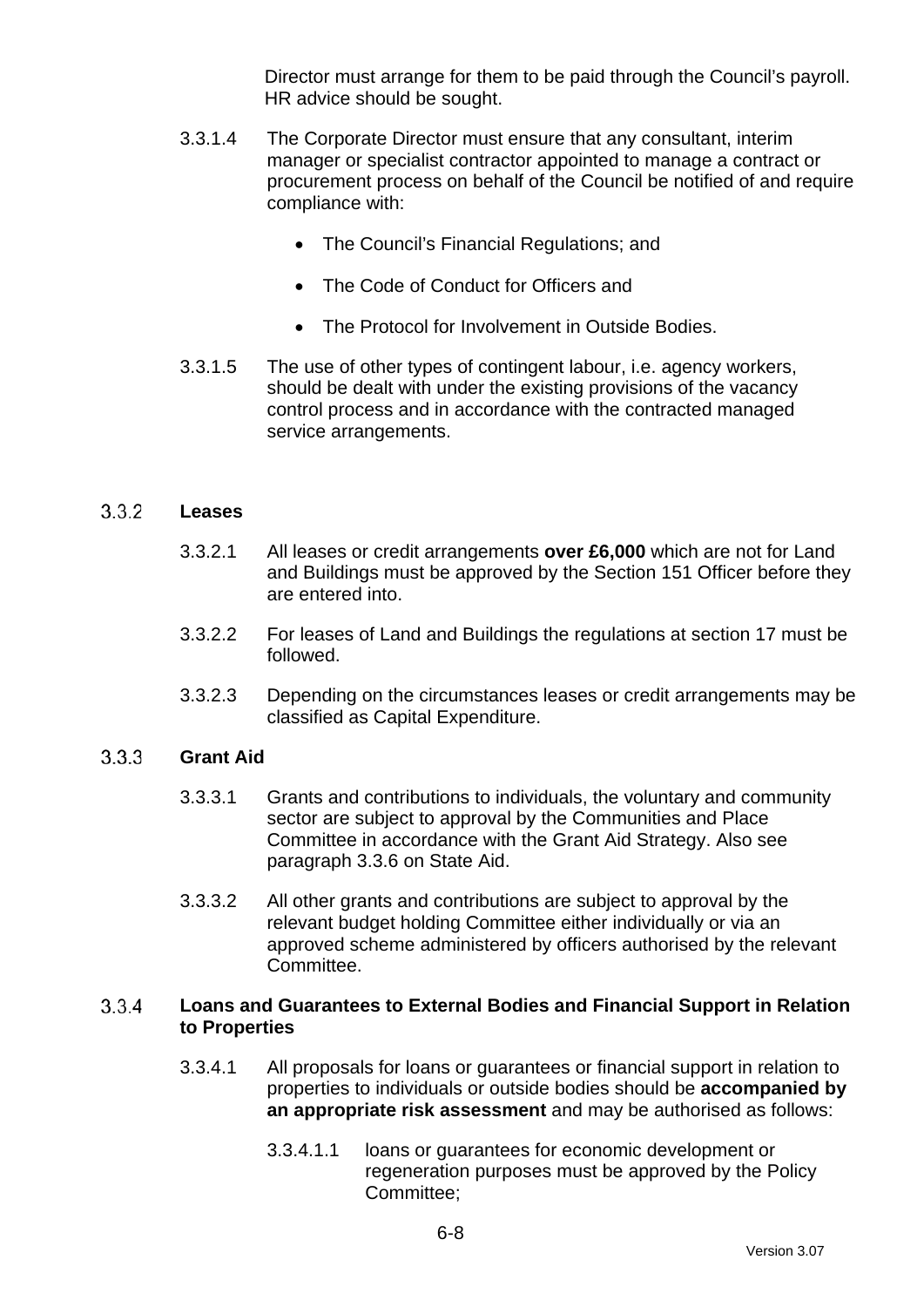Director must arrange for them to be paid through the Council's payroll. HR advice should be sought.

- 3.3.1.4 The Corporate Director must ensure that any consultant, interim manager or specialist contractor appointed to manage a contract or procurement process on behalf of the Council be notified of and require compliance with:
	- The Council's Financial Regulations; and
	- The Code of Conduct for Officers and
	- The Protocol for Involvement in Outside Bodies.
- 3.3.1.5 The use of other types of contingent labour, i.e. agency workers, should be dealt with under the existing provisions of the vacancy control process and in accordance with the contracted managed service arrangements.

#### <span id="page-83-0"></span> $3.3.2$ **Leases**

- 3.3.2.1 All leases or credit arrangements **over £6,000** which are not for Land and Buildings must be approved by the Section 151 Officer before they are entered into.
- 3.3.2.2 For leases of Land and Buildings the regulations at section [17](#page-112-0) must be followed.
- 3.3.2.3 Depending on the circumstances leases or credit arrangements may be classified as Capital Expenditure.

#### $3.3.3$ **Grant Aid**

- 3.3.3.1 Grants and contributions to individuals, the voluntary and community sector are subject to approval by the Communities and Place Committee in accordance with the Grant Aid Strategy. Also see paragraph 3.3.6 on State Aid.
- 3.3.3.2 All other grants and contributions are subject to approval by the relevant budget holding Committee either individually or via an approved scheme administered by officers authorised by the relevant Committee.

#### $3.3.4$ **Loans and Guarantees to External Bodies and Financial Support in Relation to Properties**

- 3.3.4.1 All proposals for loans or guarantees or financial support in relation to properties to individuals or outside bodies should be **accompanied by an appropriate risk assessment** and may be authorised as follows:
	- 3.3.4.1.1 loans or guarantees for economic development or regeneration purposes must be approved by the Policy Committee;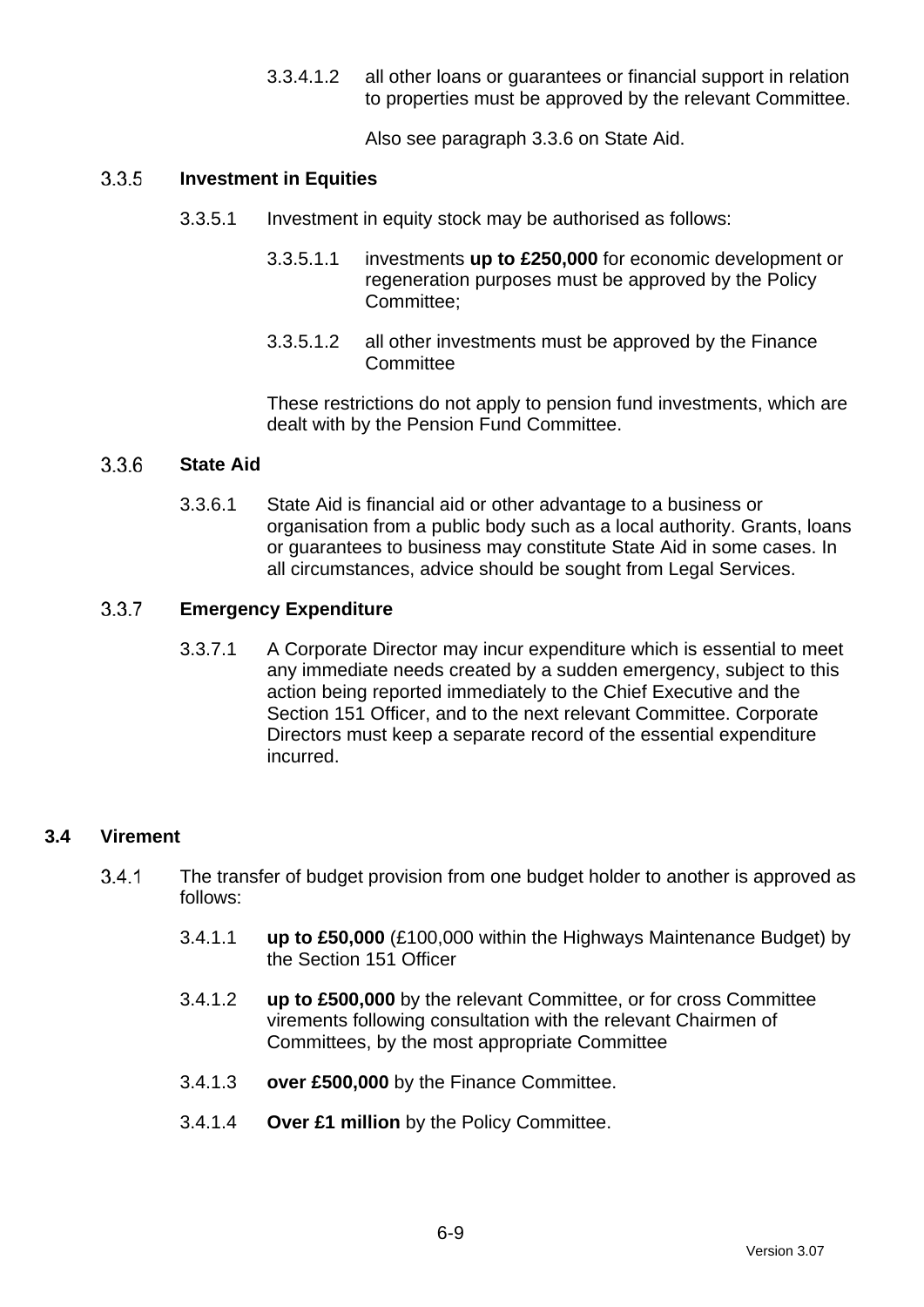3.3.4.1.2 all other loans or guarantees or financial support in relation to properties must be approved by the relevant Committee.

Also see paragraph 3.3.6 on State Aid.

#### $3.3.5$ **Investment in Equities**

- 3.3.5.1 Investment in equity stock may be authorised as follows:
	- 3.3.5.1.1 investments **up to £250,000** for economic development or regeneration purposes must be approved by the Policy Committee;
	- 3.3.5.1.2 all other investments must be approved by the Finance **Committee**

These restrictions do not apply to pension fund investments, which are dealt with by the Pension Fund Committee.

#### $3.3.6$ **State Aid**

3.3.6.1 State Aid is financial aid or other advantage to a business or organisation from a public body such as a local authority. Grants, loans or guarantees to business may constitute State Aid in some cases. In all circumstances, advice should be sought from Legal Services.

#### $3.3.7$ **Emergency Expenditure**

3.3.7.1 A Corporate Director may incur expenditure which is essential to meet any immediate needs created by a sudden emergency, subject to this action being reported immediately to the Chief Executive and the Section 151 Officer, and to the next relevant Committee. Corporate Directors must keep a separate record of the essential expenditure incurred.

#### <span id="page-84-0"></span>**3.4 Virement**

- $3.4.1$ The transfer of budget provision from one budget holder to another is approved as follows:
	- 3.4.1.1 **up to £50,000** (£100,000 within the Highways Maintenance Budget) by the Section 151 Officer
	- 3.4.1.2 **up to £500,000** by the relevant Committee, or for cross Committee virements following consultation with the relevant Chairmen of Committees, by the most appropriate Committee
	- 3.4.1.3 **over £500,000** by the Finance Committee.
	- 3.4.1.4 **Over £1 million** by the Policy Committee.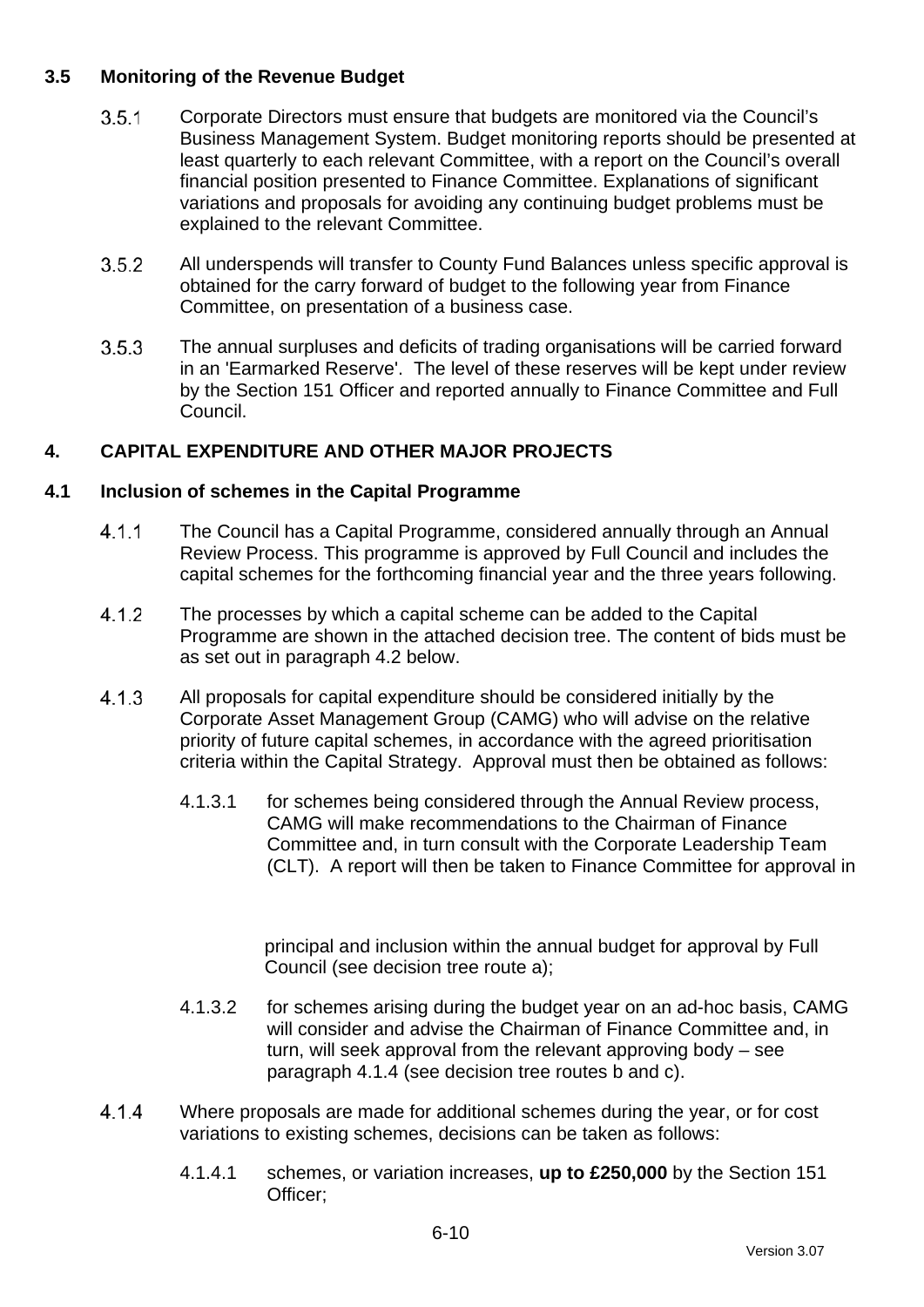## **3.5 Monitoring of the Revenue Budget**

- $3.5.1$ Corporate Directors must ensure that budgets are monitored via the Council's Business Management System. Budget monitoring reports should be presented at least quarterly to each relevant Committee, with a report on the Council's overall financial position presented to Finance Committee. Explanations of significant variations and proposals for avoiding any continuing budget problems must be explained to the relevant Committee.
- $3.5.2$ All underspends will transfer to County Fund Balances unless specific approval is obtained for the carry forward of budget to the following year from Finance Committee, on presentation of a business case.
- $3.5.3$ The annual surpluses and deficits of trading organisations will be carried forward in an 'Earmarked Reserve'. The level of these reserves will be kept under review by the Section 151 Officer and reported annually to Finance Committee and Full Council.

# <span id="page-85-0"></span>**4. CAPITAL EXPENDITURE AND OTHER MAJOR PROJECTS**

## <span id="page-85-3"></span>**4.1 Inclusion of schemes in the Capital Programme**

- $4.1.1$ The Council has a Capital Programme, considered annually through an Annual Review Process. This programme is approved by Full Council and includes the capital schemes for the forthcoming financial year and the three years following.
- $4.1.2$ The processes by which a capital scheme can be added to the Capital Programme are shown in the attached decision tree. The content of bids must be as set out in paragraph [4.2](#page-86-0) below.
- <span id="page-85-2"></span> $4.1.3$ All proposals for capital expenditure should be considered initially by the Corporate Asset Management Group (CAMG) who will advise on the relative priority of future capital schemes, in accordance with the agreed prioritisation criteria within the Capital Strategy. Approval must then be obtained as follows:
	- 4.1.3.1 for schemes being considered through the Annual Review process, CAMG will make recommendations to the Chairman of Finance Committee and, in turn consult with the Corporate Leadership Team (CLT). A report will then be taken to Finance Committee for approval in

principal and inclusion within the annual budget for approval by Full Council (see decision tree route a);

- 4.1.3.2 for schemes arising during the budget year on an ad-hoc basis, CAMG will consider and advise the Chairman of Finance Committee and, in turn, will seek approval from the relevant approving body – see paragraph [4.1.4](#page-85-1) (see decision tree routes b and c).
- <span id="page-85-1"></span>4 1 4 Where proposals are made for additional schemes during the year, or for cost variations to existing schemes, decisions can be taken as follows:
	- 4.1.4.1 schemes, or variation increases, **up to £250,000** by the Section 151 Officer;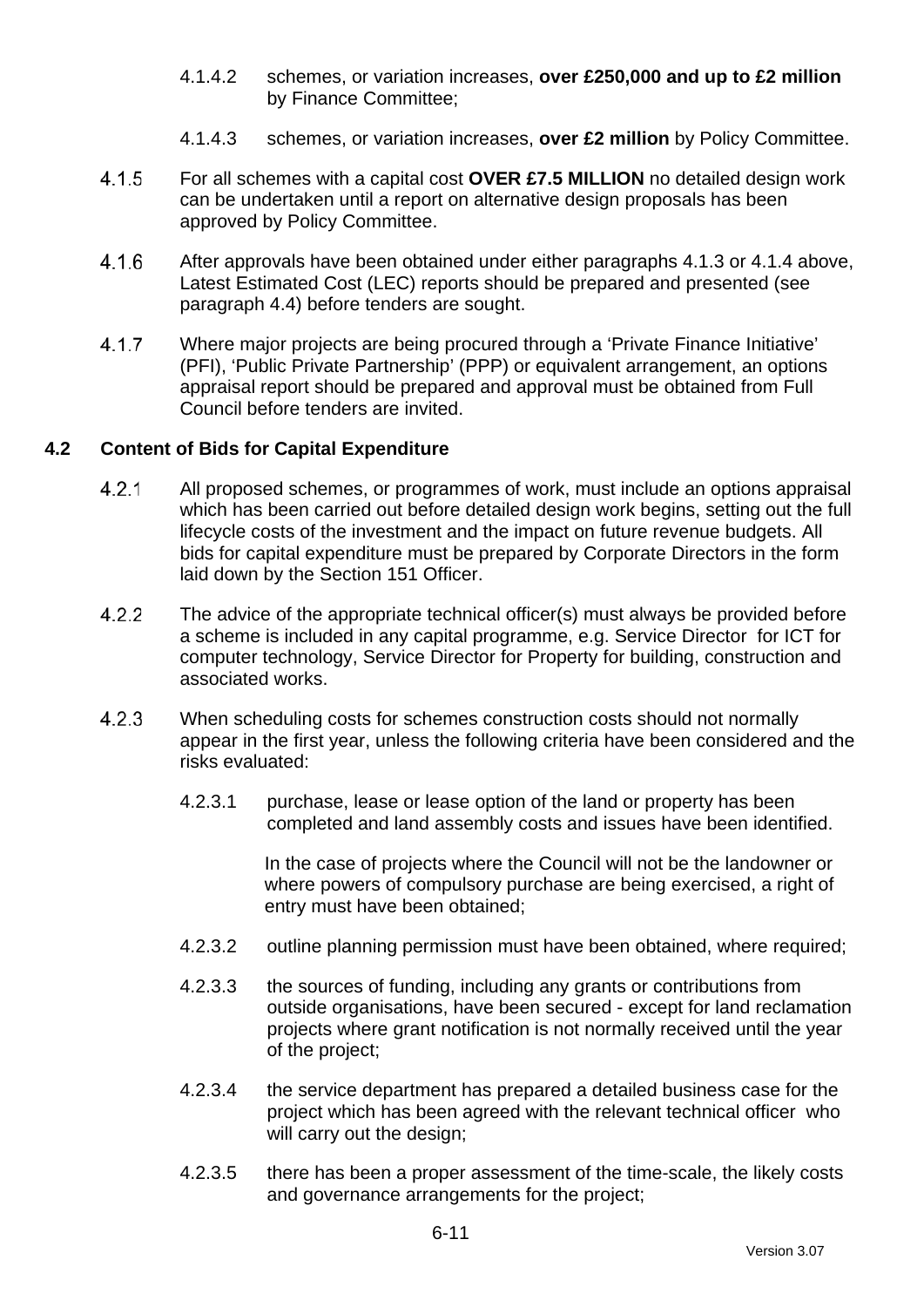- 4.1.4.2 schemes, or variation increases, **over £250,000 and up to £2 million** by Finance Committee;
- 4.1.4.3 schemes, or variation increases, **over £2 million** by Policy Committee.
- <span id="page-86-1"></span> $4.1.5$ For all schemes with a capital cost **OVER £7.5 MILLION** no detailed design work can be undertaken until a report on alternative design proposals has been approved by Policy Committee.
- $4.1.6$ After approvals have been obtained under either paragraphs [4.1.3](#page-85-2) or [4.1.4](#page-85-1) above, Latest Estimated Cost (LEC) reports should be prepared and presented (see paragraph [4.4\)](#page-87-0) before tenders are sought.
- $4.1.7$ Where major projects are being procured through a 'Private Finance Initiative' (PFI), 'Public Private Partnership' (PPP) or equivalent arrangement, an options appraisal report should be prepared and approval must be obtained from Full Council before tenders are invited.

## <span id="page-86-0"></span>**4.2 Content of Bids for Capital Expenditure**

- 421 All proposed schemes, or programmes of work, must include an options appraisal which has been carried out before detailed design work begins, setting out the full lifecycle costs of the investment and the impact on future revenue budgets. All bids for capital expenditure must be prepared by Corporate Directors in the form laid down by the Section 151 Officer.
- $4.2.2$ The advice of the appropriate technical officer(s) must always be provided before a scheme is included in any capital programme, e.g. Service Director for ICT for computer technology, Service Director for Property for building, construction and associated works.
- $4.2.3$ When scheduling costs for schemes construction costs should not normally appear in the first year, unless the following criteria have been considered and the risks evaluated:
	- 4.2.3.1 purchase, lease or lease option of the land or property has been completed and land assembly costs and issues have been identified.

In the case of projects where the Council will not be the landowner or where powers of compulsory purchase are being exercised, a right of entry must have been obtained;

- 4.2.3.2 outline planning permission must have been obtained, where required;
- 4.2.3.3 the sources of funding, including any grants or contributions from outside organisations, have been secured - except for land reclamation projects where grant notification is not normally received until the year of the project;
- 4.2.3.4 the service department has prepared a detailed business case for the project which has been agreed with the relevant technical officer who will carry out the design:
- 4.2.3.5 there has been a proper assessment of the time-scale, the likely costs and governance arrangements for the project;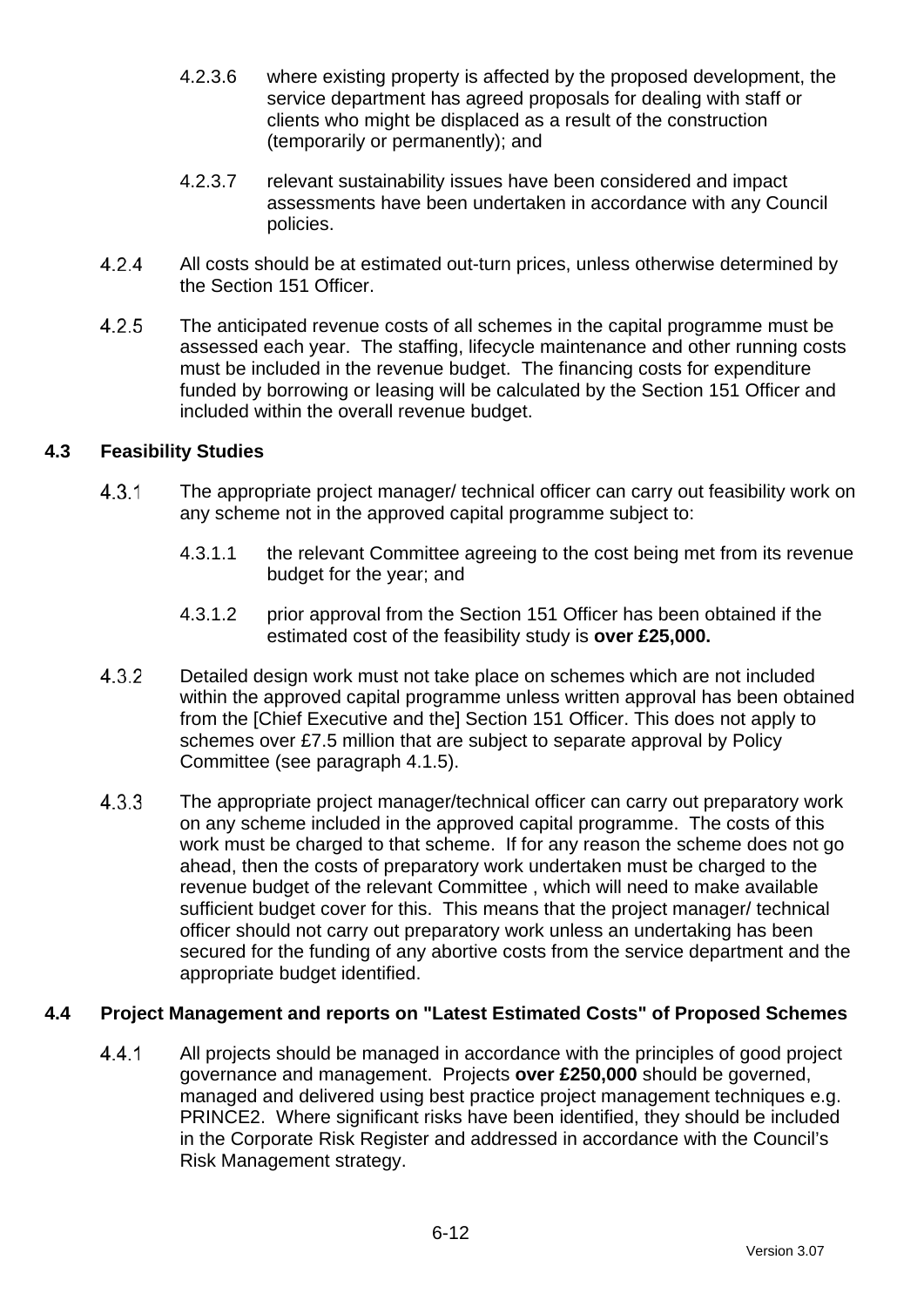- 4.2.3.6 where existing property is affected by the proposed development, the service department has agreed proposals for dealing with staff or clients who might be displaced as a result of the construction (temporarily or permanently); and
- 4.2.3.7 relevant sustainability issues have been considered and impact assessments have been undertaken in accordance with any Council policies.
- $4.2.4$ All costs should be at estimated out-turn prices, unless otherwise determined by the Section 151 Officer.
- $4.2.5$ The anticipated revenue costs of all schemes in the capital programme must be assessed each year. The staffing, lifecycle maintenance and other running costs must be included in the revenue budget. The financing costs for expenditure funded by borrowing or leasing will be calculated by the Section 151 Officer and included within the overall revenue budget.

## **4.3 Feasibility Studies**

- $4.3.1$ The appropriate project manager/ technical officer can carry out feasibility work on any scheme not in the approved capital programme subject to:
	- 4.3.1.1 the relevant Committee agreeing to the cost being met from its revenue budget for the year; and
	- 4.3.1.2 prior approval from the Section 151 Officer has been obtained if the estimated cost of the feasibility study is **over £25,000.**
- 432 Detailed design work must not take place on schemes which are not included within the approved capital programme unless written approval has been obtained from the [Chief Executive and the] Section 151 Officer. This does not apply to schemes over £7.5 million that are subject to separate approval by Policy Committee (see paragraph [4.1.5\)](#page-86-1).
- $4.3.3$ The appropriate project manager/technical officer can carry out preparatory work on any scheme included in the approved capital programme. The costs of this work must be charged to that scheme. If for any reason the scheme does not go ahead, then the costs of preparatory work undertaken must be charged to the revenue budget of the relevant Committee , which will need to make available sufficient budget cover for this. This means that the project manager/ technical officer should not carry out preparatory work unless an undertaking has been secured for the funding of any abortive costs from the service department and the appropriate budget identified.

#### <span id="page-87-0"></span>**4.4 Project Management and reports on "Latest Estimated Costs" of Proposed Schemes**

 $4.4.1$ All projects should be managed in accordance with the principles of good project governance and management. Projects **over £250,000** should be governed, managed and delivered using best practice project management techniques e.g. PRINCE2. Where significant risks have been identified, they should be included in the Corporate Risk Register and addressed in accordance with the Council's Risk Management strategy.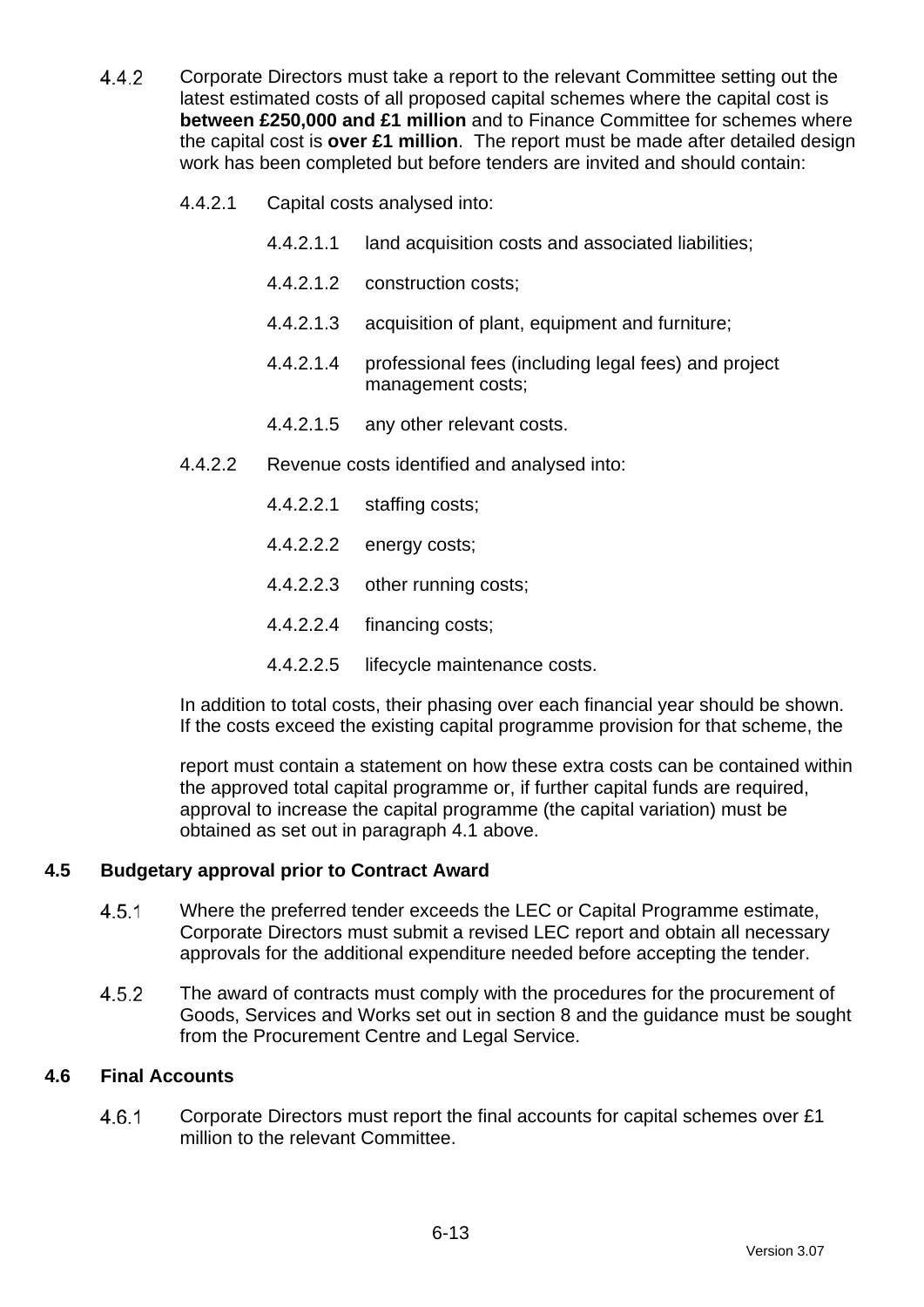- $4.4.2$ Corporate Directors must take a report to the relevant Committee setting out the latest estimated costs of all proposed capital schemes where the capital cost is **between £250,000 and £1 million** and to Finance Committee for schemes where the capital cost is **over £1 million**. The report must be made after detailed design work has been completed but before tenders are invited and should contain:
	- 4.4.2.1 Capital costs analysed into:
		- 4.4.2.1.1 land acquisition costs and associated liabilities;
		- 4.4.2.1.2 construction costs;
		- 4.4.2.1.3 acquisition of plant, equipment and furniture;
		- 4.4.2.1.4 professional fees (including legal fees) and project management costs;
		- 4.4.2.1.5 any other relevant costs.
	- 4.4.2.2 Revenue costs identified and analysed into:
		- 4.4.2.2.1 staffing costs;
		- 4.4.2.2.2 energy costs;
		- 4.4.2.2.3 other running costs;
		- 4.4.2.2.4 financing costs;
		- 4.4.2.2.5 lifecycle maintenance costs.

In addition to total costs, their phasing over each financial year should be shown. If the costs exceed the existing capital programme provision for that scheme, the

report must contain a statement on how these extra costs can be contained within the approved total capital programme or, if further capital funds are required, approval to increase the capital programme (the capital variation) must be obtained as set out in paragraph [4.1](#page-85-3) above.

#### **4.5 Budgetary approval prior to Contract Award**

- $4.5.1$ Where the preferred tender exceeds the LEC or Capital Programme estimate, Corporate Directors must submit a revised LEC report and obtain all necessary approvals for the additional expenditure needed before accepting the tender.
- $4.5.2$ The award of contracts must comply with the procedures for the procurement of Goods, Services and Works set out in section [8](#page-93-0) and the guidance must be sought from the Procurement Centre and Legal Service.

#### **4.6 Final Accounts**

4.6.1 Corporate Directors must report the final accounts for capital schemes over £1 million to the relevant Committee.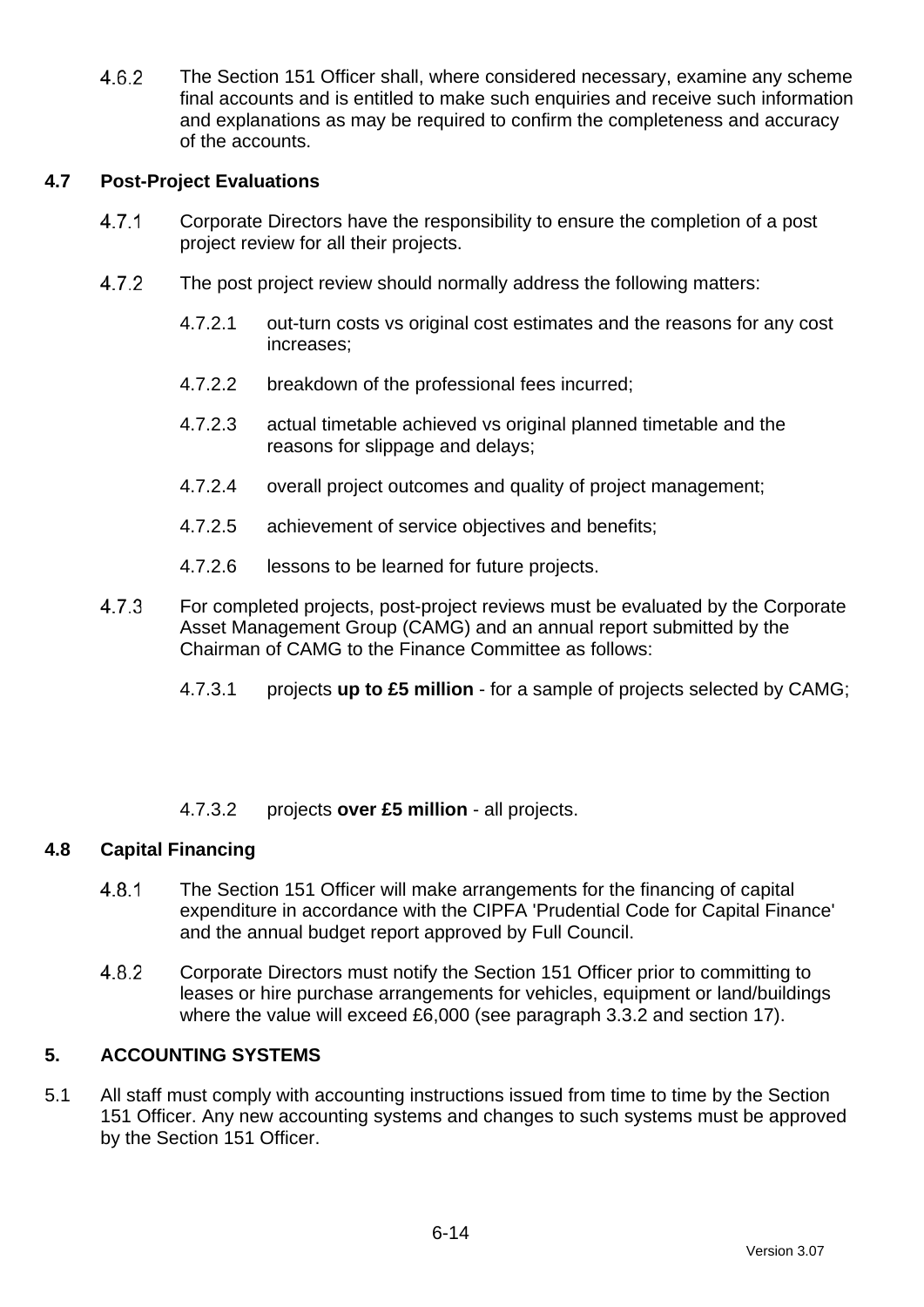$4.6.2$ The Section 151 Officer shall, where considered necessary, examine any scheme final accounts and is entitled to make such enquiries and receive such information and explanations as may be required to confirm the completeness and accuracy of the accounts.

## **4.7 Post-Project Evaluations**

- $4.7.1$ Corporate Directors have the responsibility to ensure the completion of a post project review for all their projects.
- 4.7.2 The post project review should normally address the following matters:
	- 4.7.2.1 out-turn costs vs original cost estimates and the reasons for any cost increases;
	- 4.7.2.2 breakdown of the professional fees incurred;
	- 4.7.2.3 actual timetable achieved vs original planned timetable and the reasons for slippage and delays;
	- 4.7.2.4 overall project outcomes and quality of project management;
	- 4.7.2.5 achievement of service objectives and benefits;
	- 4.7.2.6 lessons to be learned for future projects.
- 473 For completed projects, post-project reviews must be evaluated by the Corporate Asset Management Group (CAMG) and an annual report submitted by the Chairman of CAMG to the Finance Committee as follows:
	- 4.7.3.1 projects **up to £5 million** for a sample of projects selected by CAMG;

#### 4.7.3.2 projects **over £5 million** - all projects.

#### **4.8 Capital Financing**

- 4.8.1 The Section 151 Officer will make arrangements for the financing of capital expenditure in accordance with the CIPFA 'Prudential Code for Capital Finance' and the annual budget report approved by Full Council.
- 4.8.2 Corporate Directors must notify the Section 151 Officer prior to committing to leases or hire purchase arrangements for vehicles, equipment or land/buildings where the value will exceed £6,000 (see paragraph [3.3.2](#page-83-0) and section [17\)](#page-112-0).

#### <span id="page-89-0"></span>**5. ACCOUNTING SYSTEMS**

5.1 All staff must comply with accounting instructions issued from time to time by the Section 151 Officer. Any new accounting systems and changes to such systems must be approved by the Section 151 Officer.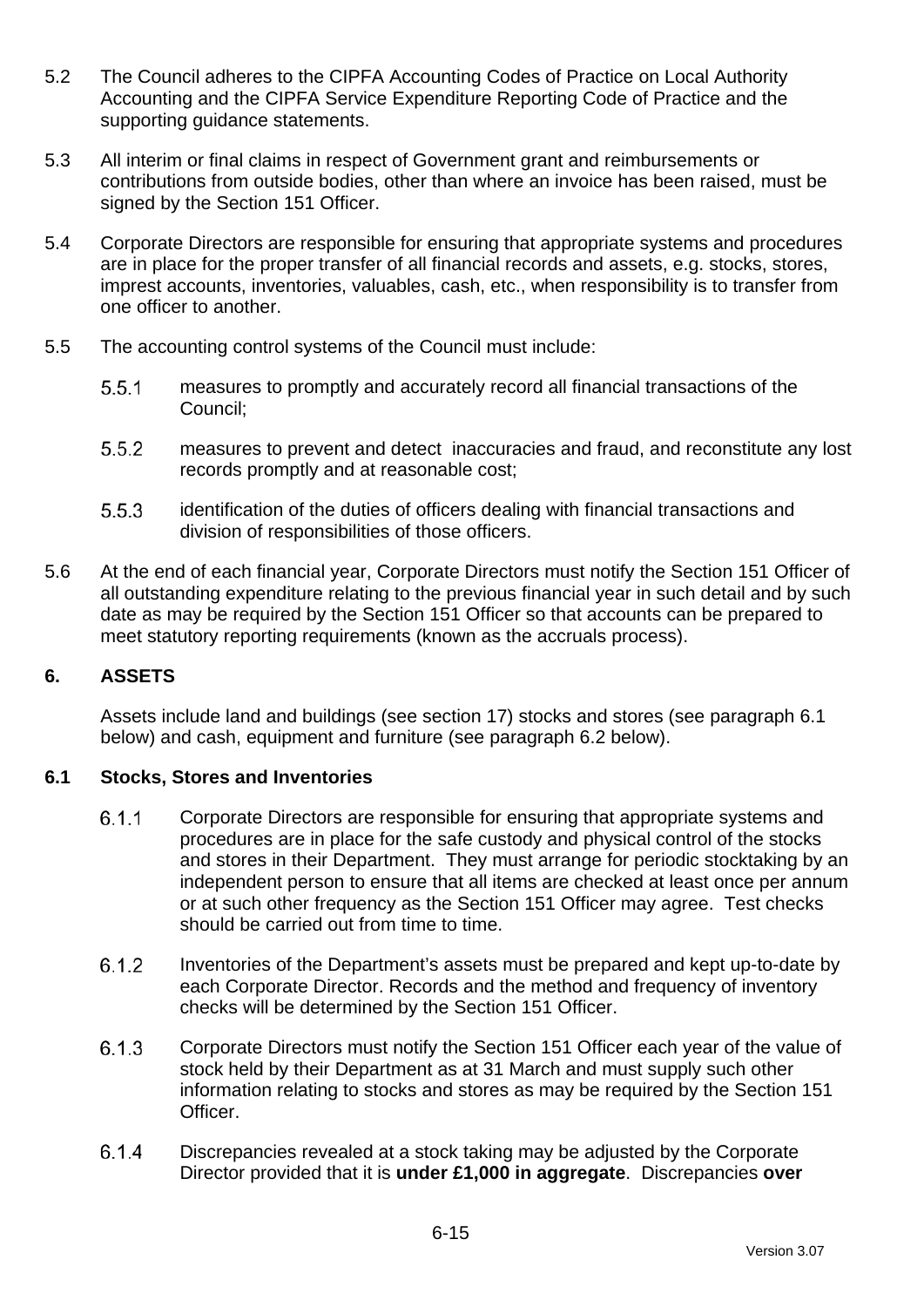- 5.2 The Council adheres to the CIPFA Accounting Codes of Practice on Local Authority Accounting and the CIPFA Service Expenditure Reporting Code of Practice and the supporting guidance statements.
- 5.3 All interim or final claims in respect of Government grant and reimbursements or contributions from outside bodies, other than where an invoice has been raised, must be signed by the Section 151 Officer.
- 5.4 Corporate Directors are responsible for ensuring that appropriate systems and procedures are in place for the proper transfer of all financial records and assets, e.g. stocks, stores, imprest accounts, inventories, valuables, cash, etc., when responsibility is to transfer from one officer to another.
- 5.5 The accounting control systems of the Council must include:
	- $5.5.1$ measures to promptly and accurately record all financial transactions of the Council;
	- 5.5.2 measures to prevent and detect inaccuracies and fraud, and reconstitute any lost records promptly and at reasonable cost;
	- 5.5.3 identification of the duties of officers dealing with financial transactions and division of responsibilities of those officers.
- 5.6 At the end of each financial year, Corporate Directors must notify the Section 151 Officer of all outstanding expenditure relating to the previous financial year in such detail and by such date as may be required by the Section 151 Officer so that accounts can be prepared to meet statutory reporting requirements (known as the accruals process).

## <span id="page-90-0"></span>**6. ASSETS**

Assets include land and buildings (see section [17\)](#page-112-0) stocks and stores (see paragraph [6.1](#page-90-1) below) and cash, equipment and furniture (see paragraph [6.2](#page-91-0) below).

#### <span id="page-90-1"></span>**6.1 Stocks, Stores and Inventories**

- $6.1.1$ Corporate Directors are responsible for ensuring that appropriate systems and procedures are in place for the safe custody and physical control of the stocks and stores in their Department. They must arrange for periodic stocktaking by an independent person to ensure that all items are checked at least once per annum or at such other frequency as the Section 151 Officer may agree. Test checks should be carried out from time to time.
- $6.1.2$ Inventories of the Department's assets must be prepared and kept up-to-date by each Corporate Director. Records and the method and frequency of inventory checks will be determined by the Section 151 Officer.
- $6.1.3$ Corporate Directors must notify the Section 151 Officer each year of the value of stock held by their Department as at 31 March and must supply such other information relating to stocks and stores as may be required by the Section 151 Officer.
- $6.1.4$ Discrepancies revealed at a stock taking may be adjusted by the Corporate Director provided that it is **under £1,000 in aggregate**. Discrepancies **over**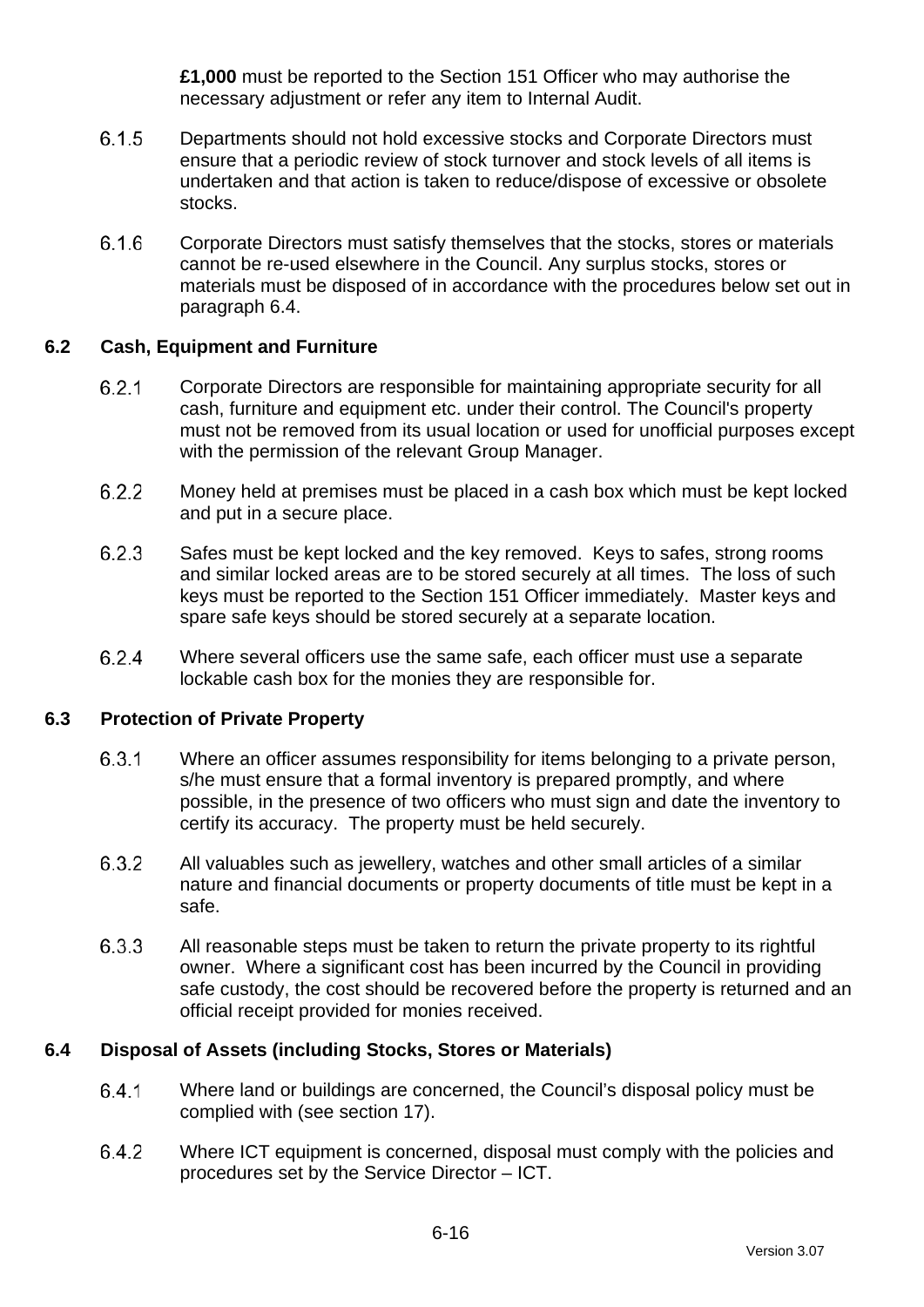**£1,000** must be reported to the Section 151 Officer who may authorise the necessary adjustment or refer any item to Internal Audit.

- $6.1.5$ Departments should not hold excessive stocks and Corporate Directors must ensure that a periodic review of stock turnover and stock levels of all items is undertaken and that action is taken to reduce/dispose of excessive or obsolete stocks.
- 6.1.6 Corporate Directors must satisfy themselves that the stocks, stores or materials cannot be re-used elsewhere in the Council. Any surplus stocks, stores or materials must be disposed of in accordance with the procedures below set out in paragraph [6.4.](#page-91-1)

#### <span id="page-91-0"></span>**6.2 Cash, Equipment and Furniture**

- $6.2.1$ Corporate Directors are responsible for maintaining appropriate security for all cash, furniture and equipment etc. under their control. The Council's property must not be removed from its usual location or used for unofficial purposes except with the permission of the relevant Group Manager.
- $6.2.2$ Money held at premises must be placed in a cash box which must be kept locked and put in a secure place.
- $6.2.3$ Safes must be kept locked and the key removed. Keys to safes, strong rooms and similar locked areas are to be stored securely at all times. The loss of such keys must be reported to the Section 151 Officer immediately. Master keys and spare safe keys should be stored securely at a separate location.
- $6.2.4$ Where several officers use the same safe, each officer must use a separate lockable cash box for the monies they are responsible for.

#### **6.3 Protection of Private Property**

- $6.3.1$ Where an officer assumes responsibility for items belonging to a private person, s/he must ensure that a formal inventory is prepared promptly, and where possible, in the presence of two officers who must sign and date the inventory to certify its accuracy. The property must be held securely.
- 632 All valuables such as jewellery, watches and other small articles of a similar nature and financial documents or property documents of title must be kept in a safe.
- 6.3.3 All reasonable steps must be taken to return the private property to its rightful owner. Where a significant cost has been incurred by the Council in providing safe custody, the cost should be recovered before the property is returned and an official receipt provided for monies received.

#### <span id="page-91-1"></span>**6.4 Disposal of Assets (including Stocks, Stores or Materials)**

- $6.4.1$ Where land or buildings are concerned, the Council's disposal policy must be complied with (see section [17\)](#page-112-0).
- 6.4.2 Where ICT equipment is concerned, disposal must comply with the policies and procedures set by the Service Director – ICT.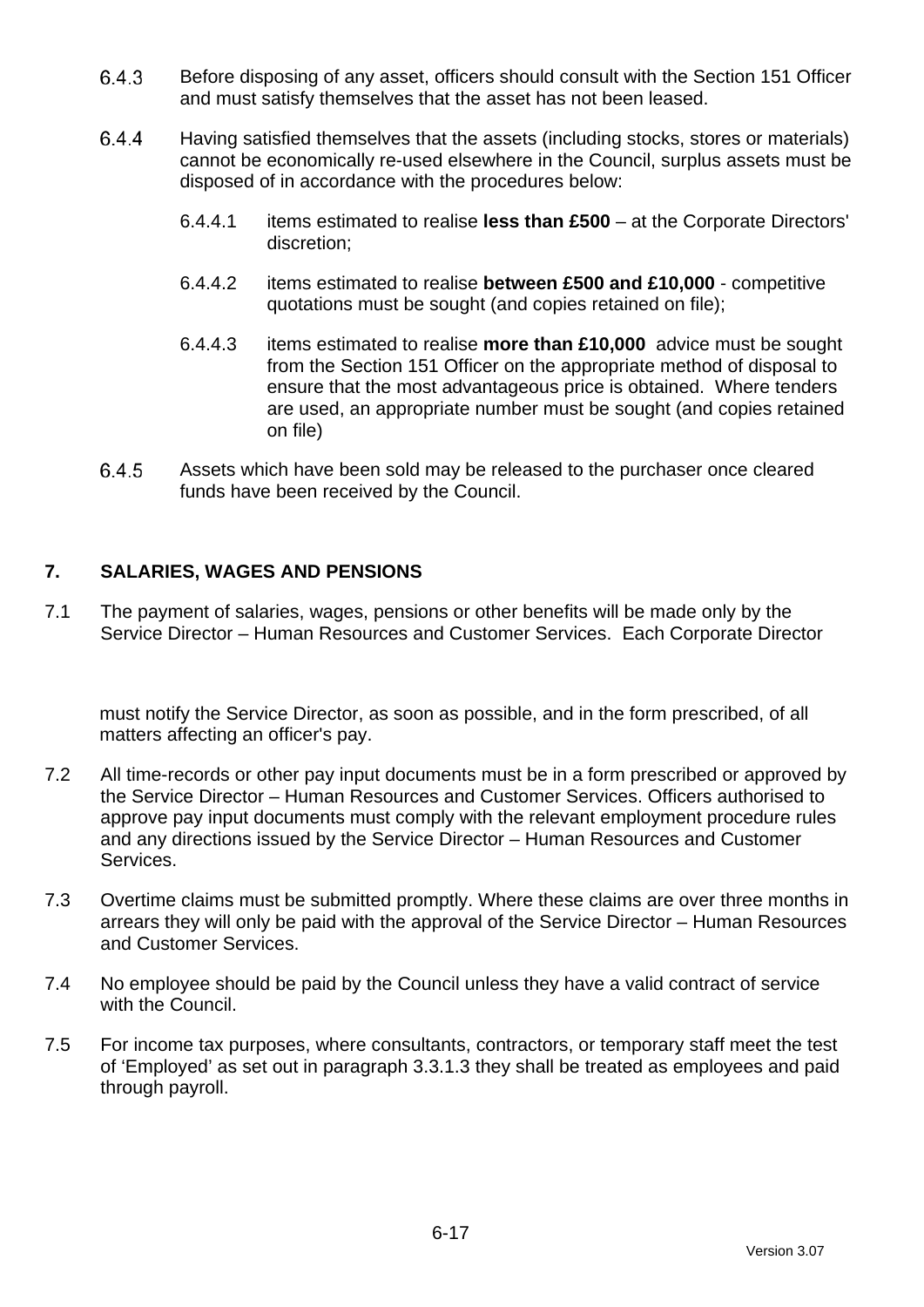- 6.4.3 Before disposing of any asset, officers should consult with the Section 151 Officer and must satisfy themselves that the asset has not been leased.
- 6.4.4 Having satisfied themselves that the assets (including stocks, stores or materials) cannot be economically re-used elsewhere in the Council, surplus assets must be disposed of in accordance with the procedures below:
	- 6.4.4.1 items estimated to realise **less than £500** at the Corporate Directors' discretion;
	- 6.4.4.2 items estimated to realise **between £500 and £10,000** competitive quotations must be sought (and copies retained on file);
	- 6.4.4.3 items estimated to realise **more than £10,000** advice must be sought from the Section 151 Officer on the appropriate method of disposal to ensure that the most advantageous price is obtained. Where tenders are used, an appropriate number must be sought (and copies retained on file)
- 6.4.5 Assets which have been sold may be released to the purchaser once cleared funds have been received by the Council.

## <span id="page-92-0"></span>**7. SALARIES, WAGES AND PENSIONS**

7.1 The payment of salaries, wages, pensions or other benefits will be made only by the Service Director – Human Resources and Customer Services. Each Corporate Director

must notify the Service Director, as soon as possible, and in the form prescribed, of all matters affecting an officer's pay.

- 7.2 All time-records or other pay input documents must be in a form prescribed or approved by the Service Director – Human Resources and Customer Services. Officers authorised to approve pay input documents must comply with the relevant employment procedure rules and any directions issued by the Service Director – Human Resources and Customer Services.
- 7.3 Overtime claims must be submitted promptly. Where these claims are over three months in arrears they will only be paid with the approval of the Service Director – Human Resources and Customer Services.
- 7.4 No employee should be paid by the Council unless they have a valid contract of service with the Council.
- 7.5 For income tax purposes, where consultants, contractors, or temporary staff meet the test of 'Employed' as set out in paragraph [3.3.1.3](#page-82-1) they shall be treated as employees and paid through payroll.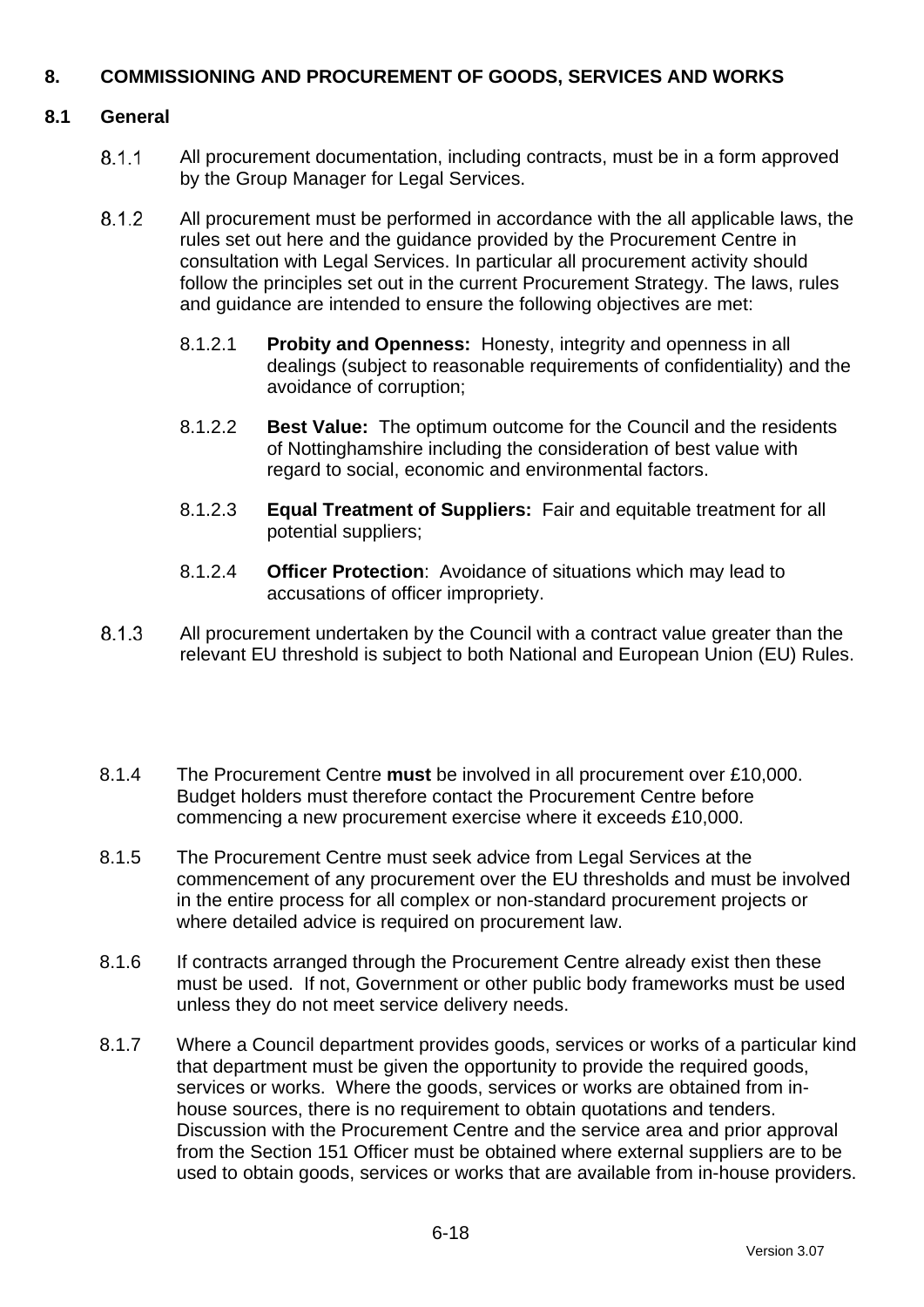## <span id="page-93-0"></span>**8. COMMISSIONING AND PROCUREMENT OF GOODS, SERVICES AND WORKS**

#### **8.1 General**

- $8.1.1$ All procurement documentation, including contracts, must be in a form approved by the Group Manager for Legal Services.
- 812 All procurement must be performed in accordance with the all applicable laws, the rules set out here and the guidance provided by the Procurement Centre in consultation with Legal Services. In particular all procurement activity should follow the principles set out in the current Procurement Strategy. The laws, rules and guidance are intended to ensure the following objectives are met:
	- 8.1.2.1 **Probity and Openness:** Honesty, integrity and openness in all dealings (subject to reasonable requirements of confidentiality) and the avoidance of corruption;
	- 8.1.2.2 **Best Value:** The optimum outcome for the Council and the residents of Nottinghamshire including the consideration of best value with regard to social, economic and environmental factors.
	- 8.1.2.3 **Equal Treatment of Suppliers:** Fair and equitable treatment for all potential suppliers;
	- 8.1.2.4 **Officer Protection**: Avoidance of situations which may lead to accusations of officer impropriety.
- 8.1.3 All procurement undertaken by the Council with a contract value greater than the relevant EU threshold is subject to both National and European Union (EU) Rules.
- 8.1.4 The Procurement Centre **must** be involved in all procurement over £10,000. Budget holders must therefore contact the Procurement Centre before commencing a new procurement exercise where it exceeds £10,000.
- 8.1.5 The Procurement Centre must seek advice from Legal Services at the commencement of any procurement over the EU thresholds and must be involved in the entire process for all complex or non-standard procurement projects or where detailed advice is required on procurement law.
- 8.1.6 If contracts arranged through the Procurement Centre already exist then these must be used. If not, Government or other public body frameworks must be used unless they do not meet service delivery needs.
- 8.1.7 Where a Council department provides goods, services or works of a particular kind that department must be given the opportunity to provide the required goods, services or works. Where the goods, services or works are obtained from inhouse sources, there is no requirement to obtain quotations and tenders. Discussion with the Procurement Centre and the service area and prior approval from the Section 151 Officer must be obtained where external suppliers are to be used to obtain goods, services or works that are available from in-house providers.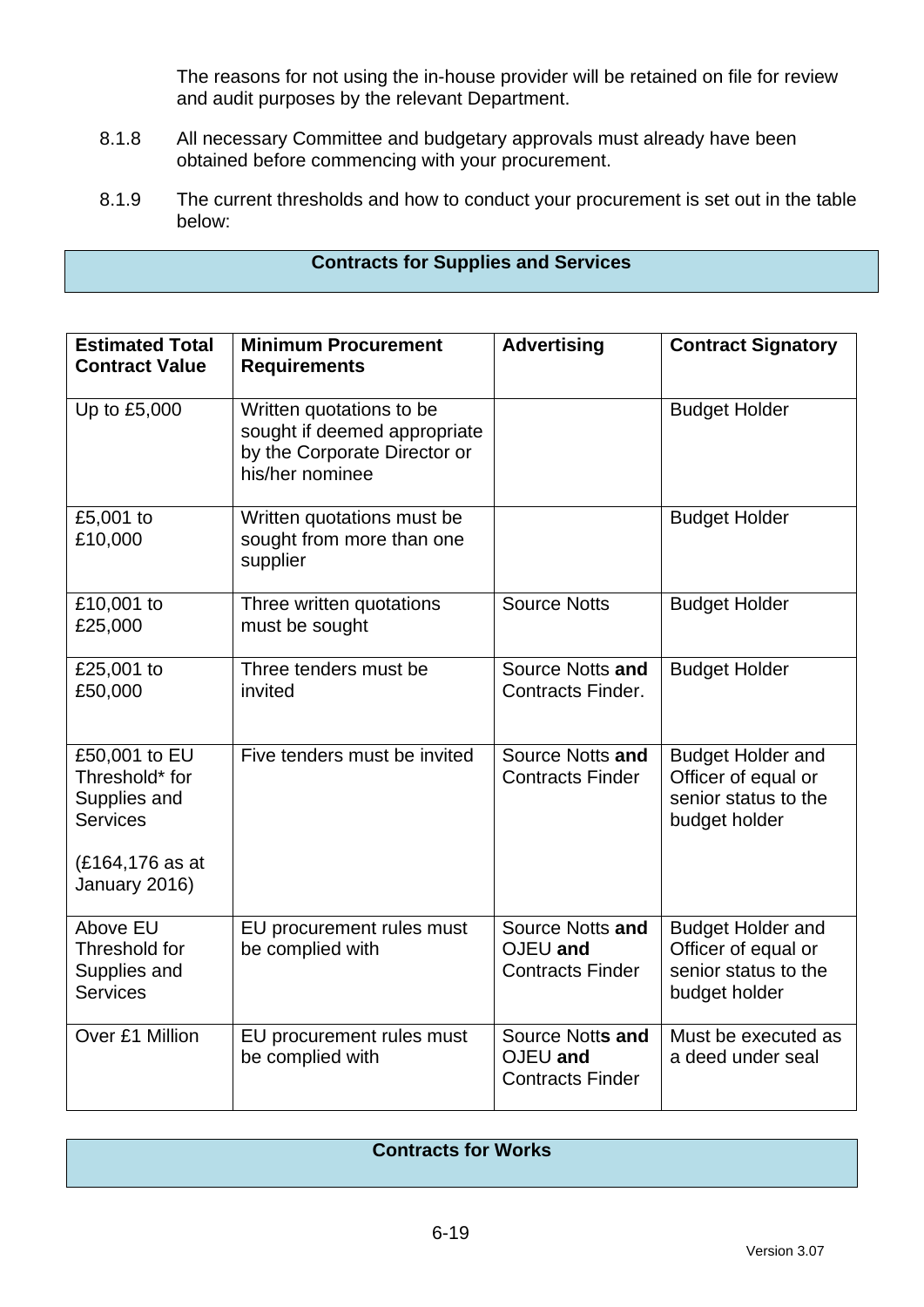The reasons for not using the in-house provider will be retained on file for review and audit purposes by the relevant Department.

- 8.1.8 All necessary Committee and budgetary approvals must already have been obtained before commencing with your procurement.
- 8.1.9 The current thresholds and how to conduct your procurement is set out in the table below:

## **Contracts for Supplies and Services**

| <b>Estimated Total</b><br><b>Contract Value</b>                                       | <b>Minimum Procurement</b><br><b>Requirements</b>                                                           | <b>Advertising</b>                                      | <b>Contract Signatory</b>                                                                |
|---------------------------------------------------------------------------------------|-------------------------------------------------------------------------------------------------------------|---------------------------------------------------------|------------------------------------------------------------------------------------------|
| Up to £5,000                                                                          | Written quotations to be<br>sought if deemed appropriate<br>by the Corporate Director or<br>his/her nominee |                                                         | <b>Budget Holder</b>                                                                     |
| £5,001 to<br>£10,000                                                                  | Written quotations must be<br>sought from more than one<br>supplier                                         |                                                         | <b>Budget Holder</b>                                                                     |
| £10,001 to<br>£25,000                                                                 | Three written quotations<br>must be sought                                                                  | <b>Source Notts</b>                                     | <b>Budget Holder</b>                                                                     |
| £25,001 to<br>£50,000                                                                 | Three tenders must be<br>invited                                                                            | Source Notts and<br>Contracts Finder.                   | <b>Budget Holder</b>                                                                     |
| £50,001 to EU<br>Threshold* for<br>Supplies and<br><b>Services</b><br>(£164,176 as at | Five tenders must be invited                                                                                | Source Notts and<br><b>Contracts Finder</b>             | <b>Budget Holder and</b><br>Officer of equal or<br>senior status to the<br>budget holder |
| January 2016)                                                                         |                                                                                                             |                                                         |                                                                                          |
| Above EU<br>Threshold for<br>Supplies and<br><b>Services</b>                          | EU procurement rules must<br>be complied with                                                               | Source Notts and<br>OJEU and<br><b>Contracts Finder</b> | <b>Budget Holder and</b><br>Officer of equal or<br>senior status to the<br>budget holder |
| Over £1 Million                                                                       | EU procurement rules must<br>be complied with                                                               | Source Notts and<br>OJEU and<br><b>Contracts Finder</b> | Must be executed as<br>a deed under seal                                                 |

| <b>Contracts for Works</b> |
|----------------------------|
|----------------------------|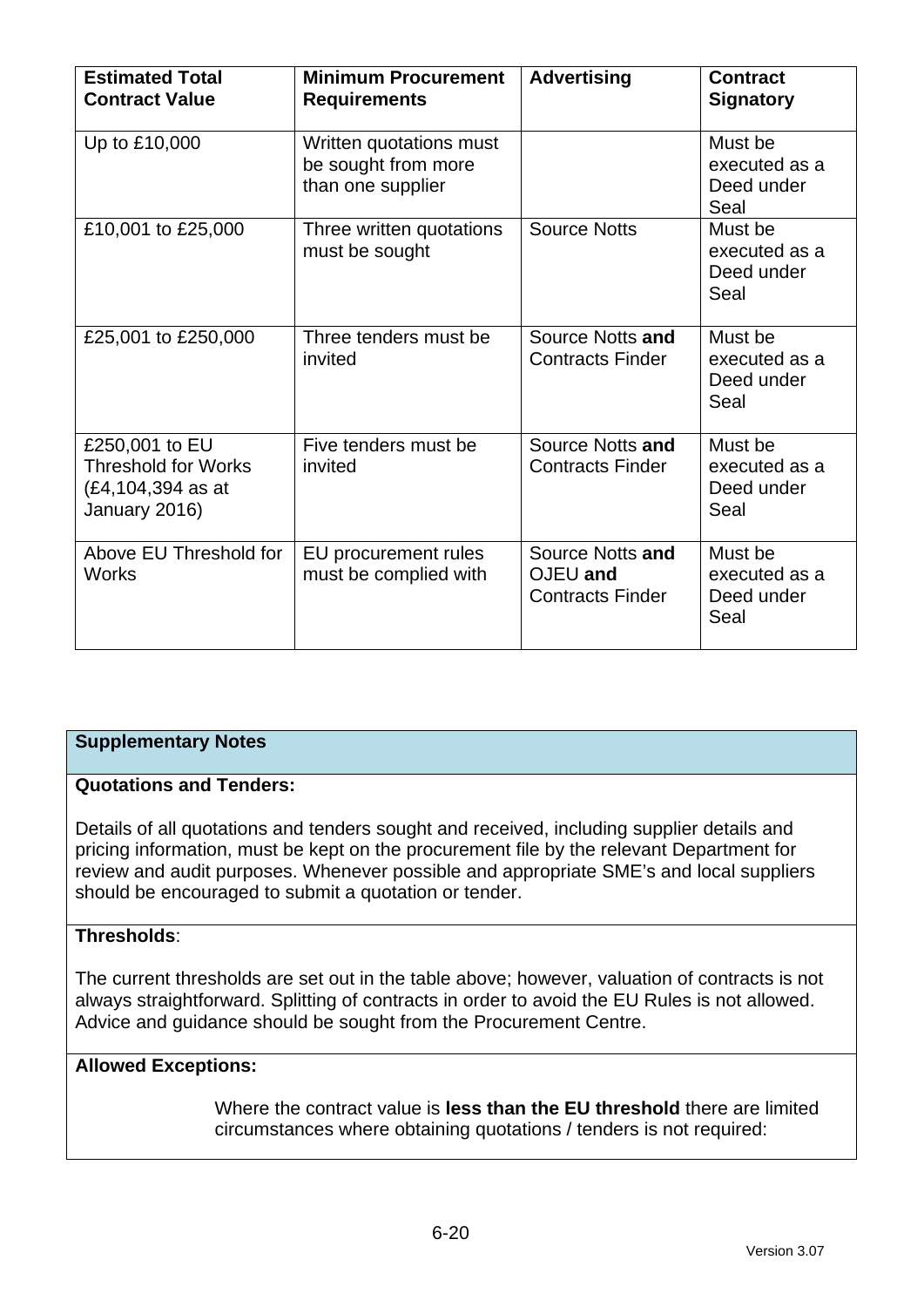| <b>Estimated Total</b><br><b>Contract Value</b>                                    | <b>Minimum Procurement</b><br><b>Requirements</b>                   | <b>Advertising</b>                                      | <b>Contract</b><br><b>Signatory</b>            |
|------------------------------------------------------------------------------------|---------------------------------------------------------------------|---------------------------------------------------------|------------------------------------------------|
| Up to £10,000                                                                      | Written quotations must<br>be sought from more<br>than one supplier |                                                         | Must be<br>executed as a<br>Deed under<br>Seal |
| £10,001 to £25,000                                                                 | Three written quotations<br>must be sought                          | <b>Source Notts</b>                                     | Must be<br>executed as a<br>Deed under<br>Seal |
| £25,001 to £250,000                                                                | Three tenders must be<br>invited                                    | Source Notts and<br><b>Contracts Finder</b>             | Must be<br>executed as a<br>Deed under<br>Seal |
| £250,001 to EU<br><b>Threshold for Works</b><br>(£4,104,394 as at<br>January 2016) | Five tenders must be<br>invited                                     | Source Notts and<br><b>Contracts Finder</b>             | Must be<br>executed as a<br>Deed under<br>Seal |
| Above EU Threshold for<br><b>Works</b>                                             | EU procurement rules<br>must be complied with                       | Source Notts and<br>OJEU and<br><b>Contracts Finder</b> | Must be<br>executed as a<br>Deed under<br>Seal |

## **Supplementary Notes**

#### **Quotations and Tenders:**

Details of all quotations and tenders sought and received, including supplier details and pricing information, must be kept on the procurement file by the relevant Department for review and audit purposes. Whenever possible and appropriate SME's and local suppliers should be encouraged to submit a quotation or tender.

#### **Thresholds**:

The current thresholds are set out in the table above; however, valuation of contracts is not always straightforward. Splitting of contracts in order to avoid the EU Rules is not allowed. Advice and guidance should be sought from the Procurement Centre.

#### **Allowed Exceptions:**

Where the contract value is **less than the EU threshold** there are limited circumstances where obtaining quotations / tenders is not required: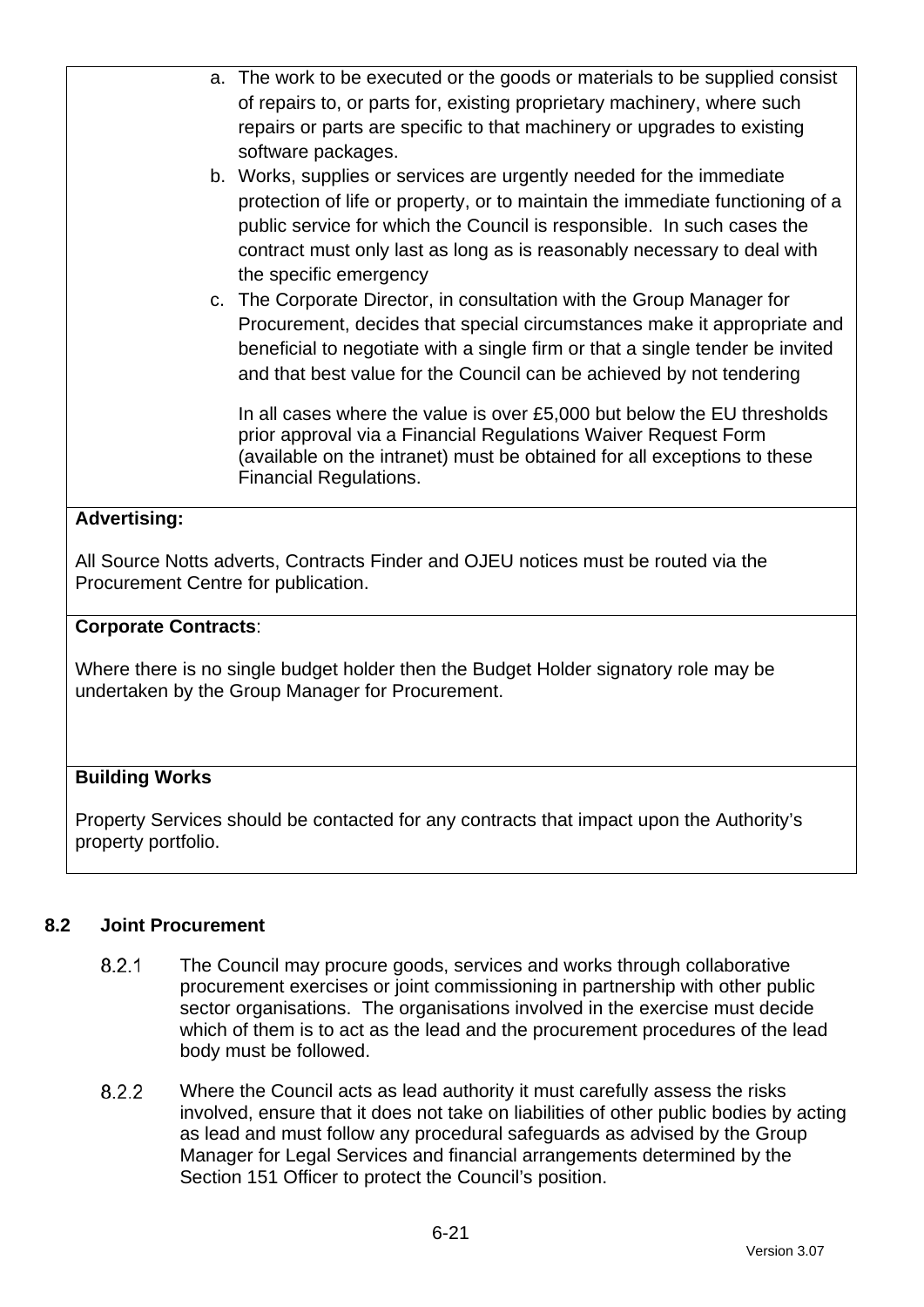a. The work to be executed or the goods or materials to be supplied consist of repairs to, or parts for, existing proprietary machinery, where such repairs or parts are specific to that machinery or upgrades to existing software packages. b. Works, supplies or services are urgently needed for the immediate protection of life or property, or to maintain the immediate functioning of a public service for which the Council is responsible. In such cases the contract must only last as long as is reasonably necessary to deal with the specific emergency c. The Corporate Director, in consultation with the Group Manager for Procurement, decides that special circumstances make it appropriate and beneficial to negotiate with a single firm or that a single tender be invited and that best value for the Council can be achieved by not tendering In all cases where the value is over £5,000 but below the EU thresholds prior approval via a Financial Regulations Waiver Request Form

(available on the intranet) must be obtained for all exceptions to these Financial Regulations.

# **Advertising:**

All Source Notts adverts, Contracts Finder and OJEU notices must be routed via the Procurement Centre for publication.

## **Corporate Contracts**:

Where there is no single budget holder then the Budget Holder signatory role may be undertaken by the Group Manager for Procurement.

# **Building Works**

Property Services should be contacted for any contracts that impact upon the Authority's property portfolio.

## **8.2 Joint Procurement**

- $8.2.1$ The Council may procure goods, services and works through collaborative procurement exercises or joint commissioning in partnership with other public sector organisations. The organisations involved in the exercise must decide which of them is to act as the lead and the procurement procedures of the lead body must be followed.
- 8.2.2 Where the Council acts as lead authority it must carefully assess the risks involved, ensure that it does not take on liabilities of other public bodies by acting as lead and must follow any procedural safeguards as advised by the Group Manager for Legal Services and financial arrangements determined by the Section 151 Officer to protect the Council's position.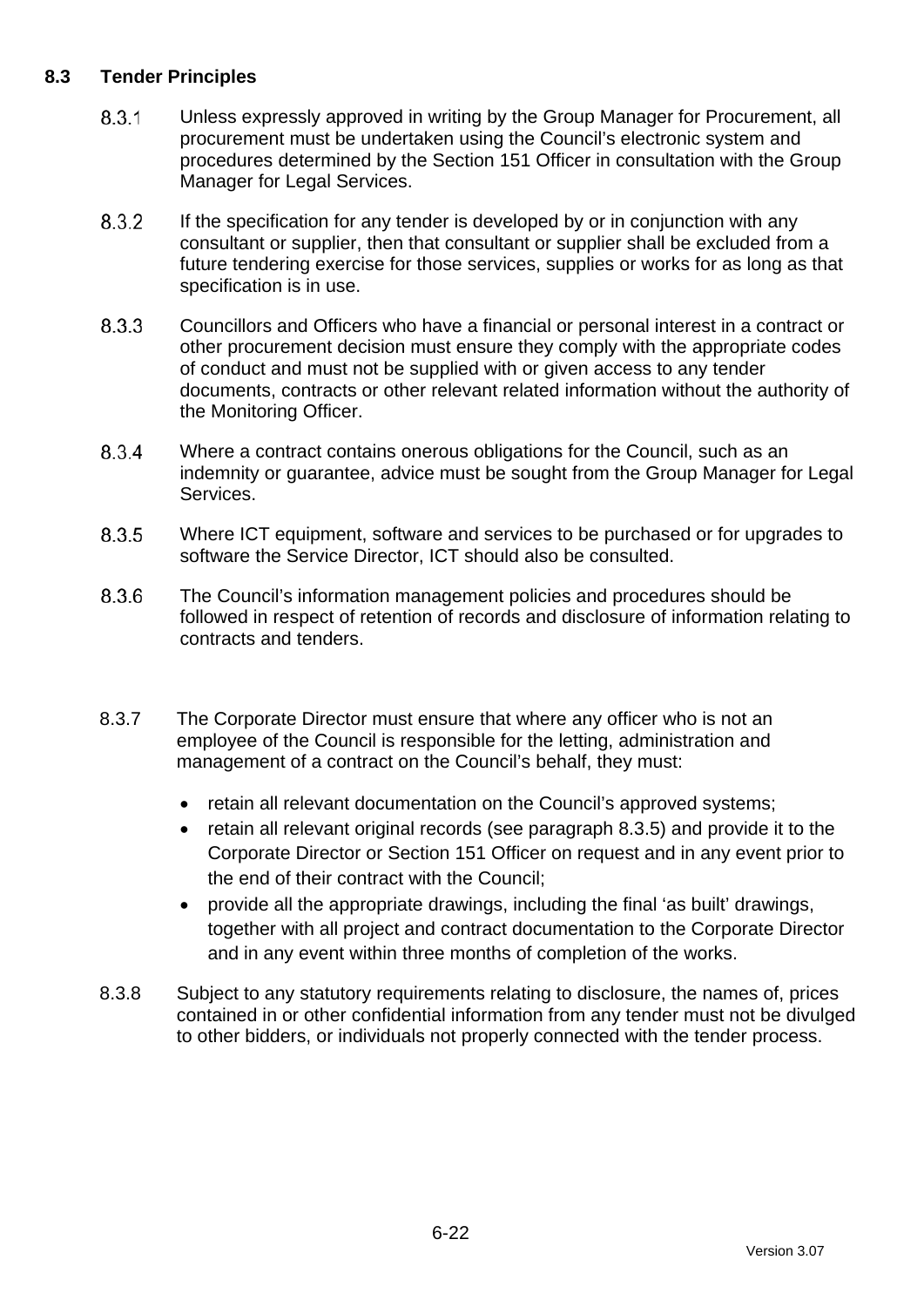## **8.3 Tender Principles**

- 8.3.1 Unless expressly approved in writing by the Group Manager for Procurement, all procurement must be undertaken using the Council's electronic system and procedures determined by the Section 151 Officer in consultation with the Group Manager for Legal Services.
- 8.3.2 If the specification for any tender is developed by or in conjunction with any consultant or supplier, then that consultant or supplier shall be excluded from a future tendering exercise for those services, supplies or works for as long as that specification is in use.
- 8.3.3 Councillors and Officers who have a financial or personal interest in a contract or other procurement decision must ensure they comply with the appropriate codes of conduct and must not be supplied with or given access to any tender documents, contracts or other relevant related information without the authority of the Monitoring Officer.
- 8.3.4 Where a contract contains onerous obligations for the Council, such as an indemnity or guarantee, advice must be sought from the Group Manager for Legal Services.
- 8.3.5 Where ICT equipment, software and services to be purchased or for upgrades to software the Service Director, ICT should also be consulted.
- 8.3.6 The Council's information management policies and procedures should be followed in respect of retention of records and disclosure of information relating to contracts and tenders.
- 8.3.7 The Corporate Director must ensure that where any officer who is not an employee of the Council is responsible for the letting, administration and management of a contract on the Council's behalf, they must:
	- retain all relevant documentation on the Council's approved systems;
	- retain all relevant original records (see paragraph 8.3.5) and provide it to the Corporate Director or Section 151 Officer on request and in any event prior to the end of their contract with the Council;
	- provide all the appropriate drawings, including the final 'as built' drawings, together with all project and contract documentation to the Corporate Director and in any event within three months of completion of the works.
- 8.3.8 Subject to any statutory requirements relating to disclosure, the names of, prices contained in or other confidential information from any tender must not be divulged to other bidders, or individuals not properly connected with the tender process.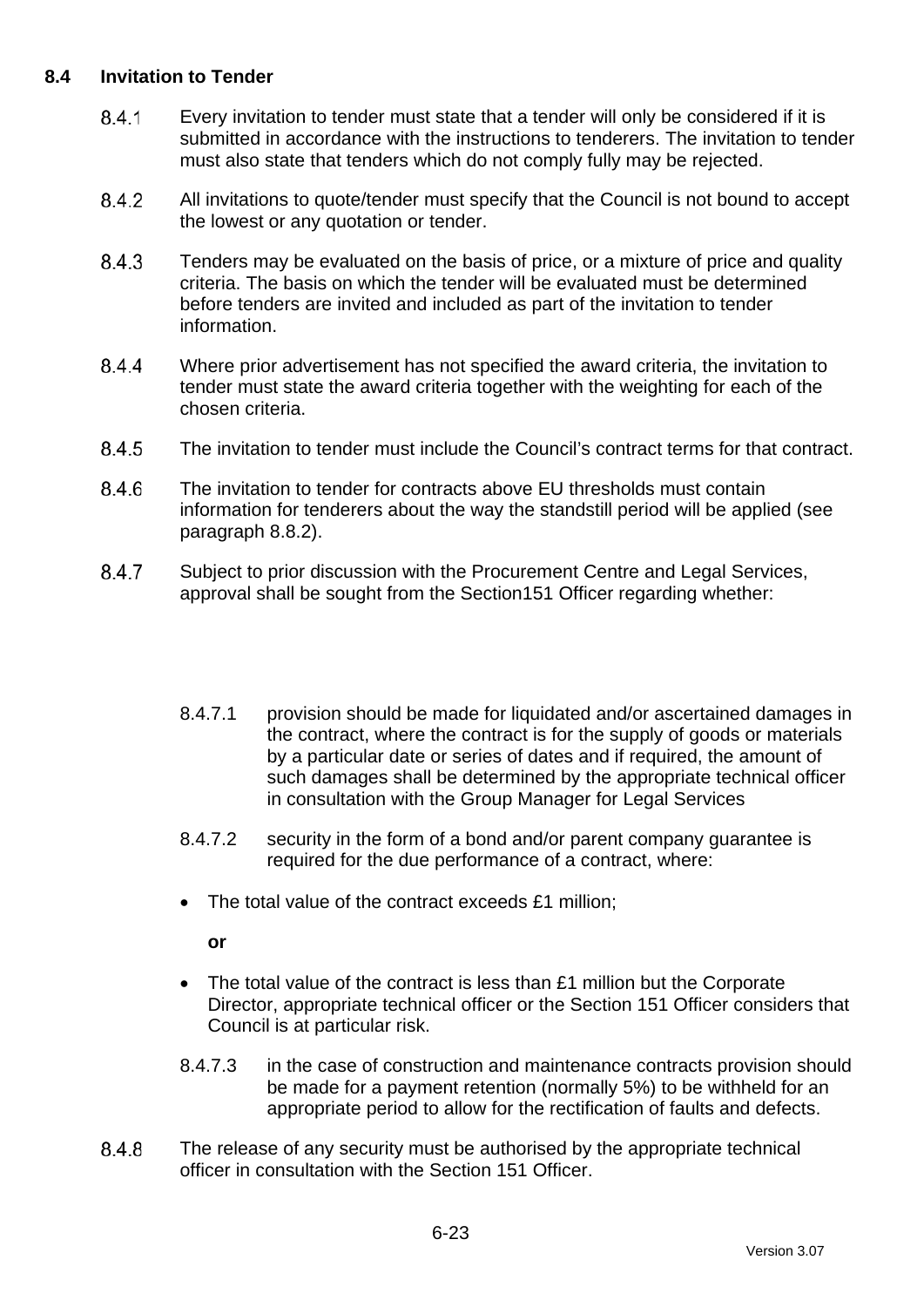## **8.4 Invitation to Tender**

- 841 Every invitation to tender must state that a tender will only be considered if it is submitted in accordance with the instructions to tenderers. The invitation to tender must also state that tenders which do not comply fully may be rejected.
- 8.4.2 All invitations to quote/tender must specify that the Council is not bound to accept the lowest or any quotation or tender.
- 8.4.3 Tenders may be evaluated on the basis of price, or a mixture of price and quality criteria. The basis on which the tender will be evaluated must be determined before tenders are invited and included as part of the invitation to tender information.
- 8.4.4 Where prior advertisement has not specified the award criteria, the invitation to tender must state the award criteria together with the weighting for each of the chosen criteria.
- 8.4.5 The invitation to tender must include the Council's contract terms for that contract.
- 846 The invitation to tender for contracts above EU thresholds must contain information for tenderers about the way the standstill period will be applied (see paragraph 8.8.2).
- 8.4.7 Subject to prior discussion with the Procurement Centre and Legal Services, approval shall be sought from the Section151 Officer regarding whether:
	- 8.4.7.1 provision should be made for liquidated and/or ascertained damages in the contract, where the contract is for the supply of goods or materials by a particular date or series of dates and if required, the amount of such damages shall be determined by the appropriate technical officer in consultation with the Group Manager for Legal Services
	- 8.4.7.2 security in the form of a bond and/or parent company guarantee is required for the due performance of a contract, where:
	- The total value of the contract exceeds £1 million:

**or**

- The total value of the contract is less than £1 million but the Corporate Director, appropriate technical officer or the Section 151 Officer considers that Council is at particular risk.
- 8.4.7.3 in the case of construction and maintenance contracts provision should be made for a payment retention (normally 5%) to be withheld for an appropriate period to allow for the rectification of faults and defects.
- 8.4.8 The release of any security must be authorised by the appropriate technical officer in consultation with the Section 151 Officer.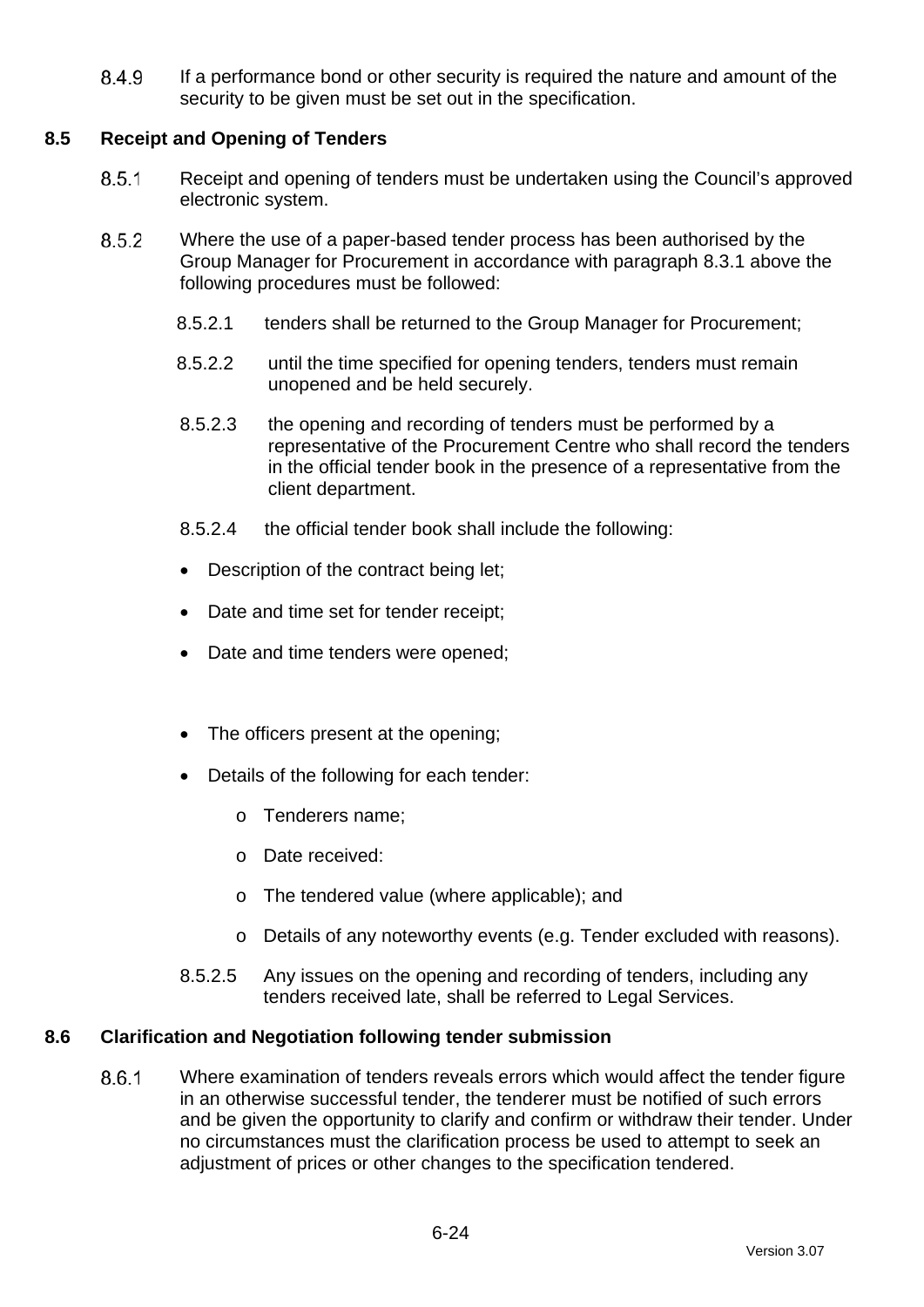8.4.9 If a performance bond or other security is required the nature and amount of the security to be given must be set out in the specification.

#### **8.5 Receipt and Opening of Tenders**

- 8.5.1 Receipt and opening of tenders must be undertaken using the Council's approved electronic system.
- 8.5.2 Where the use of a paper-based tender process has been authorised by the Group Manager for Procurement in accordance with paragraph 8.3.1 above the following procedures must be followed:
	- 8.5.2.1 tenders shall be returned to the Group Manager for Procurement;
	- 8.5.2.2 until the time specified for opening tenders, tenders must remain unopened and be held securely.
	- 8.5.2.3 the opening and recording of tenders must be performed by a representative of the Procurement Centre who shall record the tenders in the official tender book in the presence of a representative from the client department.
	- 8.5.2.4 the official tender book shall include the following:
	- Description of the contract being let:
	- Date and time set for tender receipt;
	- Date and time tenders were opened;
	- The officers present at the opening;
	- Details of the following for each tender:
		- o Tenderers name;
		- o Date received:
		- o The tendered value (where applicable); and
		- o Details of any noteworthy events (e.g. Tender excluded with reasons).
	- 8.5.2.5 Any issues on the opening and recording of tenders, including any tenders received late, shall be referred to Legal Services.

#### **8.6 Clarification and Negotiation following tender submission**

8.6.1 Where examination of tenders reveals errors which would affect the tender figure in an otherwise successful tender, the tenderer must be notified of such errors and be given the opportunity to clarify and confirm or withdraw their tender. Under no circumstances must the clarification process be used to attempt to seek an adjustment of prices or other changes to the specification tendered.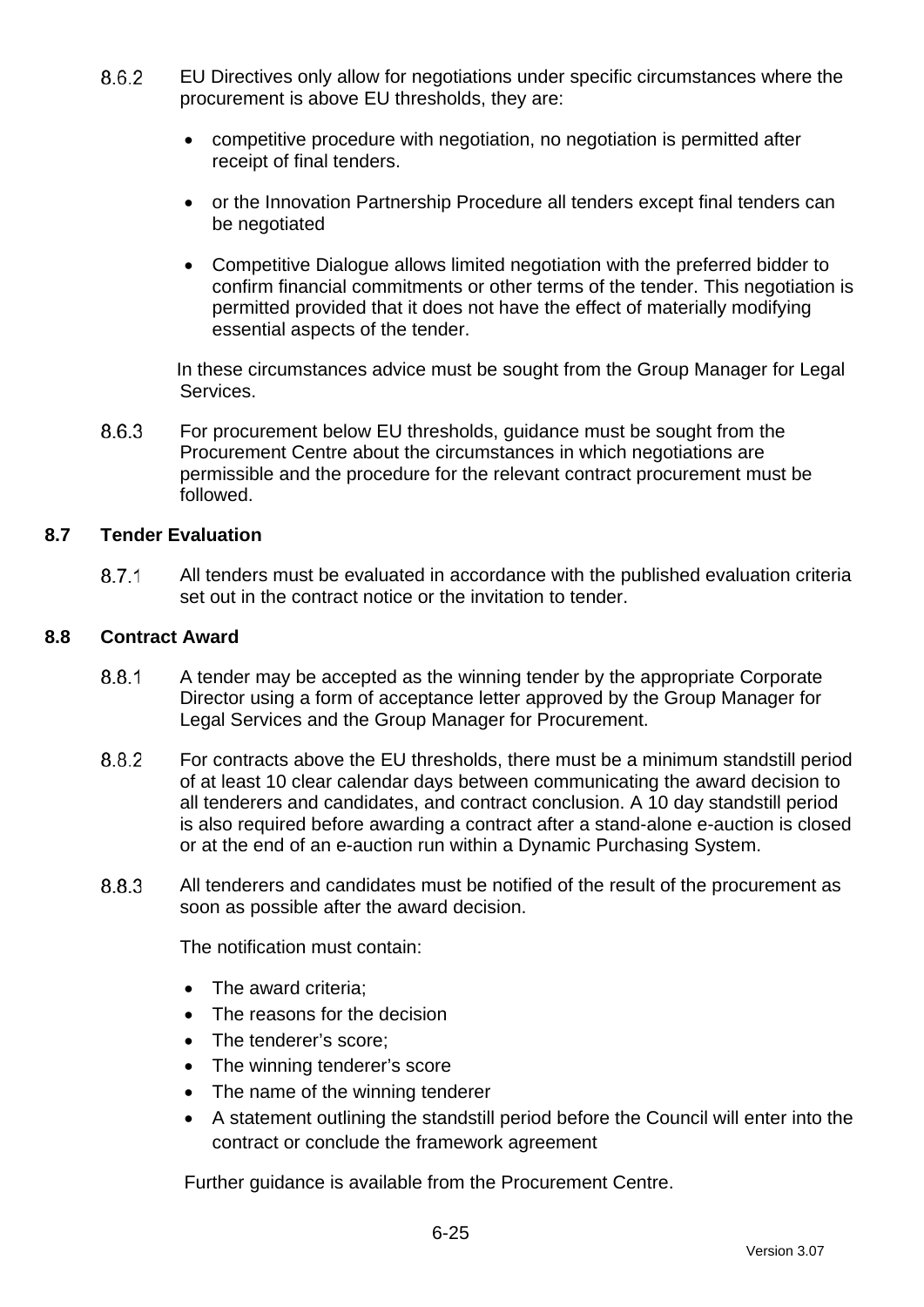- 8.6.2 EU Directives only allow for negotiations under specific circumstances where the procurement is above EU thresholds, they are:
	- competitive procedure with negotiation, no negotiation is permitted after receipt of final tenders.
	- or the Innovation Partnership Procedure all tenders except final tenders can be negotiated
	- Competitive Dialogue allows limited negotiation with the preferred bidder to confirm financial commitments or other terms of the tender. This negotiation is permitted provided that it does not have the effect of materially modifying essential aspects of the tender.

In these circumstances advice must be sought from the Group Manager for Legal Services.

8.6.3 For procurement below EU thresholds, guidance must be sought from the Procurement Centre about the circumstances in which negotiations are permissible and the procedure for the relevant contract procurement must be followed.

## **8.7 Tender Evaluation**

8.7.1 All tenders must be evaluated in accordance with the published evaluation criteria set out in the contract notice or the invitation to tender.

#### **8.8 Contract Award**

- 881 A tender may be accepted as the winning tender by the appropriate Corporate Director using a form of acceptance letter approved by the Group Manager for Legal Services and the Group Manager for Procurement.
- 882 For contracts above the EU thresholds, there must be a minimum standstill period of at least 10 clear calendar days between communicating the award decision to all tenderers and candidates, and contract conclusion. A 10 day standstill period is also required before awarding a contract after a stand-alone e-auction is closed or at the end of an e-auction run within a Dynamic Purchasing System.
- 883 All tenderers and candidates must be notified of the result of the procurement as soon as possible after the award decision.

The notification must contain:

- The award criteria:
- The reasons for the decision
- The tenderer's score:
- The winning tenderer's score
- The name of the winning tenderer
- A statement outlining the standstill period before the Council will enter into the contract or conclude the framework agreement

Further guidance is available from the Procurement Centre.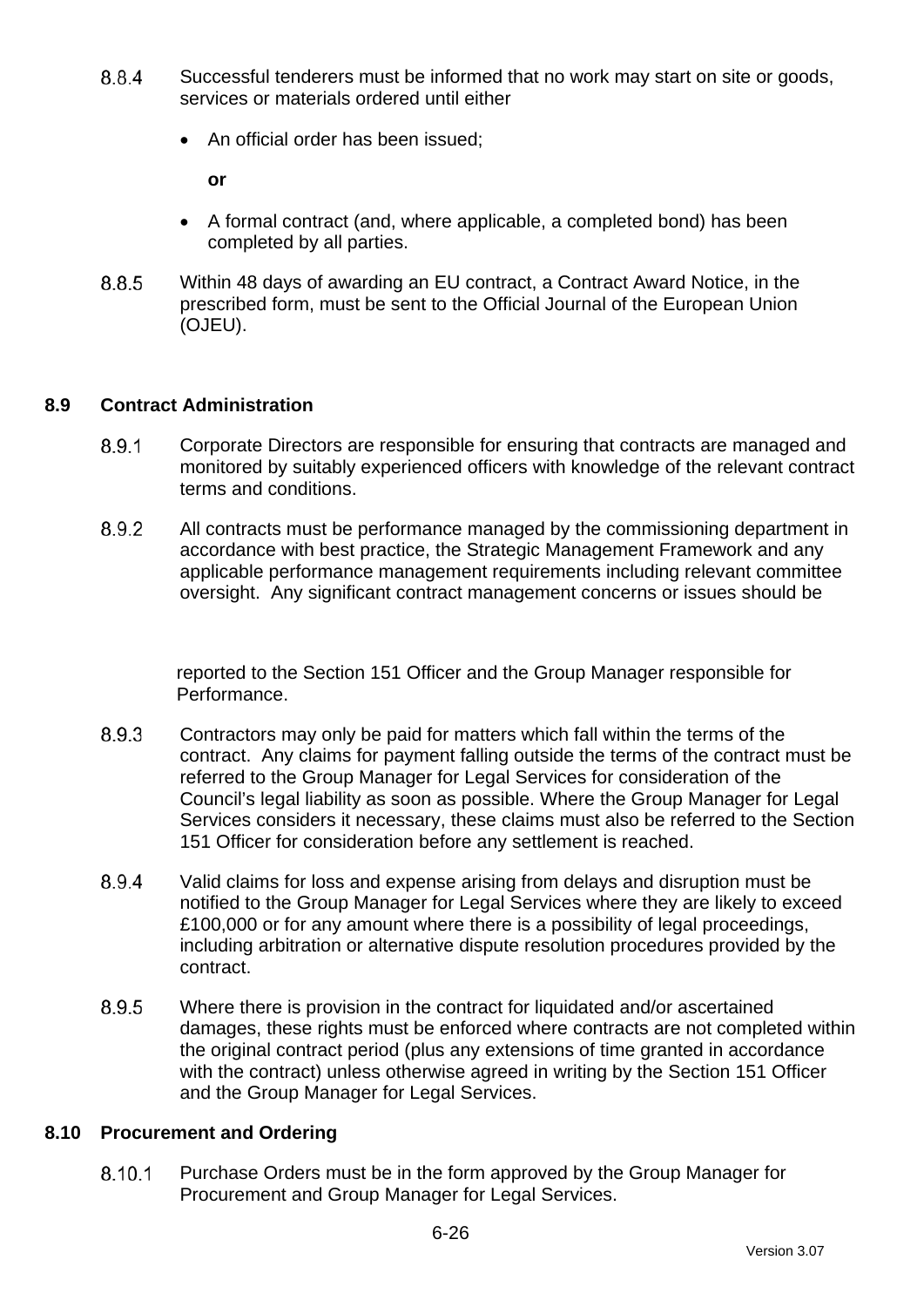- 8.8.4 Successful tenderers must be informed that no work may start on site or goods, services or materials ordered until either
	- An official order has been issued;

**or**

- A formal contract (and, where applicable, a completed bond) has been completed by all parties.
- 885 Within 48 days of awarding an EU contract, a Contract Award Notice, in the prescribed form, must be sent to the Official Journal of the European Union (OJEU).

#### **8.9 Contract Administration**

- 891 Corporate Directors are responsible for ensuring that contracts are managed and monitored by suitably experienced officers with knowledge of the relevant contract terms and conditions.
- 8.9.2 All contracts must be performance managed by the commissioning department in accordance with best practice, the Strategic Management Framework and any applicable performance management requirements including relevant committee oversight. Any significant contract management concerns or issues should be

reported to the Section 151 Officer and the Group Manager responsible for Performance.

- 8.9.3 Contractors may only be paid for matters which fall within the terms of the contract. Any claims for payment falling outside the terms of the contract must be referred to the Group Manager for Legal Services for consideration of the Council's legal liability as soon as possible. Where the Group Manager for Legal Services considers it necessary, these claims must also be referred to the Section 151 Officer for consideration before any settlement is reached.
- 8.9.4 Valid claims for loss and expense arising from delays and disruption must be notified to the Group Manager for Legal Services where they are likely to exceed £100,000 or for any amount where there is a possibility of legal proceedings, including arbitration or alternative dispute resolution procedures provided by the contract.
- 8.9.5 Where there is provision in the contract for liquidated and/or ascertained damages, these rights must be enforced where contracts are not completed within the original contract period (plus any extensions of time granted in accordance with the contract) unless otherwise agreed in writing by the Section 151 Officer and the Group Manager for Legal Services.

#### **8.10 Procurement and Ordering**

8.10.1 Purchase Orders must be in the form approved by the Group Manager for Procurement and Group Manager for Legal Services.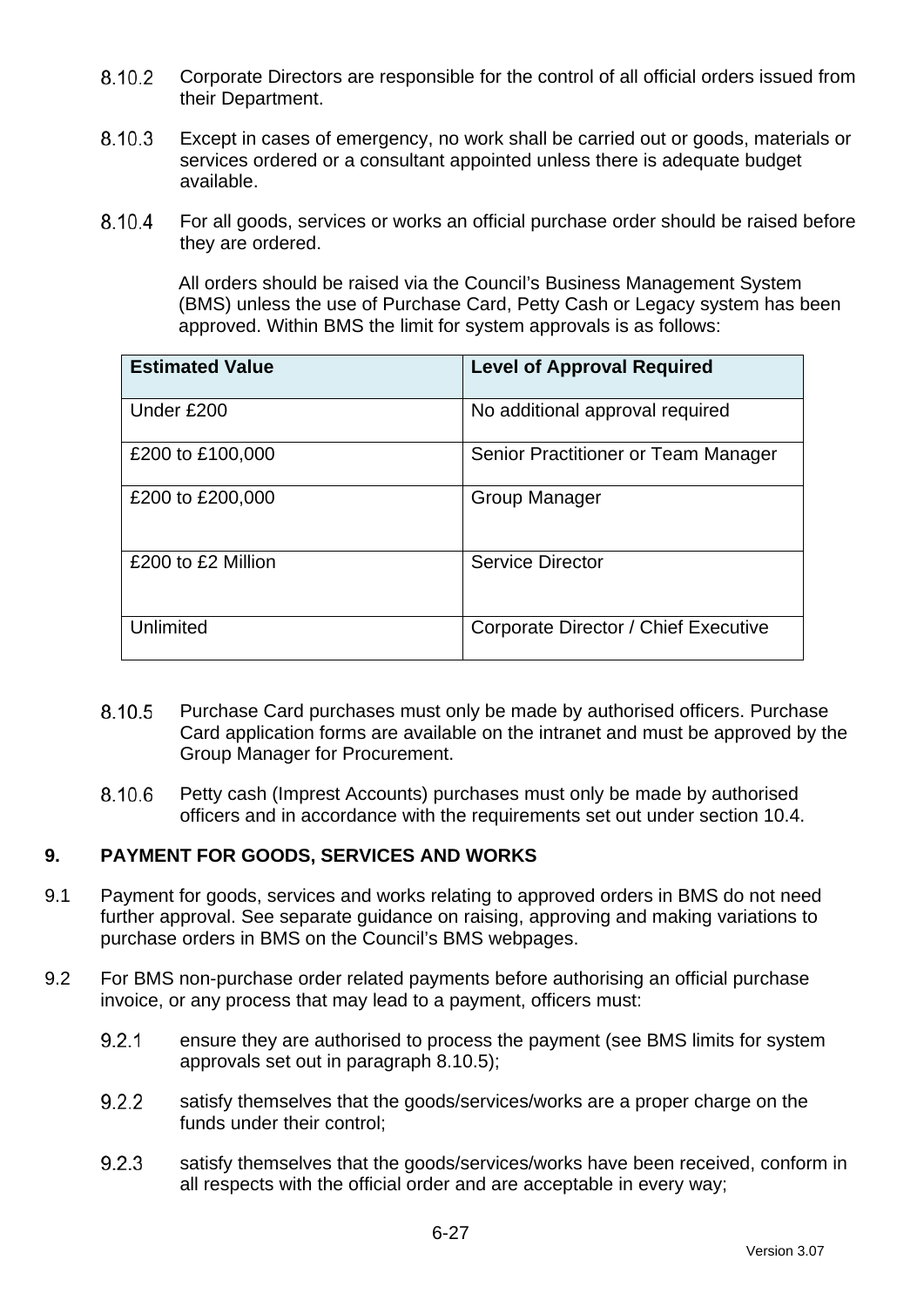- 8.10.2 Corporate Directors are responsible for the control of all official orders issued from their Department.
- 8.10.3 Except in cases of emergency, no work shall be carried out or goods, materials or services ordered or a consultant appointed unless there is adequate budget available.
- 8.10.4 For all goods, services or works an official purchase order should be raised before they are ordered.

All orders should be raised via the Council's Business Management System (BMS) unless the use of Purchase Card, Petty Cash or Legacy system has been approved. Within BMS the limit for system approvals is as follows:

| <b>Estimated Value</b> | <b>Level of Approval Required</b>    |
|------------------------|--------------------------------------|
| Under £200             | No additional approval required      |
| £200 to £100,000       | Senior Practitioner or Team Manager  |
| £200 to £200,000       | Group Manager                        |
| £200 to £2 Million     | <b>Service Director</b>              |
| Unlimited              | Corporate Director / Chief Executive |

- 8.10.5 Purchase Card purchases must only be made by authorised officers. Purchase Card application forms are available on the intranet and must be approved by the Group Manager for Procurement.
- 8.10.6 Petty cash (Imprest Accounts) purchases must only be made by authorised officers and in accordance with the requirements set out under section [10.4.](#page-106-0)

#### <span id="page-102-0"></span>**9. PAYMENT FOR GOODS, SERVICES AND WORKS**

- 9.1 Payment for goods, services and works relating to approved orders in BMS do not need further approval. See separate guidance on raising, approving and making variations to purchase orders in BMS on the Council's BMS webpages.
- <span id="page-102-3"></span><span id="page-102-2"></span><span id="page-102-1"></span>9.2 For BMS non-purchase order related payments before authorising an official purchase invoice, or any process that may lead to a payment, officers must:
	- ensure they are authorised to process the payment (see BMS limits for system  $9.2.1$ approvals set out in paragraph 8.10.5);
	- $9.2.2$ satisfy themselves that the goods/services/works are a proper charge on the funds under their control;
	- $9.2.3$ satisfy themselves that the goods/services/works have been received, conform in all respects with the official order and are acceptable in every way;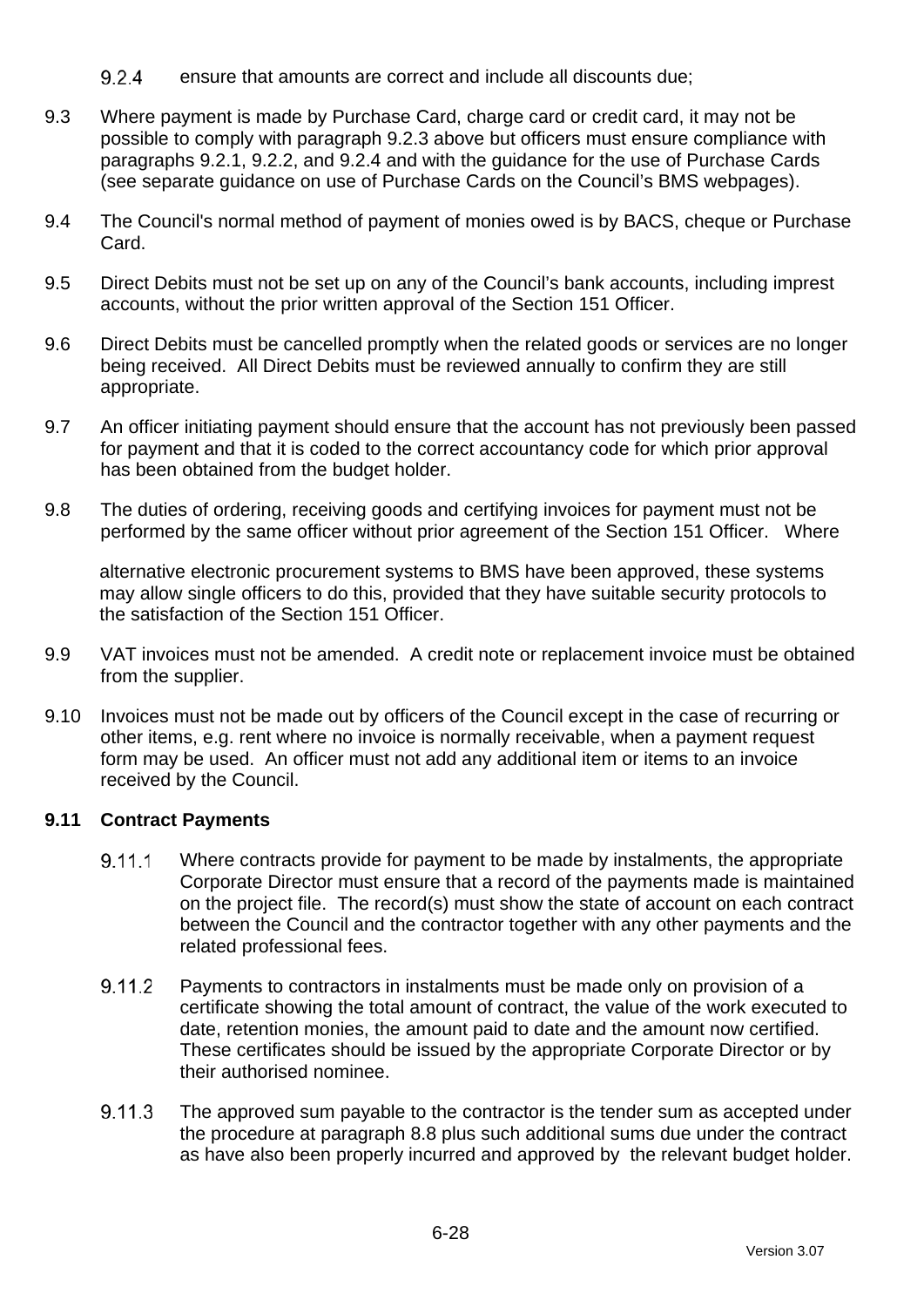- $9.2.4$ ensure that amounts are correct and include all discounts due;
- <span id="page-103-0"></span>9.3 Where payment is made by Purchase Card, charge card or credit card, it may not be possible to comply with paragraph [9.2.3](#page-102-1) above but officers must ensure compliance with paragraphs [9.2.1,](#page-102-2) [9.2.2,](#page-102-3) and [9.2.4](#page-103-0) and with the guidance for the use of Purchase Cards (see separate guidance on use of Purchase Cards on the Council's BMS webpages).
- 9.4 The Council's normal method of payment of monies owed is by BACS, cheque or Purchase Card.
- 9.5 Direct Debits must not be set up on any of the Council's bank accounts, including imprest accounts, without the prior written approval of the Section 151 Officer.
- 9.6 Direct Debits must be cancelled promptly when the related goods or services are no longer being received. All Direct Debits must be reviewed annually to confirm they are still appropriate.
- 9.7 An officer initiating payment should ensure that the account has not previously been passed for payment and that it is coded to the correct accountancy code for which prior approval has been obtained from the budget holder.
- 9.8 The duties of ordering, receiving goods and certifying invoices for payment must not be performed by the same officer without prior agreement of the Section 151 Officer. Where

alternative electronic procurement systems to BMS have been approved, these systems may allow single officers to do this, provided that they have suitable security protocols to the satisfaction of the Section 151 Officer.

- 9.9 VAT invoices must not be amended. A credit note or replacement invoice must be obtained from the supplier.
- 9.10 Invoices must not be made out by officers of the Council except in the case of recurring or other items, e.g. rent where no invoice is normally receivable, when a payment request form may be used. An officer must not add any additional item or items to an invoice received by the Council.

#### **9.11 Contract Payments**

- $9.11.1$ Where contracts provide for payment to be made by instalments, the appropriate Corporate Director must ensure that a record of the payments made is maintained on the project file. The record(s) must show the state of account on each contract between the Council and the contractor together with any other payments and the related professional fees.
- 9.11.2 Payments to contractors in instalments must be made only on provision of a certificate showing the total amount of contract, the value of the work executed to date, retention monies, the amount paid to date and the amount now certified. These certificates should be issued by the appropriate Corporate Director or by their authorised nominee.
- 9.11.3 The approved sum payable to the contractor is the tender sum as accepted under the procedure at paragraph 8.8 plus such additional sums due under the contract as have also been properly incurred and approved by the relevant budget holder.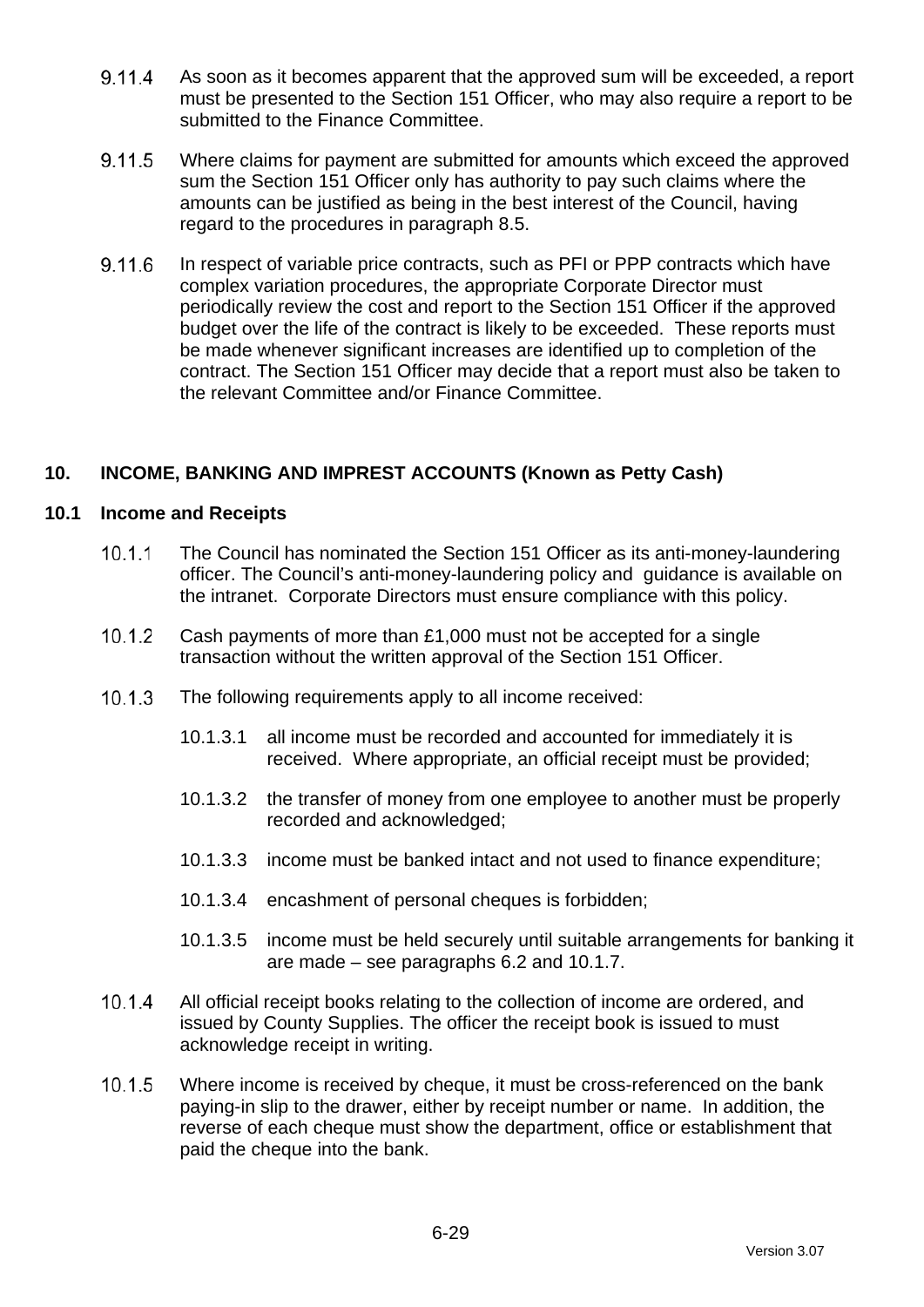- 9.11.4 As soon as it becomes apparent that the approved sum will be exceeded, a report must be presented to the Section 151 Officer, who may also require a report to be submitted to the Finance Committee.
- 9.11.5 Where claims for payment are submitted for amounts which exceed the approved sum the Section 151 Officer only has authority to pay such claims where the amounts can be justified as being in the best interest of the Council, having regard to the procedures in paragraph 8.5.
- 9.11.6 In respect of variable price contracts, such as PFI or PPP contracts which have complex variation procedures, the appropriate Corporate Director must periodically review the cost and report to the Section 151 Officer if the approved budget over the life of the contract is likely to be exceeded. These reports must be made whenever significant increases are identified up to completion of the contract. The Section 151 Officer may decide that a report must also be taken to the relevant Committee and/or Finance Committee.

## <span id="page-104-0"></span>**10. INCOME, BANKING AND IMPREST ACCOUNTS (Known as Petty Cash)**

#### **10.1 Income and Receipts**

- The Council has nominated the Section 151 Officer as its anti-money-laundering  $10.1.1$ officer. The Council's anti-money-laundering policy and guidance is available on the intranet. Corporate Directors must ensure compliance with this policy.
- $10.1.2$ Cash payments of more than £1,000 must not be accepted for a single transaction without the written approval of the Section 151 Officer.
- $10.1.3$ The following requirements apply to all income received:
	- 10.1.3.1 all income must be recorded and accounted for immediately it is received. Where appropriate, an official receipt must be provided;
	- 10.1.3.2 the transfer of money from one employee to another must be properly recorded and acknowledged;
	- 10.1.3.3 income must be banked intact and not used to finance expenditure;
	- 10.1.3.4 encashment of personal cheques is forbidden;
	- 10.1.3.5 income must be held securely until suitable arrangements for banking it are made – see paragraphs [6.2](#page-91-0) and 10.1.7.
- $10.1.4$ All official receipt books relating to the collection of income are ordered, and issued by County Supplies. The officer the receipt book is issued to must acknowledge receipt in writing.
- $10.1.5$ Where income is received by cheque, it must be cross-referenced on the bank paying-in slip to the drawer, either by receipt number or name. In addition, the reverse of each cheque must show the department, office or establishment that paid the cheque into the bank.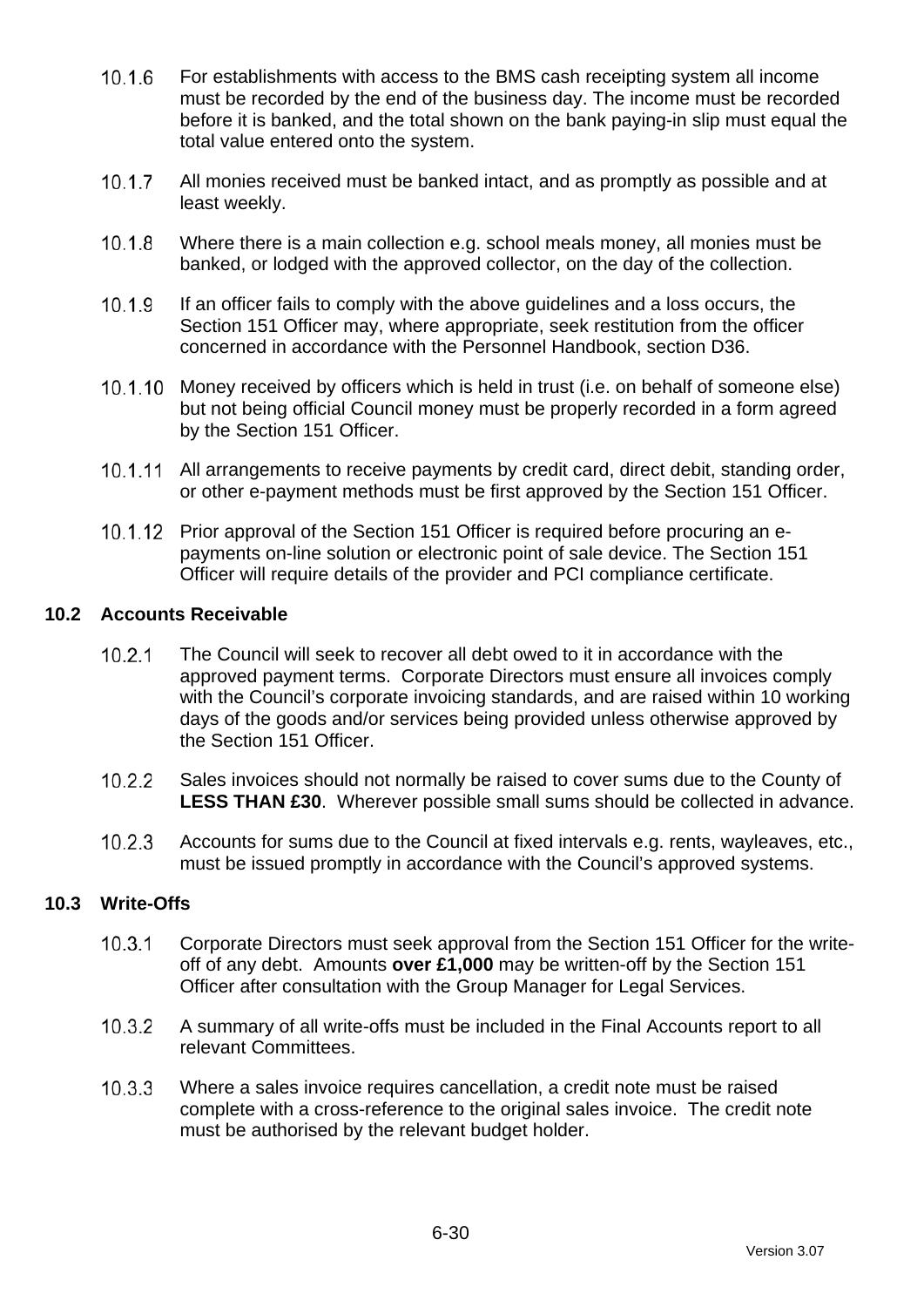- $10.1.6$ For establishments with access to the BMS cash receipting system all income must be recorded by the end of the business day. The income must be recorded before it is banked, and the total shown on the bank paying-in slip must equal the total value entered onto the system.
- $10.1.7$ All monies received must be banked intact, and as promptly as possible and at least weekly.
- $10.1.8$ Where there is a main collection e.g. school meals money, all monies must be banked, or lodged with the approved collector, on the day of the collection.
- $10.1.9$ If an officer fails to comply with the above guidelines and a loss occurs, the Section 151 Officer may, where appropriate, seek restitution from the officer concerned in accordance with the Personnel Handbook, section D36.
- 10.1.10 Money received by officers which is held in trust (i.e. on behalf of someone else) but not being official Council money must be properly recorded in a form agreed by the Section 151 Officer.
- 10.1.11 All arrangements to receive payments by credit card, direct debit, standing order, or other e-payment methods must be first approved by the Section 151 Officer.
- 10.1.12 Prior approval of the Section 151 Officer is required before procuring an epayments on-line solution or electronic point of sale device. The Section 151 Officer will require details of the provider and PCI compliance certificate.

#### **10.2 Accounts Receivable**

- $10.2.1$ The Council will seek to recover all debt owed to it in accordance with the approved payment terms. Corporate Directors must ensure all invoices comply with the Council's corporate invoicing standards, and are raised within 10 working days of the goods and/or services being provided unless otherwise approved by the Section 151 Officer.
- $10.2.2$ Sales invoices should not normally be raised to cover sums due to the County of **LESS THAN £30**. Wherever possible small sums should be collected in advance.
- $10.2.3$ Accounts for sums due to the Council at fixed intervals e.g. rents, wayleaves, etc., must be issued promptly in accordance with the Council's approved systems.

#### **10.3 Write-Offs**

- $10.3.1$ Corporate Directors must seek approval from the Section 151 Officer for the writeoff of any debt. Amounts **over £1,000** may be written-off by the Section 151 Officer after consultation with the Group Manager for Legal Services.
- $10.3.2$ A summary of all write-offs must be included in the Final Accounts report to all relevant Committees.
- $10.3.3$ Where a sales invoice requires cancellation, a credit note must be raised complete with a cross-reference to the original sales invoice. The credit note must be authorised by the relevant budget holder.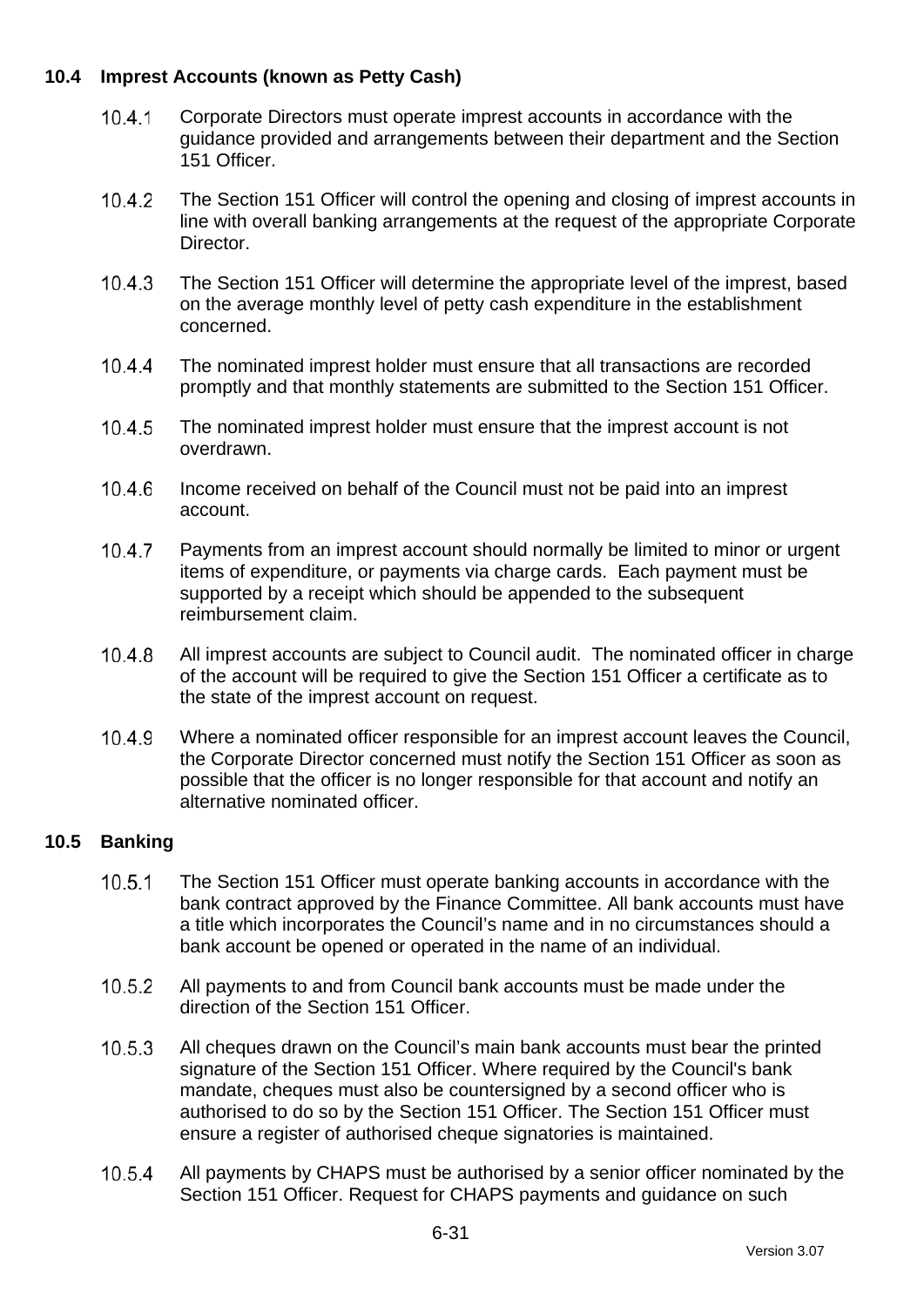## <span id="page-106-0"></span>**10.4 Imprest Accounts (known as Petty Cash)**

- $10.4.1$ Corporate Directors must operate imprest accounts in accordance with the guidance provided and arrangements between their department and the Section 151 Officer.
- $10.4.2$ The Section 151 Officer will control the opening and closing of imprest accounts in line with overall banking arrangements at the request of the appropriate Corporate Director.
- $10.4.3$ The Section 151 Officer will determine the appropriate level of the imprest, based on the average monthly level of petty cash expenditure in the establishment concerned.
- $10.4.4$ The nominated imprest holder must ensure that all transactions are recorded promptly and that monthly statements are submitted to the Section 151 Officer.
- 10.4.5 The nominated imprest holder must ensure that the imprest account is not overdrawn.
- $1046$ Income received on behalf of the Council must not be paid into an imprest account.
- $10.4.7$ Payments from an imprest account should normally be limited to minor or urgent items of expenditure, or payments via charge cards. Each payment must be supported by a receipt which should be appended to the subsequent reimbursement claim.
- 10.4.8 All imprest accounts are subject to Council audit. The nominated officer in charge of the account will be required to give the Section 151 Officer a certificate as to the state of the imprest account on request.
- $10.4.9$ Where a nominated officer responsible for an imprest account leaves the Council, the Corporate Director concerned must notify the Section 151 Officer as soon as possible that the officer is no longer responsible for that account and notify an alternative nominated officer.

#### **10.5 Banking**

- $10.5.1$ The Section 151 Officer must operate banking accounts in accordance with the bank contract approved by the Finance Committee. All bank accounts must have a title which incorporates the Council's name and in no circumstances should a bank account be opened or operated in the name of an individual.
- $10.5.2$ All payments to and from Council bank accounts must be made under the direction of the Section 151 Officer.
- $10.5.3$ All cheques drawn on the Council's main bank accounts must bear the printed signature of the Section 151 Officer. Where required by the Council's bank mandate, cheques must also be countersigned by a second officer who is authorised to do so by the Section 151 Officer. The Section 151 Officer must ensure a register of authorised cheque signatories is maintained.
- 10.5.4 All payments by CHAPS must be authorised by a senior officer nominated by the Section 151 Officer. Request for CHAPS payments and guidance on such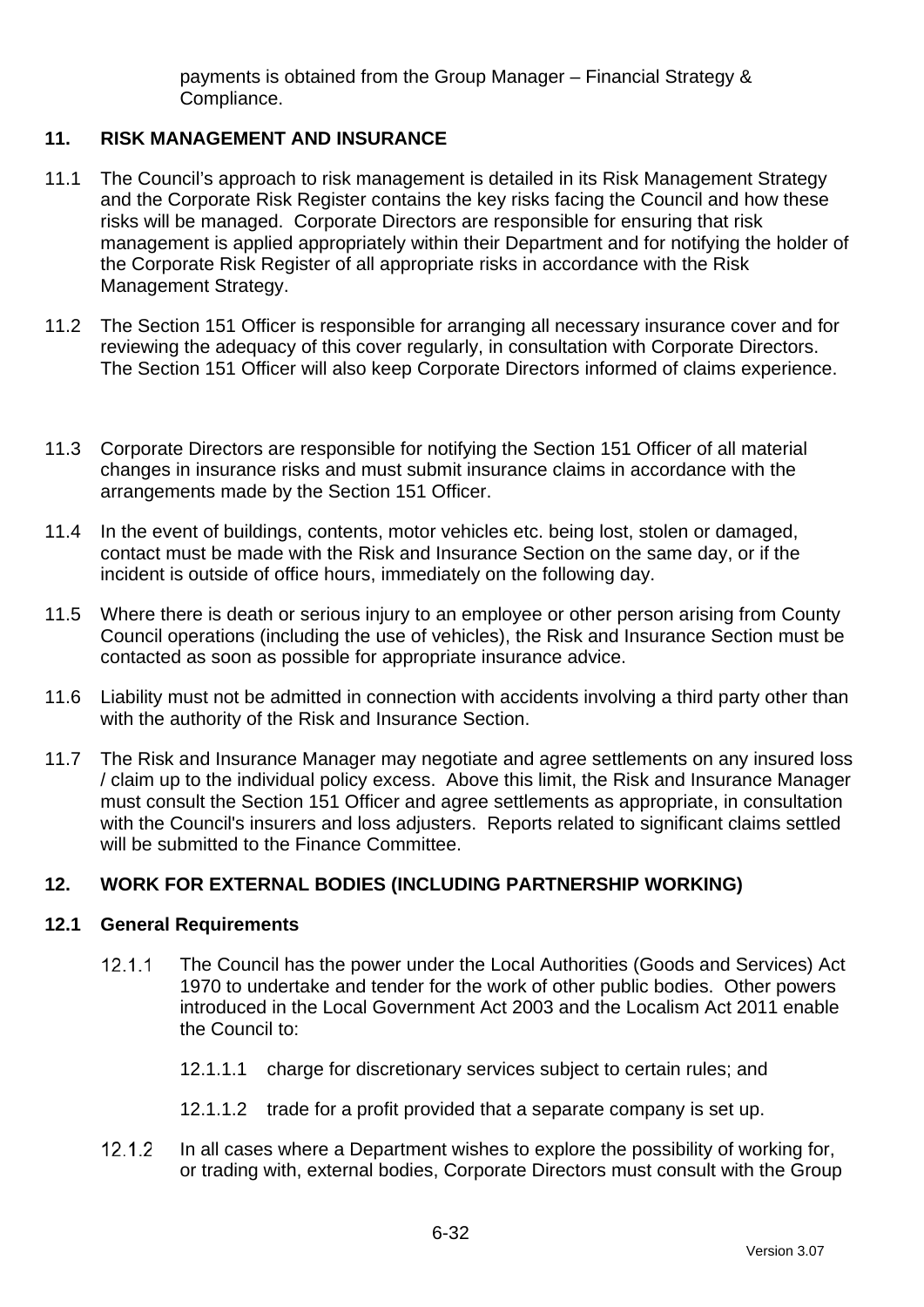payments is obtained from the Group Manager – Financial Strategy & Compliance.

## <span id="page-107-0"></span>**11. RISK MANAGEMENT AND INSURANCE**

- 11.1 The Council's approach to risk management is detailed in its Risk Management Strategy and the Corporate Risk Register contains the key risks facing the Council and how these risks will be managed. Corporate Directors are responsible for ensuring that risk management is applied appropriately within their Department and for notifying the holder of the Corporate Risk Register of all appropriate risks in accordance with the Risk Management Strategy.
- 11.2 The Section 151 Officer is responsible for arranging all necessary insurance cover and for reviewing the adequacy of this cover regularly, in consultation with Corporate Directors. The Section 151 Officer will also keep Corporate Directors informed of claims experience.
- 11.3 Corporate Directors are responsible for notifying the Section 151 Officer of all material changes in insurance risks and must submit insurance claims in accordance with the arrangements made by the Section 151 Officer.
- 11.4 In the event of buildings, contents, motor vehicles etc. being lost, stolen or damaged, contact must be made with the Risk and Insurance Section on the same day, or if the incident is outside of office hours, immediately on the following day.
- 11.5 Where there is death or serious injury to an employee or other person arising from County Council operations (including the use of vehicles), the Risk and Insurance Section must be contacted as soon as possible for appropriate insurance advice.
- 11.6 Liability must not be admitted in connection with accidents involving a third party other than with the authority of the Risk and Insurance Section.
- 11.7 The Risk and Insurance Manager may negotiate and agree settlements on any insured loss / claim up to the individual policy excess. Above this limit, the Risk and Insurance Manager must consult the Section 151 Officer and agree settlements as appropriate, in consultation with the Council's insurers and loss adjusters. Reports related to significant claims settled will be submitted to the Finance Committee.

## <span id="page-107-1"></span>**12. WORK FOR EXTERNAL BODIES (INCLUDING PARTNERSHIP WORKING)**

#### **12.1 General Requirements**

- $12.1.1$ The Council has the power under the Local Authorities (Goods and Services) Act 1970 to undertake and tender for the work of other public bodies. Other powers introduced in the Local Government Act 2003 and the Localism Act 2011 enable the Council to:
	- 12.1.1.1 charge for discretionary services subject to certain rules; and
	- 12.1.1.2 trade for a profit provided that a separate company is set up.
- $12.1.2$ In all cases where a Department wishes to explore the possibility of working for, or trading with, external bodies, Corporate Directors must consult with the Group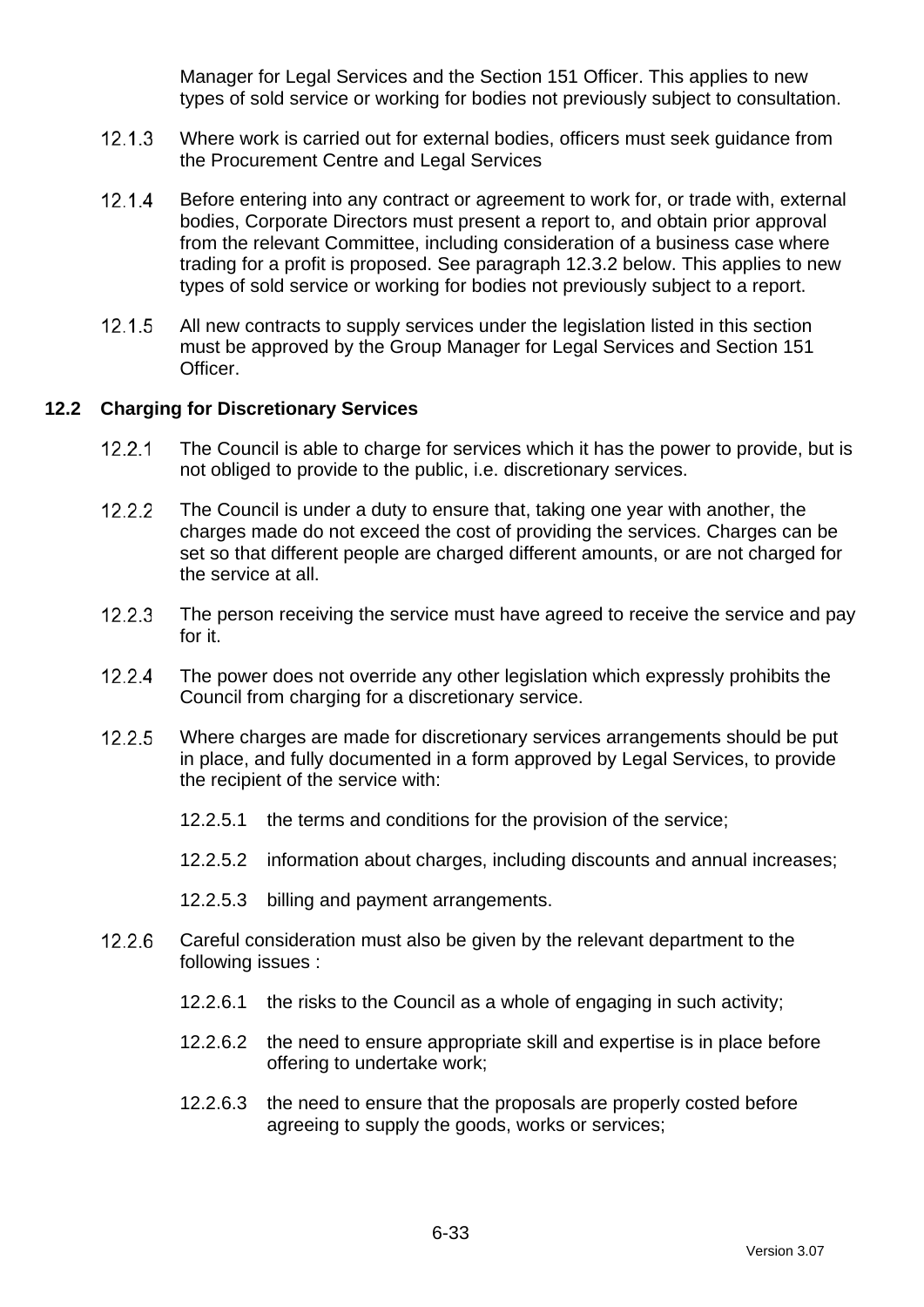Manager for Legal Services and the Section 151 Officer. This applies to new types of sold service or working for bodies not previously subject to consultation.

- $12.1.3$ Where work is carried out for external bodies, officers must seek guidance from the Procurement Centre and Legal Services
- $12.1.4$ Before entering into any contract or agreement to work for, or trade with, external bodies, Corporate Directors must present a report to, and obtain prior approval from the relevant Committee, including consideration of a business case where trading for a profit is proposed. See paragraph 12.3.2 below. This applies to new types of sold service or working for bodies not previously subject to a report.
- $12.1.5$ All new contracts to supply services under the legislation listed in this section must be approved by the Group Manager for Legal Services and Section 151 **Officer**

# **12.2 Charging for Discretionary Services**

- $12.2.1$ The Council is able to charge for services which it has the power to provide, but is not obliged to provide to the public, i.e. discretionary services.
- $12.2.2$ The Council is under a duty to ensure that, taking one year with another, the charges made do not exceed the cost of providing the services. Charges can be set so that different people are charged different amounts, or are not charged for the service at all.
- $12.2.3$ The person receiving the service must have agreed to receive the service and pay for it.
- $12.2.4$ The power does not override any other legislation which expressly prohibits the Council from charging for a discretionary service.
- $12.2.5$ Where charges are made for discretionary services arrangements should be put in place, and fully documented in a form approved by Legal Services, to provide the recipient of the service with:
	- 12.2.5.1 the terms and conditions for the provision of the service;
	- 12.2.5.2 information about charges, including discounts and annual increases;
	- 12.2.5.3 billing and payment arrangements.
- $12.2.6$ Careful consideration must also be given by the relevant department to the following issues :
	- 12.2.6.1 the risks to the Council as a whole of engaging in such activity;
	- 12.2.6.2 the need to ensure appropriate skill and expertise is in place before offering to undertake work;
	- 12.2.6.3 the need to ensure that the proposals are properly costed before agreeing to supply the goods, works or services;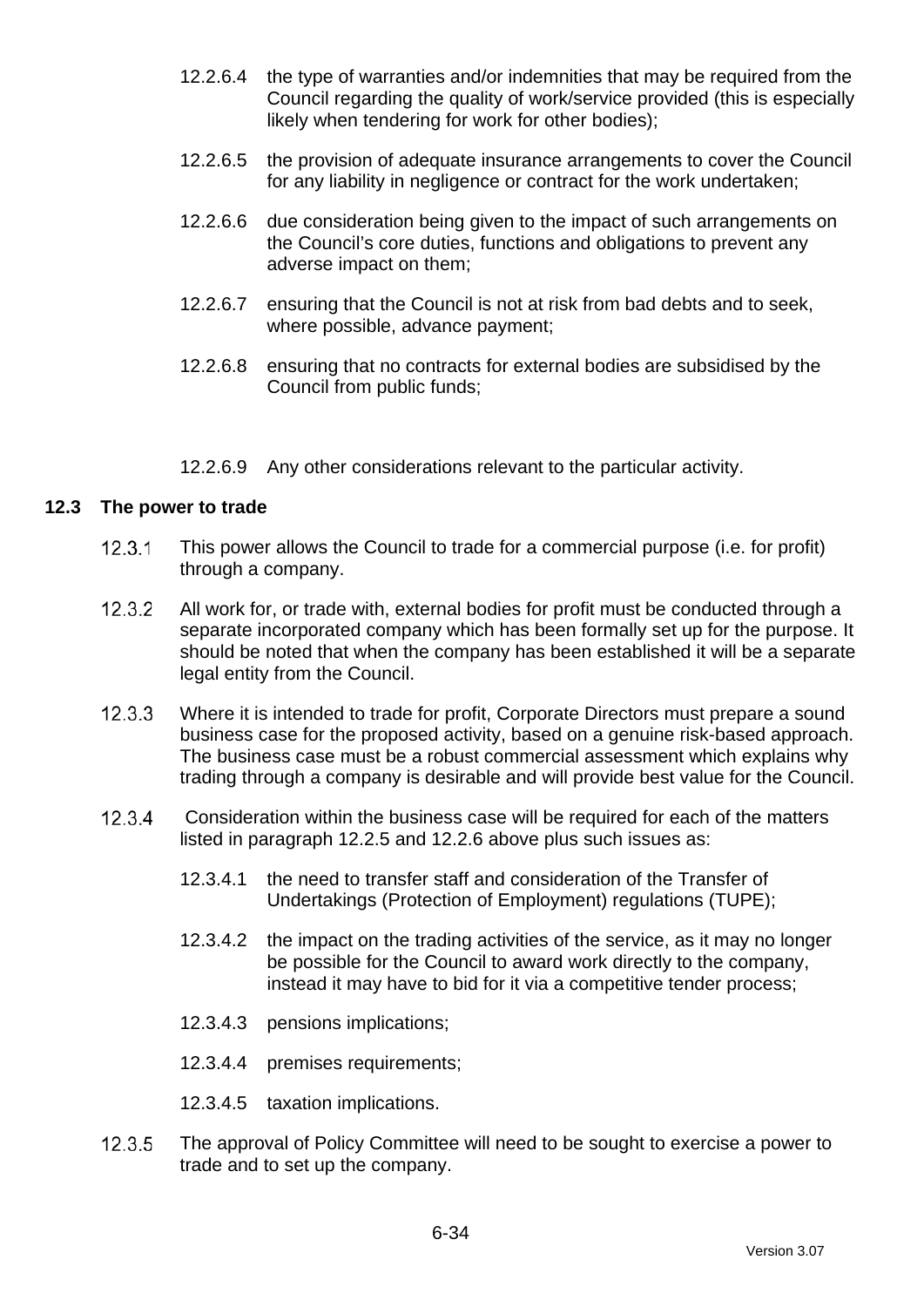- 12.2.6.4 the type of warranties and/or indemnities that may be required from the Council regarding the quality of work/service provided (this is especially likely when tendering for work for other bodies);
- 12.2.6.5 the provision of adequate insurance arrangements to cover the Council for any liability in negligence or contract for the work undertaken;
- 12.2.6.6 due consideration being given to the impact of such arrangements on the Council's core duties, functions and obligations to prevent any adverse impact on them;
- 12.2.6.7 ensuring that the Council is not at risk from bad debts and to seek, where possible, advance payment;
- 12.2.6.8 ensuring that no contracts for external bodies are subsidised by the Council from public funds;
- 12.2.6.9 Any other considerations relevant to the particular activity.

#### **12.3 The power to trade**

- $12.3.1$ This power allows the Council to trade for a commercial purpose (i.e. for profit) through a company.
- $12.3.2$ All work for, or trade with, external bodies for profit must be conducted through a separate incorporated company which has been formally set up for the purpose. It should be noted that when the company has been established it will be a separate legal entity from the Council.
- $12.3.3$ Where it is intended to trade for profit, Corporate Directors must prepare a sound business case for the proposed activity, based on a genuine risk-based approach. The business case must be a robust commercial assessment which explains why trading through a company is desirable and will provide best value for the Council.
- 12.3.4 Consideration within the business case will be required for each of the matters listed in paragraph 12.2.5 and 12.2.6 above plus such issues as:
	- 12.3.4.1 the need to transfer staff and consideration of the Transfer of Undertakings (Protection of Employment) regulations (TUPE);
	- 12.3.4.2 the impact on the trading activities of the service, as it may no longer be possible for the Council to award work directly to the company, instead it may have to bid for it via a competitive tender process;
	- 12.3.4.3 pensions implications;
	- 12.3.4.4 premises requirements;
	- 12.3.4.5 taxation implications.
- $12.3.5$ The approval of Policy Committee will need to be sought to exercise a power to trade and to set up the company.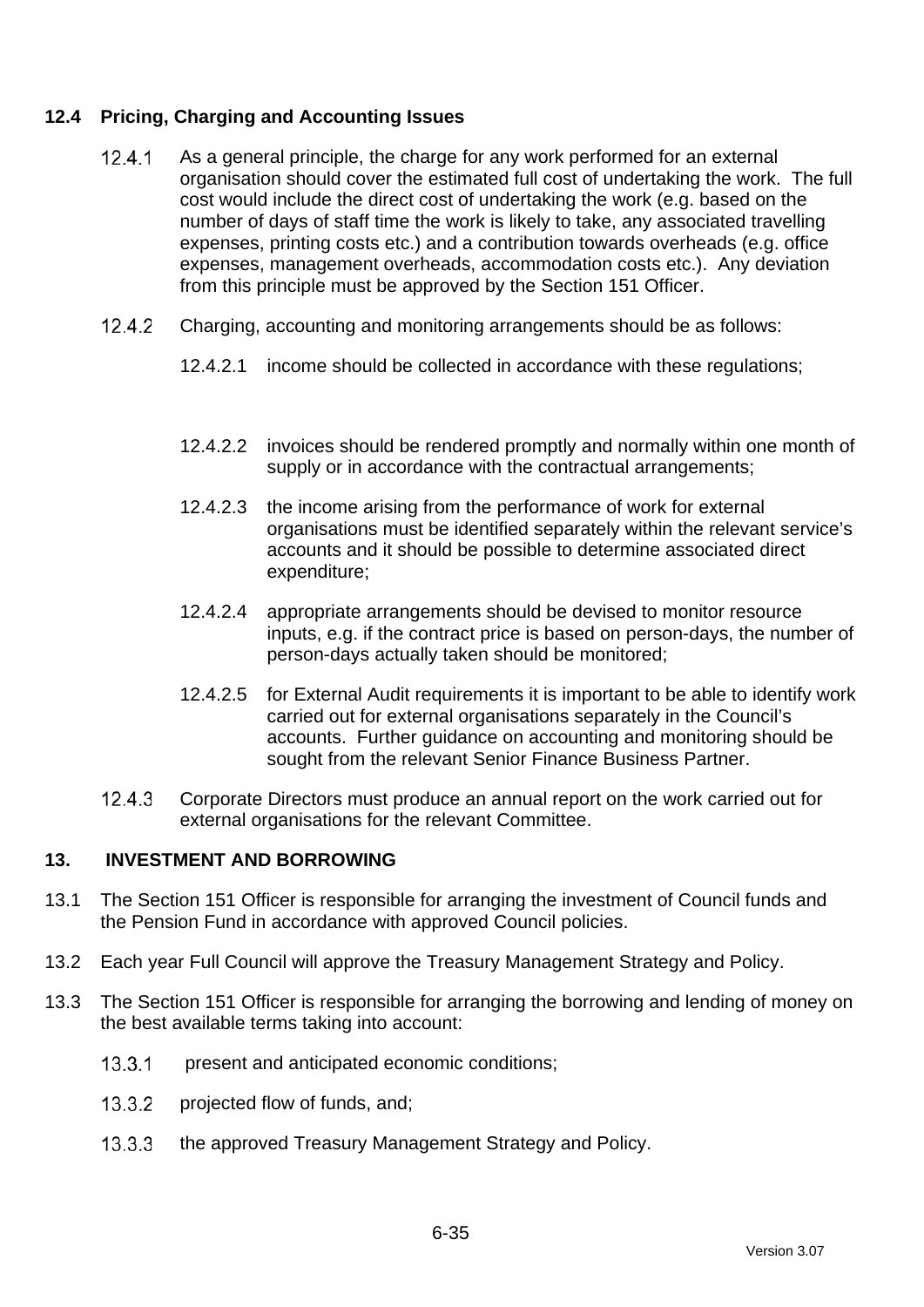# **12.4 Pricing, Charging and Accounting Issues**

- $12.4.1$ As a general principle, the charge for any work performed for an external organisation should cover the estimated full cost of undertaking the work. The full cost would include the direct cost of undertaking the work (e.g. based on the number of days of staff time the work is likely to take, any associated travelling expenses, printing costs etc.) and a contribution towards overheads (e.g. office expenses, management overheads, accommodation costs etc.). Any deviation from this principle must be approved by the Section 151 Officer.
- $12.4.2$ Charging, accounting and monitoring arrangements should be as follows:
	- 12.4.2.1 income should be collected in accordance with these regulations;
	- 12.4.2.2 invoices should be rendered promptly and normally within one month of supply or in accordance with the contractual arrangements;
	- 12.4.2.3 the income arising from the performance of work for external organisations must be identified separately within the relevant service's accounts and it should be possible to determine associated direct expenditure;
	- 12.4.2.4 appropriate arrangements should be devised to monitor resource inputs, e.g. if the contract price is based on person-days, the number of person-days actually taken should be monitored;
	- 12.4.2.5 for External Audit requirements it is important to be able to identify work carried out for external organisations separately in the Council's accounts. Further guidance on accounting and monitoring should be sought from the relevant Senior Finance Business Partner.
- $12.4.3$ Corporate Directors must produce an annual report on the work carried out for external organisations for the relevant Committee.

#### **13. INVESTMENT AND BORROWING**

- 13.1 The Section 151 Officer is responsible for arranging the investment of Council funds and the Pension Fund in accordance with approved Council policies.
- 13.2 Each year Full Council will approve the Treasury Management Strategy and Policy.
- 13.3 The Section 151 Officer is responsible for arranging the borrowing and lending of money on the best available terms taking into account:
	- $13.3.1$ present and anticipated economic conditions;
	- projected flow of funds, and;  $13.3.2$
	- 13.3.3 the approved Treasury Management Strategy and Policy.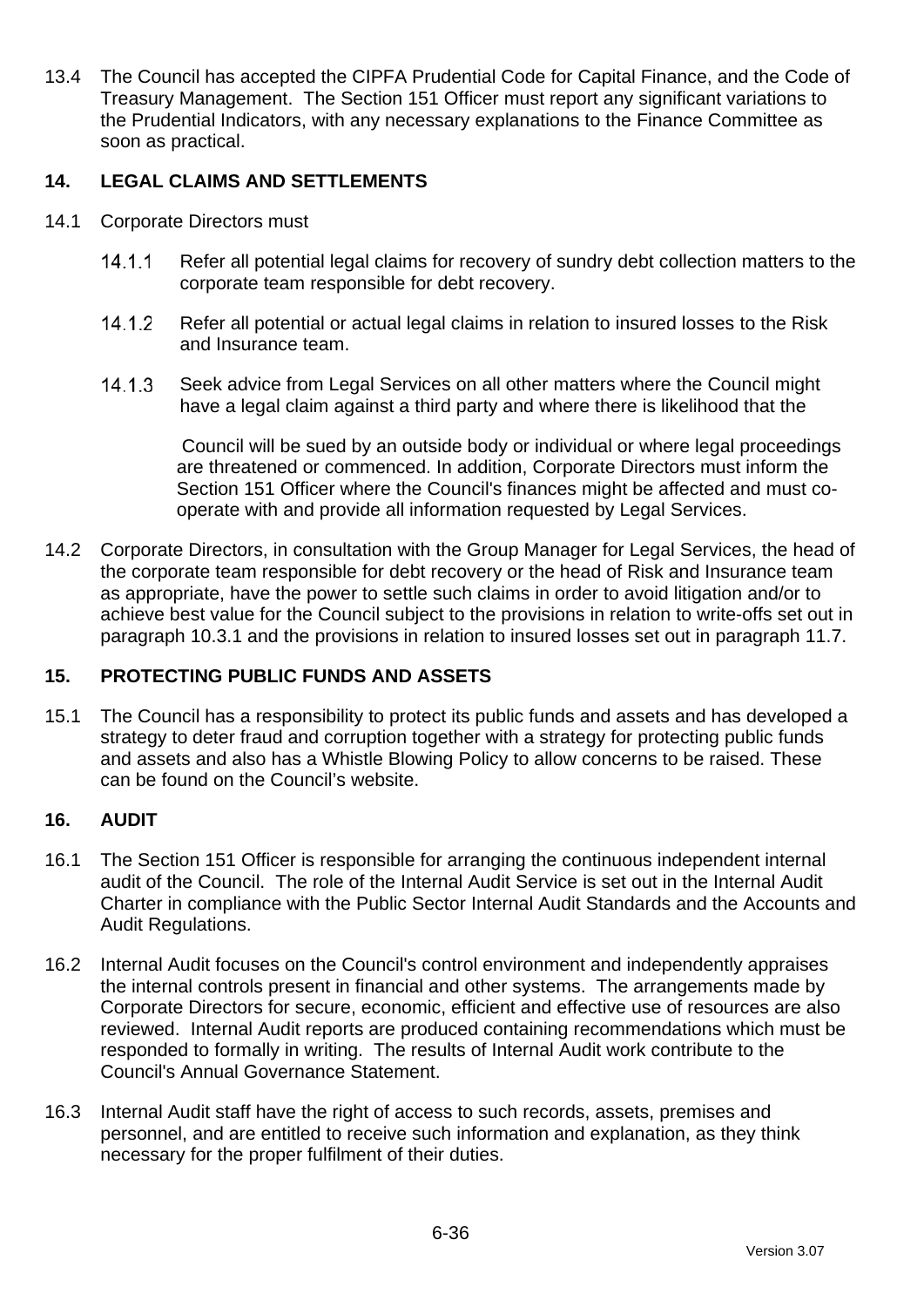13.4 The Council has accepted the CIPFA Prudential Code for Capital Finance, and the Code of Treasury Management. The Section 151 Officer must report any significant variations to the Prudential Indicators, with any necessary explanations to the Finance Committee as soon as practical.

# **14. LEGAL CLAIMS AND SETTLEMENTS**

- 14.1 Corporate Directors must
	- $14.1.1$ Refer all potential legal claims for recovery of sundry debt collection matters to the corporate team responsible for debt recovery.
	- $14.1.2$ Refer all potential or actual legal claims in relation to insured losses to the Risk and Insurance team.
	- $14.1.3$ Seek advice from Legal Services on all other matters where the Council might have a legal claim against a third party and where there is likelihood that the

Council will be sued by an outside body or individual or where legal proceedings are threatened or commenced. In addition, Corporate Directors must inform the Section 151 Officer where the Council's finances might be affected and must cooperate with and provide all information requested by Legal Services.

14.2 Corporate Directors, in consultation with the Group Manager for Legal Services, the head of the corporate team responsible for debt recovery or the head of Risk and Insurance team as appropriate, have the power to settle such claims in order to avoid litigation and/or to achieve best value for the Council subject to the provisions in relation to write-offs set out in paragraph [10.3.1](#page-105-0) and the provisions in relation to insured losses set out in paragraph [11.7.](#page-107-0)

# **15. PROTECTING PUBLIC FUNDS AND ASSETS**

15.1 The Council has a responsibility to protect its public funds and assets and has developed a strategy to deter fraud and corruption together with a strategy for protecting public funds and assets and also has a Whistle Blowing Policy to allow concerns to be raised. These can be found on the Council's website.

# **16. AUDIT**

- 16.1 The Section 151 Officer is responsible for arranging the continuous independent internal audit of the Council. The role of the Internal Audit Service is set out in the Internal Audit Charter in compliance with the Public Sector Internal Audit Standards and the Accounts and Audit Regulations.
- 16.2 Internal Audit focuses on the Council's control environment and independently appraises the internal controls present in financial and other systems. The arrangements made by Corporate Directors for secure, economic, efficient and effective use of resources are also reviewed. Internal Audit reports are produced containing recommendations which must be responded to formally in writing. The results of Internal Audit work contribute to the Council's Annual Governance Statement.
- 16.3 Internal Audit staff have the right of access to such records, assets, premises and personnel, and are entitled to receive such information and explanation, as they think necessary for the proper fulfilment of their duties.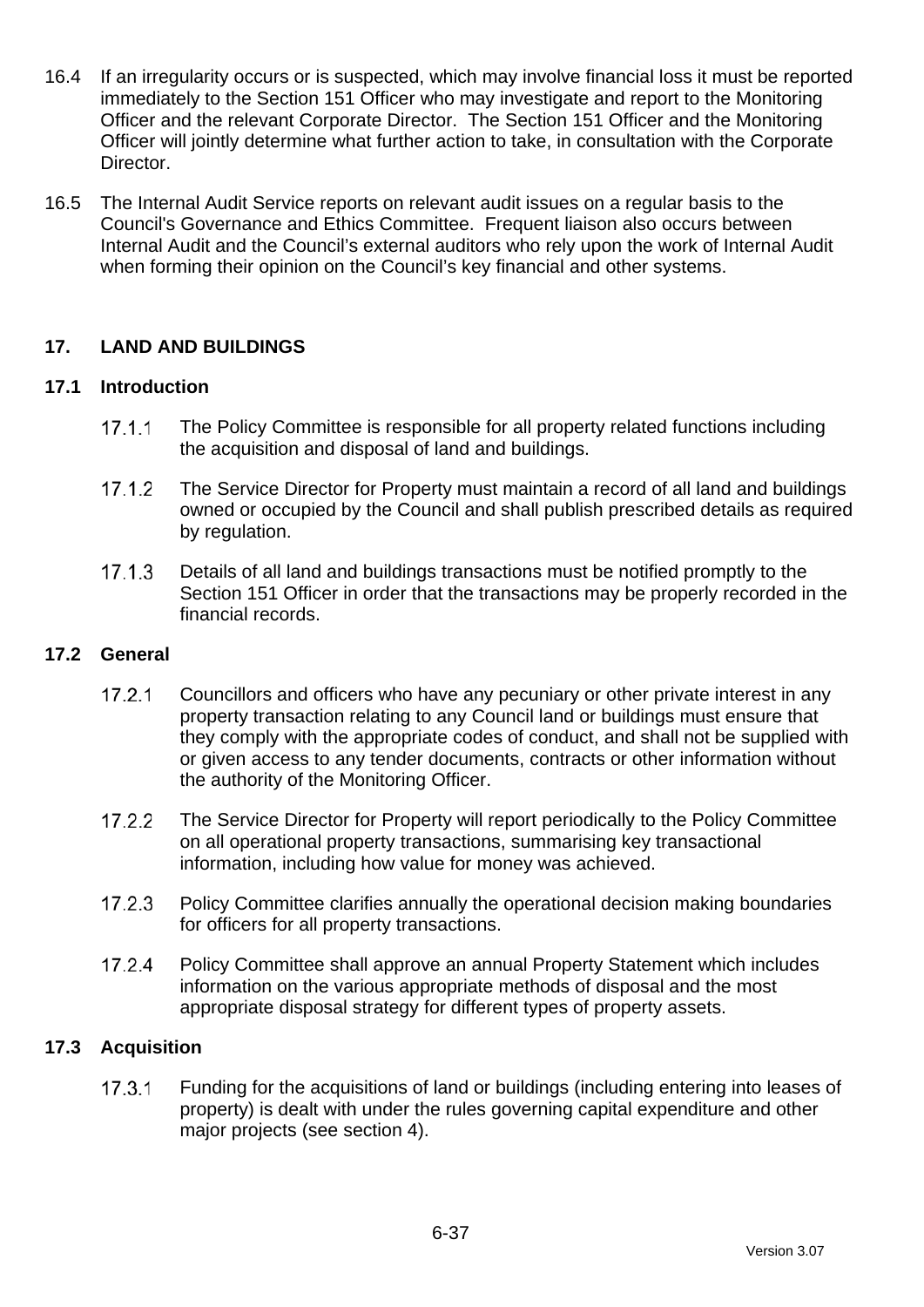- 16.4 If an irregularity occurs or is suspected, which may involve financial loss it must be reported immediately to the Section 151 Officer who may investigate and report to the Monitoring Officer and the relevant Corporate Director. The Section 151 Officer and the Monitoring Officer will jointly determine what further action to take, in consultation with the Corporate Director.
- 16.5 The Internal Audit Service reports on relevant audit issues on a regular basis to the Council's Governance and Ethics Committee. Frequent liaison also occurs between Internal Audit and the Council's external auditors who rely upon the work of Internal Audit when forming their opinion on the Council's key financial and other systems.

# **17. LAND AND BUILDINGS**

#### **17.1 Introduction**

- $17.1.1$ The Policy Committee is responsible for all property related functions including the acquisition and disposal of land and buildings.
- $17.1.2$ The Service Director for Property must maintain a record of all land and buildings owned or occupied by the Council and shall publish prescribed details as required by regulation.
- $17.1.3$ Details of all land and buildings transactions must be notified promptly to the Section 151 Officer in order that the transactions may be properly recorded in the financial records.

#### **17.2 General**

- $17.2.1$ Councillors and officers who have any pecuniary or other private interest in any property transaction relating to any Council land or buildings must ensure that they comply with the appropriate codes of conduct, and shall not be supplied with or given access to any tender documents, contracts or other information without the authority of the Monitoring Officer.
- $17.2.2$ The Service Director for Property will report periodically to the Policy Committee on all operational property transactions, summarising key transactional information, including how value for money was achieved.
- 17.2.3 Policy Committee clarifies annually the operational decision making boundaries for officers for all property transactions.
- $17.2.4$ Policy Committee shall approve an annual Property Statement which includes information on the various appropriate methods of disposal and the most appropriate disposal strategy for different types of property assets.

# **17.3 Acquisition**

 $17.3.1$ Funding for the acquisitions of land or buildings (including entering into leases of property) is dealt with under the rules governing capital expenditure and other major projects (see section [4\)](#page-78-0).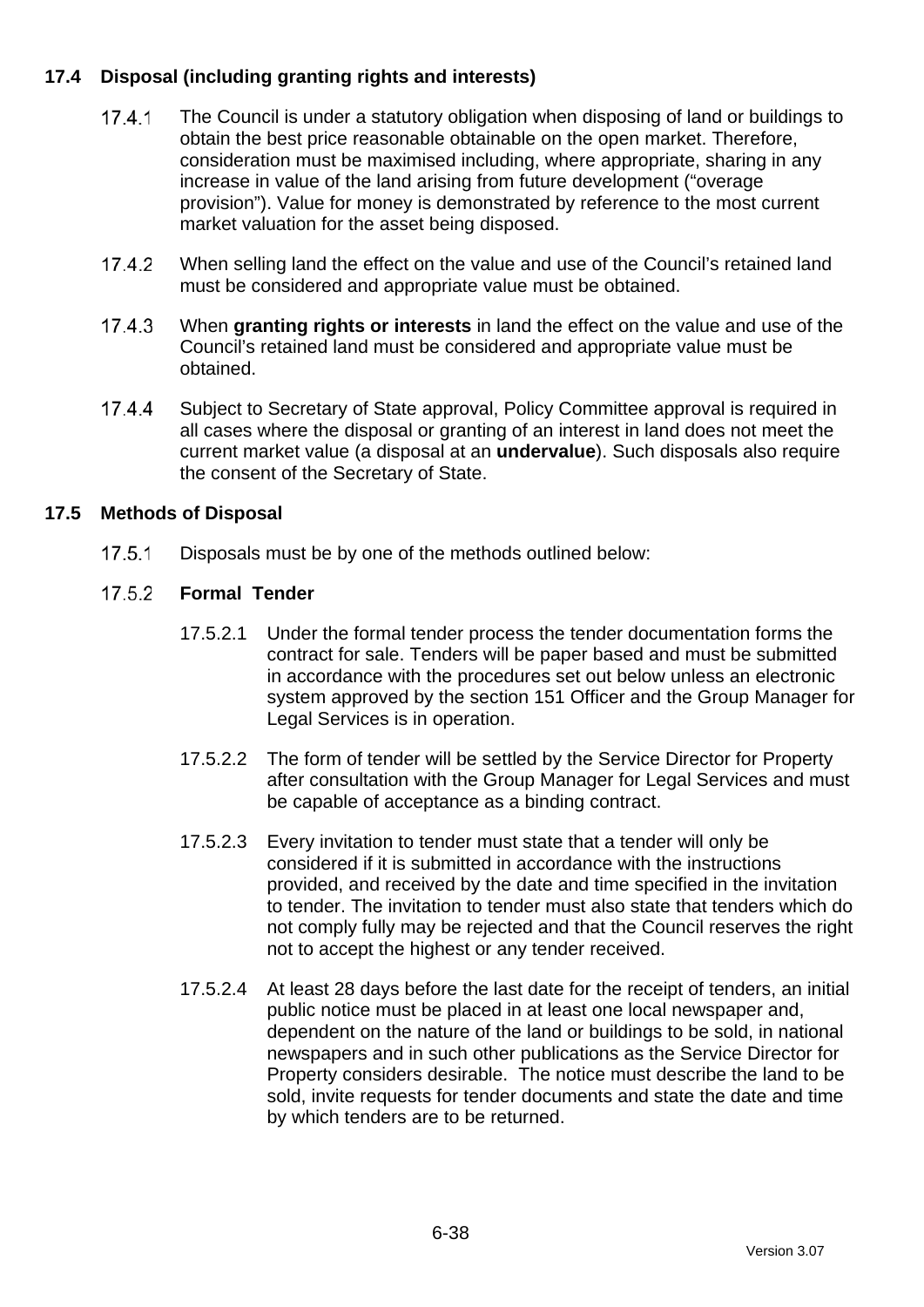# **17.4 Disposal (including granting rights and interests)**

- $17.4.1$ The Council is under a statutory obligation when disposing of land or buildings to obtain the best price reasonable obtainable on the open market. Therefore, consideration must be maximised including, where appropriate, sharing in any increase in value of the land arising from future development ("overage provision"). Value for money is demonstrated by reference to the most current market valuation for the asset being disposed.
- 17.4.2 When selling land the effect on the value and use of the Council's retained land must be considered and appropriate value must be obtained.
- $17.4.3$ When **granting rights or interests** in land the effect on the value and use of the Council's retained land must be considered and appropriate value must be obtained.
- 17.4.4 Subject to Secretary of State approval, Policy Committee approval is required in all cases where the disposal or granting of an interest in land does not meet the current market value (a disposal at an **undervalue**). Such disposals also require the consent of the Secretary of State.

# **17.5 Methods of Disposal**

 $17.5.1$ Disposals must be by one of the methods outlined below:

#### $17.5.2$ **Formal Tender**

- 17.5.2.1 Under the formal tender process the tender documentation forms the contract for sale. Tenders will be paper based and must be submitted in accordance with the procedures set out below unless an electronic system approved by the section 151 Officer and the Group Manager for Legal Services is in operation.
- 17.5.2.2 The form of tender will be settled by the Service Director for Property after consultation with the Group Manager for Legal Services and must be capable of acceptance as a binding contract.
- 17.5.2.3 Every invitation to tender must state that a tender will only be considered if it is submitted in accordance with the instructions provided, and received by the date and time specified in the invitation to tender. The invitation to tender must also state that tenders which do not comply fully may be rejected and that the Council reserves the right not to accept the highest or any tender received.
- 17.5.2.4 At least 28 days before the last date for the receipt of tenders, an initial public notice must be placed in at least one local newspaper and, dependent on the nature of the land or buildings to be sold, in national newspapers and in such other publications as the Service Director for Property considers desirable. The notice must describe the land to be sold, invite requests for tender documents and state the date and time by which tenders are to be returned.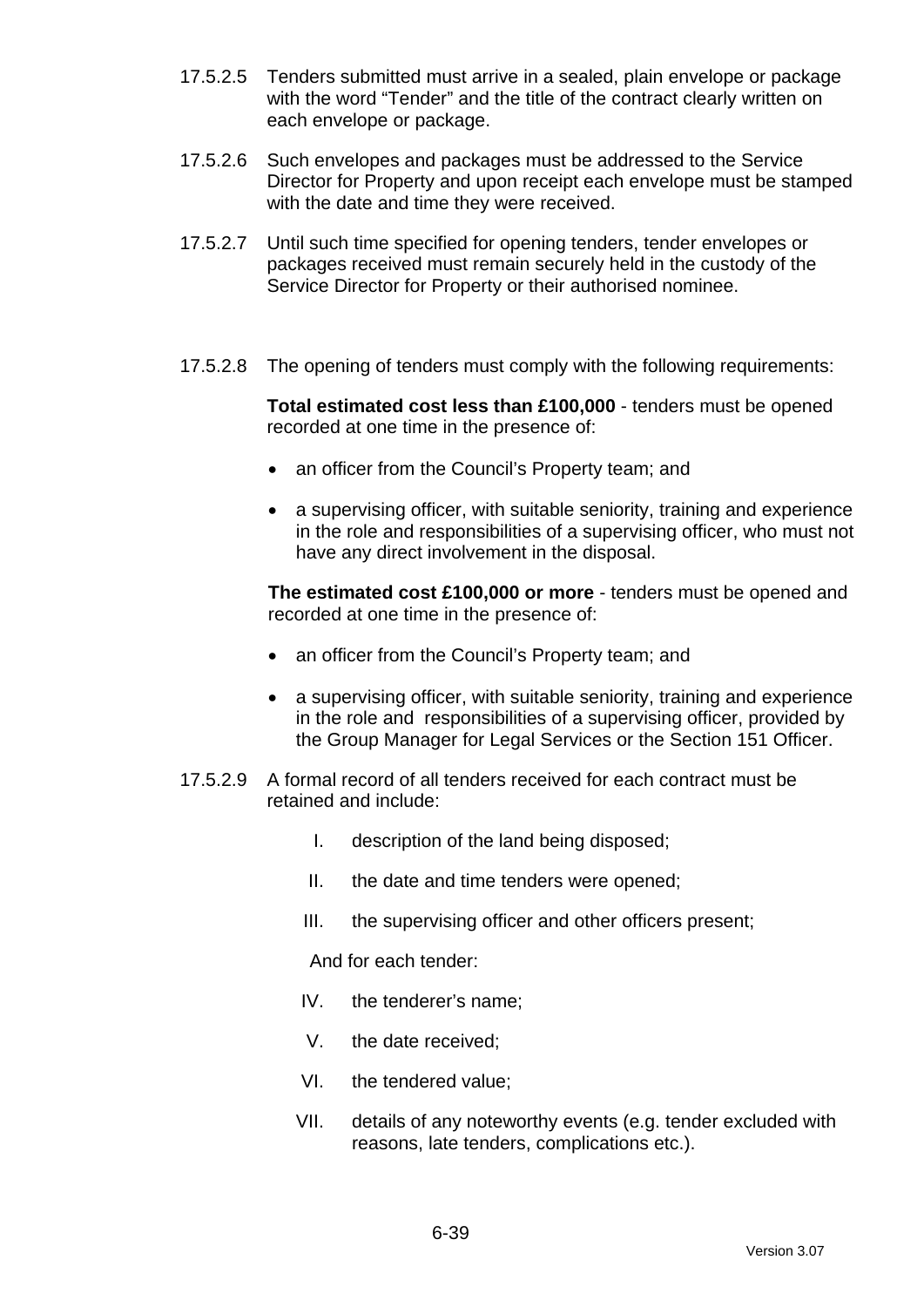- 17.5.2.5 Tenders submitted must arrive in a sealed, plain envelope or package with the word "Tender" and the title of the contract clearly written on each envelope or package.
- 17.5.2.6 Such envelopes and packages must be addressed to the Service Director for Property and upon receipt each envelope must be stamped with the date and time they were received.
- 17.5.2.7 Until such time specified for opening tenders, tender envelopes or packages received must remain securely held in the custody of the Service Director for Property or their authorised nominee.
- 17.5.2.8 The opening of tenders must comply with the following requirements:

**Total estimated cost less than £100,000** - tenders must be opened recorded at one time in the presence of:

- an officer from the Council's Property team; and
- a supervising officer, with suitable seniority, training and experience in the role and responsibilities of a supervising officer, who must not have any direct involvement in the disposal.

**The estimated cost £100,000 or more** - tenders must be opened and recorded at one time in the presence of:

- an officer from the Council's Property team; and
- a supervising officer, with suitable seniority, training and experience in the role and responsibilities of a supervising officer, provided by the Group Manager for Legal Services or the Section 151 Officer.
- 17.5.2.9 A formal record of all tenders received for each contract must be retained and include:
	- I. description of the land being disposed;
	- II. the date and time tenders were opened;
	- III. the supervising officer and other officers present;

And for each tender:

- IV. the tenderer's name;
- V. the date received;
- VI. the tendered value;
- VII. details of any noteworthy events (e.g. tender excluded with reasons, late tenders, complications etc.).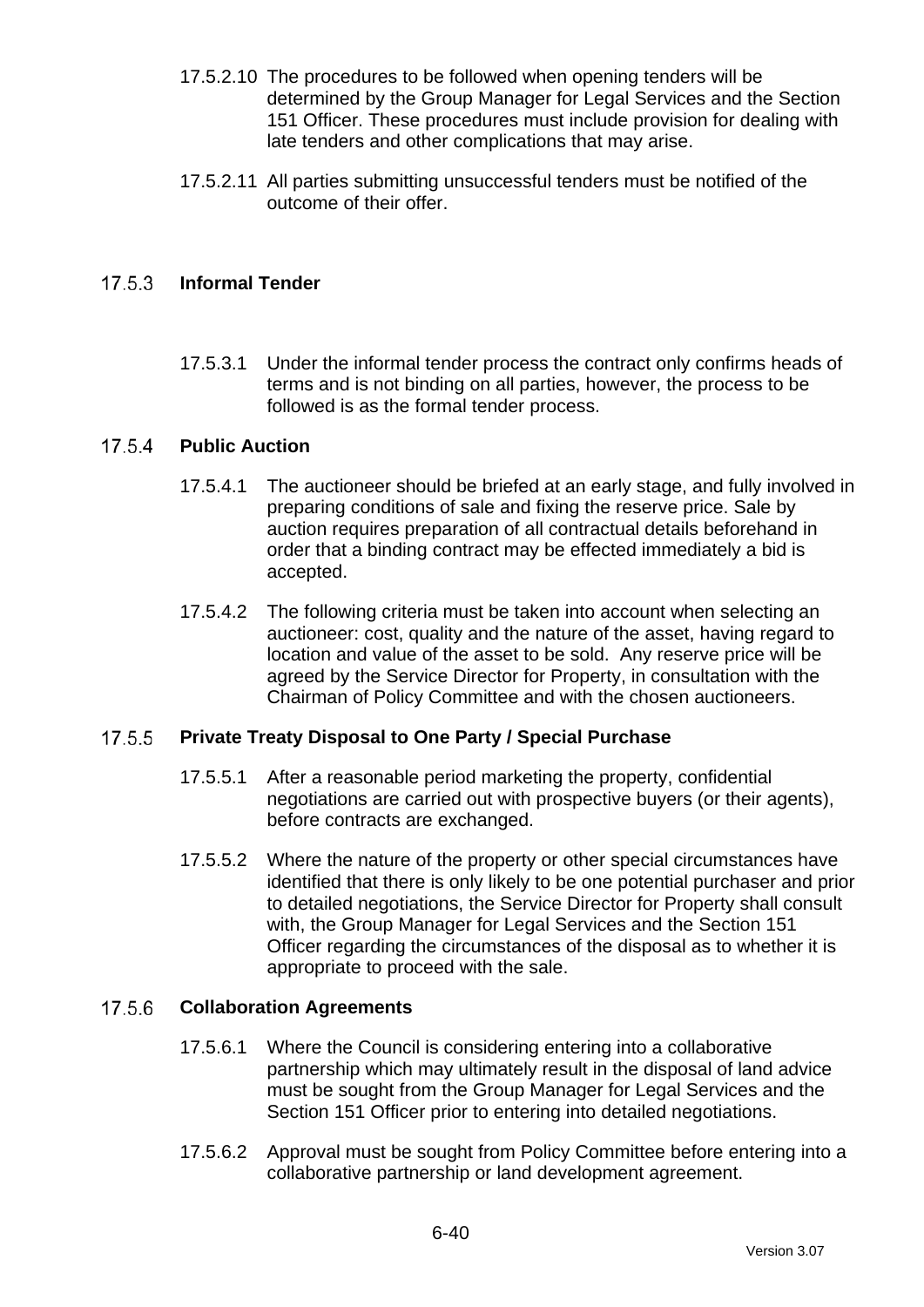- 17.5.2.10 The procedures to be followed when opening tenders will be determined by the Group Manager for Legal Services and the Section 151 Officer. These procedures must include provision for dealing with late tenders and other complications that may arise.
- 17.5.2.11 All parties submitting unsuccessful tenders must be notified of the outcome of their offer.

#### $17.5.3$ **Informal Tender**

17.5.3.1 Under the informal tender process the contract only confirms heads of terms and is not binding on all parties, however, the process to be followed is as the formal tender process.

#### 17.5.4 **Public Auction**

- 17.5.4.1 The auctioneer should be briefed at an early stage, and fully involved in preparing conditions of sale and fixing the reserve price. Sale by auction requires preparation of all contractual details beforehand in order that a binding contract may be effected immediately a bid is accepted.
- 17.5.4.2 The following criteria must be taken into account when selecting an auctioneer: cost, quality and the nature of the asset, having regard to location and value of the asset to be sold. Any reserve price will be agreed by the Service Director for Property, in consultation with the Chairman of Policy Committee and with the chosen auctioneers.

#### $17.5.5$ **Private Treaty Disposal to One Party / Special Purchase**

- 17.5.5.1 After a reasonable period marketing the property, confidential negotiations are carried out with prospective buyers (or their agents), before contracts are exchanged.
- 17.5.5.2 Where the nature of the property or other special circumstances have identified that there is only likely to be one potential purchaser and prior to detailed negotiations, the Service Director for Property shall consult with, the Group Manager for Legal Services and the Section 151 Officer regarding the circumstances of the disposal as to whether it is appropriate to proceed with the sale.

#### $17.5.6$ **Collaboration Agreements**

- 17.5.6.1 Where the Council is considering entering into a collaborative partnership which may ultimately result in the disposal of land advice must be sought from the Group Manager for Legal Services and the Section 151 Officer prior to entering into detailed negotiations.
- 17.5.6.2 Approval must be sought from Policy Committee before entering into a collaborative partnership or land development agreement.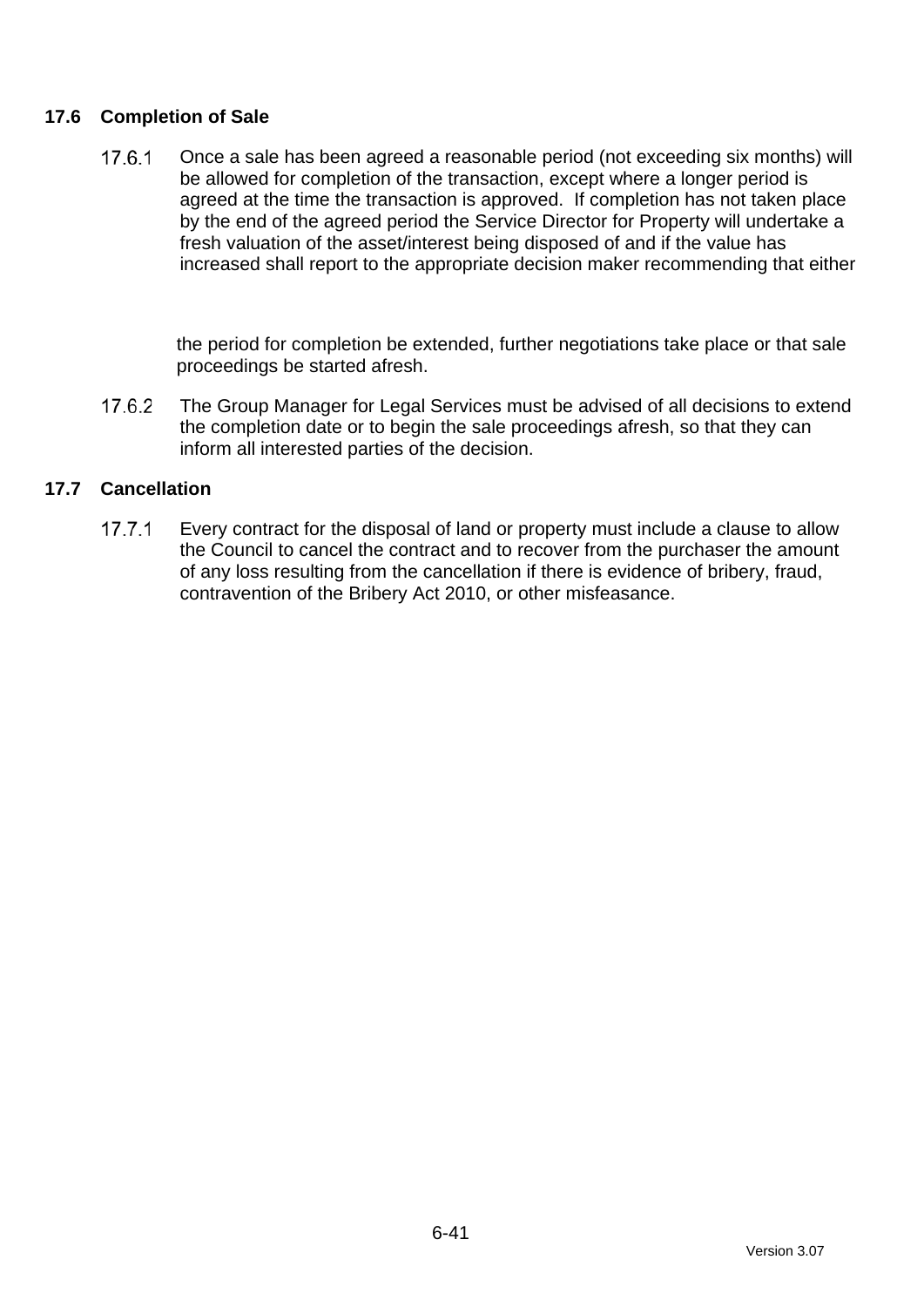# **17.6 Completion of Sale**

17.6.1 Once a sale has been agreed a reasonable period (not exceeding six months) will be allowed for completion of the transaction, except where a longer period is agreed at the time the transaction is approved. If completion has not taken place by the end of the agreed period the Service Director for Property will undertake a fresh valuation of the asset/interest being disposed of and if the value has increased shall report to the appropriate decision maker recommending that either

the period for completion be extended, further negotiations take place or that sale proceedings be started afresh.

 $1762$ The Group Manager for Legal Services must be advised of all decisions to extend the completion date or to begin the sale proceedings afresh, so that they can inform all interested parties of the decision.

# **17.7 Cancellation**

 $17.7.1$ Every contract for the disposal of land or property must include a clause to allow the Council to cancel the contract and to recover from the purchaser the amount of any loss resulting from the cancellation if there is evidence of bribery, fraud, contravention of the Bribery Act 2010, or other misfeasance.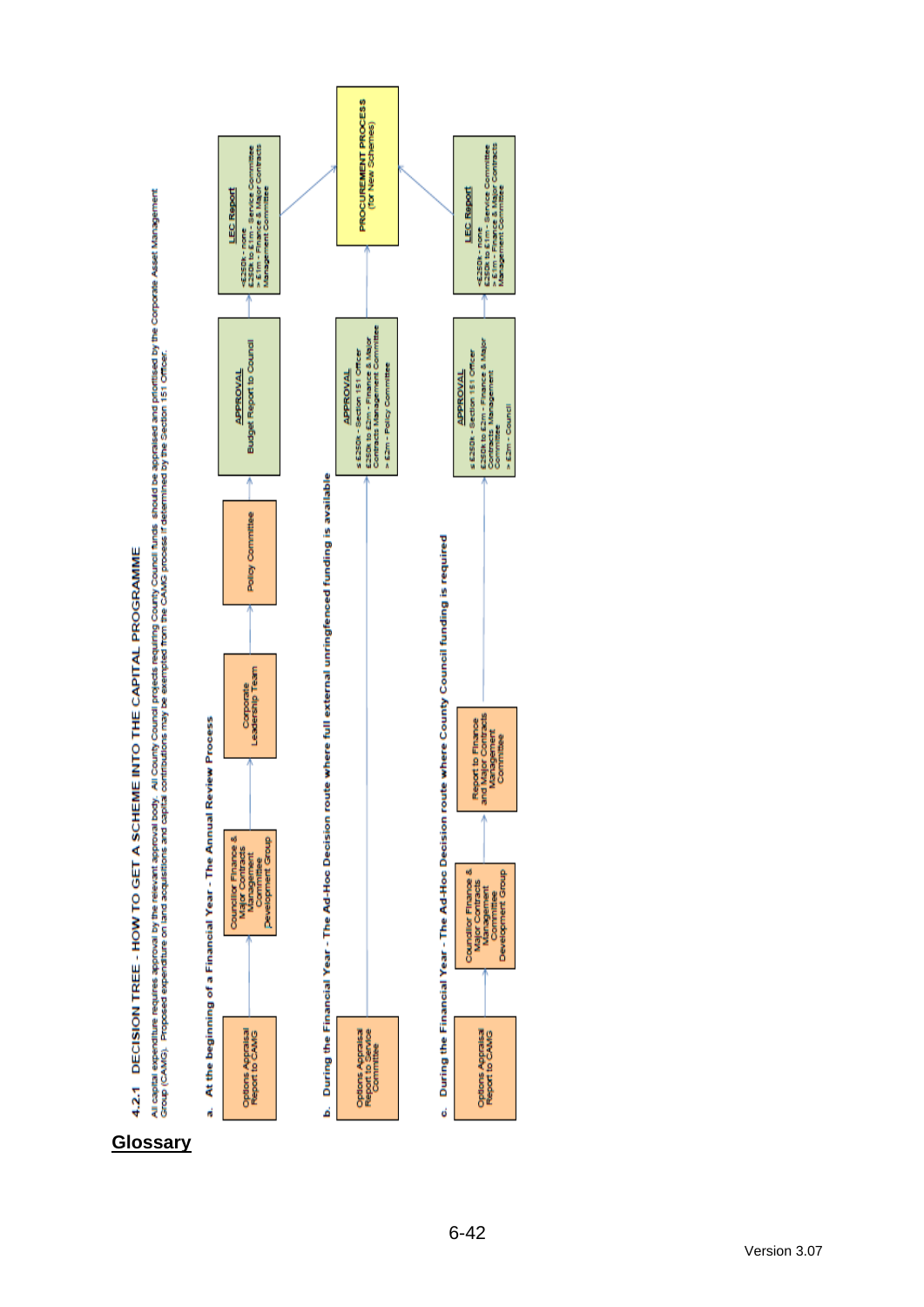4.2.1 DECISION TREE - HOW TO GET A SCHEME INTO THE CAPITAL PROGRAMME

**Glossary**

All capital expenditives approval by the relevant approval body. All County Council projects requiring Council funds should be appraised and prioritised by the Corporate Asset Management<br>Group (CAMG). Proposed expenditive

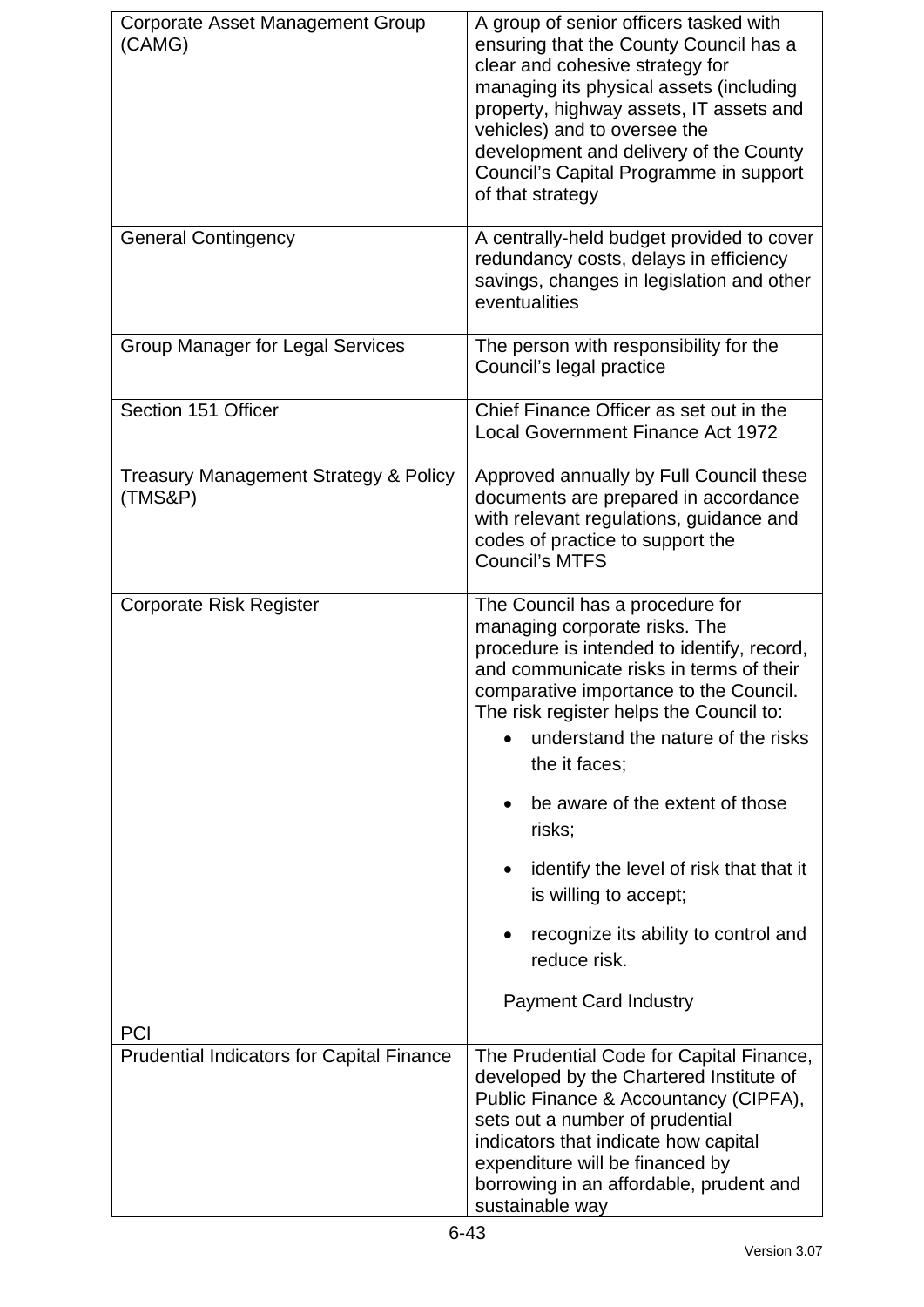| <b>Corporate Asset Management Group</b><br>(CAMG)           | A group of senior officers tasked with<br>ensuring that the County Council has a<br>clear and cohesive strategy for<br>managing its physical assets (including<br>property, highway assets, IT assets and<br>vehicles) and to oversee the<br>development and delivery of the County<br>Council's Capital Programme in support<br>of that strategy |
|-------------------------------------------------------------|---------------------------------------------------------------------------------------------------------------------------------------------------------------------------------------------------------------------------------------------------------------------------------------------------------------------------------------------------|
| <b>General Contingency</b>                                  | A centrally-held budget provided to cover<br>redundancy costs, delays in efficiency<br>savings, changes in legislation and other<br>eventualities                                                                                                                                                                                                 |
| <b>Group Manager for Legal Services</b>                     | The person with responsibility for the<br>Council's legal practice                                                                                                                                                                                                                                                                                |
| Section 151 Officer                                         | Chief Finance Officer as set out in the<br><b>Local Government Finance Act 1972</b>                                                                                                                                                                                                                                                               |
| <b>Treasury Management Strategy &amp; Policy</b><br>(TMS&P) | Approved annually by Full Council these<br>documents are prepared in accordance<br>with relevant regulations, guidance and<br>codes of practice to support the<br><b>Council's MTFS</b>                                                                                                                                                           |
| <b>Corporate Risk Register</b>                              | The Council has a procedure for<br>managing corporate risks. The<br>procedure is intended to identify, record,<br>and communicate risks in terms of their<br>comparative importance to the Council.<br>The risk register helps the Council to:<br>understand the nature of the risks<br>the it faces;                                             |
|                                                             | be aware of the extent of those<br>$\bullet$<br>risks;                                                                                                                                                                                                                                                                                            |
|                                                             | identify the level of risk that that it<br>is willing to accept;                                                                                                                                                                                                                                                                                  |
|                                                             | recognize its ability to control and<br>reduce risk.                                                                                                                                                                                                                                                                                              |
| <b>PCI</b>                                                  | <b>Payment Card Industry</b>                                                                                                                                                                                                                                                                                                                      |
| <b>Prudential Indicators for Capital Finance</b>            | The Prudential Code for Capital Finance,<br>developed by the Chartered Institute of<br>Public Finance & Accountancy (CIPFA),<br>sets out a number of prudential<br>indicators that indicate how capital<br>expenditure will be financed by<br>borrowing in an affordable, prudent and<br>sustainable way                                          |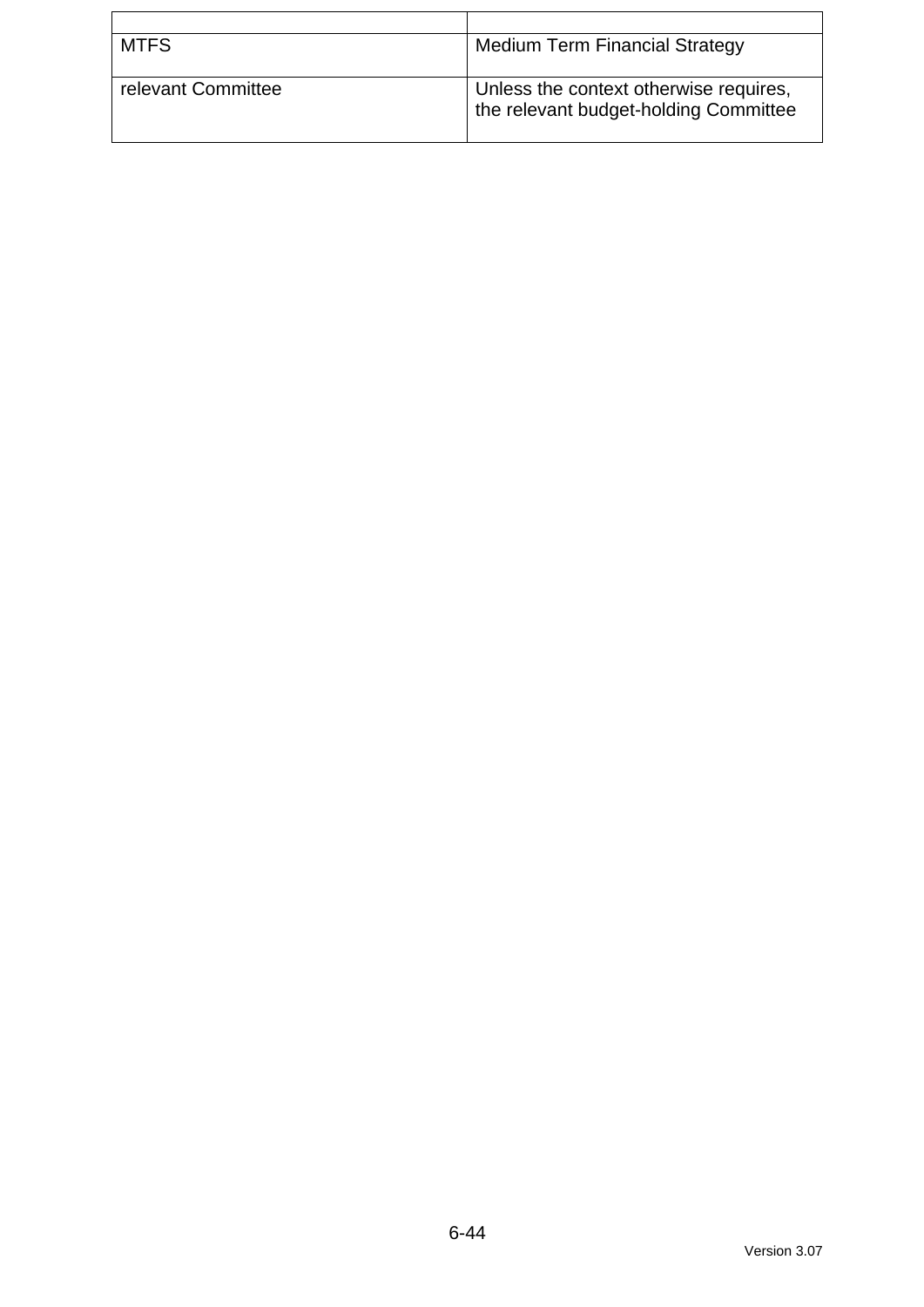| <b>MTFS</b>        | <b>Medium Term Financial Strategy</b>                                           |
|--------------------|---------------------------------------------------------------------------------|
| relevant Committee | Unless the context otherwise requires,<br>the relevant budget-holding Committee |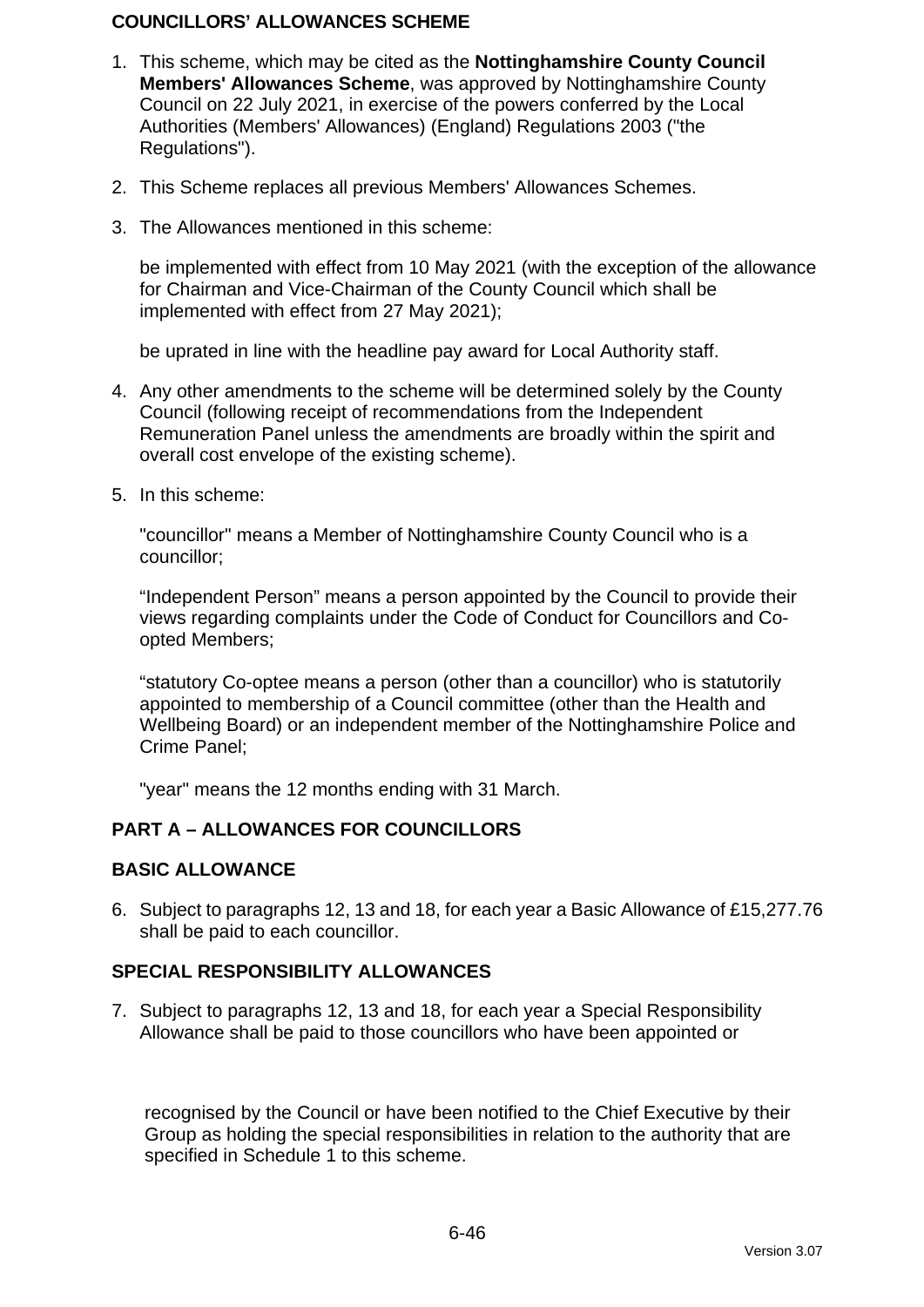# **COUNCILLORS' ALLOWANCES SCHEME**

- 1. This scheme, which may be cited as the **Nottinghamshire County Council Members' Allowances Scheme**, was approved by Nottinghamshire County Council on 22 July 2021, in exercise of the powers conferred by the Local Authorities (Members' Allowances) (England) Regulations 2003 ("the Regulations").
- 2. This Scheme replaces all previous Members' Allowances Schemes.
- 3. The Allowances mentioned in this scheme:

be implemented with effect from 10 May 2021 (with the exception of the allowance for Chairman and Vice-Chairman of the County Council which shall be implemented with effect from 27 May 2021);

be uprated in line with the headline pay award for Local Authority staff.

- 4. Any other amendments to the scheme will be determined solely by the County Council (following receipt of recommendations from the Independent Remuneration Panel unless the amendments are broadly within the spirit and overall cost envelope of the existing scheme).
- 5. In this scheme:

"councillor" means a Member of Nottinghamshire County Council who is a councillor;

"Independent Person" means a person appointed by the Council to provide their views regarding complaints under the Code of Conduct for Councillors and Coopted Members;

"statutory Co-optee means a person (other than a councillor) who is statutorily appointed to membership of a Council committee (other than the Health and Wellbeing Board) or an independent member of the Nottinghamshire Police and Crime Panel;

"year" means the 12 months ending with 31 March.

# **PART A – ALLOWANCES FOR COUNCILLORS**

# **BASIC ALLOWANCE**

6. Subject to paragraphs 12, 13 and 18, for each year a Basic Allowance of £15,277.76 shall be paid to each councillor.

# **SPECIAL RESPONSIBILITY ALLOWANCES**

7. Subject to paragraphs 12, 13 and 18, for each year a Special Responsibility Allowance shall be paid to those councillors who have been appointed or

recognised by the Council or have been notified to the Chief Executive by their Group as holding the special responsibilities in relation to the authority that are specified in Schedule 1 to this scheme.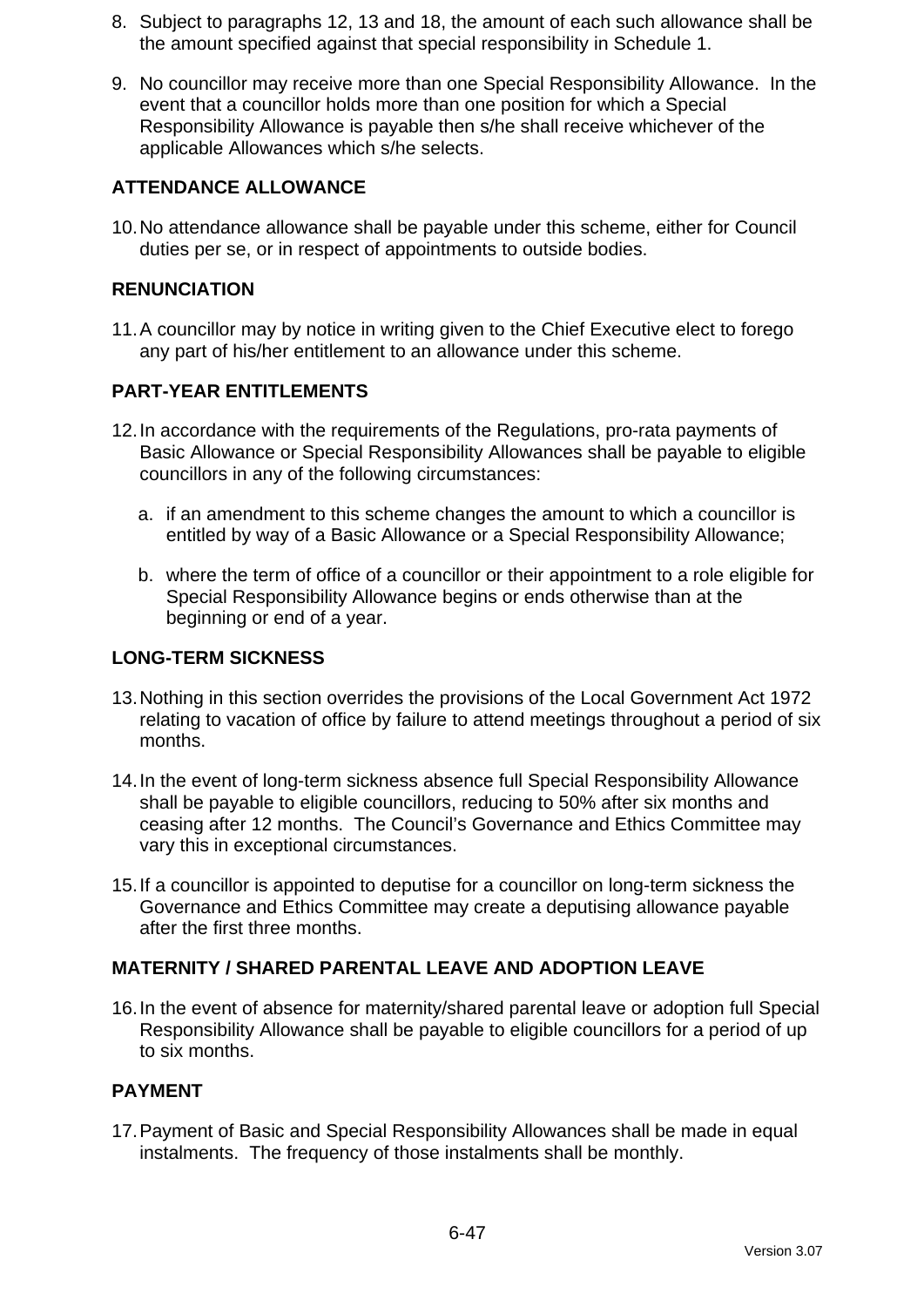- 8. Subject to paragraphs 12, 13 and 18, the amount of each such allowance shall be the amount specified against that special responsibility in Schedule 1.
- 9. No councillor may receive more than one Special Responsibility Allowance. In the event that a councillor holds more than one position for which a Special Responsibility Allowance is payable then s/he shall receive whichever of the applicable Allowances which s/he selects.

# **ATTENDANCE ALLOWANCE**

10.No attendance allowance shall be payable under this scheme, either for Council duties per se, or in respect of appointments to outside bodies.

# **RENUNCIATION**

11.A councillor may by notice in writing given to the Chief Executive elect to forego any part of his/her entitlement to an allowance under this scheme.

# **PART-YEAR ENTITLEMENTS**

- 12.In accordance with the requirements of the Regulations, pro-rata payments of Basic Allowance or Special Responsibility Allowances shall be payable to eligible councillors in any of the following circumstances:
	- a. if an amendment to this scheme changes the amount to which a councillor is entitled by way of a Basic Allowance or a Special Responsibility Allowance;
	- b. where the term of office of a councillor or their appointment to a role eligible for Special Responsibility Allowance begins or ends otherwise than at the beginning or end of a year.

# **LONG-TERM SICKNESS**

- 13.Nothing in this section overrides the provisions of the Local Government Act 1972 relating to vacation of office by failure to attend meetings throughout a period of six months.
- 14.In the event of long-term sickness absence full Special Responsibility Allowance shall be payable to eligible councillors, reducing to 50% after six months and ceasing after 12 months. The Council's Governance and Ethics Committee may vary this in exceptional circumstances.
- 15.If a councillor is appointed to deputise for a councillor on long-term sickness the Governance and Ethics Committee may create a deputising allowance payable after the first three months.

# **MATERNITY / SHARED PARENTAL LEAVE AND ADOPTION LEAVE**

16.In the event of absence for maternity/shared parental leave or adoption full Special Responsibility Allowance shall be payable to eligible councillors for a period of up to six months.

# **PAYMENT**

17.Payment of Basic and Special Responsibility Allowances shall be made in equal instalments. The frequency of those instalments shall be monthly.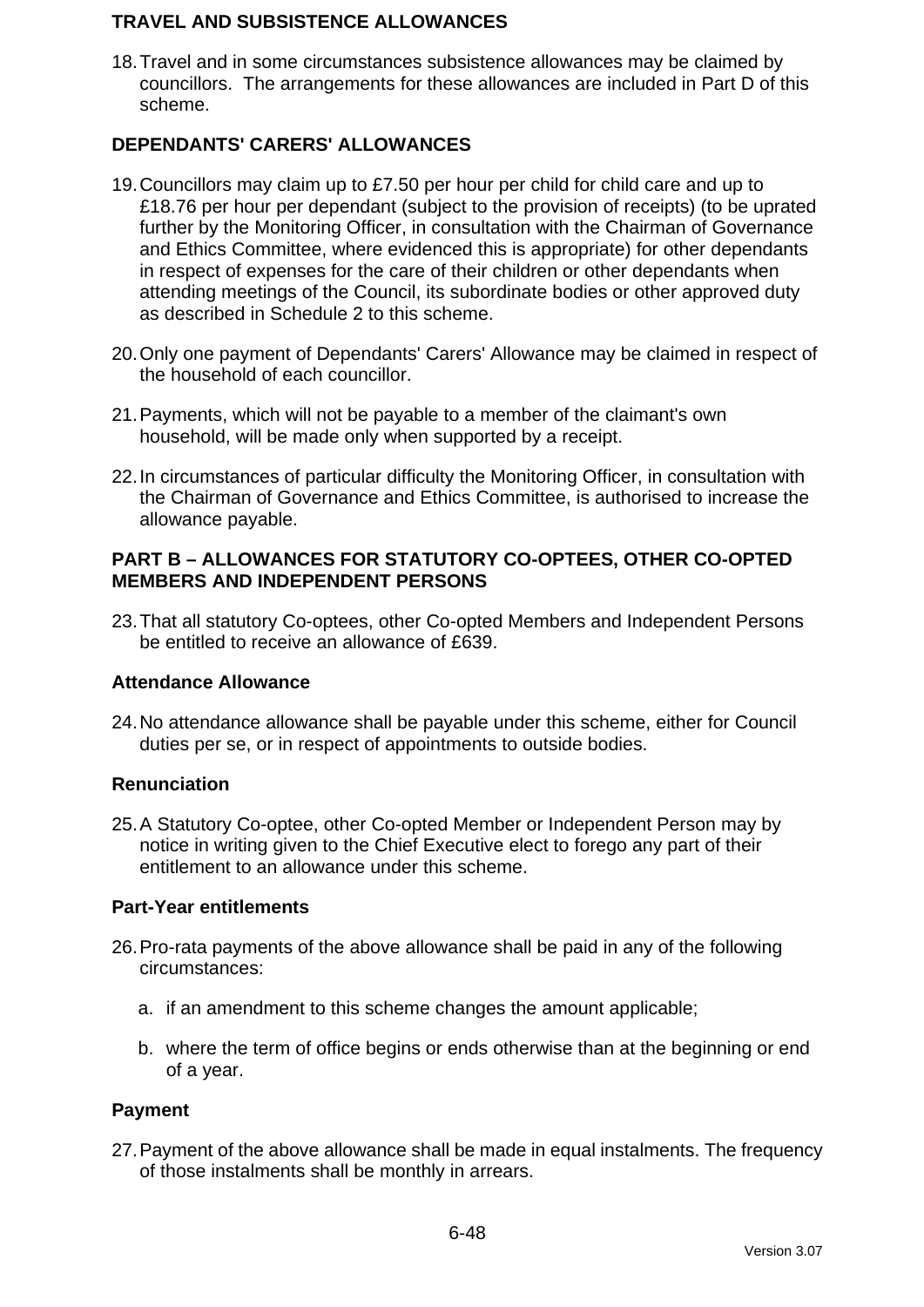# **TRAVEL AND SUBSISTENCE ALLOWANCES**

18.Travel and in some circumstances subsistence allowances may be claimed by councillors. The arrangements for these allowances are included in Part D of this scheme.

# **DEPENDANTS' CARERS' ALLOWANCES**

- 19.Councillors may claim up to £7.50 per hour per child for child care and up to £18.76 per hour per dependant (subject to the provision of receipts) (to be uprated further by the Monitoring Officer, in consultation with the Chairman of Governance and Ethics Committee, where evidenced this is appropriate) for other dependants in respect of expenses for the care of their children or other dependants when attending meetings of the Council, its subordinate bodies or other approved duty as described in Schedule 2 to this scheme.
- 20.Only one payment of Dependants' Carers' Allowance may be claimed in respect of the household of each councillor.
- 21.Payments, which will not be payable to a member of the claimant's own household, will be made only when supported by a receipt.
- 22.In circumstances of particular difficulty the Monitoring Officer, in consultation with the Chairman of Governance and Ethics Committee, is authorised to increase the allowance payable.

# **PART B – ALLOWANCES FOR STATUTORY CO-OPTEES, OTHER CO-OPTED MEMBERS AND INDEPENDENT PERSONS**

23.That all statutory Co-optees, other Co-opted Members and Independent Persons be entitled to receive an allowance of £639.

# **Attendance Allowance**

24.No attendance allowance shall be payable under this scheme, either for Council duties per se, or in respect of appointments to outside bodies.

# **Renunciation**

25.A Statutory Co-optee, other Co-opted Member or Independent Person may by notice in writing given to the Chief Executive elect to forego any part of their entitlement to an allowance under this scheme.

# **Part-Year entitlements**

- 26.Pro-rata payments of the above allowance shall be paid in any of the following circumstances:
	- a. if an amendment to this scheme changes the amount applicable;
	- b. where the term of office begins or ends otherwise than at the beginning or end of a year.

# **Payment**

27.Payment of the above allowance shall be made in equal instalments. The frequency of those instalments shall be monthly in arrears.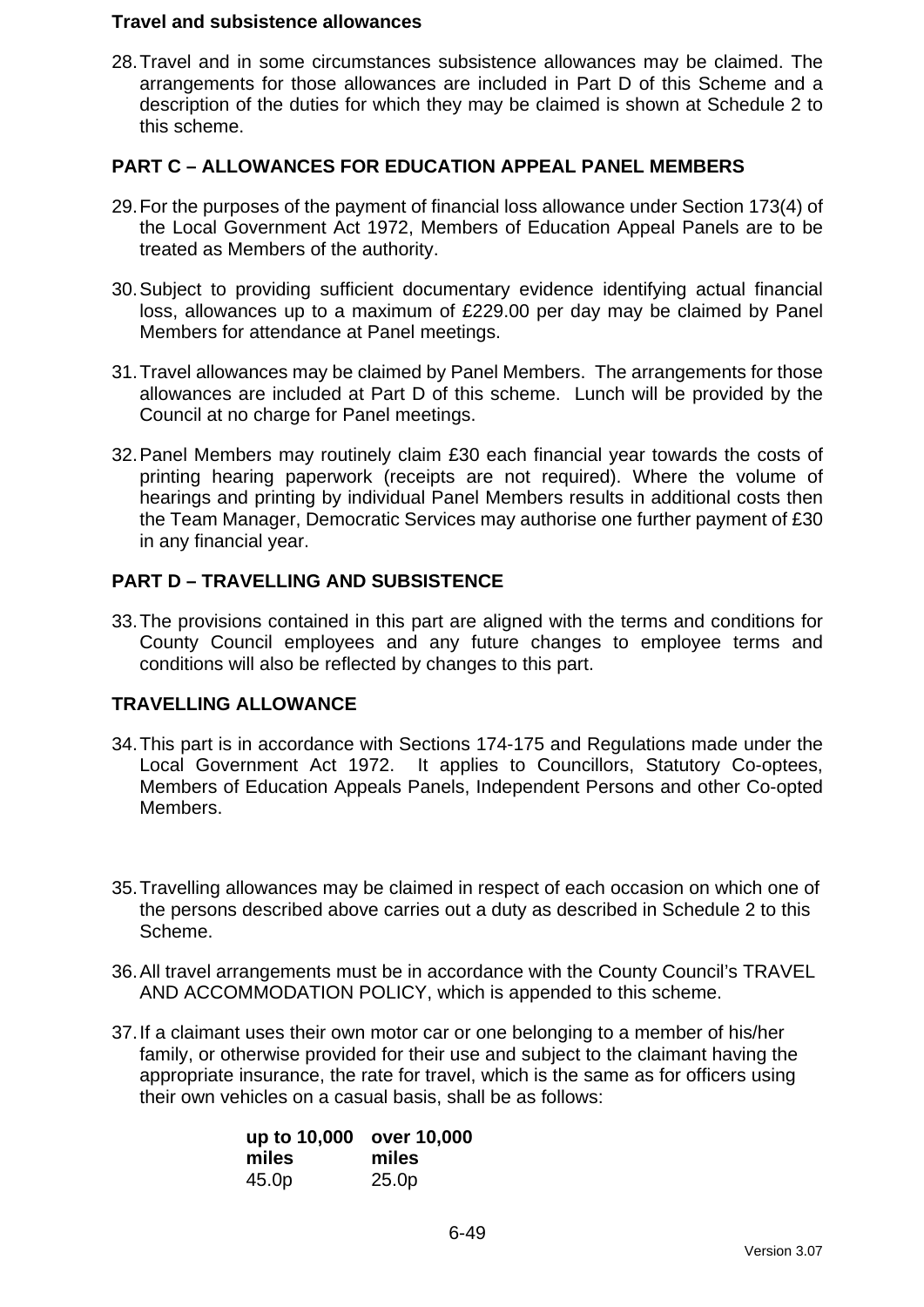#### **Travel and subsistence allowances**

28.Travel and in some circumstances subsistence allowances may be claimed. The arrangements for those allowances are included in Part D of this Scheme and a description of the duties for which they may be claimed is shown at Schedule 2 to this scheme.

## **PART C – ALLOWANCES FOR EDUCATION APPEAL PANEL MEMBERS**

- 29.For the purposes of the payment of financial loss allowance under Section 173(4) of the Local Government Act 1972, Members of Education Appeal Panels are to be treated as Members of the authority.
- 30.Subject to providing sufficient documentary evidence identifying actual financial loss, allowances up to a maximum of £229.00 per day may be claimed by Panel Members for attendance at Panel meetings.
- 31.Travel allowances may be claimed by Panel Members. The arrangements for those allowances are included at Part D of this scheme. Lunch will be provided by the Council at no charge for Panel meetings.
- 32.Panel Members may routinely claim £30 each financial year towards the costs of printing hearing paperwork (receipts are not required). Where the volume of hearings and printing by individual Panel Members results in additional costs then the Team Manager, Democratic Services may authorise one further payment of £30 in any financial year.

# **PART D – TRAVELLING AND SUBSISTENCE**

33.The provisions contained in this part are aligned with the terms and conditions for County Council employees and any future changes to employee terms and conditions will also be reflected by changes to this part.

#### **TRAVELLING ALLOWANCE**

- 34.This part is in accordance with Sections 174-175 and Regulations made under the Local Government Act 1972. It applies to Councillors, Statutory Co-optees, Members of Education Appeals Panels, Independent Persons and other Co-opted Members.
- 35.Travelling allowances may be claimed in respect of each occasion on which one of the persons described above carries out a duty as described in Schedule 2 to this Scheme.
- 36.All travel arrangements must be in accordance with the County Council's TRAVEL AND ACCOMMODATION POLICY, which is appended to this scheme.
- 37.If a claimant uses their own motor car or one belonging to a member of his/her family, or otherwise provided for their use and subject to the claimant having the appropriate insurance, the rate for travel, which is the same as for officers using their own vehicles on a casual basis, shall be as follows:

| up to 10,000 over 10,000 |                   |
|--------------------------|-------------------|
| miles                    | miles             |
| 45.0p                    | 25.0 <sub>p</sub> |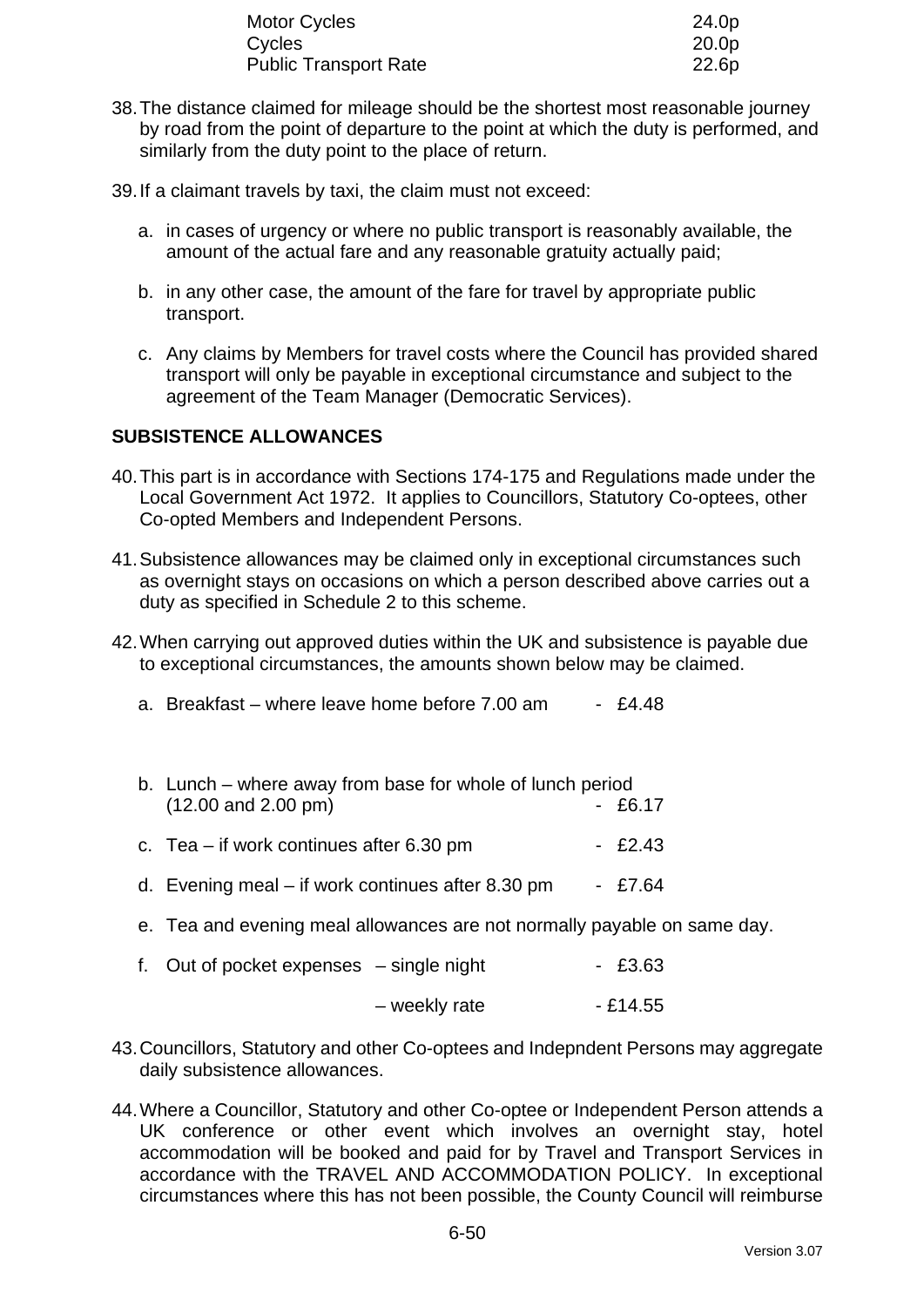| Motor Cycles                 | 24.0 <sub>p</sub> |
|------------------------------|-------------------|
| Cycles                       | 20.0 <sub>p</sub> |
| <b>Public Transport Rate</b> | 22.6p             |

- 38.The distance claimed for mileage should be the shortest most reasonable journey by road from the point of departure to the point at which the duty is performed, and similarly from the duty point to the place of return.
- 39.If a claimant travels by taxi, the claim must not exceed:
	- a. in cases of urgency or where no public transport is reasonably available, the amount of the actual fare and any reasonable gratuity actually paid;
	- b. in any other case, the amount of the fare for travel by appropriate public transport.
	- c. Any claims by Members for travel costs where the Council has provided shared transport will only be payable in exceptional circumstance and subject to the agreement of the Team Manager (Democratic Services).

# **SUBSISTENCE ALLOWANCES**

- 40.This part is in accordance with Sections 174-175 and Regulations made under the Local Government Act 1972. It applies to Councillors, Statutory Co-optees, other Co-opted Members and Independent Persons.
- 41.Subsistence allowances may be claimed only in exceptional circumstances such as overnight stays on occasions on which a person described above carries out a duty as specified in Schedule 2 to this scheme.
- 42.When carrying out approved duties within the UK and subsistence is payable due to exceptional circumstances, the amounts shown below may be claimed.
	- a. Breakfast where leave home before  $7.00$  am  $-54.48$
	- b. Lunch where away from base for whole of lunch period (12.00 and 2.00 pm) - £6.17 c. Tea – if work continues after  $6.30 \text{ pm}$  - £2.43 d. Evening meal – if work continues after 8.30 pm  $\sim$  £7.64
	- e. Tea and evening meal allowances are not normally payable on same day.
	- f. Out of pocket expenses  $-$  single night  $-$  £3.63
		- $-$  weekly rate  $-$  £14.55
- 43.Councillors, Statutory and other Co-optees and Indepndent Persons may aggregate daily subsistence allowances.
- 44.Where a Councillor, Statutory and other Co-optee or Independent Person attends a UK conference or other event which involves an overnight stay, hotel accommodation will be booked and paid for by Travel and Transport Services in accordance with the TRAVEL AND ACCOMMODATION POLICY. In exceptional circumstances where this has not been possible, the County Council will reimburse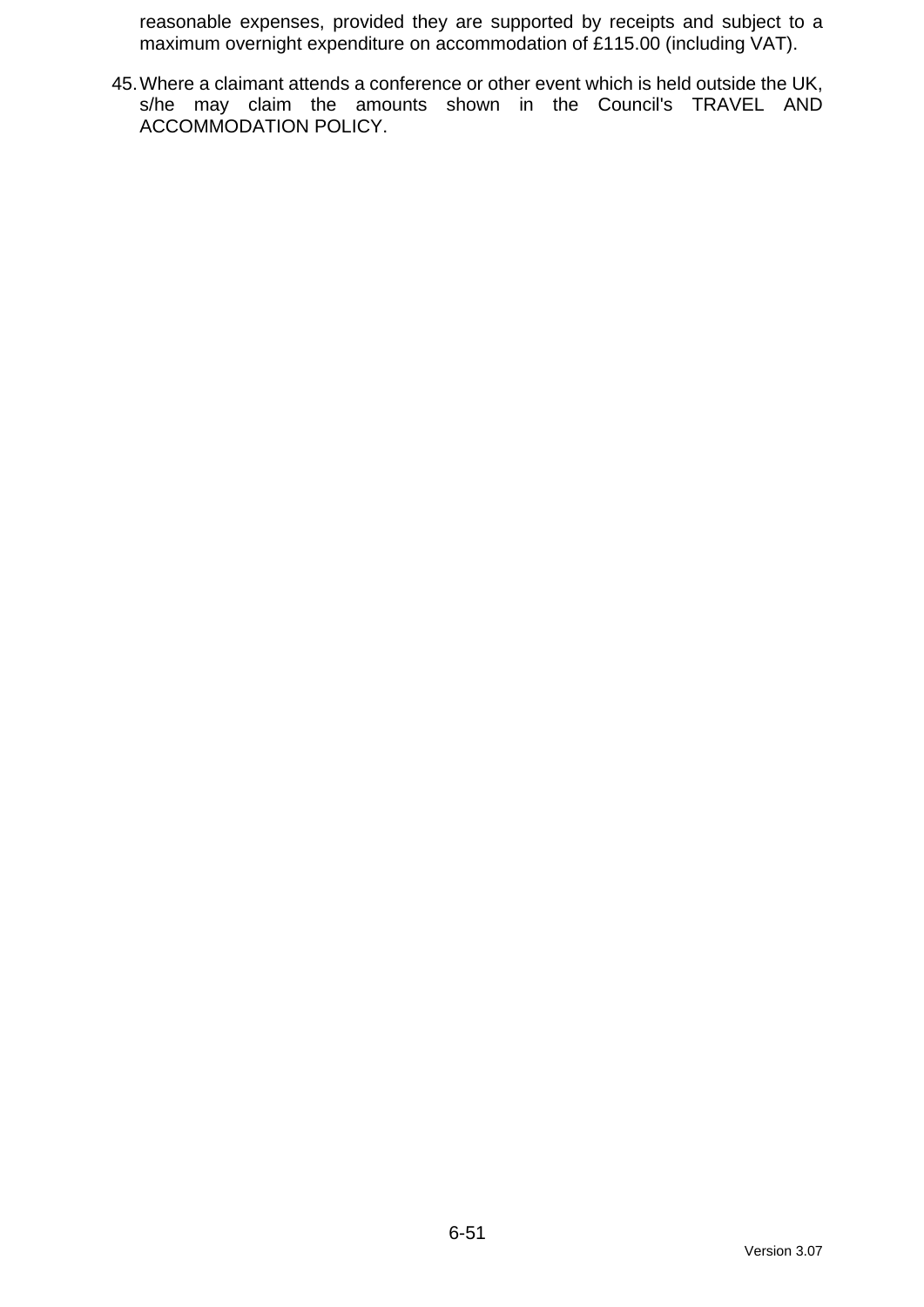reasonable expenses, provided they are supported by receipts and subject to a maximum overnight expenditure on accommodation of £115.00 (including VAT).

45.Where a claimant attends a conference or other event which is held outside the UK, s/he may claim the amounts shown in the Council's TRAVEL AND ACCOMMODATION POLICY.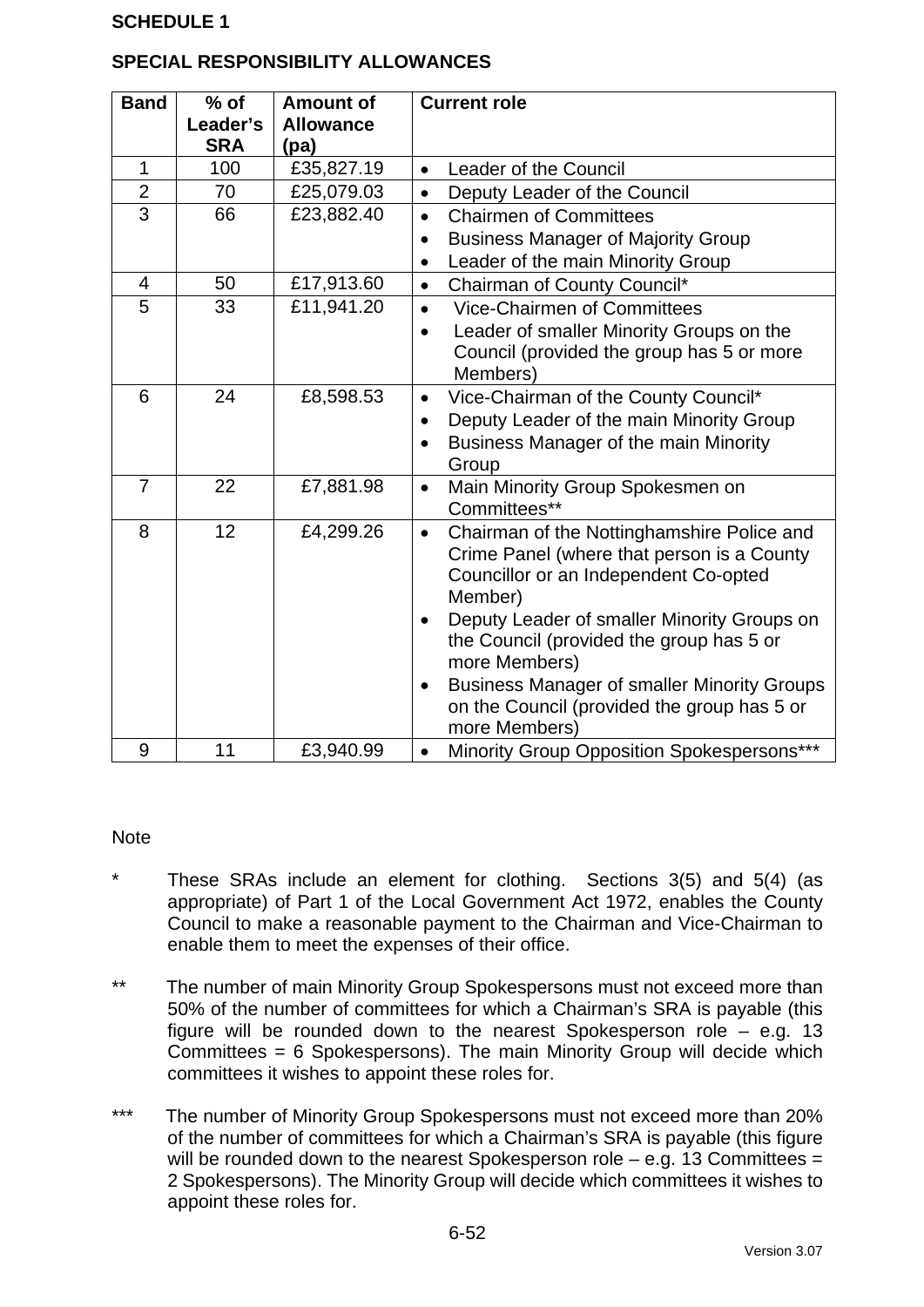# **SCHEDULE 1**

| <b>Band</b>    | $%$ of<br>Leader's<br><b>SRA</b> | <b>Amount of</b><br><b>Allowance</b><br>(pa) | <b>Current role</b>                                                                                                                                                                                                                                                                                                                                                                                                   |
|----------------|----------------------------------|----------------------------------------------|-----------------------------------------------------------------------------------------------------------------------------------------------------------------------------------------------------------------------------------------------------------------------------------------------------------------------------------------------------------------------------------------------------------------------|
| 1              | 100                              | £35,827.19                                   | Leader of the Council<br>$\bullet$                                                                                                                                                                                                                                                                                                                                                                                    |
| $\overline{2}$ | 70                               | £25,079.03                                   | Deputy Leader of the Council<br>$\bullet$                                                                                                                                                                                                                                                                                                                                                                             |
| $\overline{3}$ | 66                               | £23,882.40                                   | <b>Chairmen of Committees</b><br>$\bullet$<br><b>Business Manager of Majority Group</b><br>$\bullet$<br>Leader of the main Minority Group<br>$\bullet$                                                                                                                                                                                                                                                                |
| 4              | 50                               | £17,913.60                                   | Chairman of County Council*<br>$\bullet$                                                                                                                                                                                                                                                                                                                                                                              |
| 5              | 33                               | £11,941.20                                   | Vice-Chairmen of Committees<br>$\bullet$<br>Leader of smaller Minority Groups on the<br>Council (provided the group has 5 or more<br>Members)                                                                                                                                                                                                                                                                         |
| 6              | 24                               | £8,598.53                                    | Vice-Chairman of the County Council*<br>$\bullet$<br>Deputy Leader of the main Minority Group<br>$\bullet$<br>Business Manager of the main Minority<br>$\bullet$<br>Group                                                                                                                                                                                                                                             |
| $\overline{7}$ | 22                               | £7,881.98                                    | Main Minority Group Spokesmen on<br>$\bullet$<br>Committees**                                                                                                                                                                                                                                                                                                                                                         |
| 8              | 12                               | £4,299.26                                    | Chairman of the Nottinghamshire Police and<br>$\bullet$<br>Crime Panel (where that person is a County<br>Councillor or an Independent Co-opted<br>Member)<br>Deputy Leader of smaller Minority Groups on<br>$\bullet$<br>the Council (provided the group has 5 or<br>more Members)<br><b>Business Manager of smaller Minority Groups</b><br>$\bullet$<br>on the Council (provided the group has 5 or<br>more Members) |
| 9              | 11                               | £3,940.99                                    | Minority Group Opposition Spokespersons***<br>$\bullet$                                                                                                                                                                                                                                                                                                                                                               |

# **Note**

- These SRAs include an element for clothing. Sections 3(5) and 5(4) (as appropriate) of Part 1 of the Local Government Act 1972, enables the County Council to make a reasonable payment to the Chairman and Vice-Chairman to enable them to meet the expenses of their office.
- \*\* The number of main Minority Group Spokespersons must not exceed more than 50% of the number of committees for which a Chairman's SRA is payable (this figure will be rounded down to the nearest Spokesperson role – e.g. 13 Committees = 6 Spokespersons). The main Minority Group will decide which committees it wishes to appoint these roles for.
- \*\*\* The number of Minority Group Spokespersons must not exceed more than 20% of the number of committees for which a Chairman's SRA is payable (this figure will be rounded down to the nearest Spokesperson role  $-$  e.g. 13 Committees  $=$ 2 Spokespersons). The Minority Group will decide which committees it wishes to appoint these roles for.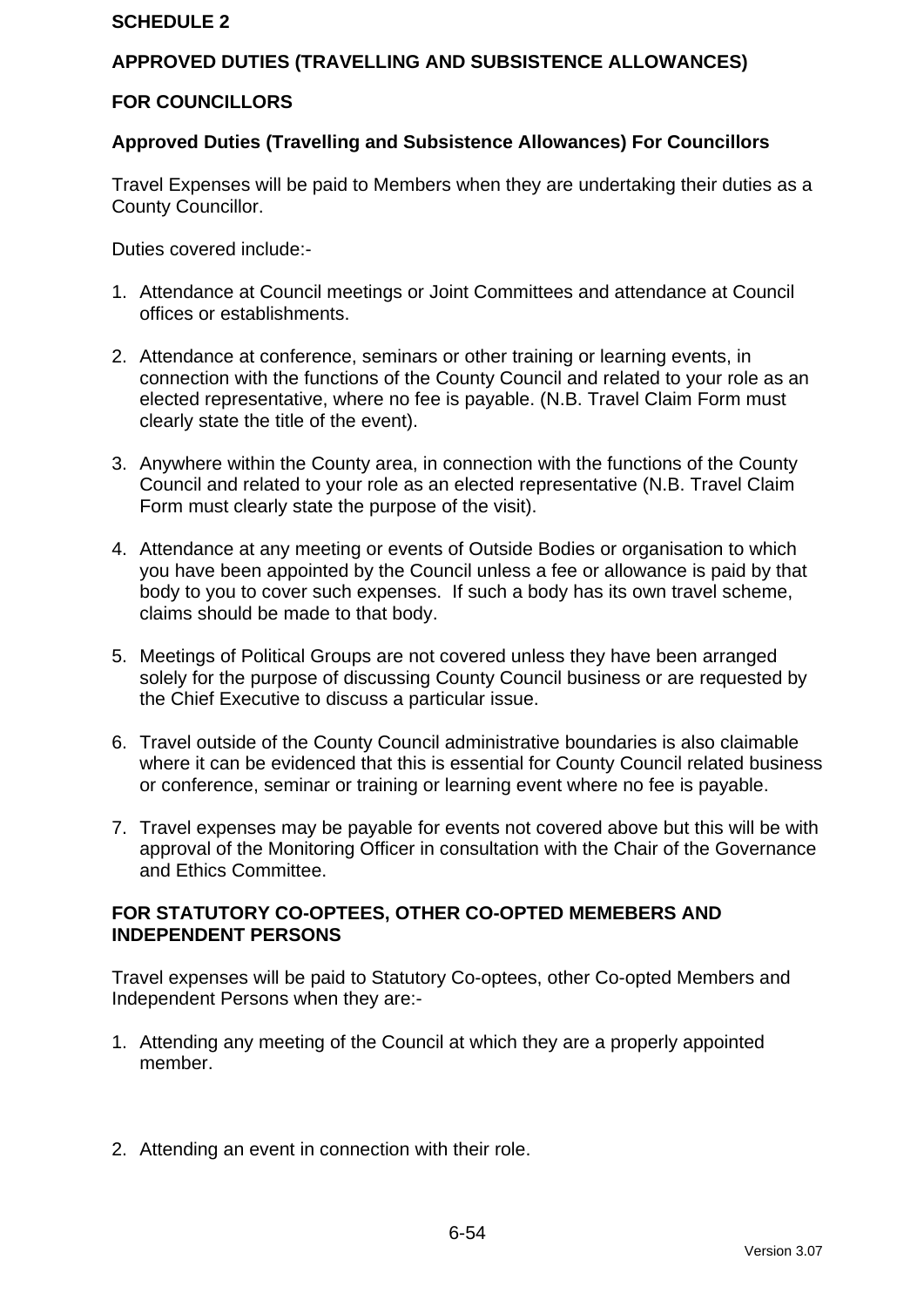# **SCHEDULE 2**

# **APPROVED DUTIES (TRAVELLING AND SUBSISTENCE ALLOWANCES)**

# **FOR COUNCILLORS**

# **Approved Duties (Travelling and Subsistence Allowances) For Councillors**

Travel Expenses will be paid to Members when they are undertaking their duties as a County Councillor.

Duties covered include:-

- 1. Attendance at Council meetings or Joint Committees and attendance at Council offices or establishments.
- 2. Attendance at conference, seminars or other training or learning events, in connection with the functions of the County Council and related to your role as an elected representative, where no fee is payable. (N.B. Travel Claim Form must clearly state the title of the event).
- 3. Anywhere within the County area, in connection with the functions of the County Council and related to your role as an elected representative (N.B. Travel Claim Form must clearly state the purpose of the visit).
- 4. Attendance at any meeting or events of Outside Bodies or organisation to which you have been appointed by the Council unless a fee or allowance is paid by that body to you to cover such expenses. If such a body has its own travel scheme, claims should be made to that body.
- 5. Meetings of Political Groups are not covered unless they have been arranged solely for the purpose of discussing County Council business or are requested by the Chief Executive to discuss a particular issue.
- 6. Travel outside of the County Council administrative boundaries is also claimable where it can be evidenced that this is essential for County Council related business or conference, seminar or training or learning event where no fee is payable.
- 7. Travel expenses may be payable for events not covered above but this will be with approval of the Monitoring Officer in consultation with the Chair of the Governance and Ethics Committee.

# **FOR STATUTORY CO-OPTEES, OTHER CO-OPTED MEMEBERS AND INDEPENDENT PERSONS**

Travel expenses will be paid to Statutory Co-optees, other Co-opted Members and Independent Persons when they are:-

- 1. Attending any meeting of the Council at which they are a properly appointed member.
- 2. Attending an event in connection with their role.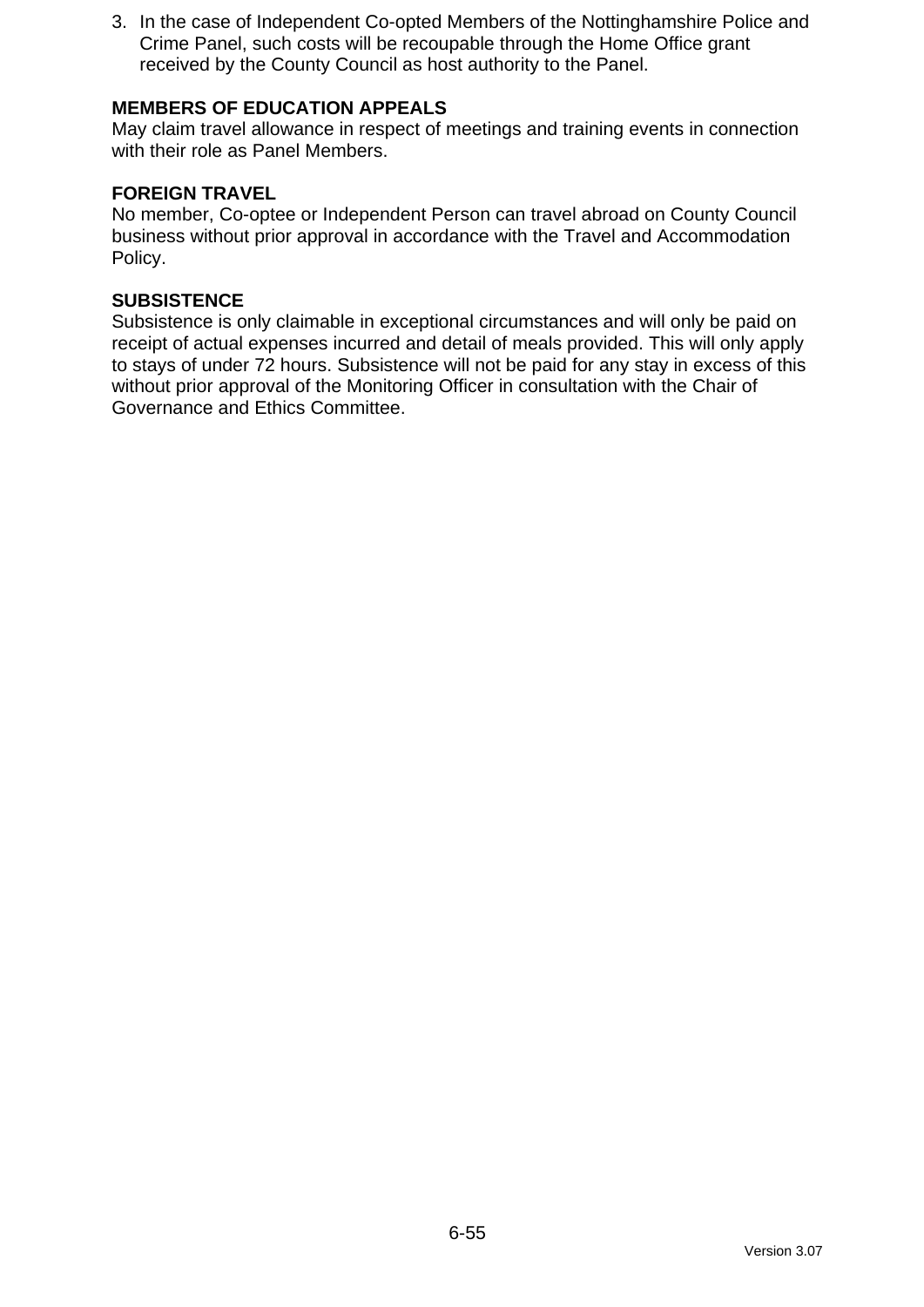3. In the case of Independent Co-opted Members of the Nottinghamshire Police and Crime Panel, such costs will be recoupable through the Home Office grant received by the County Council as host authority to the Panel.

# **MEMBERS OF EDUCATION APPEALS**

May claim travel allowance in respect of meetings and training events in connection with their role as Panel Members.

#### **FOREIGN TRAVEL**

No member, Co-optee or Independent Person can travel abroad on County Council business without prior approval in accordance with the Travel and Accommodation Policy.

## **SUBSISTENCE**

Subsistence is only claimable in exceptional circumstances and will only be paid on receipt of actual expenses incurred and detail of meals provided. This will only apply to stays of under 72 hours. Subsistence will not be paid for any stay in excess of this without prior approval of the Monitoring Officer in consultation with the Chair of Governance and Ethics Committee.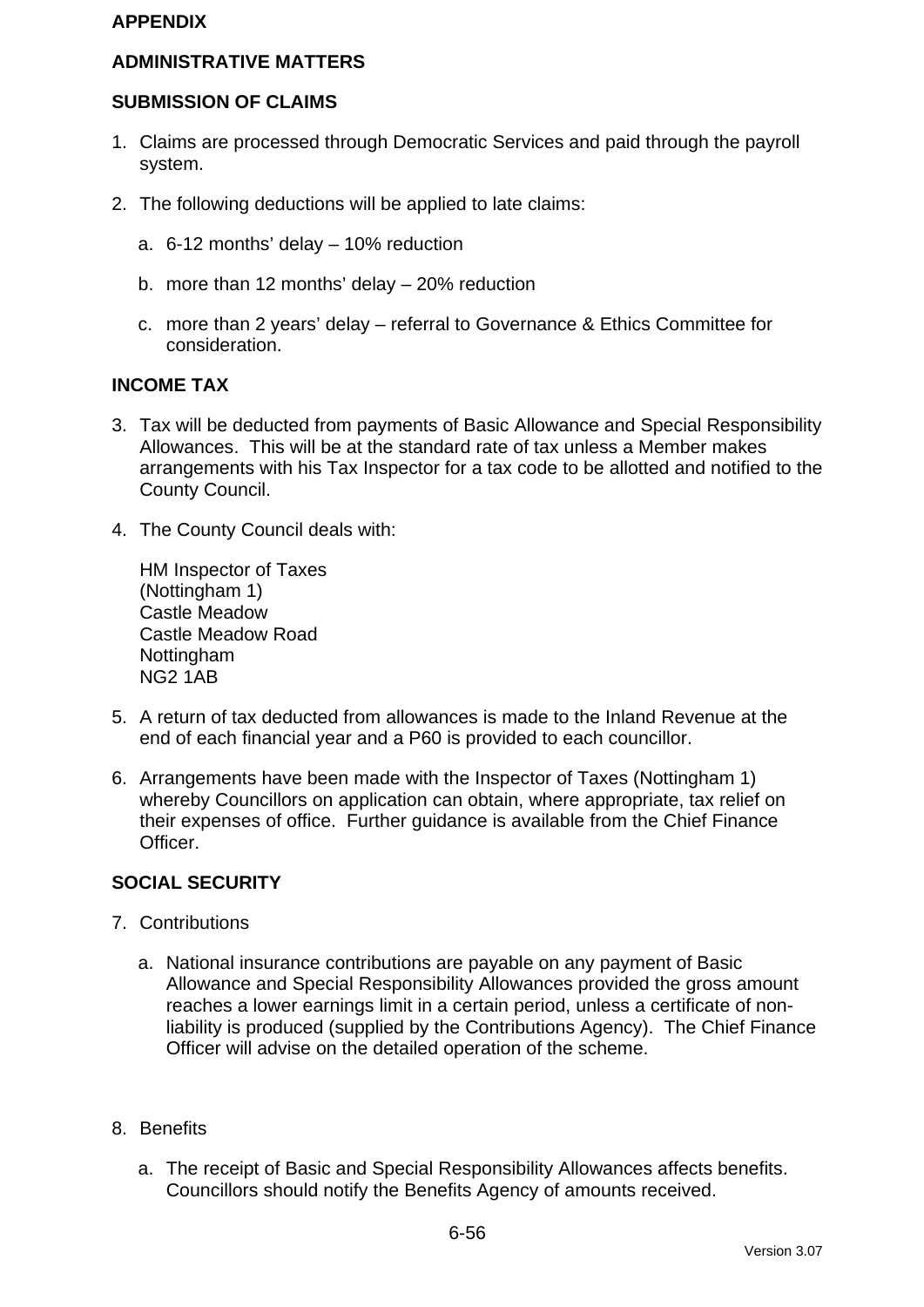# **APPENDIX**

# **ADMINISTRATIVE MATTERS**

## **SUBMISSION OF CLAIMS**

- 1. Claims are processed through Democratic Services and paid through the payroll system.
- 2. The following deductions will be applied to late claims:
	- a. 6-12 months' delay 10% reduction
	- b. more than 12 months' delay 20% reduction
	- c. more than 2 years' delay referral to Governance & Ethics Committee for consideration.

## **INCOME TAX**

- 3. Tax will be deducted from payments of Basic Allowance and Special Responsibility Allowances. This will be at the standard rate of tax unless a Member makes arrangements with his Tax Inspector for a tax code to be allotted and notified to the County Council.
- 4. The County Council deals with:

HM Inspector of Taxes (Nottingham 1) Castle Meadow Castle Meadow Road **Nottingham** NG2 1AB

- 5. A return of tax deducted from allowances is made to the Inland Revenue at the end of each financial year and a P60 is provided to each councillor.
- 6. Arrangements have been made with the Inspector of Taxes (Nottingham 1) whereby Councillors on application can obtain, where appropriate, tax relief on their expenses of office. Further guidance is available from the Chief Finance Officer.

# **SOCIAL SECURITY**

- 7. Contributions
	- a. National insurance contributions are payable on any payment of Basic Allowance and Special Responsibility Allowances provided the gross amount reaches a lower earnings limit in a certain period, unless a certificate of nonliability is produced (supplied by the Contributions Agency). The Chief Finance Officer will advise on the detailed operation of the scheme.
- 8. Benefits
	- a. The receipt of Basic and Special Responsibility Allowances affects benefits. Councillors should notify the Benefits Agency of amounts received.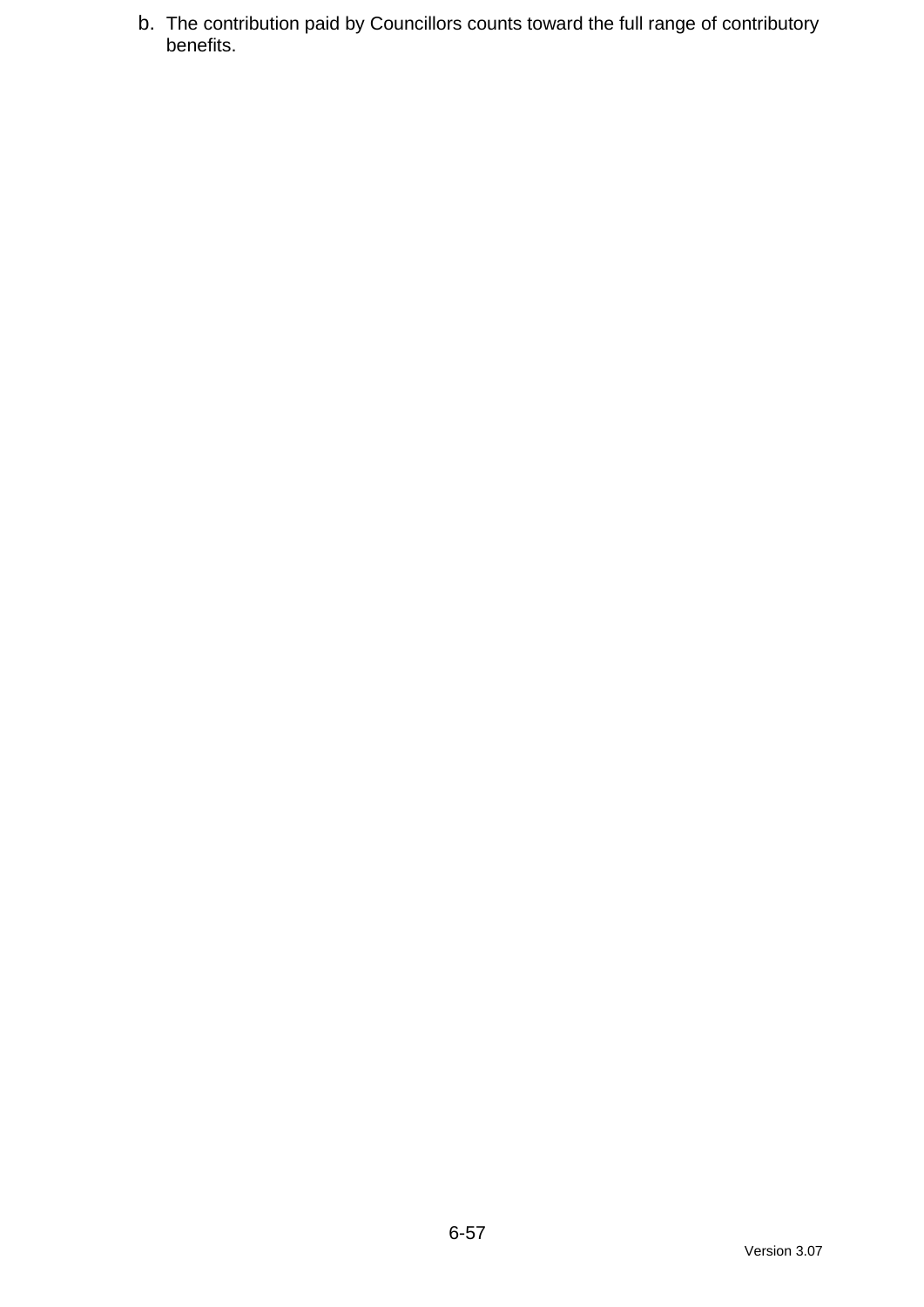b. The contribution paid by Councillors counts toward the full range of contributory benefits.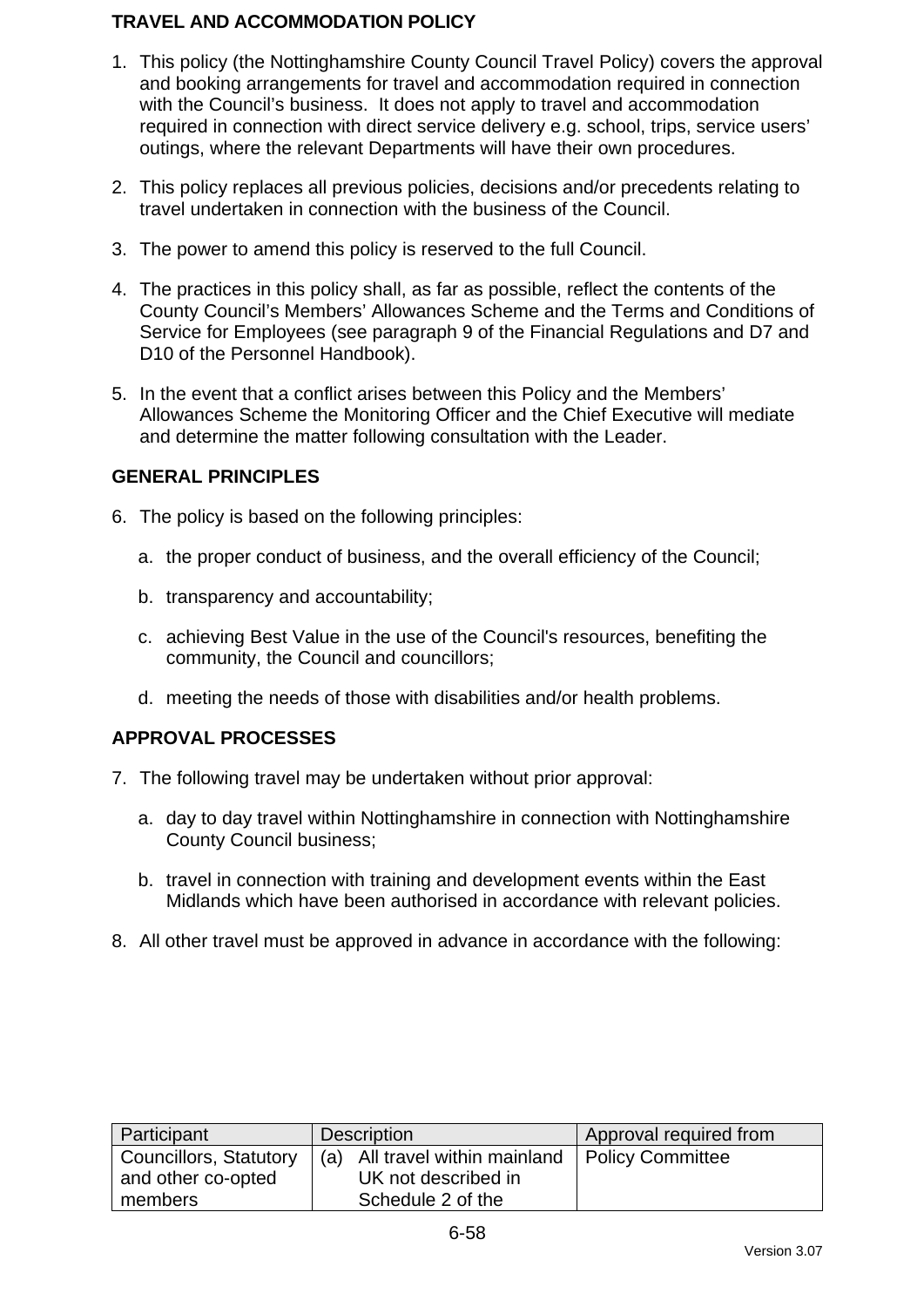# **TRAVEL AND ACCOMMODATION POLICY**

- 1. This policy (the Nottinghamshire County Council Travel Policy) covers the approval and booking arrangements for travel and accommodation required in connection with the Council's business. It does not apply to travel and accommodation required in connection with direct service delivery e.g. school, trips, service users' outings, where the relevant Departments will have their own procedures.
- 2. This policy replaces all previous policies, decisions and/or precedents relating to travel undertaken in connection with the business of the Council.
- 3. The power to amend this policy is reserved to the full Council.
- 4. The practices in this policy shall, as far as possible, reflect the contents of the County Council's Members' Allowances Scheme and the Terms and Conditions of Service for Employees (see paragraph 9 of the Financial Regulations and D7 and D10 of the Personnel Handbook).
- 5. In the event that a conflict arises between this Policy and the Members' Allowances Scheme the Monitoring Officer and the Chief Executive will mediate and determine the matter following consultation with the Leader.

# **GENERAL PRINCIPLES**

- 6. The policy is based on the following principles:
	- a. the proper conduct of business, and the overall efficiency of the Council;
	- b. transparency and accountability;
	- c. achieving Best Value in the use of the Council's resources, benefiting the community, the Council and councillors;
	- d. meeting the needs of those with disabilities and/or health problems.

# **APPROVAL PROCESSES**

- 7. The following travel may be undertaken without prior approval:
	- a. day to day travel within Nottinghamshire in connection with Nottinghamshire County Council business;
	- b. travel in connection with training and development events within the East Midlands which have been authorised in accordance with relevant policies.
- 8. All other travel must be approved in advance in accordance with the following:

| Participant            | <b>Description</b>                                | Approval required from |
|------------------------|---------------------------------------------------|------------------------|
| Councillors, Statutory | (a) All travel within mainland   Policy Committee |                        |
| and other co-opted     | UK not described in                               |                        |
| members                | Schedule 2 of the                                 |                        |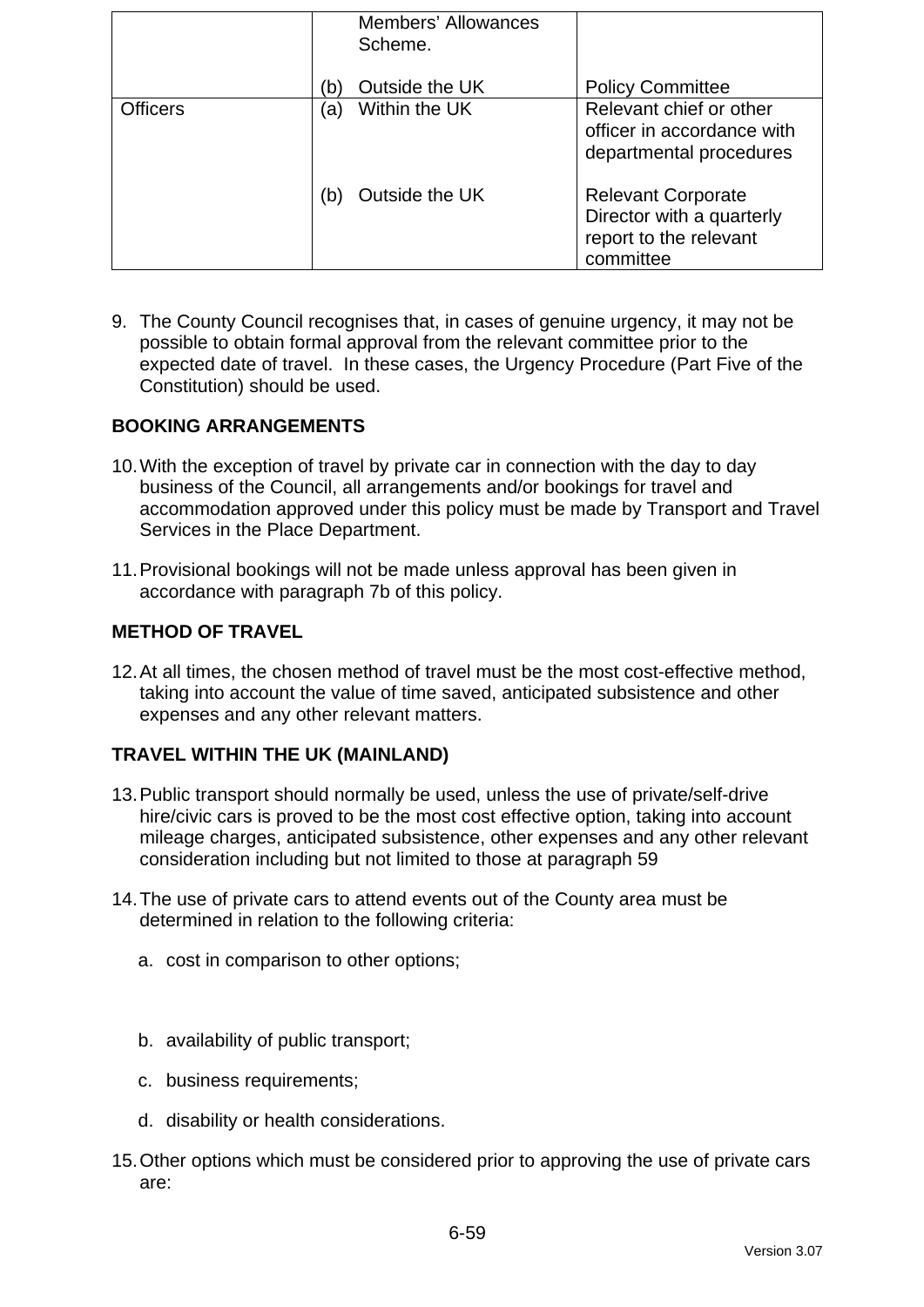|                 |     | <b>Members' Allowances</b><br>Scheme. |                                                                                               |
|-----------------|-----|---------------------------------------|-----------------------------------------------------------------------------------------------|
|                 | b.  | Outside the UK                        | <b>Policy Committee</b>                                                                       |
| <b>Officers</b> | (a) | Within the UK                         | Relevant chief or other<br>officer in accordance with<br>departmental procedures              |
|                 | (b) | Outside the UK                        | <b>Relevant Corporate</b><br>Director with a quarterly<br>report to the relevant<br>committee |

9. The County Council recognises that, in cases of genuine urgency, it may not be possible to obtain formal approval from the relevant committee prior to the expected date of travel. In these cases, the Urgency Procedure (Part Five of the Constitution) should be used.

# **BOOKING ARRANGEMENTS**

- 10.With the exception of travel by private car in connection with the day to day business of the Council, all arrangements and/or bookings for travel and accommodation approved under this policy must be made by Transport and Travel Services in the Place Department.
- 11.Provisional bookings will not be made unless approval has been given in accordance with paragraph 7b of this policy.

# **METHOD OF TRAVEL**

<span id="page-134-0"></span>12.At all times, the chosen method of travel must be the most cost-effective method, taking into account the value of time saved, anticipated subsistence and other expenses and any other relevant matters.

# **TRAVEL WITHIN THE UK (MAINLAND)**

- 13.Public transport should normally be used, unless the use of private/self-drive hire/civic cars is proved to be the most cost effective option, taking into account mileage charges, anticipated subsistence, other expenses and any other relevant consideration including but not limited to those at paragraph [59](#page-134-0)
- 14.The use of private cars to attend events out of the County area must be determined in relation to the following criteria:
	- a. cost in comparison to other options;
	- b. availability of public transport;
	- c. business requirements;
	- d. disability or health considerations.
- 15.Other options which must be considered prior to approving the use of private cars are: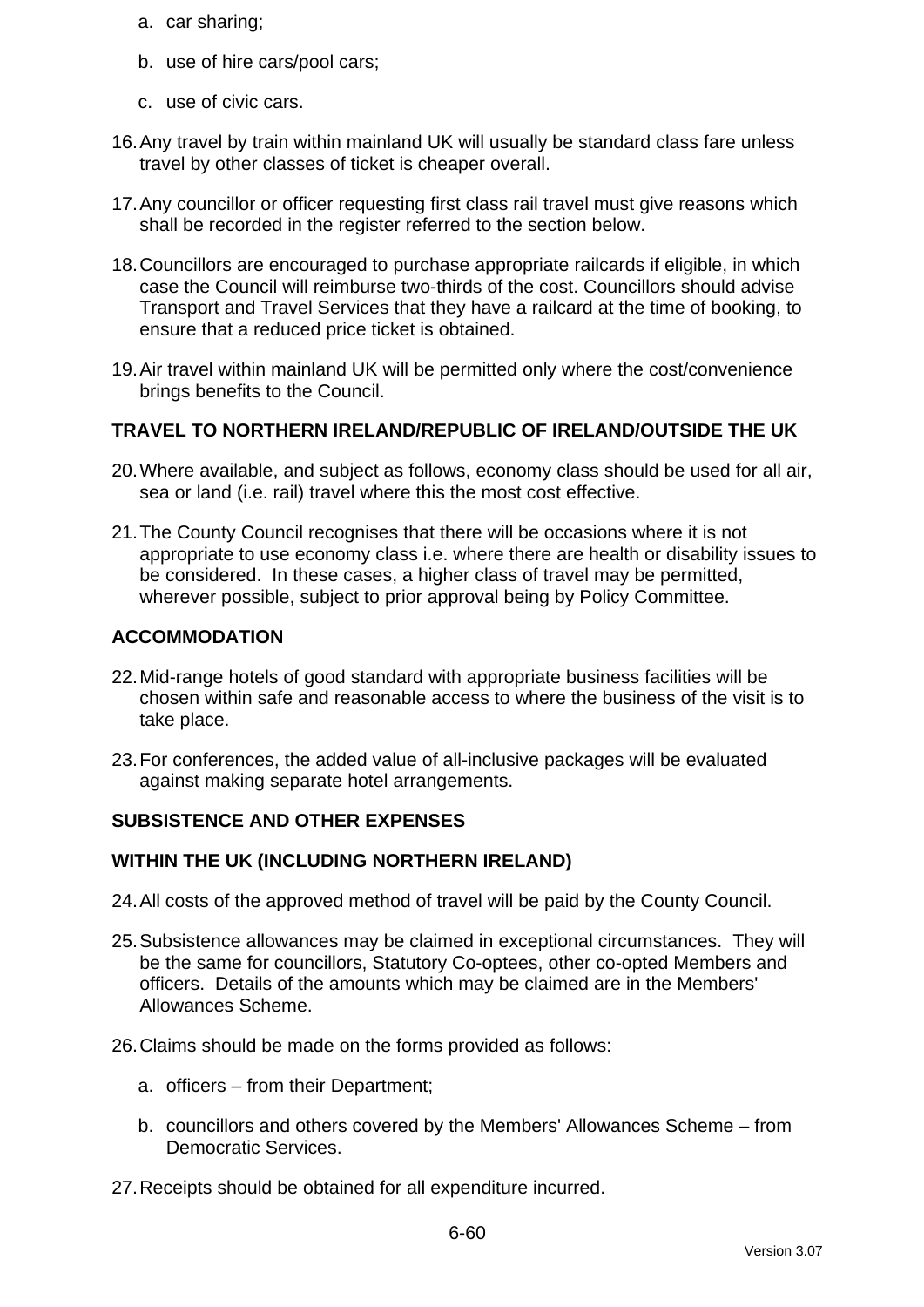- a. car sharing;
- b. use of hire cars/pool cars;
- c. use of civic cars.
- 16.Any travel by train within mainland UK will usually be standard class fare unless travel by other classes of ticket is cheaper overall.
- 17.Any councillor or officer requesting first class rail travel must give reasons which shall be recorded in the register referred to the section below.
- 18.Councillors are encouraged to purchase appropriate railcards if eligible, in which case the Council will reimburse two-thirds of the cost. Councillors should advise Transport and Travel Services that they have a railcard at the time of booking, to ensure that a reduced price ticket is obtained.
- 19.Air travel within mainland UK will be permitted only where the cost/convenience brings benefits to the Council.

# **TRAVEL TO NORTHERN IRELAND/REPUBLIC OF IRELAND/OUTSIDE THE UK**

- 20.Where available, and subject as follows, economy class should be used for all air, sea or land (i.e. rail) travel where this the most cost effective.
- 21.The County Council recognises that there will be occasions where it is not appropriate to use economy class i.e. where there are health or disability issues to be considered. In these cases, a higher class of travel may be permitted, wherever possible, subject to prior approval being by Policy Committee.

# **ACCOMMODATION**

- 22.Mid-range hotels of good standard with appropriate business facilities will be chosen within safe and reasonable access to where the business of the visit is to take place.
- 23.For conferences, the added value of all-inclusive packages will be evaluated against making separate hotel arrangements.

# **SUBSISTENCE AND OTHER EXPENSES**

# **WITHIN THE UK (INCLUDING NORTHERN IRELAND)**

- 24.All costs of the approved method of travel will be paid by the County Council.
- 25.Subsistence allowances may be claimed in exceptional circumstances. They will be the same for councillors, Statutory Co-optees, other co-opted Members and officers. Details of the amounts which may be claimed are in the Members' Allowances Scheme.
- 26.Claims should be made on the forms provided as follows:
	- a. officers from their Department;
	- b. councillors and others covered by the Members' Allowances Scheme from Democratic Services.
- 27.Receipts should be obtained for all expenditure incurred.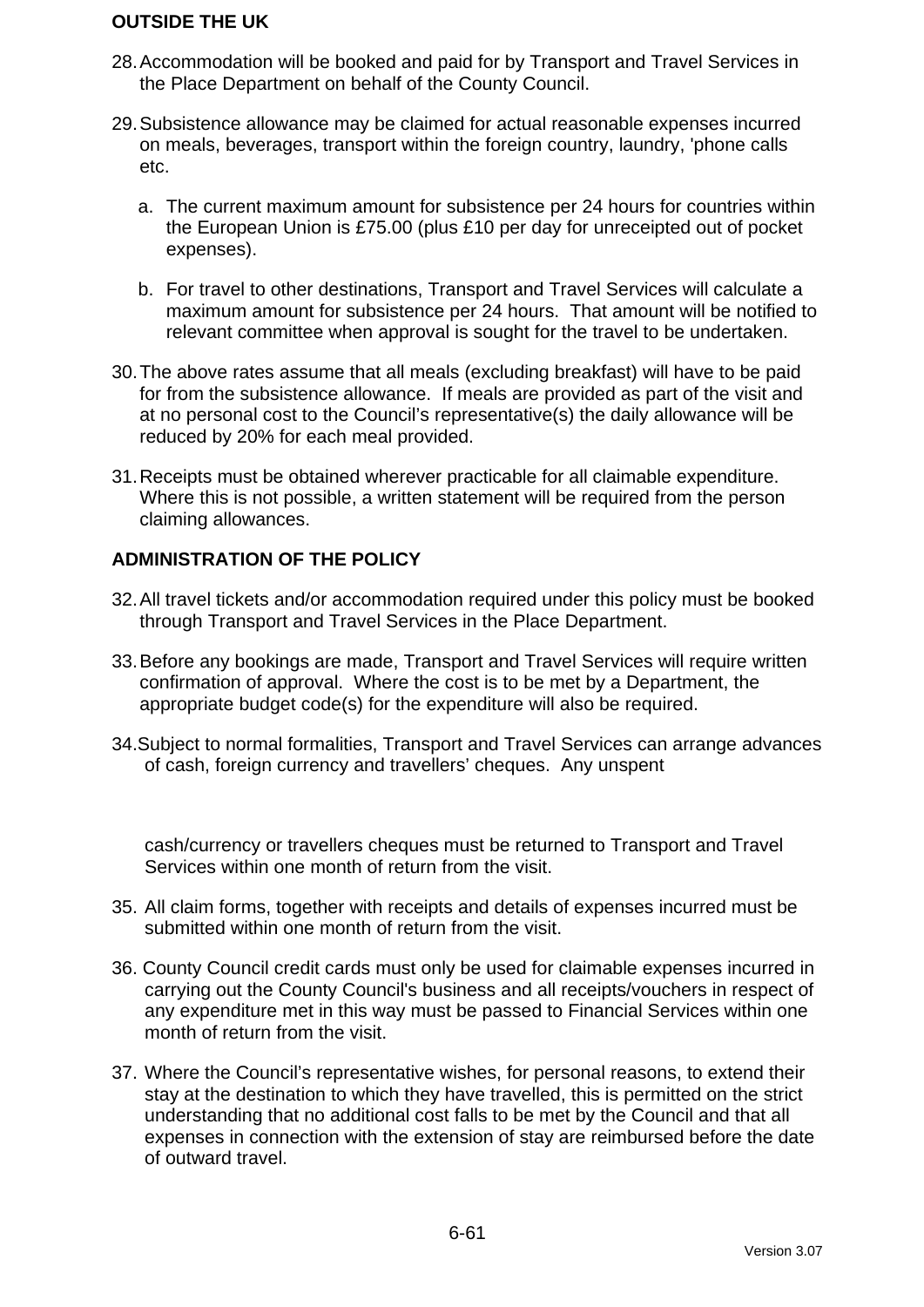## **OUTSIDE THE UK**

- 28.Accommodation will be booked and paid for by Transport and Travel Services in the Place Department on behalf of the County Council.
- 29.Subsistence allowance may be claimed for actual reasonable expenses incurred on meals, beverages, transport within the foreign country, laundry, 'phone calls etc.
	- a. The current maximum amount for subsistence per 24 hours for countries within the European Union is £75.00 (plus £10 per day for unreceipted out of pocket expenses).
	- b. For travel to other destinations, Transport and Travel Services will calculate a maximum amount for subsistence per 24 hours. That amount will be notified to relevant committee when approval is sought for the travel to be undertaken.
- 30.The above rates assume that all meals (excluding breakfast) will have to be paid for from the subsistence allowance. If meals are provided as part of the visit and at no personal cost to the Council's representative(s) the daily allowance will be reduced by 20% for each meal provided.
- 31.Receipts must be obtained wherever practicable for all claimable expenditure. Where this is not possible, a written statement will be required from the person claiming allowances.

# **ADMINISTRATION OF THE POLICY**

- 32.All travel tickets and/or accommodation required under this policy must be booked through Transport and Travel Services in the Place Department.
- 33.Before any bookings are made, Transport and Travel Services will require written confirmation of approval. Where the cost is to be met by a Department, the appropriate budget code(s) for the expenditure will also be required.
- 34.Subject to normal formalities, Transport and Travel Services can arrange advances of cash, foreign currency and travellers' cheques. Any unspent

cash/currency or travellers cheques must be returned to Transport and Travel Services within one month of return from the visit.

- 35. All claim forms, together with receipts and details of expenses incurred must be submitted within one month of return from the visit.
- 36. County Council credit cards must only be used for claimable expenses incurred in carrying out the County Council's business and all receipts/vouchers in respect of any expenditure met in this way must be passed to Financial Services within one month of return from the visit.
- 37. Where the Council's representative wishes, for personal reasons, to extend their stay at the destination to which they have travelled, this is permitted on the strict understanding that no additional cost falls to be met by the Council and that all expenses in connection with the extension of stay are reimbursed before the date of outward travel.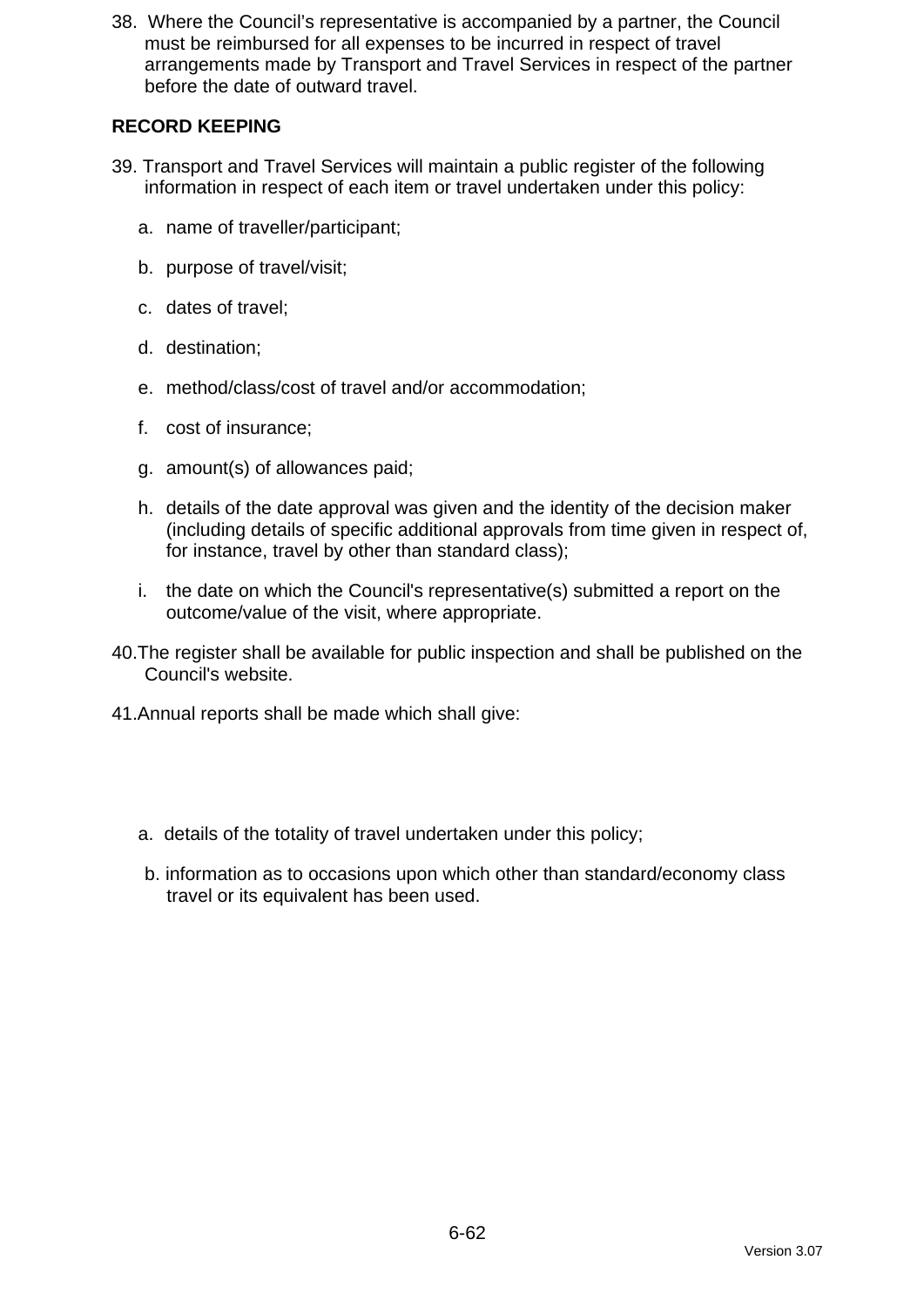38. Where the Council's representative is accompanied by a partner, the Council must be reimbursed for all expenses to be incurred in respect of travel arrangements made by Transport and Travel Services in respect of the partner before the date of outward travel.

# **RECORD KEEPING**

- 39. Transport and Travel Services will maintain a public register of the following information in respect of each item or travel undertaken under this policy:
	- a. name of traveller/participant;
	- b. purpose of travel/visit;
	- c. dates of travel;
	- d. destination;
	- e. method/class/cost of travel and/or accommodation;
	- f. cost of insurance;
	- g. amount(s) of allowances paid;
	- h. details of the date approval was given and the identity of the decision maker (including details of specific additional approvals from time given in respect of, for instance, travel by other than standard class);
	- i. the date on which the Council's representative(s) submitted a report on the outcome/value of the visit, where appropriate.
- 40.The register shall be available for public inspection and shall be published on the Council's website.
- 41.Annual reports shall be made which shall give:
	- a. details of the totality of travel undertaken under this policy;
	- b. information as to occasions upon which other than standard/economy class travel or its equivalent has been used.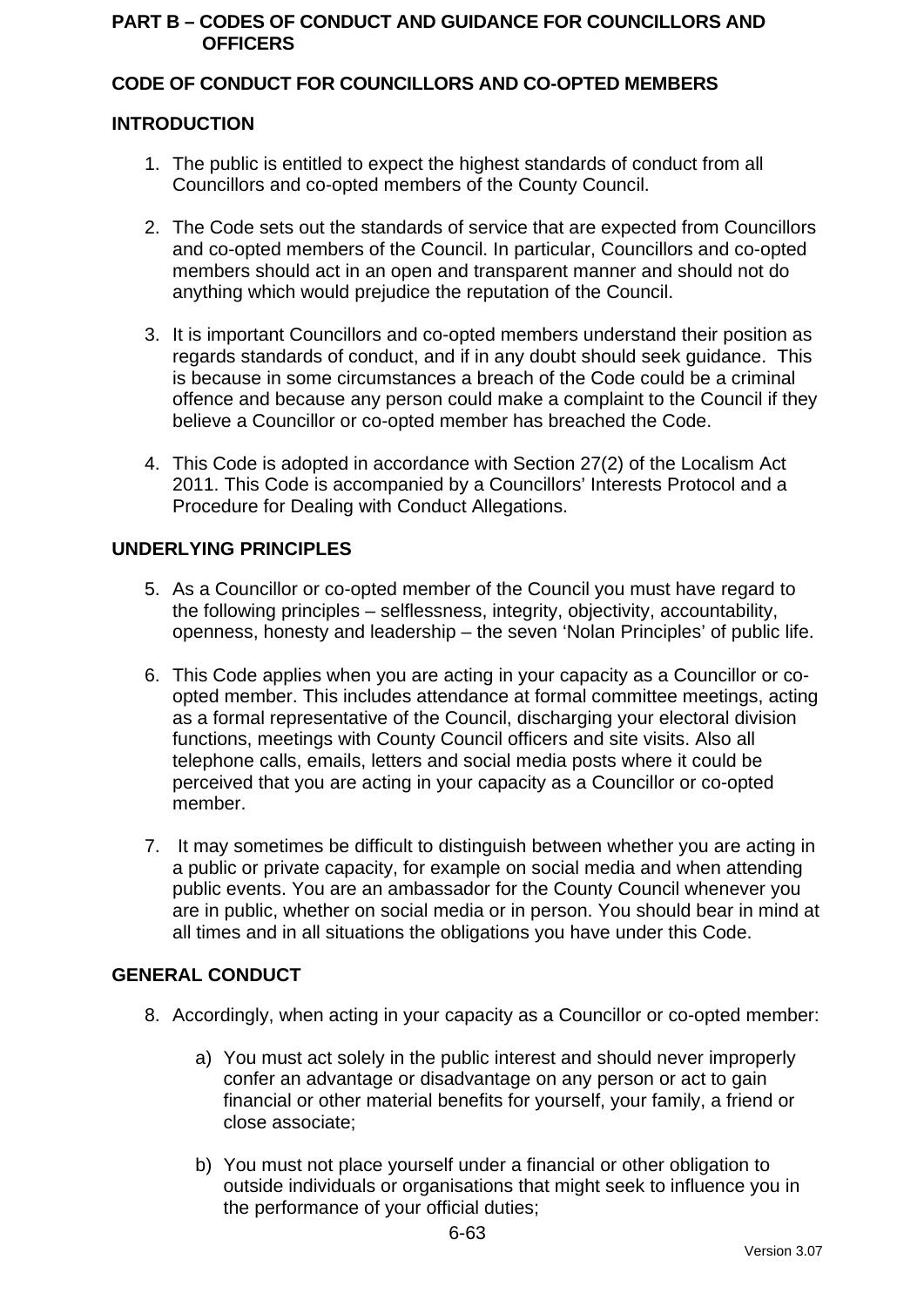# **PART B – CODES OF CONDUCT AND GUIDANCE FOR COUNCILLORS AND OFFICERS**

# **CODE OF CONDUCT FOR COUNCILLORS AND CO-OPTED MEMBERS**

## **INTRODUCTION**

- 1. The public is entitled to expect the highest standards of conduct from all Councillors and co-opted members of the County Council.
- 2. The Code sets out the standards of service that are expected from Councillors and co-opted members of the Council. In particular, Councillors and co-opted members should act in an open and transparent manner and should not do anything which would prejudice the reputation of the Council.
- 3. It is important Councillors and co-opted members understand their position as regards standards of conduct, and if in any doubt should seek guidance. This is because in some circumstances a breach of the Code could be a criminal offence and because any person could make a complaint to the Council if they believe a Councillor or co-opted member has breached the Code.
- 4. This Code is adopted in accordance with Section 27(2) of the Localism Act 2011. This Code is accompanied by a Councillors' Interests Protocol and a Procedure for Dealing with Conduct Allegations.

#### **UNDERLYING PRINCIPLES**

- 5. As a Councillor or co-opted member of the Council you must have regard to the following principles – selflessness, integrity, objectivity, accountability, openness, honesty and leadership – the seven 'Nolan Principles' of public life.
- 6. This Code applies when you are acting in your capacity as a Councillor or coopted member. This includes attendance at formal committee meetings, acting as a formal representative of the Council, discharging your electoral division functions, meetings with County Council officers and site visits. Also all telephone calls, emails, letters and social media posts where it could be perceived that you are acting in your capacity as a Councillor or co-opted member.
- 7. It may sometimes be difficult to distinguish between whether you are acting in a public or private capacity, for example on social media and when attending public events. You are an ambassador for the County Council whenever you are in public, whether on social media or in person. You should bear in mind at all times and in all situations the obligations you have under this Code.

# **GENERAL CONDUCT**

- 8. Accordingly, when acting in your capacity as a Councillor or co-opted member:
	- a) You must act solely in the public interest and should never improperly confer an advantage or disadvantage on any person or act to gain financial or other material benefits for yourself, your family, a friend or close associate;
	- b) You must not place yourself under a financial or other obligation to outside individuals or organisations that might seek to influence you in the performance of your official duties;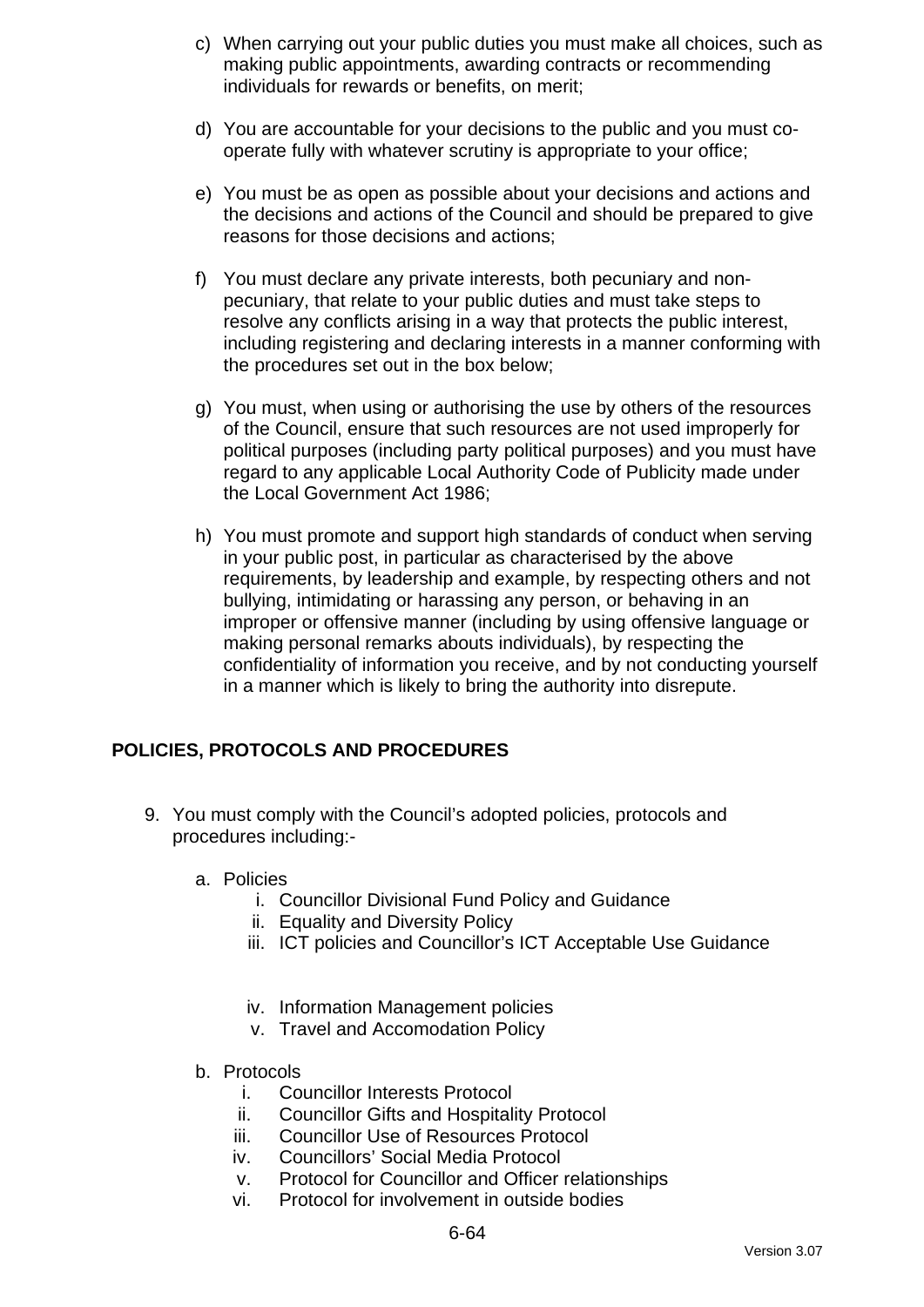- c) When carrying out your public duties you must make all choices, such as making public appointments, awarding contracts or recommending individuals for rewards or benefits, on merit;
- d) You are accountable for your decisions to the public and you must cooperate fully with whatever scrutiny is appropriate to your office;
- e) You must be as open as possible about your decisions and actions and the decisions and actions of the Council and should be prepared to give reasons for those decisions and actions;
- f) You must declare any private interests, both pecuniary and nonpecuniary, that relate to your public duties and must take steps to resolve any conflicts arising in a way that protects the public interest, including registering and declaring interests in a manner conforming with the procedures set out in the box below;
- g) You must, when using or authorising the use by others of the resources of the Council, ensure that such resources are not used improperly for political purposes (including party political purposes) and you must have regard to any applicable Local Authority Code of Publicity made under the Local Government Act 1986;
- h) You must promote and support high standards of conduct when serving in your public post, in particular as characterised by the above requirements, by leadership and example, by respecting others and not bullying, intimidating or harassing any person, or behaving in an improper or offensive manner (including by using offensive language or making personal remarks abouts individuals), by respecting the confidentiality of information you receive, and by not conducting yourself in a manner which is likely to bring the authority into disrepute.

# **POLICIES, PROTOCOLS AND PROCEDURES**

- 9. You must comply with the Council's adopted policies, protocols and procedures including:
	- a. Policies
		- i. Councillor Divisional Fund Policy and Guidance
		- ii. Equality and Diversity Policy
		- iii. ICT policies and Councillor's ICT Acceptable Use Guidance
		- iv. Information Management policies
		- v. Travel and Accomodation Policy
	- b. Protocols
		- i. Councillor Interests Protocol
		- ii. Councillor Gifts and Hospitality Protocol
		- iii. Councillor Use of Resources Protocol
		- iv. Councillors' Social Media Protocol
		- v. Protocol for Councillor and Officer relationships
		- vi. Protocol for involvement in outside bodies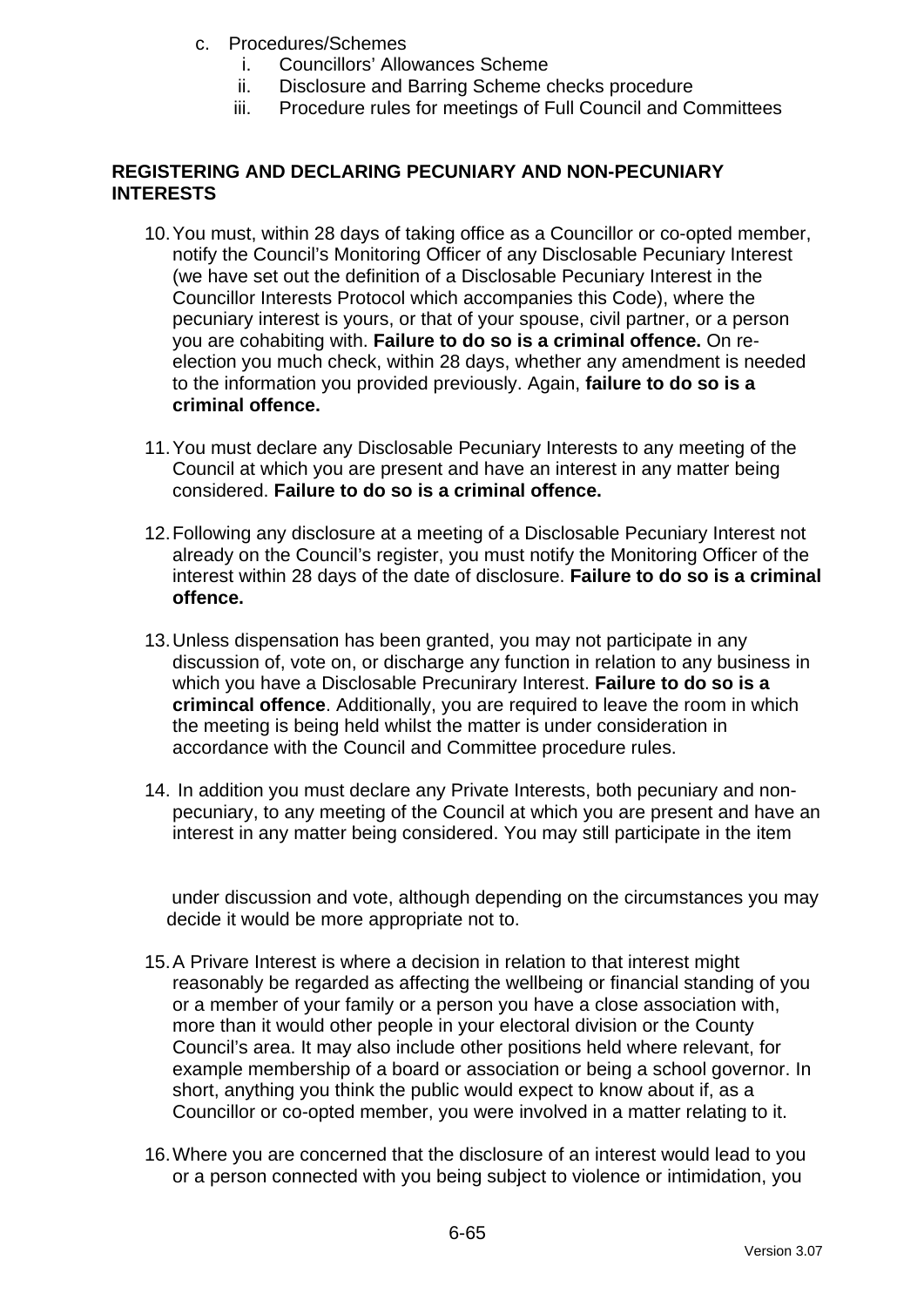- c. Procedures/Schemes
	- i. Councillors' Allowances Scheme
	- ii. Disclosure and Barring Scheme checks procedure
	- iii. Procedure rules for meetings of Full Council and Committees

# **REGISTERING AND DECLARING PECUNIARY AND NON-PECUNIARY INTERESTS**

- 10.You must, within 28 days of taking office as a Councillor or co-opted member, notify the Council's Monitoring Officer of any Disclosable Pecuniary Interest (we have set out the definition of a Disclosable Pecuniary Interest in the Councillor Interests Protocol which accompanies this Code), where the pecuniary interest is yours, or that of your spouse, civil partner, or a person you are cohabiting with. **Failure to do so is a criminal offence.** On reelection you much check, within 28 days, whether any amendment is needed to the information you provided previously. Again, **failure to do so is a criminal offence.**
- 11.You must declare any Disclosable Pecuniary Interests to any meeting of the Council at which you are present and have an interest in any matter being considered. **Failure to do so is a criminal offence.**
- 12.Following any disclosure at a meeting of a Disclosable Pecuniary Interest not already on the Council's register, you must notify the Monitoring Officer of the interest within 28 days of the date of disclosure. **Failure to do so is a criminal offence.**
- 13.Unless dispensation has been granted, you may not participate in any discussion of, vote on, or discharge any function in relation to any business in which you have a Disclosable Precunirary Interest. **Failure to do so is a crimincal offence**. Additionally, you are required to leave the room in which the meeting is being held whilst the matter is under consideration in accordance with the Council and Committee procedure rules.
- 14. In addition you must declare any Private Interests, both pecuniary and nonpecuniary, to any meeting of the Council at which you are present and have an interest in any matter being considered. You may still participate in the item

under discussion and vote, although depending on the circumstances you may decide it would be more appropriate not to.

- 15.A Privare Interest is where a decision in relation to that interest might reasonably be regarded as affecting the wellbeing or financial standing of you or a member of your family or a person you have a close association with, more than it would other people in your electoral division or the County Council's area. It may also include other positions held where relevant, for example membership of a board or association or being a school governor. In short, anything you think the public would expect to know about if, as a Councillor or co-opted member, you were involved in a matter relating to it.
- 16.Where you are concerned that the disclosure of an interest would lead to you or a person connected with you being subject to violence or intimidation, you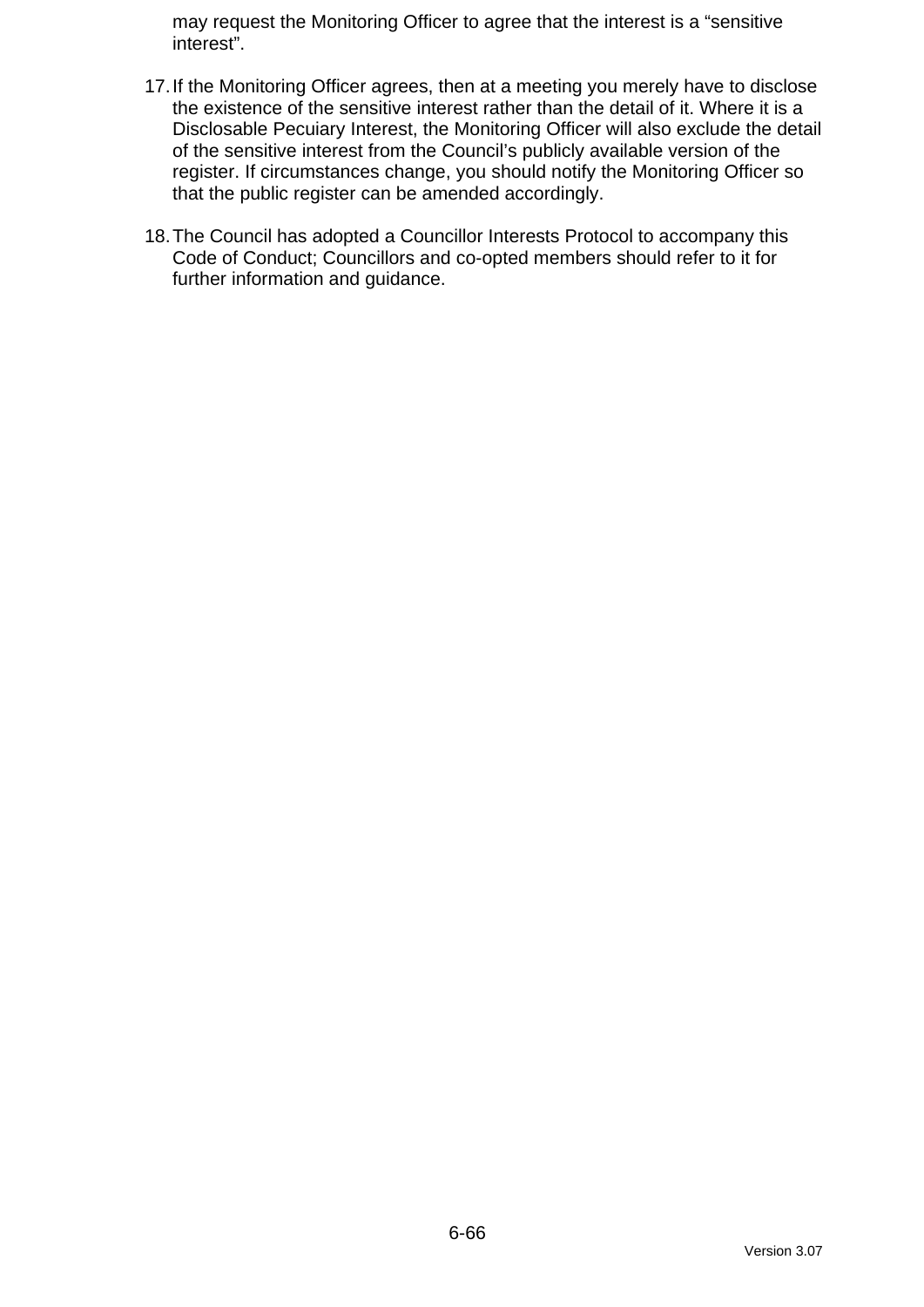may request the Monitoring Officer to agree that the interest is a "sensitive interest".

- 17.If the Monitoring Officer agrees, then at a meeting you merely have to disclose the existence of the sensitive interest rather than the detail of it. Where it is a Disclosable Pecuiary Interest, the Monitoring Officer will also exclude the detail of the sensitive interest from the Council's publicly available version of the register. If circumstances change, you should notify the Monitoring Officer so that the public register can be amended accordingly.
- 18.The Council has adopted a Councillor Interests Protocol to accompany this Code of Conduct; Councillors and co-opted members should refer to it for further information and guidance.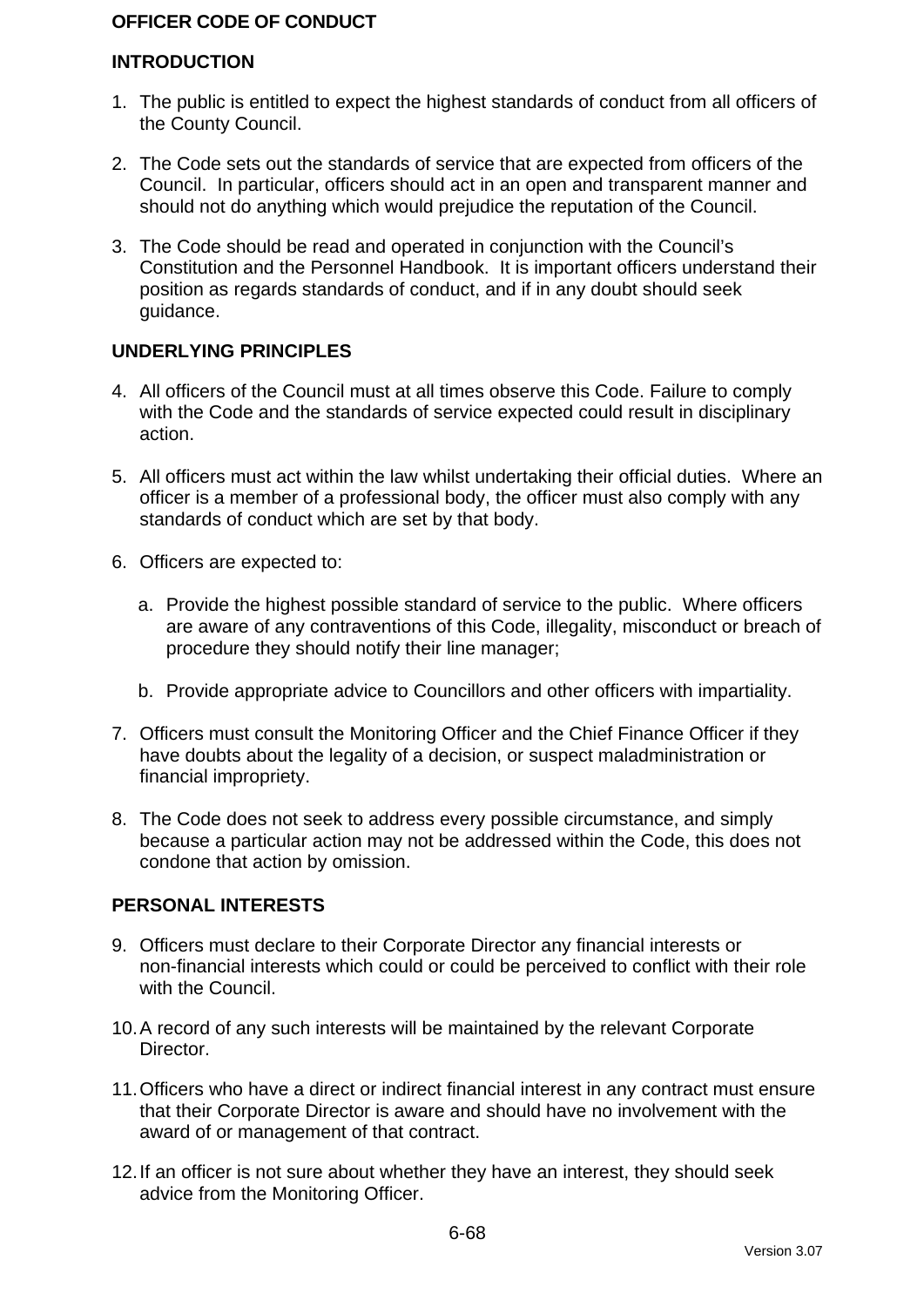# **OFFICER CODE OF CONDUCT**

# **INTRODUCTION**

- 1. The public is entitled to expect the highest standards of conduct from all officers of the County Council.
- 2. The Code sets out the standards of service that are expected from officers of the Council. In particular, officers should act in an open and transparent manner and should not do anything which would prejudice the reputation of the Council.
- 3. The Code should be read and operated in conjunction with the Council's Constitution and the Personnel Handbook. It is important officers understand their position as regards standards of conduct, and if in any doubt should seek guidance.

# **UNDERLYING PRINCIPLES**

- 4. All officers of the Council must at all times observe this Code. Failure to comply with the Code and the standards of service expected could result in disciplinary action.
- 5. All officers must act within the law whilst undertaking their official duties. Where an officer is a member of a professional body, the officer must also comply with any standards of conduct which are set by that body.
- 6. Officers are expected to:
	- a. Provide the highest possible standard of service to the public. Where officers are aware of any contraventions of this Code, illegality, misconduct or breach of procedure they should notify their line manager;
	- b. Provide appropriate advice to Councillors and other officers with impartiality.
- 7. Officers must consult the Monitoring Officer and the Chief Finance Officer if they have doubts about the legality of a decision, or suspect maladministration or financial impropriety.
- 8. The Code does not seek to address every possible circumstance, and simply because a particular action may not be addressed within the Code, this does not condone that action by omission.

# **PERSONAL INTERESTS**

- 9. Officers must declare to their Corporate Director any financial interests or non-financial interests which could or could be perceived to conflict with their role with the Council.
- 10.A record of any such interests will be maintained by the relevant Corporate Director.
- 11.Officers who have a direct or indirect financial interest in any contract must ensure that their Corporate Director is aware and should have no involvement with the award of or management of that contract.
- 12.If an officer is not sure about whether they have an interest, they should seek advice from the Monitoring Officer.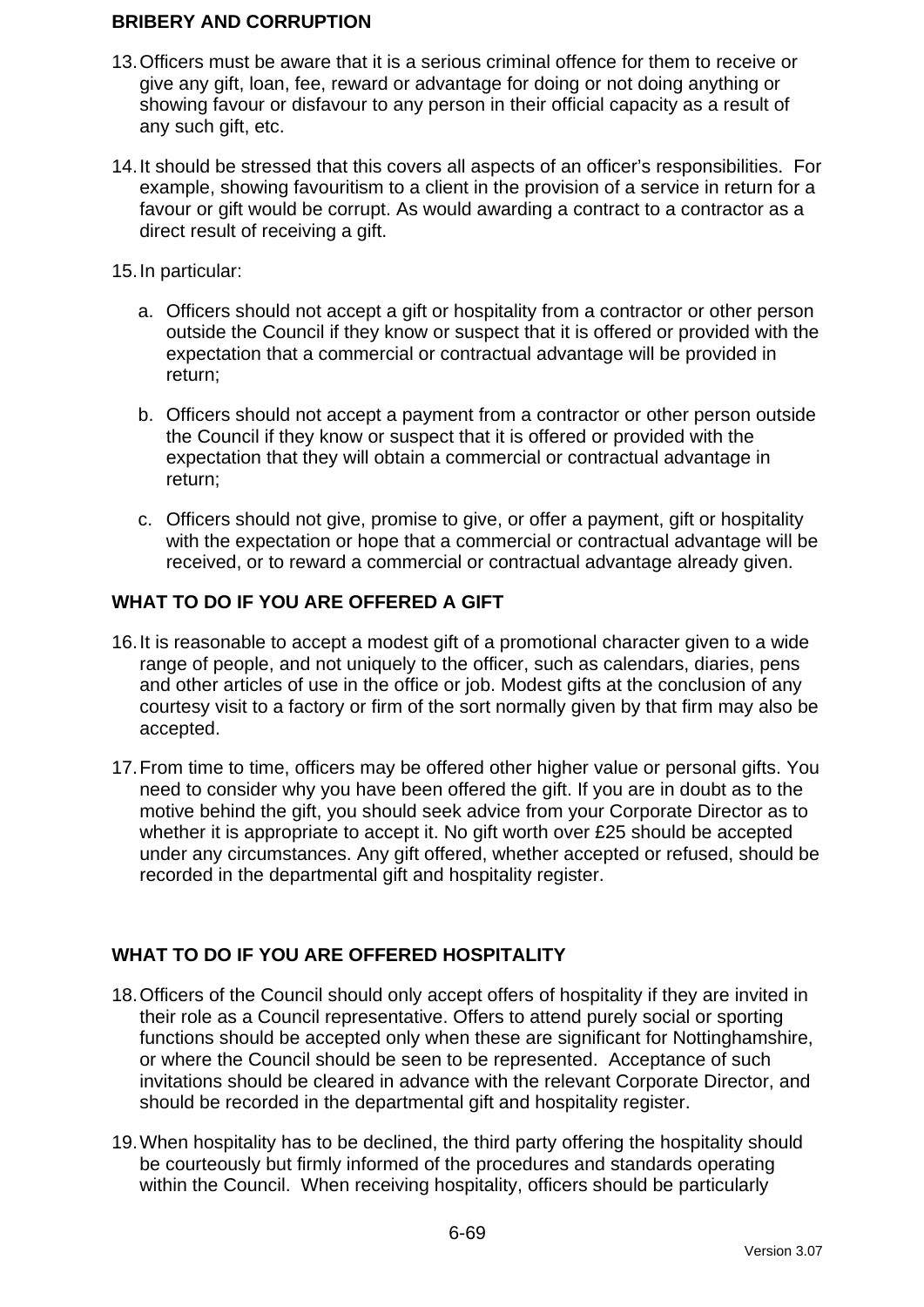### **BRIBERY AND CORRUPTION**

- 13.Officers must be aware that it is a serious criminal offence for them to receive or give any gift, loan, fee, reward or advantage for doing or not doing anything or showing favour or disfavour to any person in their official capacity as a result of any such gift, etc.
- 14.It should be stressed that this covers all aspects of an officer's responsibilities. For example, showing favouritism to a client in the provision of a service in return for a favour or gift would be corrupt. As would awarding a contract to a contractor as a direct result of receiving a gift.
- 15.In particular:
	- a. Officers should not accept a gift or hospitality from a contractor or other person outside the Council if they know or suspect that it is offered or provided with the expectation that a commercial or contractual advantage will be provided in return;
	- b. Officers should not accept a payment from a contractor or other person outside the Council if they know or suspect that it is offered or provided with the expectation that they will obtain a commercial or contractual advantage in return;
	- c. Officers should not give, promise to give, or offer a payment, gift or hospitality with the expectation or hope that a commercial or contractual advantage will be received, or to reward a commercial or contractual advantage already given.

# **WHAT TO DO IF YOU ARE OFFERED A GIFT**

- 16.It is reasonable to accept a modest gift of a promotional character given to a wide range of people, and not uniquely to the officer, such as calendars, diaries, pens and other articles of use in the office or job. Modest gifts at the conclusion of any courtesy visit to a factory or firm of the sort normally given by that firm may also be accepted.
- 17.From time to time, officers may be offered other higher value or personal gifts. You need to consider why you have been offered the gift. If you are in doubt as to the motive behind the gift, you should seek advice from your Corporate Director as to whether it is appropriate to accept it. No gift worth over £25 should be accepted under any circumstances. Any gift offered, whether accepted or refused, should be recorded in the departmental gift and hospitality register.

# **WHAT TO DO IF YOU ARE OFFERED HOSPITALITY**

- 18.Officers of the Council should only accept offers of hospitality if they are invited in their role as a Council representative. Offers to attend purely social or sporting functions should be accepted only when these are significant for Nottinghamshire, or where the Council should be seen to be represented. Acceptance of such invitations should be cleared in advance with the relevant Corporate Director, and should be recorded in the departmental gift and hospitality register.
- 19.When hospitality has to be declined, the third party offering the hospitality should be courteously but firmly informed of the procedures and standards operating within the Council. When receiving hospitality, officers should be particularly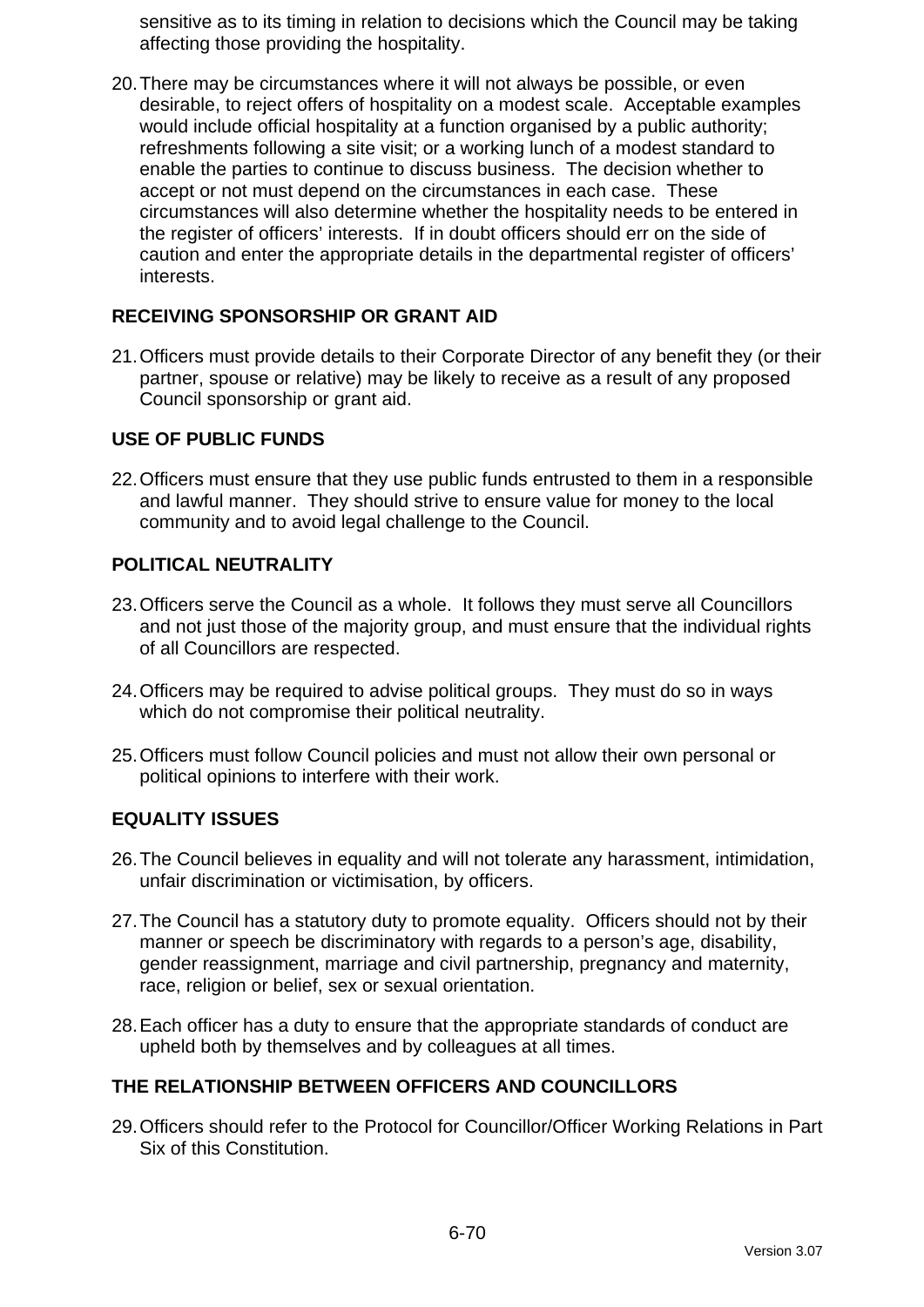sensitive as to its timing in relation to decisions which the Council may be taking affecting those providing the hospitality.

20.There may be circumstances where it will not always be possible, or even desirable, to reject offers of hospitality on a modest scale. Acceptable examples would include official hospitality at a function organised by a public authority; refreshments following a site visit; or a working lunch of a modest standard to enable the parties to continue to discuss business. The decision whether to accept or not must depend on the circumstances in each case. These circumstances will also determine whether the hospitality needs to be entered in the register of officers' interests. If in doubt officers should err on the side of caution and enter the appropriate details in the departmental register of officers' interests.

# **RECEIVING SPONSORSHIP OR GRANT AID**

21.Officers must provide details to their Corporate Director of any benefit they (or their partner, spouse or relative) may be likely to receive as a result of any proposed Council sponsorship or grant aid.

## **USE OF PUBLIC FUNDS**

22.Officers must ensure that they use public funds entrusted to them in a responsible and lawful manner. They should strive to ensure value for money to the local community and to avoid legal challenge to the Council.

# **POLITICAL NEUTRALITY**

- 23.Officers serve the Council as a whole. It follows they must serve all Councillors and not just those of the majority group, and must ensure that the individual rights of all Councillors are respected.
- 24.Officers may be required to advise political groups. They must do so in ways which do not compromise their political neutrality.
- 25.Officers must follow Council policies and must not allow their own personal or political opinions to interfere with their work.

# **EQUALITY ISSUES**

- 26.The Council believes in equality and will not tolerate any harassment, intimidation, unfair discrimination or victimisation, by officers.
- 27.The Council has a statutory duty to promote equality. Officers should not by their manner or speech be discriminatory with regards to a person's age, disability, gender reassignment, marriage and civil partnership, pregnancy and maternity, race, religion or belief, sex or sexual orientation.
- 28.Each officer has a duty to ensure that the appropriate standards of conduct are upheld both by themselves and by colleagues at all times.

### **THE RELATIONSHIP BETWEEN OFFICERS AND COUNCILLORS**

29.Officers should refer to the Protocol for Councillor/Officer Working Relations in Part Six of this Constitution.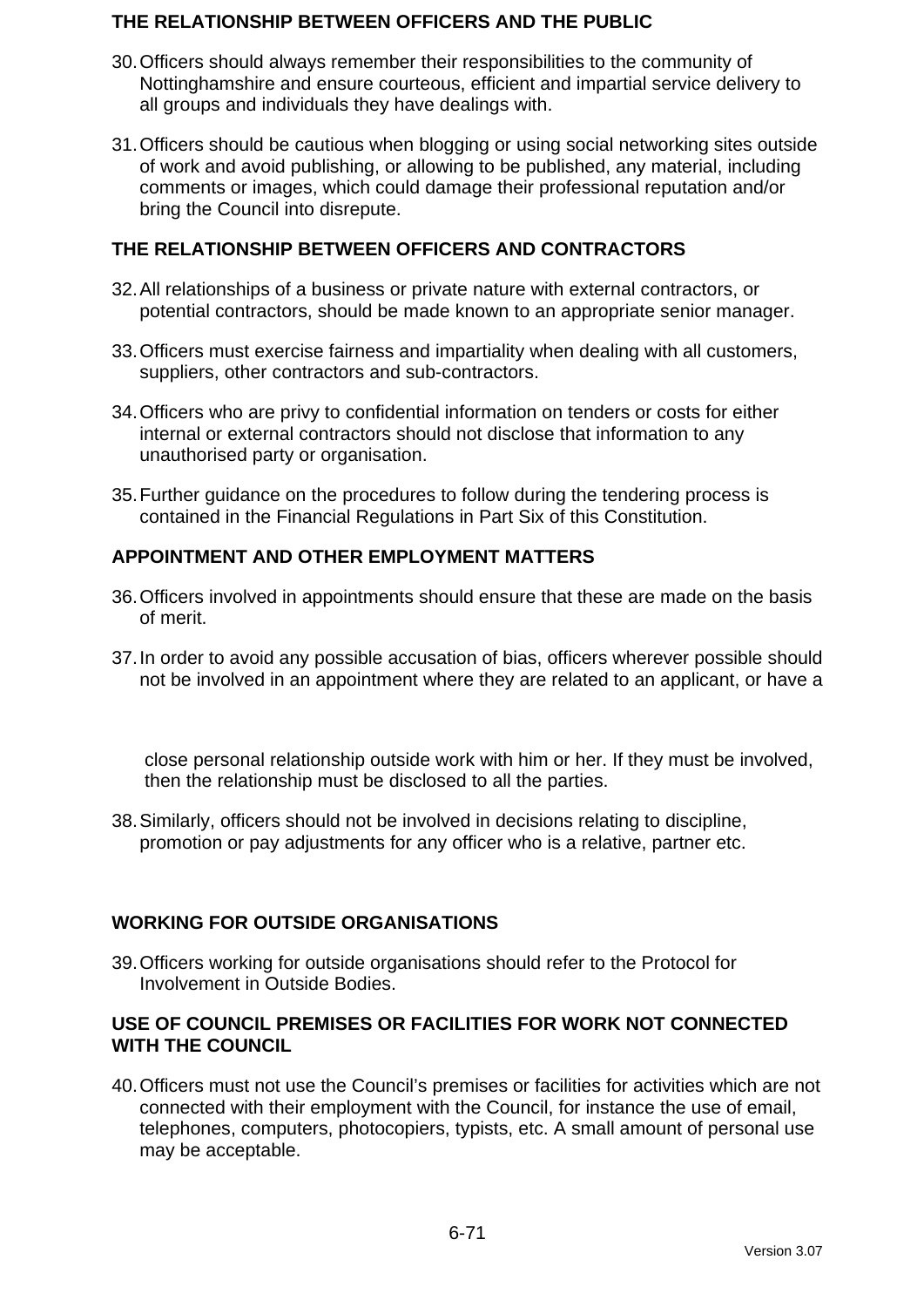## **THE RELATIONSHIP BETWEEN OFFICERS AND THE PUBLIC**

- 30.Officers should always remember their responsibilities to the community of Nottinghamshire and ensure courteous, efficient and impartial service delivery to all groups and individuals they have dealings with.
- 31.Officers should be cautious when blogging or using social networking sites outside of work and avoid publishing, or allowing to be published, any material, including comments or images, which could damage their professional reputation and/or bring the Council into disrepute.

# **THE RELATIONSHIP BETWEEN OFFICERS AND CONTRACTORS**

- 32.All relationships of a business or private nature with external contractors, or potential contractors, should be made known to an appropriate senior manager.
- 33.Officers must exercise fairness and impartiality when dealing with all customers, suppliers, other contractors and sub-contractors.
- 34.Officers who are privy to confidential information on tenders or costs for either internal or external contractors should not disclose that information to any unauthorised party or organisation.
- 35.Further guidance on the procedures to follow during the tendering process is contained in the Financial Regulations in Part Six of this Constitution.

## **APPOINTMENT AND OTHER EMPLOYMENT MATTERS**

- 36.Officers involved in appointments should ensure that these are made on the basis of merit.
- 37.In order to avoid any possible accusation of bias, officers wherever possible should not be involved in an appointment where they are related to an applicant, or have a

close personal relationship outside work with him or her. If they must be involved, then the relationship must be disclosed to all the parties.

38.Similarly, officers should not be involved in decisions relating to discipline, promotion or pay adjustments for any officer who is a relative, partner etc.

# **WORKING FOR OUTSIDE ORGANISATIONS**

39.Officers working for outside organisations should refer to the Protocol for Involvement in Outside Bodies.

### **USE OF COUNCIL PREMISES OR FACILITIES FOR WORK NOT CONNECTED WITH THE COUNCIL**

40.Officers must not use the Council's premises or facilities for activities which are not connected with their employment with the Council, for instance the use of email, telephones, computers, photocopiers, typists, etc. A small amount of personal use may be acceptable.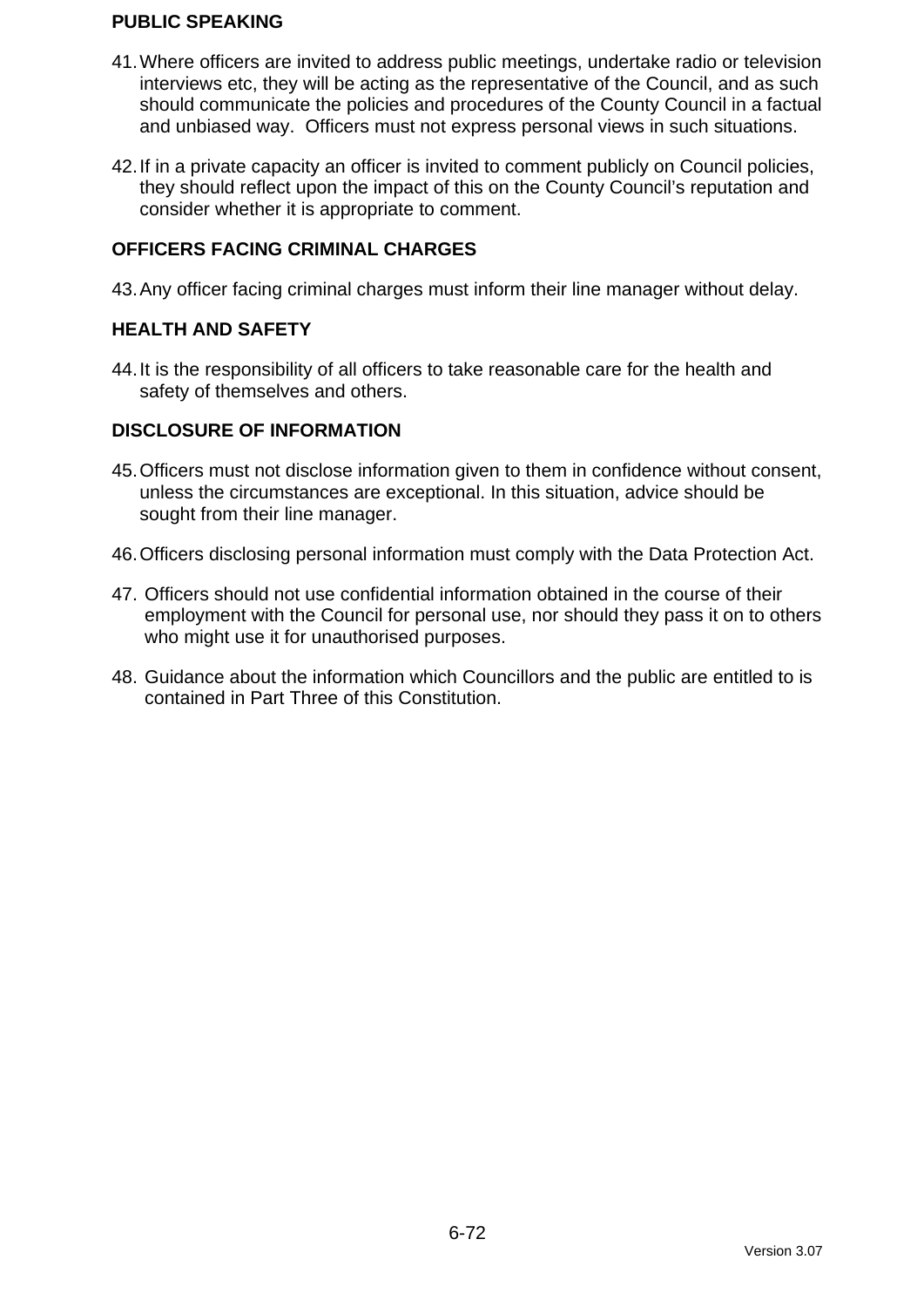### **PUBLIC SPEAKING**

- 41.Where officers are invited to address public meetings, undertake radio or television interviews etc, they will be acting as the representative of the Council, and as such should communicate the policies and procedures of the County Council in a factual and unbiased way. Officers must not express personal views in such situations.
- 42.If in a private capacity an officer is invited to comment publicly on Council policies, they should reflect upon the impact of this on the County Council's reputation and consider whether it is appropriate to comment.

## **OFFICERS FACING CRIMINAL CHARGES**

43.Any officer facing criminal charges must inform their line manager without delay.

### **HEALTH AND SAFETY**

44.It is the responsibility of all officers to take reasonable care for the health and safety of themselves and others.

### **DISCLOSURE OF INFORMATION**

- 45.Officers must not disclose information given to them in confidence without consent, unless the circumstances are exceptional. In this situation, advice should be sought from their line manager.
- 46.Officers disclosing personal information must comply with the Data Protection Act.
- 47. Officers should not use confidential information obtained in the course of their employment with the Council for personal use, nor should they pass it on to others who might use it for unauthorised purposes.
- 48. Guidance about the information which Councillors and the public are entitled to is contained in Part Three of this Constitution.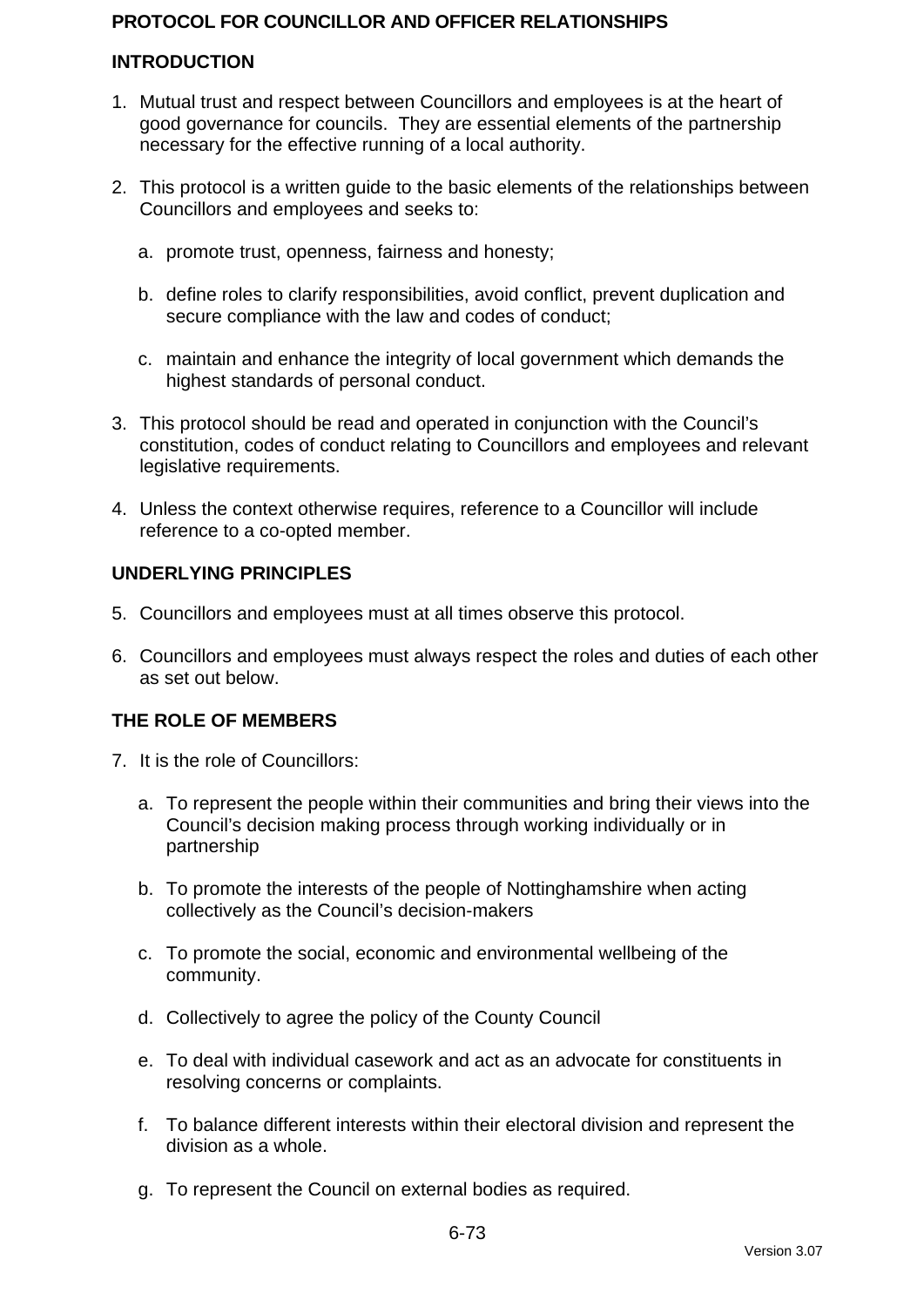## **PROTOCOL FOR COUNCILLOR AND OFFICER RELATIONSHIPS**

### **INTRODUCTION**

- 1. Mutual trust and respect between Councillors and employees is at the heart of good governance for councils. They are essential elements of the partnership necessary for the effective running of a local authority.
- 2. This protocol is a written guide to the basic elements of the relationships between Councillors and employees and seeks to:
	- a. promote trust, openness, fairness and honesty;
	- b. define roles to clarify responsibilities, avoid conflict, prevent duplication and secure compliance with the law and codes of conduct;
	- c. maintain and enhance the integrity of local government which demands the highest standards of personal conduct.
- 3. This protocol should be read and operated in conjunction with the Council's constitution, codes of conduct relating to Councillors and employees and relevant legislative requirements.
- 4. Unless the context otherwise requires, reference to a Councillor will include reference to a co-opted member.

### **UNDERLYING PRINCIPLES**

- 5. Councillors and employees must at all times observe this protocol.
- 6. Councillors and employees must always respect the roles and duties of each other as set out below.

### **THE ROLE OF MEMBERS**

- 7. It is the role of Councillors:
	- a. To represent the people within their communities and bring their views into the Council's decision making process through working individually or in partnership
	- b. To promote the interests of the people of Nottinghamshire when acting collectively as the Council's decision-makers
	- c. To promote the social, economic and environmental wellbeing of the community.
	- d. Collectively to agree the policy of the County Council
	- e. To deal with individual casework and act as an advocate for constituents in resolving concerns or complaints.
	- f. To balance different interests within their electoral division and represent the division as a whole.
	- g. To represent the Council on external bodies as required.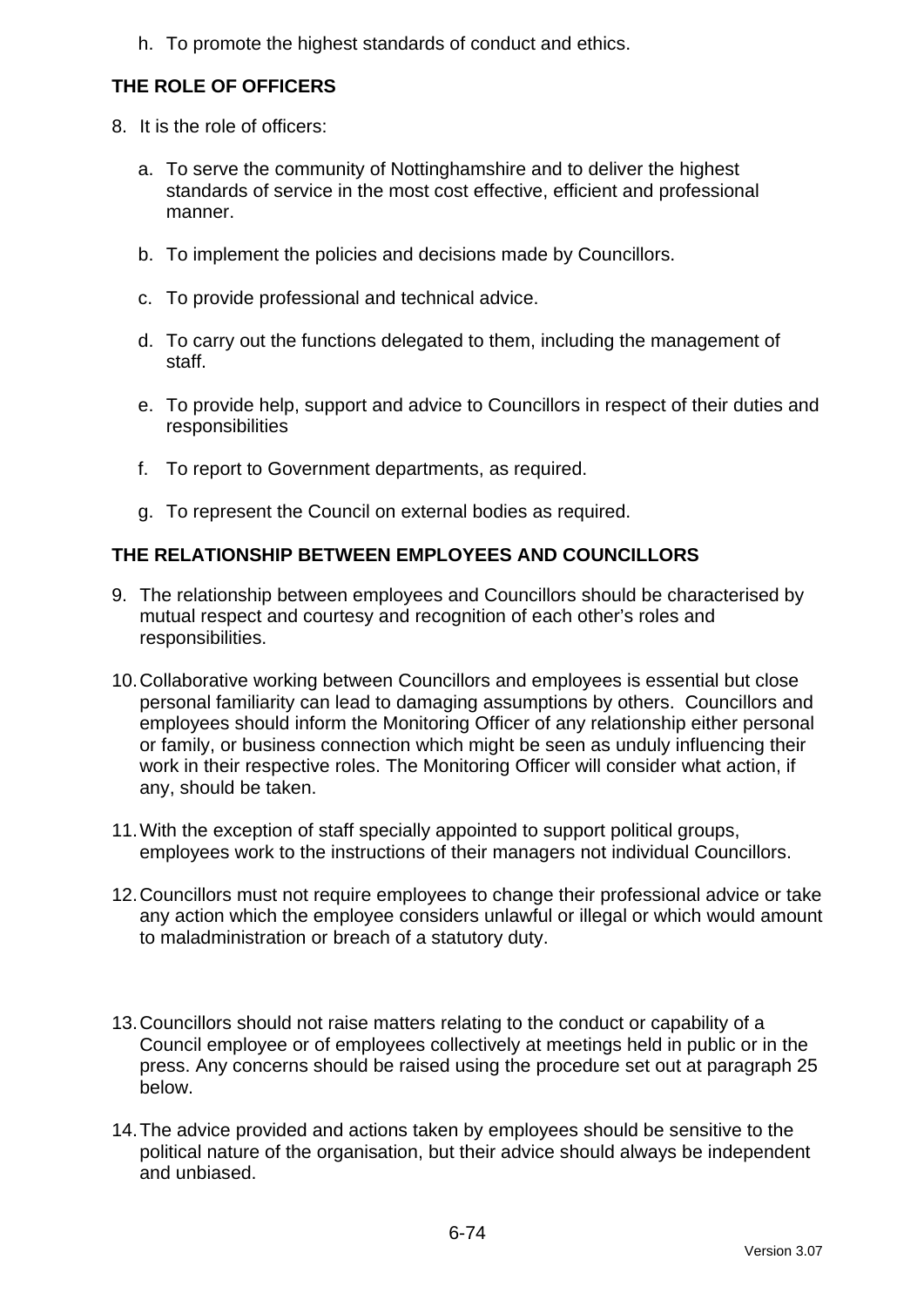h. To promote the highest standards of conduct and ethics.

# **THE ROLE OF OFFICERS**

- 8. It is the role of officers:
	- a. To serve the community of Nottinghamshire and to deliver the highest standards of service in the most cost effective, efficient and professional manner.
	- b. To implement the policies and decisions made by Councillors.
	- c. To provide professional and technical advice.
	- d. To carry out the functions delegated to them, including the management of staff.
	- e. To provide help, support and advice to Councillors in respect of their duties and responsibilities
	- f. To report to Government departments, as required.
	- g. To represent the Council on external bodies as required.

# **THE RELATIONSHIP BETWEEN EMPLOYEES AND COUNCILLORS**

- 9. The relationship between employees and Councillors should be characterised by mutual respect and courtesy and recognition of each other's roles and responsibilities.
- 10.Collaborative working between Councillors and employees is essential but close personal familiarity can lead to damaging assumptions by others. Councillors and employees should inform the Monitoring Officer of any relationship either personal or family, or business connection which might be seen as unduly influencing their work in their respective roles. The Monitoring Officer will consider what action, if any, should be taken.
- 11.With the exception of staff specially appointed to support political groups, employees work to the instructions of their managers not individual Councillors.
- 12.Councillors must not require employees to change their professional advice or take any action which the employee considers unlawful or illegal or which would amount to maladministration or breach of a statutory duty.
- 13.Councillors should not raise matters relating to the conduct or capability of a Council employee or of employees collectively at meetings held in public or in the press. Any concerns should be raised using the procedure set out at paragraph 25 below.
- 14.The advice provided and actions taken by employees should be sensitive to the political nature of the organisation, but their advice should always be independent and unbiased.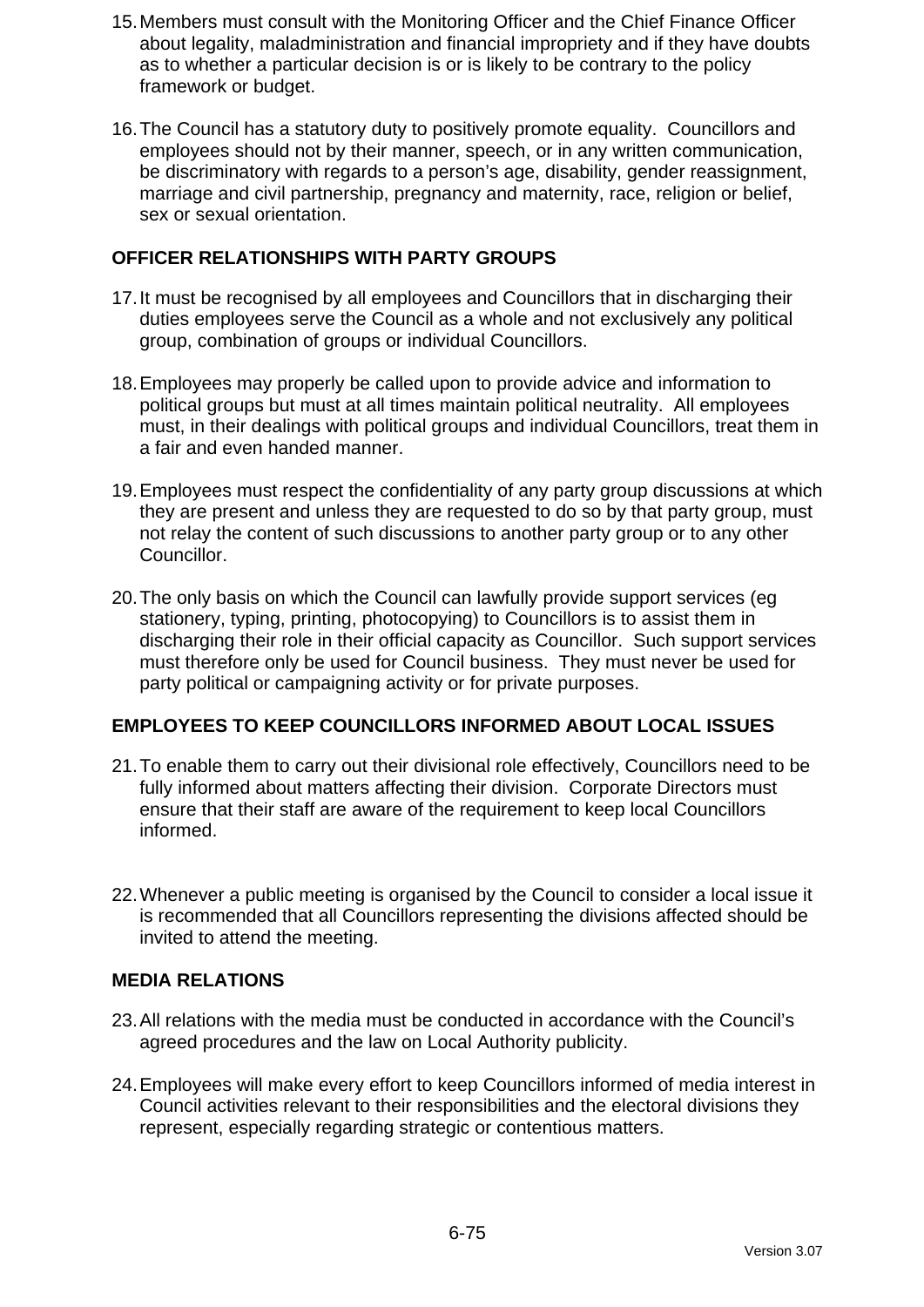- 15.Members must consult with the Monitoring Officer and the Chief Finance Officer about legality, maladministration and financial impropriety and if they have doubts as to whether a particular decision is or is likely to be contrary to the policy framework or budget.
- 16.The Council has a statutory duty to positively promote equality. Councillors and employees should not by their manner, speech, or in any written communication, be discriminatory with regards to a person's age, disability, gender reassignment, marriage and civil partnership, pregnancy and maternity, race, religion or belief, sex or sexual orientation.

## **OFFICER RELATIONSHIPS WITH PARTY GROUPS**

- 17.It must be recognised by all employees and Councillors that in discharging their duties employees serve the Council as a whole and not exclusively any political group, combination of groups or individual Councillors.
- 18.Employees may properly be called upon to provide advice and information to political groups but must at all times maintain political neutrality. All employees must, in their dealings with political groups and individual Councillors, treat them in a fair and even handed manner.
- 19.Employees must respect the confidentiality of any party group discussions at which they are present and unless they are requested to do so by that party group, must not relay the content of such discussions to another party group or to any other **Councillor**
- 20.The only basis on which the Council can lawfully provide support services (eg stationery, typing, printing, photocopying) to Councillors is to assist them in discharging their role in their official capacity as Councillor. Such support services must therefore only be used for Council business. They must never be used for party political or campaigning activity or for private purposes.

# **EMPLOYEES TO KEEP COUNCILLORS INFORMED ABOUT LOCAL ISSUES**

- 21.To enable them to carry out their divisional role effectively, Councillors need to be fully informed about matters affecting their division. Corporate Directors must ensure that their staff are aware of the requirement to keep local Councillors informed.
- 22.Whenever a public meeting is organised by the Council to consider a local issue it is recommended that all Councillors representing the divisions affected should be invited to attend the meeting.

# **MEDIA RELATIONS**

- 23.All relations with the media must be conducted in accordance with the Council's agreed procedures and the law on Local Authority publicity.
- 24.Employees will make every effort to keep Councillors informed of media interest in Council activities relevant to their responsibilities and the electoral divisions they represent, especially regarding strategic or contentious matters.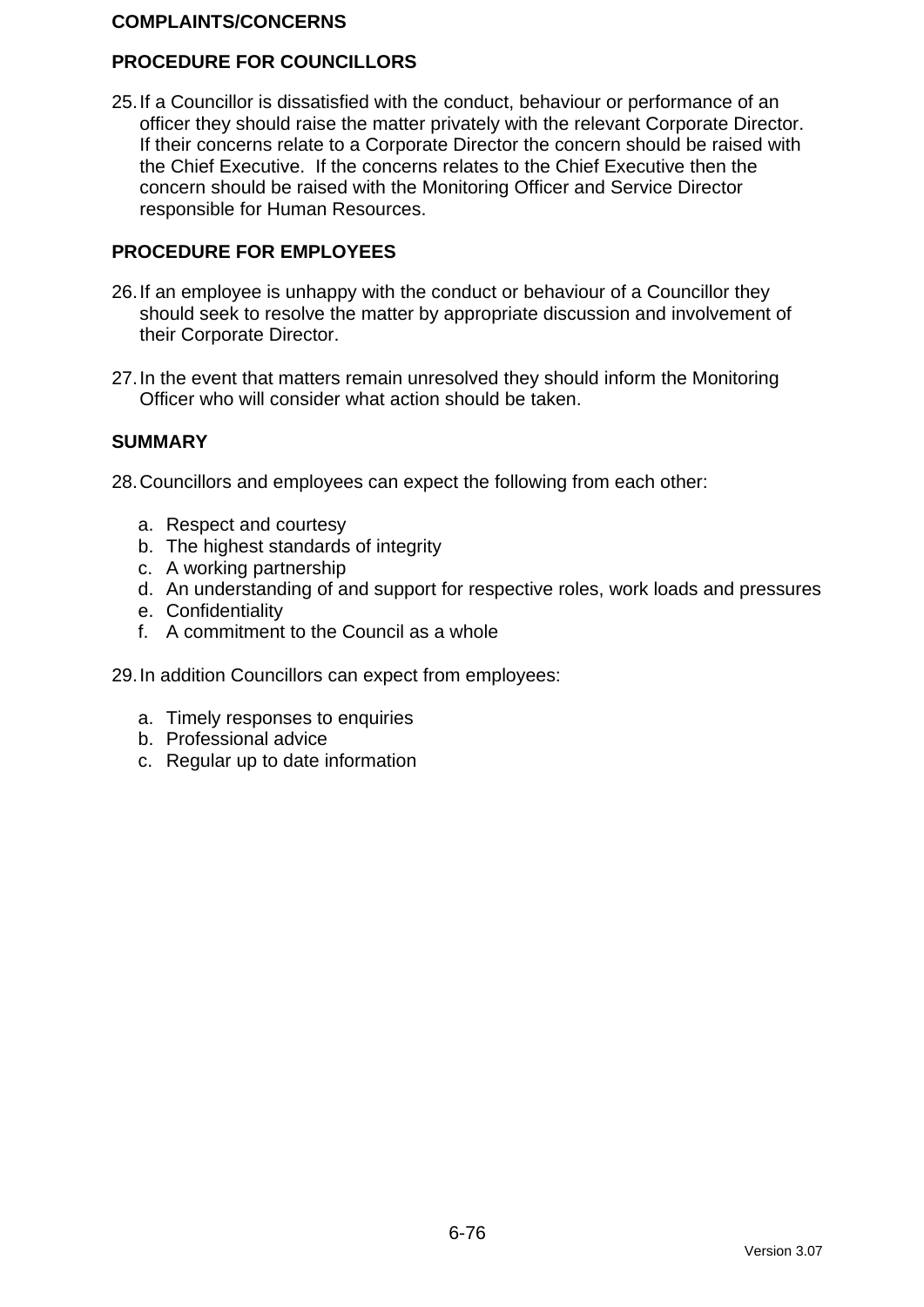### **COMPLAINTS/CONCERNS**

# **PROCEDURE FOR COUNCILLORS**

25.If a Councillor is dissatisfied with the conduct, behaviour or performance of an officer they should raise the matter privately with the relevant Corporate Director. If their concerns relate to a Corporate Director the concern should be raised with the Chief Executive. If the concerns relates to the Chief Executive then the concern should be raised with the Monitoring Officer and Service Director responsible for Human Resources.

### **PROCEDURE FOR EMPLOYEES**

- 26.If an employee is unhappy with the conduct or behaviour of a Councillor they should seek to resolve the matter by appropriate discussion and involvement of their Corporate Director.
- 27.In the event that matters remain unresolved they should inform the Monitoring Officer who will consider what action should be taken.

## **SUMMARY**

28.Councillors and employees can expect the following from each other:

- a. Respect and courtesy
- b. The highest standards of integrity
- c. A working partnership
- d. An understanding of and support for respective roles, work loads and pressures
- e. Confidentiality
- f. A commitment to the Council as a whole
- 29.In addition Councillors can expect from employees:
	- a. Timely responses to enquiries
	- b. Professional advice
	- c. Regular up to date information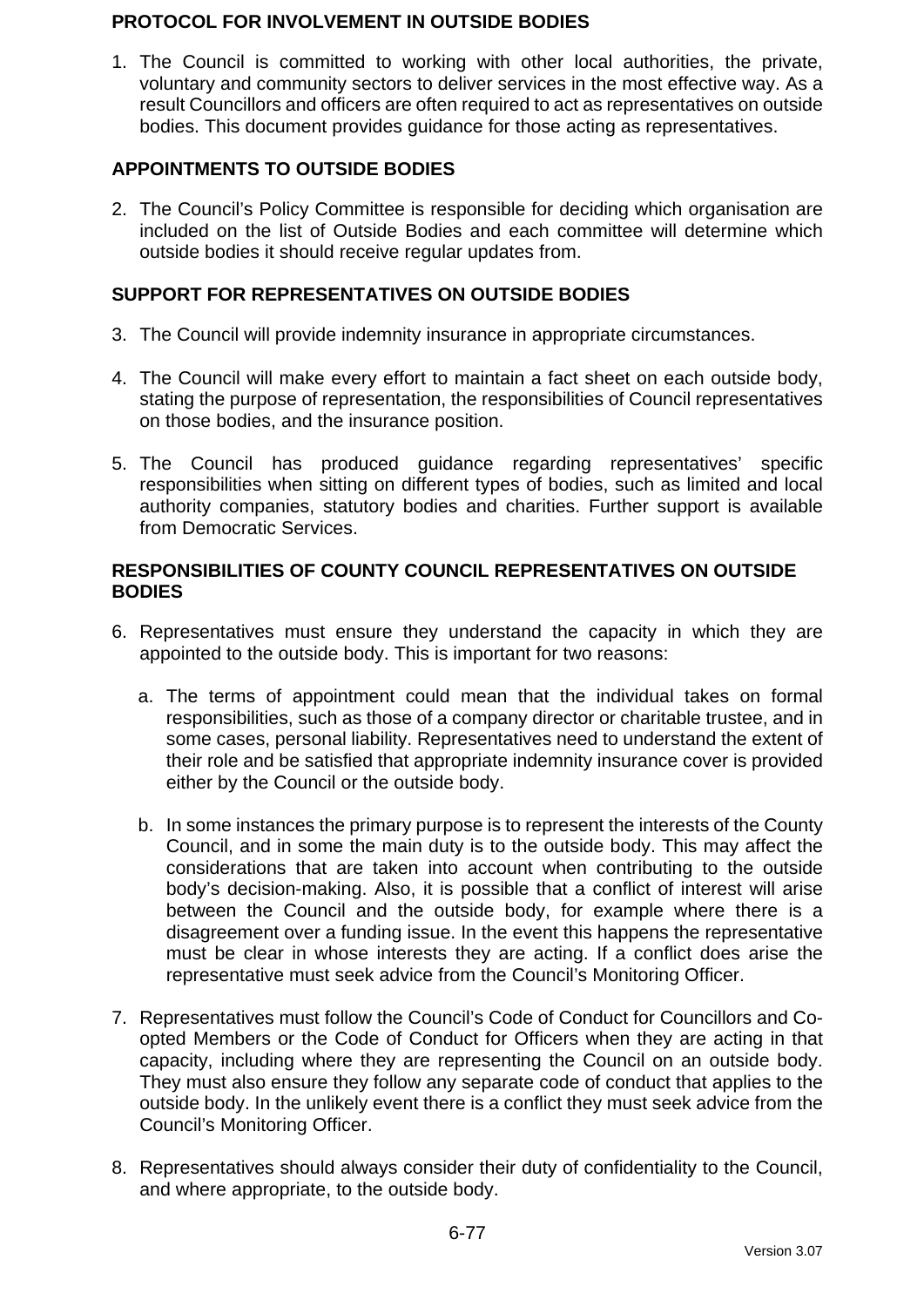### **PROTOCOL FOR INVOLVEMENT IN OUTSIDE BODIES**

1. The Council is committed to working with other local authorities, the private, voluntary and community sectors to deliver services in the most effective way. As a result Councillors and officers are often required to act as representatives on outside bodies. This document provides guidance for those acting as representatives.

# **APPOINTMENTS TO OUTSIDE BODIES**

2. The Council's Policy Committee is responsible for deciding which organisation are included on the list of Outside Bodies and each committee will determine which outside bodies it should receive regular updates from.

## **SUPPORT FOR REPRESENTATIVES ON OUTSIDE BODIES**

- 3. The Council will provide indemnity insurance in appropriate circumstances.
- 4. The Council will make every effort to maintain a fact sheet on each outside body, stating the purpose of representation, the responsibilities of Council representatives on those bodies, and the insurance position.
- 5. The Council has produced guidance regarding representatives' specific responsibilities when sitting on different types of bodies, such as limited and local authority companies, statutory bodies and charities. Further support is available from Democratic Services.

#### **RESPONSIBILITIES OF COUNTY COUNCIL REPRESENTATIVES ON OUTSIDE BODIES**

- 6. Representatives must ensure they understand the capacity in which they are appointed to the outside body. This is important for two reasons:
	- a. The terms of appointment could mean that the individual takes on formal responsibilities, such as those of a company director or charitable trustee, and in some cases, personal liability. Representatives need to understand the extent of their role and be satisfied that appropriate indemnity insurance cover is provided either by the Council or the outside body.
	- b. In some instances the primary purpose is to represent the interests of the County Council, and in some the main duty is to the outside body. This may affect the considerations that are taken into account when contributing to the outside body's decision-making. Also, it is possible that a conflict of interest will arise between the Council and the outside body, for example where there is a disagreement over a funding issue. In the event this happens the representative must be clear in whose interests they are acting. If a conflict does arise the representative must seek advice from the Council's Monitoring Officer.
- 7. Representatives must follow the Council's Code of Conduct for Councillors and Coopted Members or the Code of Conduct for Officers when they are acting in that capacity, including where they are representing the Council on an outside body. They must also ensure they follow any separate code of conduct that applies to the outside body. In the unlikely event there is a conflict they must seek advice from the Council's Monitoring Officer.
- 8. Representatives should always consider their duty of confidentiality to the Council, and where appropriate, to the outside body.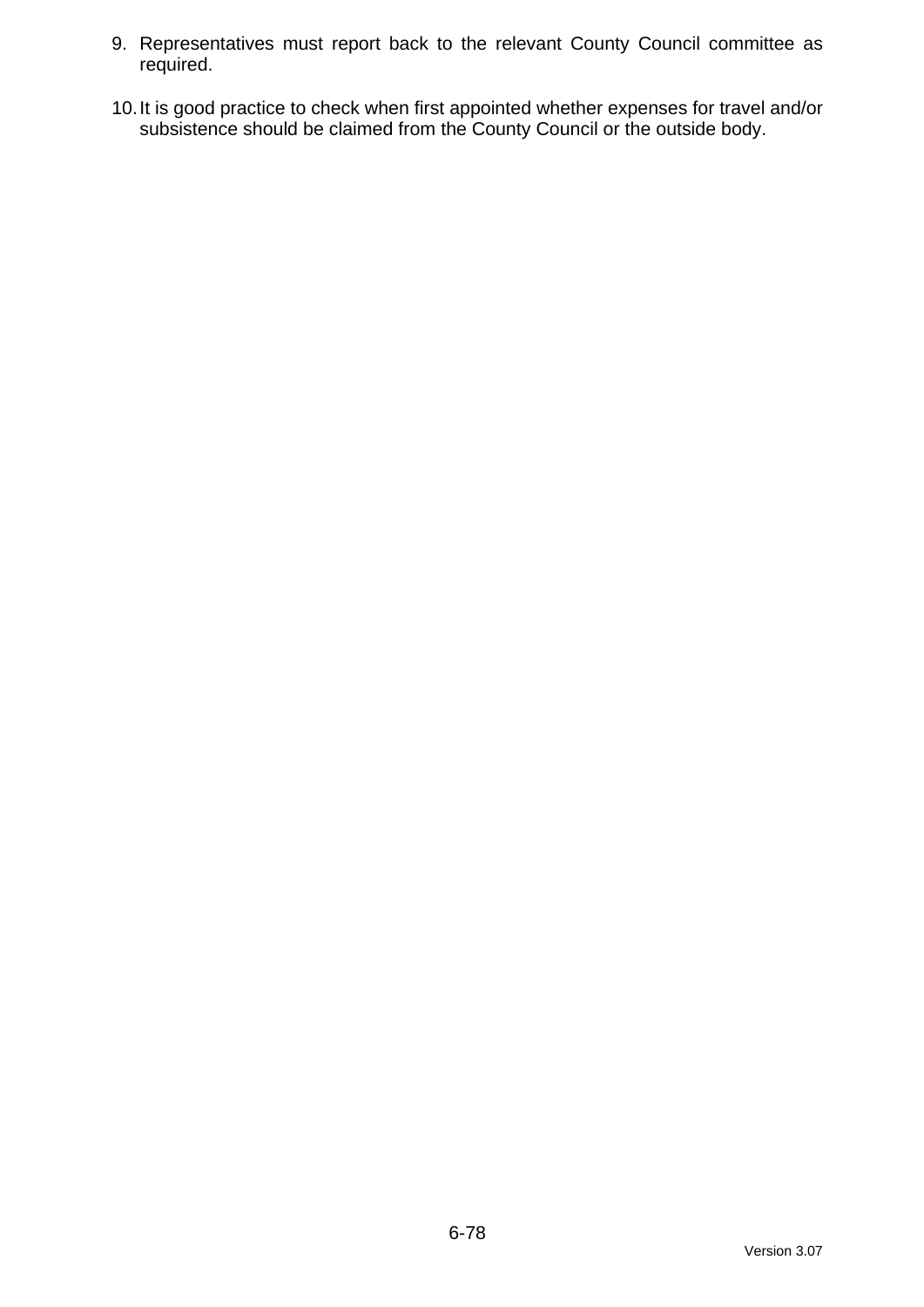- 9. Representatives must report back to the relevant County Council committee as required.
- 10.It is good practice to check when first appointed whether expenses for travel and/or subsistence should be claimed from the County Council or the outside body.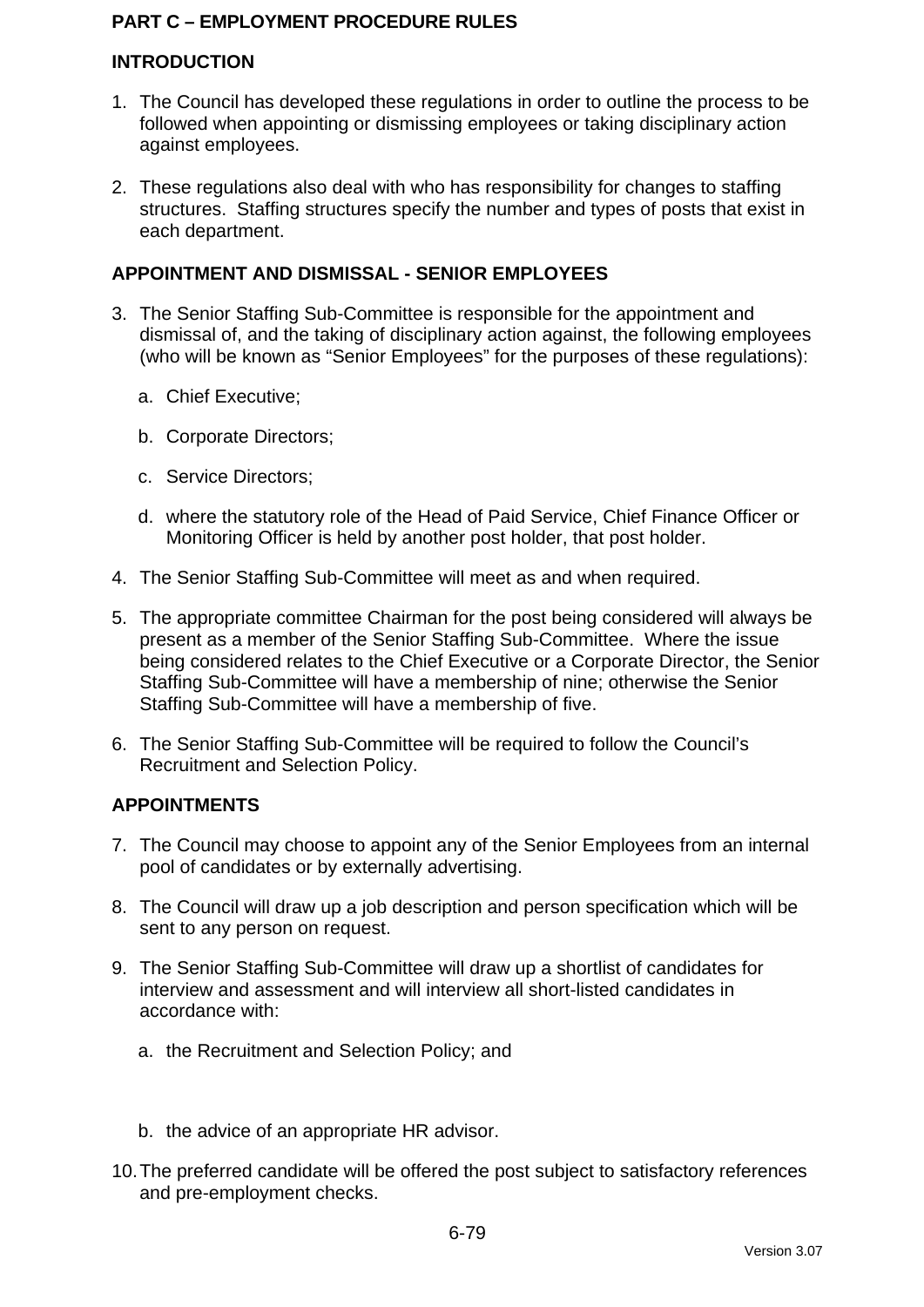### **PART C – EMPLOYMENT PROCEDURE RULES**

# **INTRODUCTION**

- 1. The Council has developed these regulations in order to outline the process to be followed when appointing or dismissing employees or taking disciplinary action against employees.
- 2. These regulations also deal with who has responsibility for changes to staffing structures. Staffing structures specify the number and types of posts that exist in each department.

### **APPOINTMENT AND DISMISSAL - SENIOR EMPLOYEES**

- 3. The Senior Staffing Sub-Committee is responsible for the appointment and dismissal of, and the taking of disciplinary action against, the following employees (who will be known as "Senior Employees" for the purposes of these regulations):
	- a. Chief Executive;
	- b. Corporate Directors;
	- c. Service Directors;
	- d. where the statutory role of the Head of Paid Service, Chief Finance Officer or Monitoring Officer is held by another post holder, that post holder.
- 4. The Senior Staffing Sub-Committee will meet as and when required.
- 5. The appropriate committee Chairman for the post being considered will always be present as a member of the Senior Staffing Sub-Committee. Where the issue being considered relates to the Chief Executive or a Corporate Director, the Senior Staffing Sub-Committee will have a membership of nine; otherwise the Senior Staffing Sub-Committee will have a membership of five.
- 6. The Senior Staffing Sub-Committee will be required to follow the Council's Recruitment and Selection Policy.

### **APPOINTMENTS**

- 7. The Council may choose to appoint any of the Senior Employees from an internal pool of candidates or by externally advertising.
- 8. The Council will draw up a job description and person specification which will be sent to any person on request.
- 9. The Senior Staffing Sub-Committee will draw up a shortlist of candidates for interview and assessment and will interview all short-listed candidates in accordance with:
	- a. the Recruitment and Selection Policy; and
	- b. the advice of an appropriate HR advisor.
- 10.The preferred candidate will be offered the post subject to satisfactory references and pre-employment checks.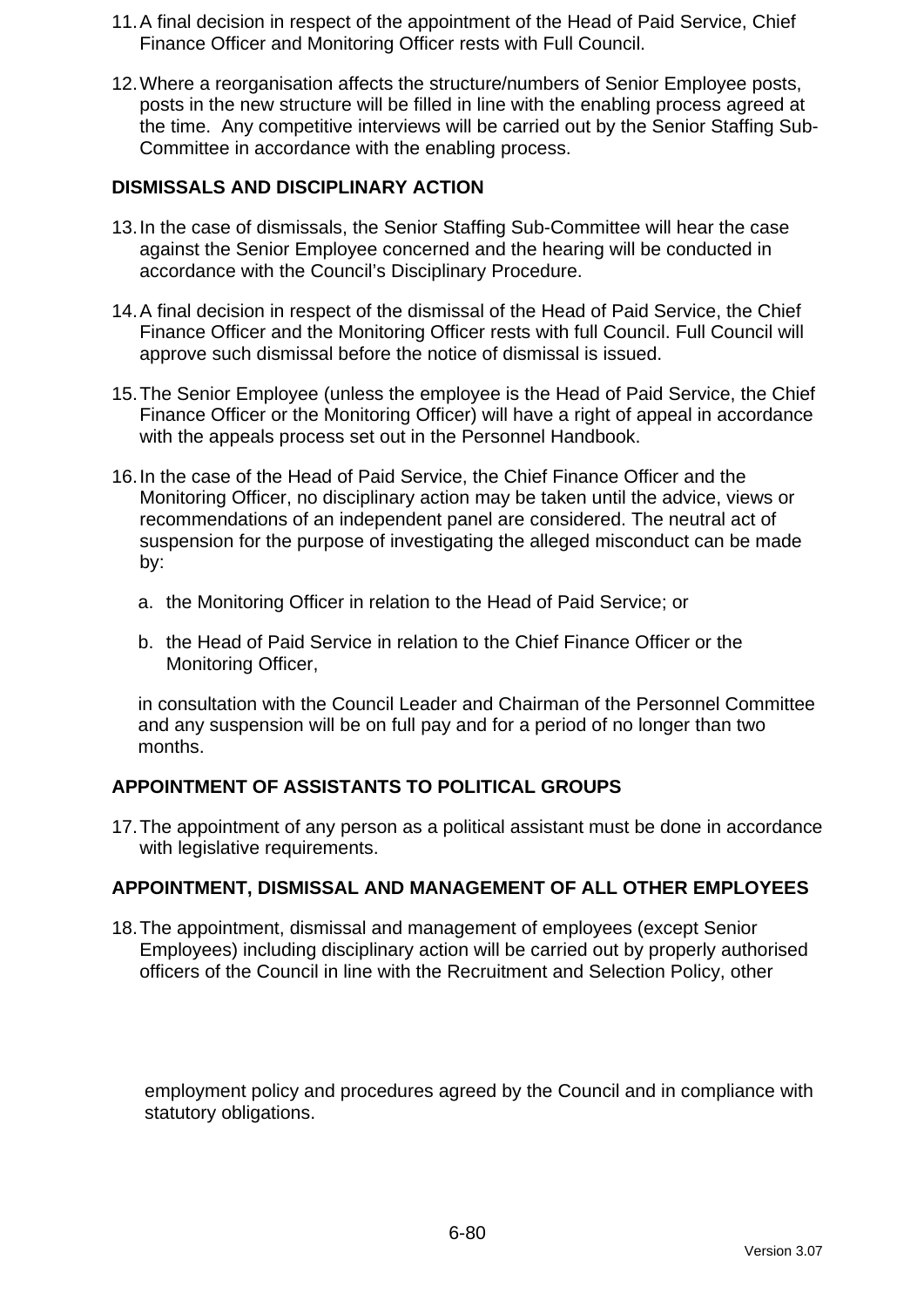- 11.A final decision in respect of the appointment of the Head of Paid Service, Chief Finance Officer and Monitoring Officer rests with Full Council.
- 12.Where a reorganisation affects the structure/numbers of Senior Employee posts, posts in the new structure will be filled in line with the enabling process agreed at the time. Any competitive interviews will be carried out by the Senior Staffing Sub-Committee in accordance with the enabling process.

## **DISMISSALS AND DISCIPLINARY ACTION**

- 13.In the case of dismissals, the Senior Staffing Sub-Committee will hear the case against the Senior Employee concerned and the hearing will be conducted in accordance with the Council's Disciplinary Procedure.
- 14.A final decision in respect of the dismissal of the Head of Paid Service, the Chief Finance Officer and the Monitoring Officer rests with full Council. Full Council will approve such dismissal before the notice of dismissal is issued.
- 15.The Senior Employee (unless the employee is the Head of Paid Service, the Chief Finance Officer or the Monitoring Officer) will have a right of appeal in accordance with the appeals process set out in the Personnel Handbook.
- 16.In the case of the Head of Paid Service, the Chief Finance Officer and the Monitoring Officer, no disciplinary action may be taken until the advice, views or recommendations of an independent panel are considered. The neutral act of suspension for the purpose of investigating the alleged misconduct can be made by:
	- a. the Monitoring Officer in relation to the Head of Paid Service; or
	- b. the Head of Paid Service in relation to the Chief Finance Officer or the Monitoring Officer,

in consultation with the Council Leader and Chairman of the Personnel Committee and any suspension will be on full pay and for a period of no longer than two months.

# **APPOINTMENT OF ASSISTANTS TO POLITICAL GROUPS**

17.The appointment of any person as a political assistant must be done in accordance with legislative requirements.

### **APPOINTMENT, DISMISSAL AND MANAGEMENT OF ALL OTHER EMPLOYEES**

18.The appointment, dismissal and management of employees (except Senior Employees) including disciplinary action will be carried out by properly authorised officers of the Council in line with the Recruitment and Selection Policy, other

employment policy and procedures agreed by the Council and in compliance with statutory obligations.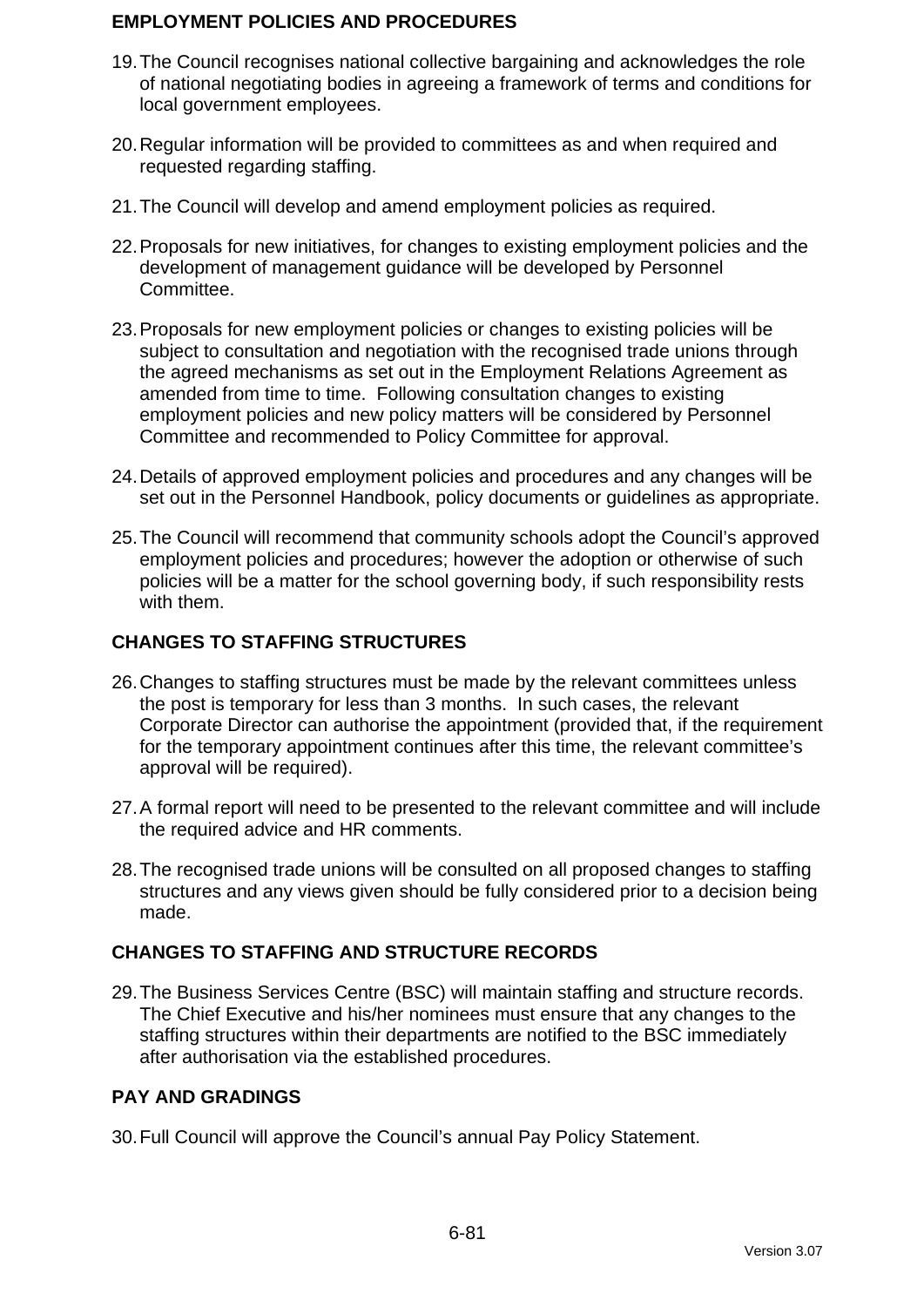# **EMPLOYMENT POLICIES AND PROCEDURES**

- 19.The Council recognises national collective bargaining and acknowledges the role of national negotiating bodies in agreeing a framework of terms and conditions for local government employees.
- 20.Regular information will be provided to committees as and when required and requested regarding staffing.
- 21.The Council will develop and amend employment policies as required.
- 22.Proposals for new initiatives, for changes to existing employment policies and the development of management guidance will be developed by Personnel Committee.
- 23.Proposals for new employment policies or changes to existing policies will be subject to consultation and negotiation with the recognised trade unions through the agreed mechanisms as set out in the Employment Relations Agreement as amended from time to time. Following consultation changes to existing employment policies and new policy matters will be considered by Personnel Committee and recommended to Policy Committee for approval.
- 24.Details of approved employment policies and procedures and any changes will be set out in the Personnel Handbook, policy documents or guidelines as appropriate.
- 25.The Council will recommend that community schools adopt the Council's approved employment policies and procedures; however the adoption or otherwise of such policies will be a matter for the school governing body, if such responsibility rests with them.

## **CHANGES TO STAFFING STRUCTURES**

- 26.Changes to staffing structures must be made by the relevant committees unless the post is temporary for less than 3 months. In such cases, the relevant Corporate Director can authorise the appointment (provided that, if the requirement for the temporary appointment continues after this time, the relevant committee's approval will be required).
- 27.A formal report will need to be presented to the relevant committee and will include the required advice and HR comments.
- 28.The recognised trade unions will be consulted on all proposed changes to staffing structures and any views given should be fully considered prior to a decision being made.

### **CHANGES TO STAFFING AND STRUCTURE RECORDS**

29.The Business Services Centre (BSC) will maintain staffing and structure records. The Chief Executive and his/her nominees must ensure that any changes to the staffing structures within their departments are notified to the BSC immediately after authorisation via the established procedures.

### **PAY AND GRADINGS**

30.Full Council will approve the Council's annual Pay Policy Statement.